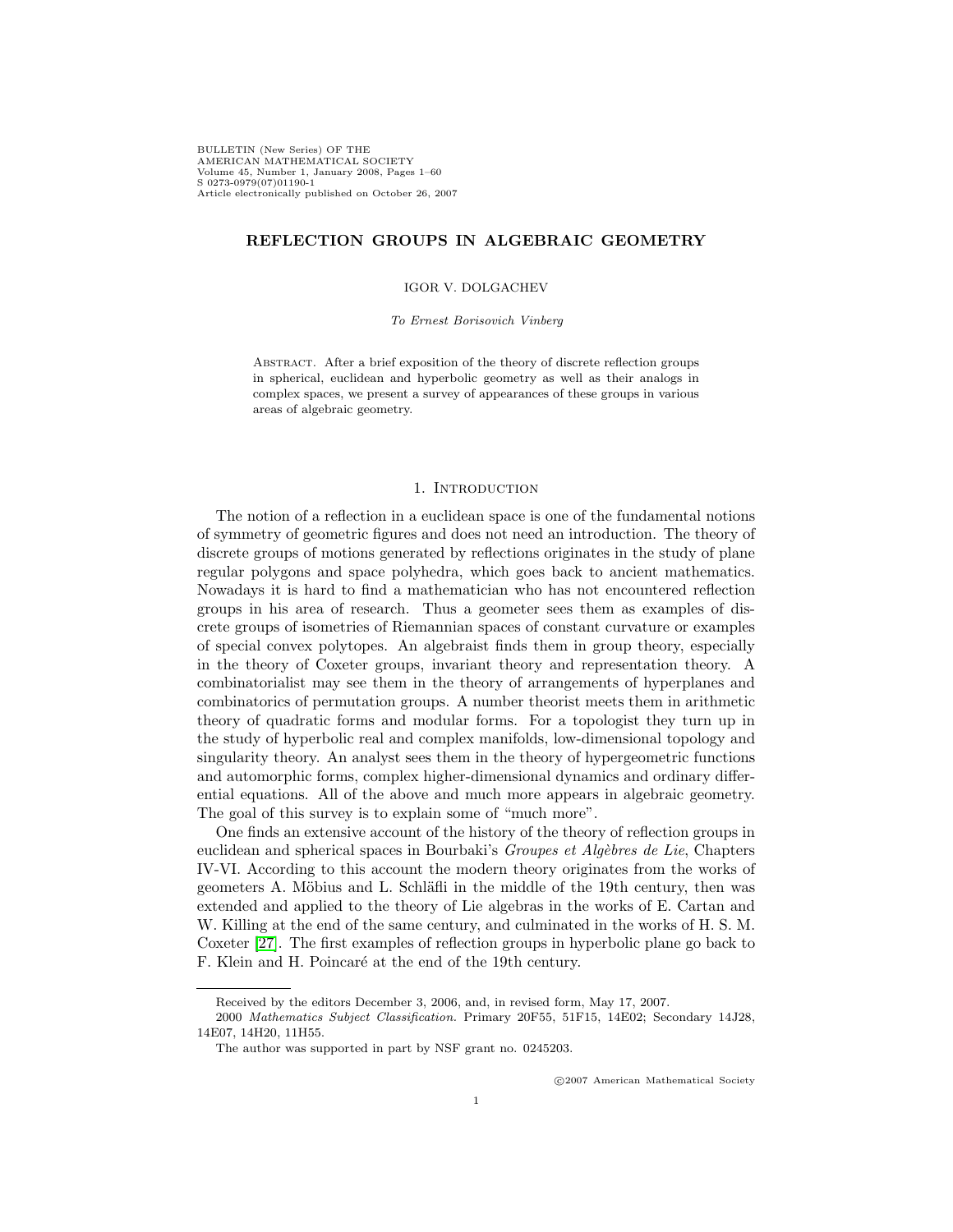BULLETIN (New Series) OF THE AMERICAN MATHEMATICAL SOCIETY Volume 45, Number 1, January 2008, Pages 1–60 S 0273-0979(07)01190-1 Article electronically published on October 26, 2007

# **REFLECTION GROUPS IN ALGEBRAIC GEOMETRY**

### IGOR V. DOLGACHEV

#### To Ernest Borisovich Vinberg

Abstract. After a brief exposition of the theory of discrete reflection groups in spherical, euclidean and hyperbolic geometry as well as their analogs in complex spaces, we present a survey of appearances of these groups in various areas of algebraic geometry.

## 1. INTRODUCTION

The notion of a reflection in a euclidean space is one of the fundamental notions of symmetry of geometric figures and does not need an introduction. The theory of discrete groups of motions generated by reflections originates in the study of plane regular polygons and space polyhedra, which goes back to ancient mathematics. Nowadays it is hard to find a mathematician who has not encountered reflection groups in his area of research. Thus a geometer sees them as examples of discrete groups of isometries of Riemannian spaces of constant curvature or examples of special convex polytopes. An algebraist finds them in group theory, especially in the theory of Coxeter groups, invariant theory and representation theory. A combinatorialist may see them in the theory of arrangements of hyperplanes and combinatorics of permutation groups. A number theorist meets them in arithmetic theory of quadratic forms and modular forms. For a topologist they turn up in the study of hyperbolic real and complex manifolds, low-dimensional topology and singularity theory. An analyst sees them in the theory of hypergeometric functions and automorphic forms, complex higher-dimensional dynamics and ordinary differential equations. All of the above and much more appears in algebraic geometry. The goal of this survey is to explain some of "much more".

One finds an extensive account of the history of the theory of reflection groups in euclidean and spherical spaces in Bourbaki's Groupes et  $Alg\acute{e}b$ res de Lie, Chapters IV-VI. According to this account the modern theory originates from the works of geometers A. Möbius and L. Schläfli in the middle of the 19th century, then was extended and applied to the theory of Lie algebras in the works of E. Cartan and W. Killing at the end of the same century, and culminated in the works of H. S. M. Coxeter [\[27\]](#page-54-0). The first examples of reflection groups in hyperbolic plane go back to F. Klein and H. Poincaré at the end of the 19th century.

c 2007 American Mathematical Society

Received by the editors December 3, 2006, and, in revised form, May 17, 2007.

<sup>2000</sup> Mathematics Subject Classification. Primary 20F55, 51F15, 14E02; Secondary 14J28, 14E07, 14H20, 11H55.

The author was supported in part by NSF grant no. 0245203.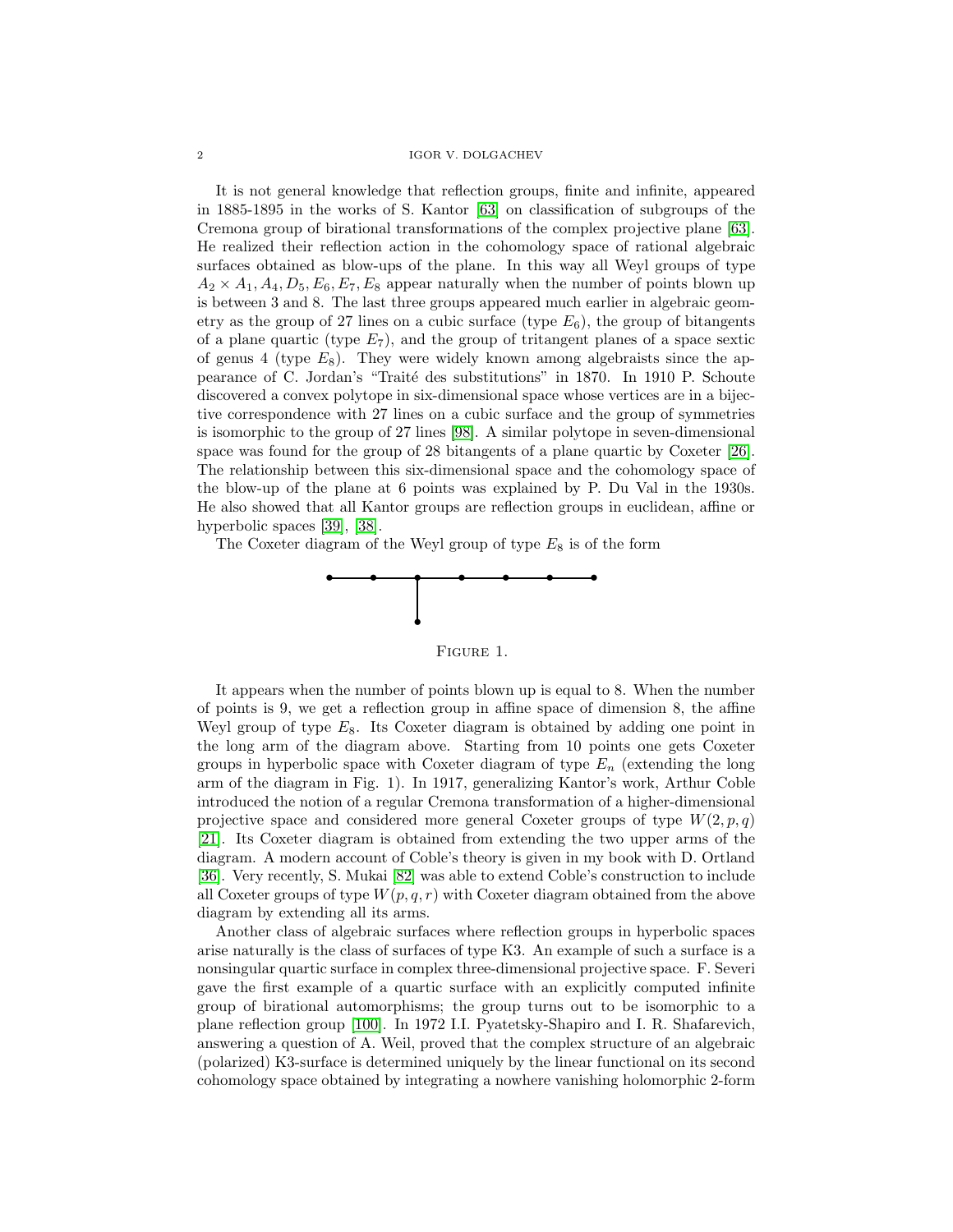It is not general knowledge that reflection groups, finite and infinite, appeared in 1885-1895 in the works of S. Kantor [\[63\]](#page-56-0) on classification of subgroups of the Cremona group of birational transformations of the complex projective plane [\[63\]](#page-56-0). He realized their reflection action in the cohomology space of rational algebraic surfaces obtained as blow-ups of the plane. In this way all Weyl groups of type  $A_2 \times A_1, A_4, D_5, E_6, E_7, E_8$  appear naturally when the number of points blown up is between 3 and 8. The last three groups appeared much earlier in algebraic geometry as the group of 27 lines on a cubic surface (type  $E_6$ ), the group of bitangents of a plane quartic (type  $E_7$ ), and the group of tritangent planes of a space sextic of genus 4 (type  $E_8$ ). They were widely known among algebraists since the appearance of C. Jordan's "Traité des substitutions" in 1870. In 1910 P. Schoute discovered a convex polytope in six-dimensional space whose vertices are in a bijective correspondence with 27 lines on a cubic surface and the group of symmetries is isomorphic to the group of 27 lines [\[98\]](#page-58-0). A similar polytope in seven-dimensional space was found for the group of 28 bitangents of a plane quartic by Coxeter [\[26\]](#page-54-1). The relationship between this six-dimensional space and the cohomology space of the blow-up of the plane at 6 points was explained by P. Du Val in the 1930s. He also showed that all Kantor groups are reflection groups in euclidean, affine or hyperbolic spaces [\[39\]](#page-55-0), [\[38\]](#page-55-1).

The Coxeter diagram of the Weyl group of type  $E_8$  is of the form



Figure 1.

It appears when the number of points blown up is equal to 8. When the number of points is 9, we get a reflection group in affine space of dimension 8, the affine Weyl group of type  $E_8$ . Its Coxeter diagram is obtained by adding one point in the long arm of the diagram above. Starting from 10 points one gets Coxeter groups in hyperbolic space with Coxeter diagram of type  $E_n$  (extending the long arm of the diagram in Fig. 1). In 1917, generalizing Kantor's work, Arthur Coble introduced the notion of a regular Cremona transformation of a higher-dimensional projective space and considered more general Coxeter groups of type  $W(2,p,q)$ [\[21\]](#page-54-2). Its Coxeter diagram is obtained from extending the two upper arms of the diagram. A modern account of Coble's theory is given in my book with D. Ortland [\[36\]](#page-55-2). Very recently, S. Mukai [\[82\]](#page-57-0) was able to extend Coble's construction to include all Coxeter groups of type  $W(p,q,r)$  with Coxeter diagram obtained from the above diagram by extending all its arms.

Another class of algebraic surfaces where reflection groups in hyperbolic spaces arise naturally is the class of surfaces of type K3. An example of such a surface is a nonsingular quartic surface in complex three-dimensional projective space. F. Severi gave the first example of a quartic surface with an explicitly computed infinite group of birational automorphisms; the group turns out to be isomorphic to a plane reflection group [\[100\]](#page-58-1). In 1972 I.I. Pyatetsky-Shapiro and I. R. Shafarevich, answering a question of A. Weil, proved that the complex structure of an algebraic (polarized) K3-surface is determined uniquely by the linear functional on its second cohomology space obtained by integrating a nowhere vanishing holomorphic 2-form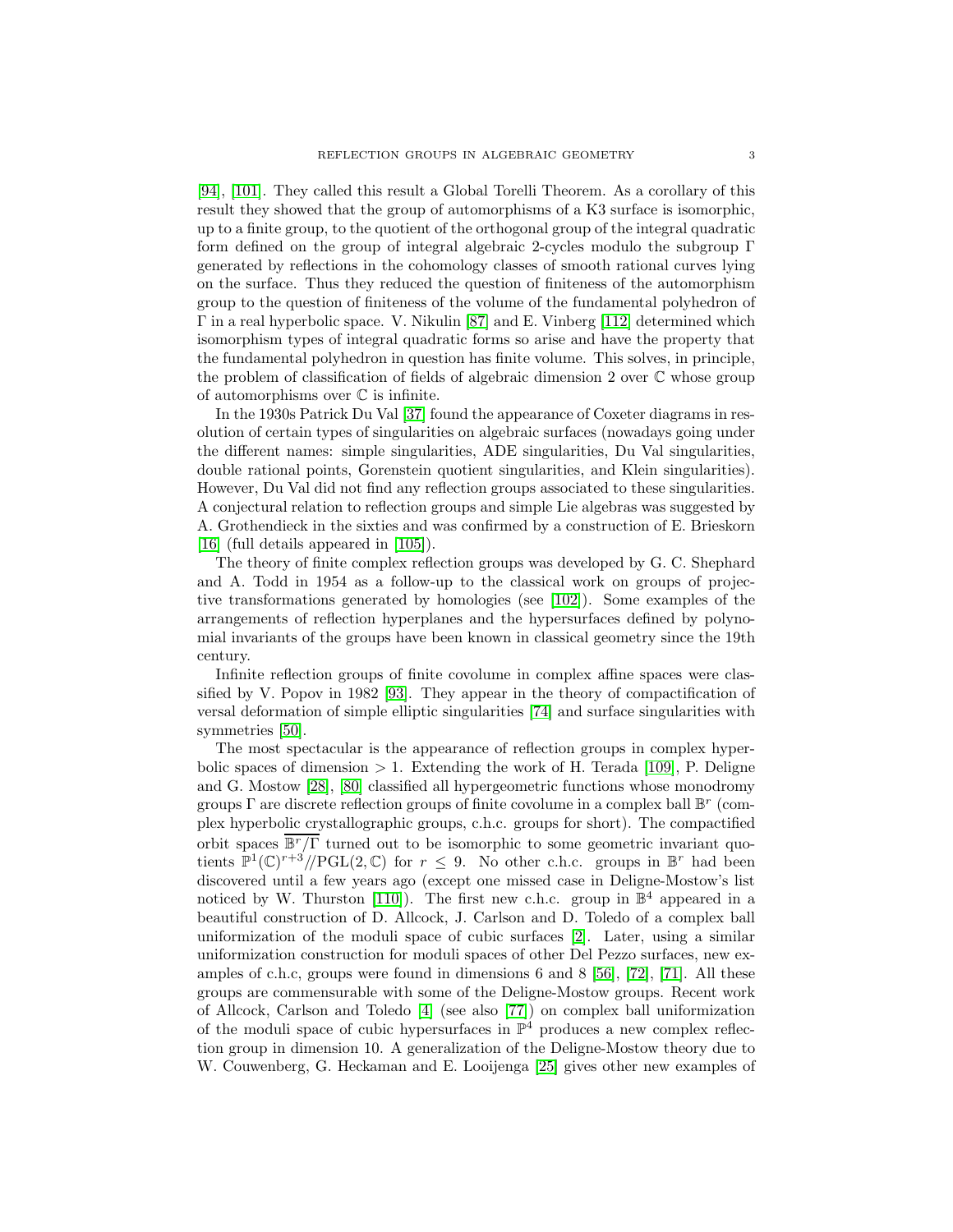[\[94\]](#page-57-1), [\[101\]](#page-58-2). They called this result a Global Torelli Theorem. As a corollary of this result they showed that the group of automorphisms of a K3 surface is isomorphic, up to a finite group, to the quotient of the orthogonal group of the integral quadratic form defined on the group of integral algebraic 2-cycles modulo the subgroup Γ generated by reflections in the cohomology classes of smooth rational curves lying on the surface. Thus they reduced the question of finiteness of the automorphism group to the question of finiteness of the volume of the fundamental polyhedron of Γ in a real hyperbolic space. V. Nikulin [\[87\]](#page-57-2) and E. Vinberg [\[112\]](#page-58-3) determined which isomorphism types of integral quadratic forms so arise and have the property that the fundamental polyhedron in question has finite volume. This solves, in principle, the problem of classification of fields of algebraic dimension 2 over C whose group of automorphisms over  $\mathbb C$  is infinite.

In the 1930s Patrick Du Val [\[37\]](#page-55-3) found the appearance of Coxeter diagrams in resolution of certain types of singularities on algebraic surfaces (nowadays going under the different names: simple singularities, ADE singularities, Du Val singularities, double rational points, Gorenstein quotient singularities, and Klein singularities). However, Du Val did not find any reflection groups associated to these singularities. A conjectural relation to reflection groups and simple Lie algebras was suggested by A. Grothendieck in the sixties and was confirmed by a construction of E. Brieskorn [\[16\]](#page-54-3) (full details appeared in [\[105\]](#page-58-4)).

The theory of finite complex reflection groups was developed by G. C. Shephard and A. Todd in 1954 as a follow-up to the classical work on groups of projective transformations generated by homologies (see [\[102\]](#page-58-5)). Some examples of the arrangements of reflection hyperplanes and the hypersurfaces defined by polynomial invariants of the groups have been known in classical geometry since the 19th century.

Infinite reflection groups of finite covolume in complex affine spaces were classified by V. Popov in 1982 [\[93\]](#page-57-3). They appear in the theory of compactification of versal deformation of simple elliptic singularities [\[74\]](#page-56-1) and surface singularities with symmetries [\[50\]](#page-55-4).

The most spectacular is the appearance of reflection groups in complex hyperbolic spaces of dimension  $> 1$ . Extending the work of H. Terada [\[109\]](#page-58-6), P. Deligne and G. Mostow [\[28\]](#page-55-5), [\[80\]](#page-57-4) classified all hypergeometric functions whose monodromy groups  $\Gamma$  are discrete reflection groups of finite covolume in a complex ball  $\mathbb{B}^r$  (complex hyperbolic crystallographic groups, c.h.c. groups for short). The compactified orbit spaces  $\overline{\mathbb{B}^r/\Gamma}$  turned out to be isomorphic to some geometric invariant quotients  $\mathbb{P}^1(\mathbb{C})^{r+3}/\mathbb{P} GL(2,\mathbb{C})$  for  $r \leq 9$ . No other c.h.c. groups in  $\mathbb{B}^r$  had been discovered until a few years ago (except one missed case in Deligne-Mostow's list noticed by W. Thurston [\[110\]](#page-58-7)). The first new c.h.c. group in  $\mathbb{B}^4$  appeared in a beautiful construction of D. Allcock, J. Carlson and D. Toledo of a complex ball uniformization of the moduli space of cubic surfaces [\[2\]](#page-53-0). Later, using a similar uniformization construction for moduli spaces of other Del Pezzo surfaces, new examples of c.h.c, groups were found in dimensions 6 and 8 [\[56\]](#page-56-2), [\[72\]](#page-56-3), [\[71\]](#page-56-4). All these groups are commensurable with some of the Deligne-Mostow groups. Recent work of Allcock, Carlson and Toledo [\[4\]](#page-53-1) (see also [\[77\]](#page-57-5)) on complex ball uniformization of the moduli space of cubic hypersurfaces in  $\mathbb{P}^4$  produces a new complex reflection group in dimension 10. A generalization of the Deligne-Mostow theory due to W. Couwenberg, G. Heckaman and E. Looijenga [\[25\]](#page-54-4) gives other new examples of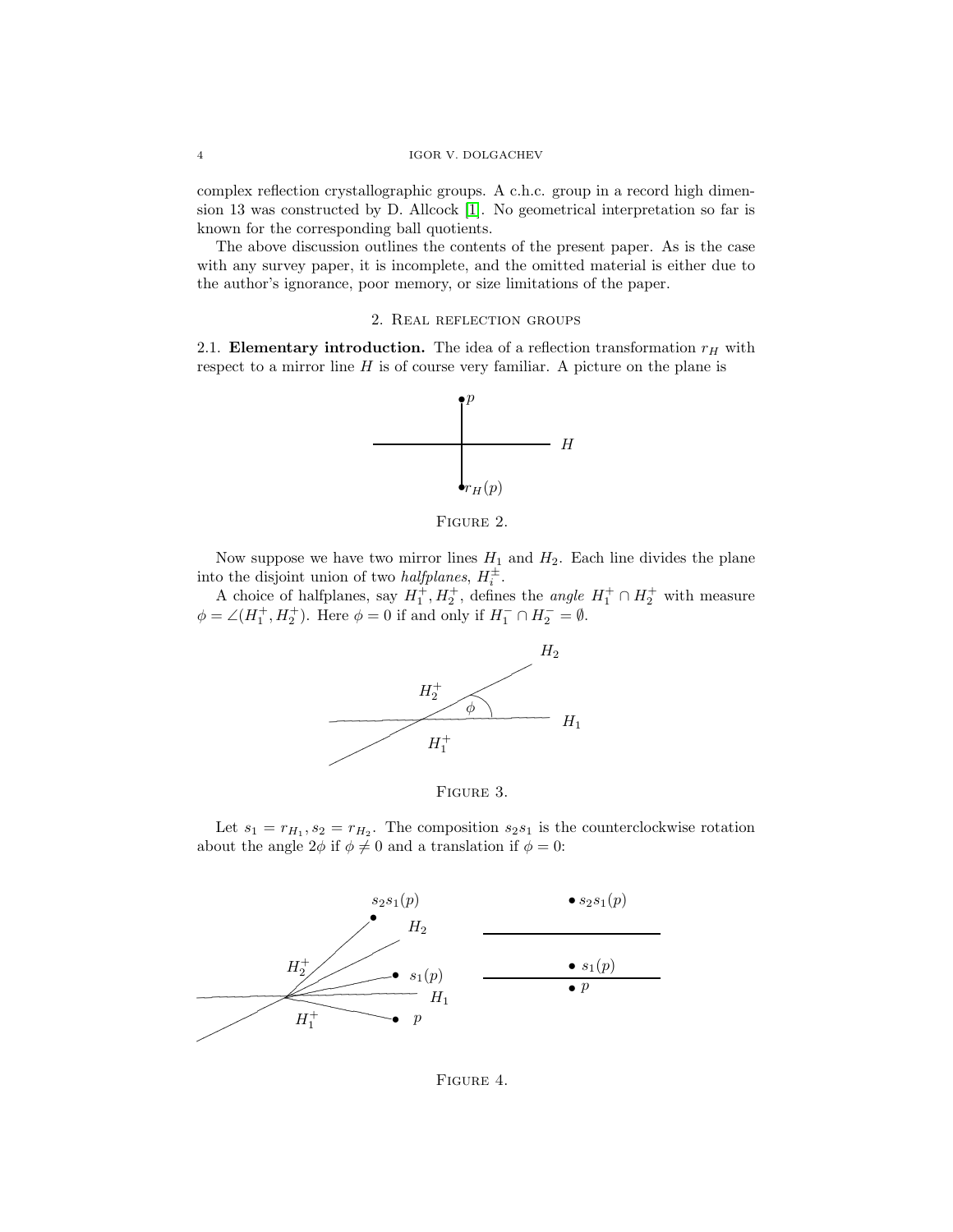complex reflection crystallographic groups. A c.h.c. group in a record high dimension 13 was constructed by D. Allcock [\[1\]](#page-53-2). No geometrical interpretation so far is known for the corresponding ball quotients.

The above discussion outlines the contents of the present paper. As is the case with any survey paper, it is incomplete, and the omitted material is either due to the author's ignorance, poor memory, or size limitations of the paper.

## 2. Real reflection groups

2.1. **Elementary introduction.** The idea of a reflection transformation  $r_H$  with respect to a mirror line  $H$  is of course very familiar. A picture on the plane is



FIGURE 2.

Now suppose we have two mirror lines  $H_1$  and  $H_2$ . Each line divides the plane into the disjoint union of two *halfplanes*,  $H_i^{\pm}$ .

A choice of halfplanes, say  $H_1^+, H_2^+$ , defines the *angle*  $H_1^+ \cap H_2^+$  with measure  $\phi = \angle(H_1^+, H_2^+)$ . Here  $\phi = 0$  if and only if  $H_1^- \cap H_2^- = \emptyset$ .





Let  $s_1 = r_{H_1}, s_2 = r_{H_2}$ . The composition  $s_2 s_1$  is the counterclockwise rotation about the angle  $2\phi$  if  $\phi \neq 0$  and a translation if  $\phi = 0$ :



Figure 4.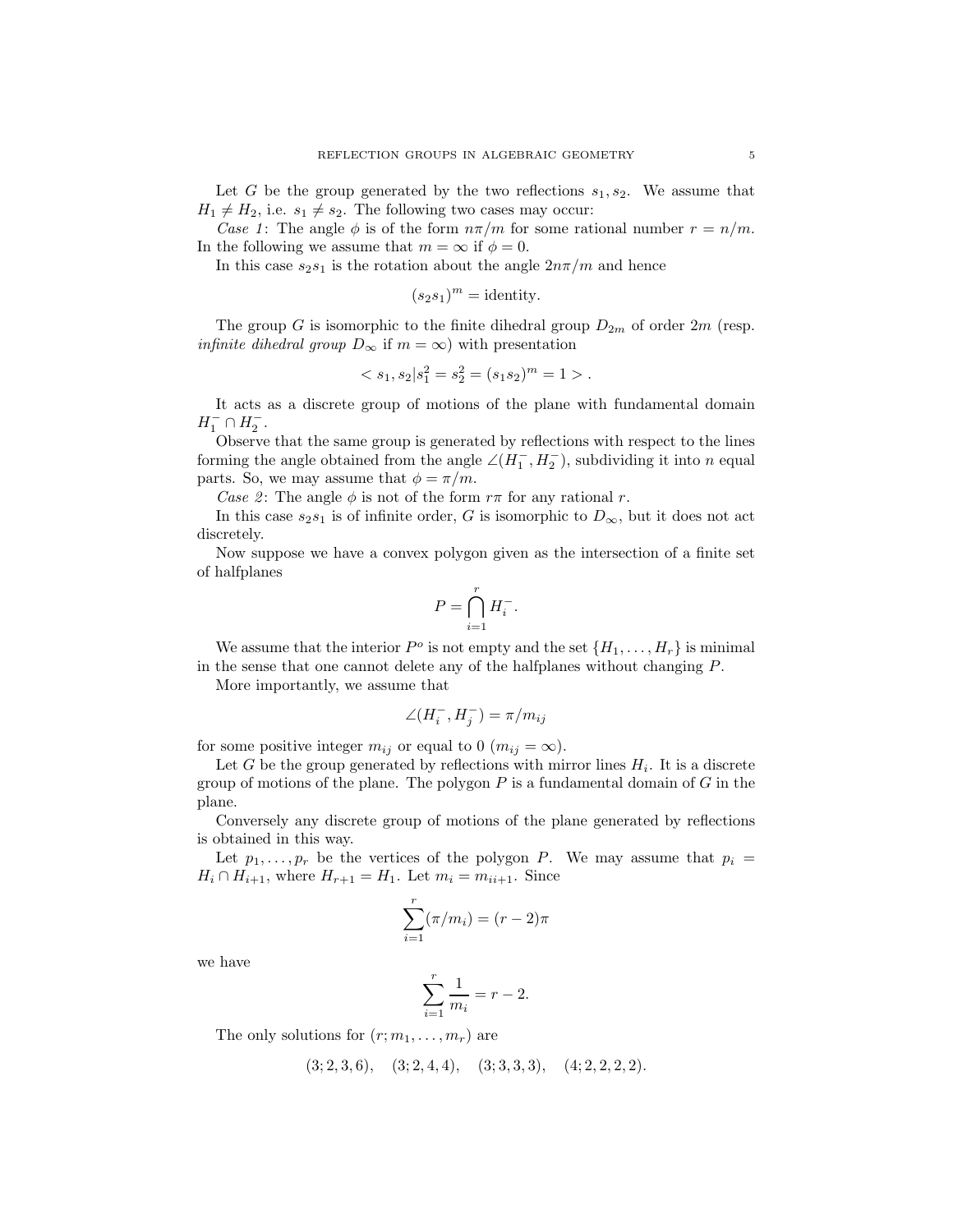Let G be the group generated by the two reflections  $s_1, s_2$ . We assume that  $H_1 \neq H_2$ , i.e.  $s_1 \neq s_2$ . The following two cases may occur:

Case 1: The angle  $\phi$  is of the form  $n\pi/m$  for some rational number  $r = n/m$ . In the following we assume that  $m = \infty$  if  $\phi = 0$ .

In this case  $s_2s_1$  is the rotation about the angle  $2n\pi/m$  and hence

$$
(s_2s_1)^m = \text{identity.}
$$

The group G is isomorphic to the finite dihedral group  $D_{2m}$  of order  $2m$  (resp. *infinite dihedral group*  $D_{\infty}$  if  $m = \infty$ ) with presentation

$$
\langle s_1, s_2 | s_1^2 = s_2^2 = (s_1 s_2)^m = 1 \rangle.
$$

It acts as a discrete group of motions of the plane with fundamental domain  $H_1^- \cap H_2^-$ .

Observe that the same group is generated by reflections with respect to the lines forming the angle obtained from the angle  $\angle(H_1^-, H_2^-)$ , subdividing it into n equal parts. So, we may assume that  $\phi = \pi/m$ .

Case 2: The angle  $\phi$  is not of the form  $r\pi$  for any rational r.

In this case  $s_2s_1$  is of infinite order, G is isomorphic to  $D_{\infty}$ , but it does not act discretely.

Now suppose we have a convex polygon given as the intersection of a finite set of halfplanes

$$
P = \bigcap_{i=1}^r H_i^-.
$$

We assume that the interior  $P^o$  is not empty and the set  $\{H_1,\ldots,H_r\}$  is minimal in the sense that one cannot delete any of the halfplanes without changing P.

More importantly, we assume that

$$
\angle(H_i^-, H_j^-) = \pi/m_{ij}
$$

for some positive integer  $m_{ij}$  or equal to 0  $(m_{ij} = \infty)$ .

Let G be the group generated by reflections with mirror lines  $H_i$ . It is a discrete group of motions of the plane. The polygon  $P$  is a fundamental domain of  $G$  in the plane.

Conversely any discrete group of motions of the plane generated by reflections is obtained in this way.

Let  $p_1, \ldots, p_r$  be the vertices of the polygon P. We may assume that  $p_i =$  $H_i \cap H_{i+1}$ , where  $H_{r+1} = H_1$ . Let  $m_i = m_{i+1}$ . Since

$$
\sum_{i=1}^{r} (\pi/m_i) = (r-2)\pi
$$

we have

$$
\sum_{i=1}^{r} \frac{1}{m_i} = r - 2.
$$

The only solutions for  $(r; m_1, \ldots, m_r)$  are

$$
(3; 2, 3, 6), (3; 2, 4, 4), (3; 3, 3, 3), (4; 2, 2, 2, 2).
$$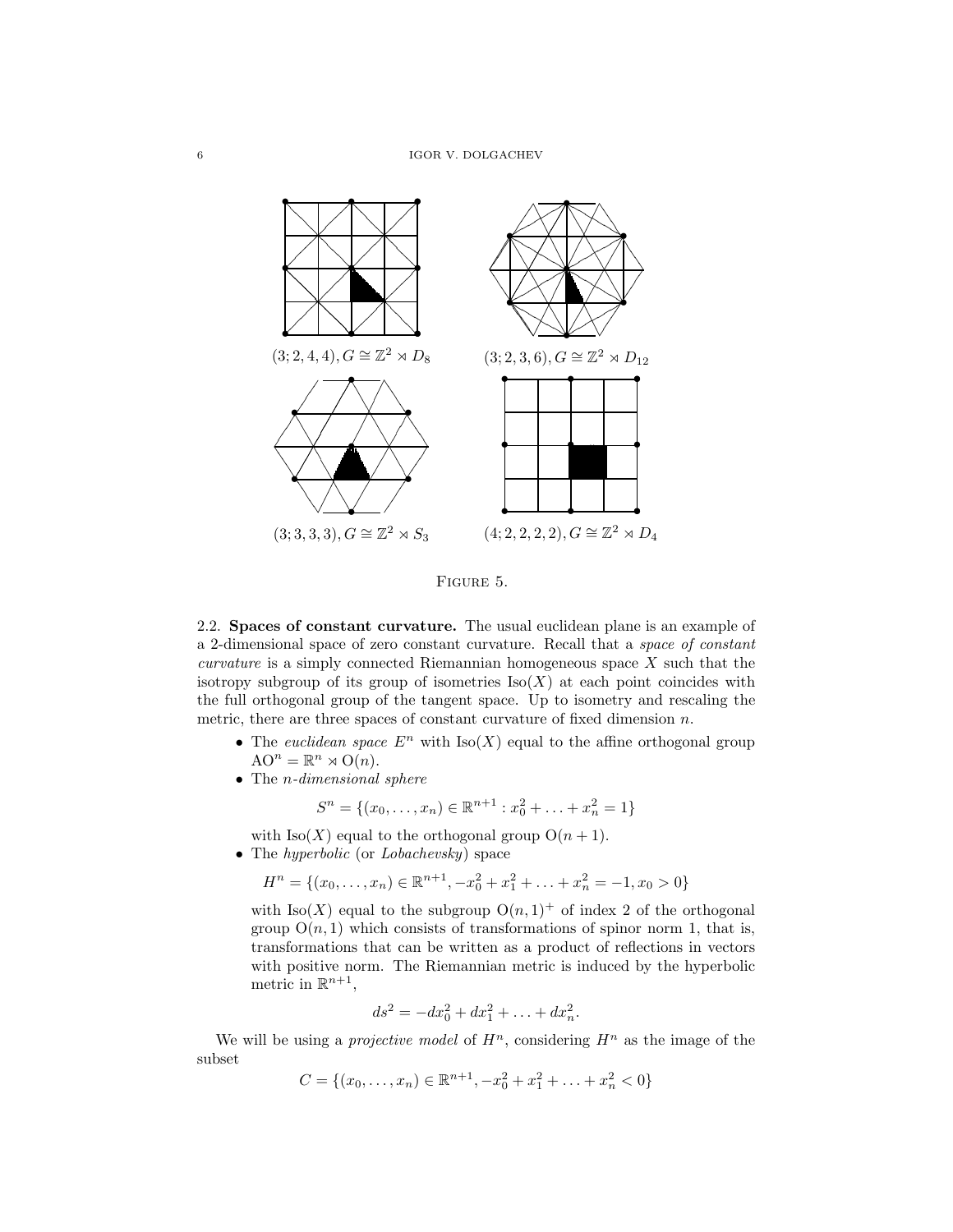

Figure 5.

2.2. **Spaces of constant curvature.** The usual euclidean plane is an example of a 2-dimensional space of zero constant curvature. Recall that a space of constant curvature is a simply connected Riemannian homogeneous space X such that the isotropy subgroup of its group of isometries  $\text{Iso}(X)$  at each point coincides with the full orthogonal group of the tangent space. Up to isometry and rescaling the metric, there are three spaces of constant curvature of fixed dimension  $n$ .

- The euclidean space  $E^n$  with  $\text{Iso}(X)$  equal to the affine orthogonal group  $AO^n = \mathbb{R}^n \rtimes O(n).$
- The *n*-dimensional sphere

$$
S^n = \{(x_0, \ldots, x_n) \in \mathbb{R}^{n+1} : x_0^2 + \ldots + x_n^2 = 1\}
$$

with  $\text{Iso}(X)$  equal to the orthogonal group  $O(n + 1)$ .

• The *hyperbolic* (or *Lobachevsky*) space

$$
H^n = \{(x_0, \dots, x_n) \in \mathbb{R}^{n+1}, -x_0^2 + x_1^2 + \dots + x_n^2 = -1, x_0 > 0\}
$$

with  $\text{Iso}(X)$  equal to the subgroup  $O(n, 1)^+$  of index 2 of the orthogonal group  $O(n, 1)$  which consists of transformations of spinor norm 1, that is, transformations that can be written as a product of reflections in vectors with positive norm. The Riemannian metric is induced by the hyperbolic metric in  $\mathbb{R}^{n+1}$ ,

$$
ds^2 = -dx_0^2 + dx_1^2 + \ldots + dx_n^2.
$$

We will be using a *projective model* of  $H^n$ , considering  $H^n$  as the image of the subset

$$
C = \{(x_0, \dots, x_n) \in \mathbb{R}^{n+1}, -x_0^2 + x_1^2 + \dots + x_n^2 < 0\}
$$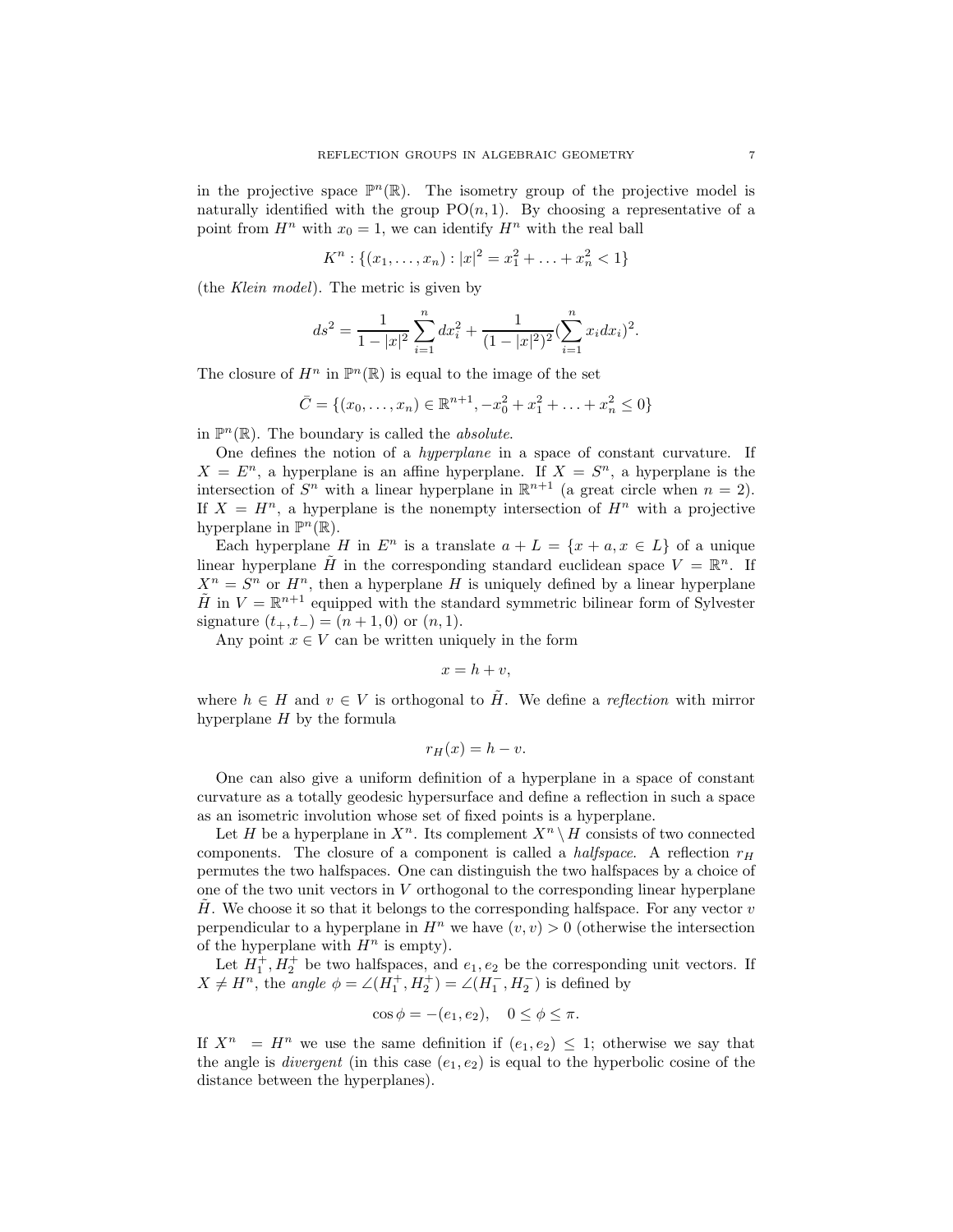in the projective space  $\mathbb{P}^n(\mathbb{R})$ . The isometry group of the projective model is naturally identified with the group  $PO(n, 1)$ . By choosing a representative of a point from  $H^n$  with  $x_0 = 1$ , we can identify  $H^n$  with the real ball

$$
K^{n}: \{(x_{1},...,x_{n}): |x|^{2}=x_{1}^{2}+...+x_{n}^{2}<1\}
$$

(the Klein model). The metric is given by

$$
ds^{2} = \frac{1}{1 - |x|^{2}} \sum_{i=1}^{n} dx_{i}^{2} + \frac{1}{(1 - |x|^{2})^{2}} \left(\sum_{i=1}^{n} x_{i} dx_{i}\right)^{2}.
$$

The closure of  $H^n$  in  $\mathbb{P}^n(\mathbb{R})$  is equal to the image of the set

$$
\bar{C} = \{(x_0, \dots, x_n) \in \mathbb{R}^{n+1}, -x_0^2 + x_1^2 + \dots + x_n^2 \le 0\}
$$

in  $\mathbb{P}^n(\mathbb{R})$ . The boundary is called the *absolute*.

One defines the notion of a hyperplane in a space of constant curvature. If  $X = E<sup>n</sup>$ , a hyperplane is an affine hyperplane. If  $X = S<sup>n</sup>$ , a hyperplane is the intersection of  $S<sup>n</sup>$  with a linear hyperplane in  $\mathbb{R}^{n+1}$  (a great circle when  $n = 2$ ). If  $X = H<sup>n</sup>$ , a hyperplane is the nonempty intersection of  $H<sup>n</sup>$  with a projective hyperplane in  $\mathbb{P}^n(\mathbb{R})$ .

Each hyperplane H in  $E^n$  is a translate  $a + L = \{x + a, x \in L\}$  of a unique linear hyperplane  $\tilde{H}$  in the corresponding standard euclidean space  $V = \mathbb{R}^n$ . If  $X^n = S^n$  or  $H^n$ , then a hyperplane H is uniquely defined by a linear hyperplane  $\tilde{H}$  in  $V = \mathbb{R}^{n+1}$  equipped with the standard symmetric bilinear form of Sylvester signature  $(t_{+}, t_{-})=(n + 1, 0)$  or  $(n, 1)$ .

Any point  $x \in V$  can be written uniquely in the form

$$
x = h + v,
$$

where  $h \in H$  and  $v \in V$  is orthogonal to  $\tilde{H}$ . We define a reflection with mirror hyperplane  $H$  by the formula

$$
r_H(x) = h - v.
$$

One can also give a uniform definition of a hyperplane in a space of constant curvature as a totally geodesic hypersurface and define a reflection in such a space as an isometric involution whose set of fixed points is a hyperplane.

Let H be a hyperplane in  $X^n$ . Its complement  $X^n \setminus H$  consists of two connected components. The closure of a component is called a *halfspace*. A reflection  $r_H$ permutes the two halfspaces. One can distinguish the two halfspaces by a choice of one of the two unit vectors in  $V$  orthogonal to the corresponding linear hyperplane  $H$ . We choose it so that it belongs to the corresponding halfspace. For any vector v perpendicular to a hyperplane in  $H^n$  we have  $(v, v) > 0$  (otherwise the intersection of the hyperplane with  $H^n$  is empty).

Let  $H_1^+, H_2^+$  be two halfspaces, and  $e_1, e_2$  be the corresponding unit vectors. If  $X \neq H^n$ , the angle  $\phi = \angle(H_1^+, H_2^+) = \angle(H_1^-, H_2^-)$  is defined by

$$
\cos \phi = -(e_1, e_2), \quad 0 \le \phi \le \pi.
$$

If  $X^n = H^n$  we use the same definition if  $(e_1, e_2) \leq 1$ ; otherwise we say that the angle is *divergent* (in this case  $(e_1, e_2)$  is equal to the hyperbolic cosine of the distance between the hyperplanes).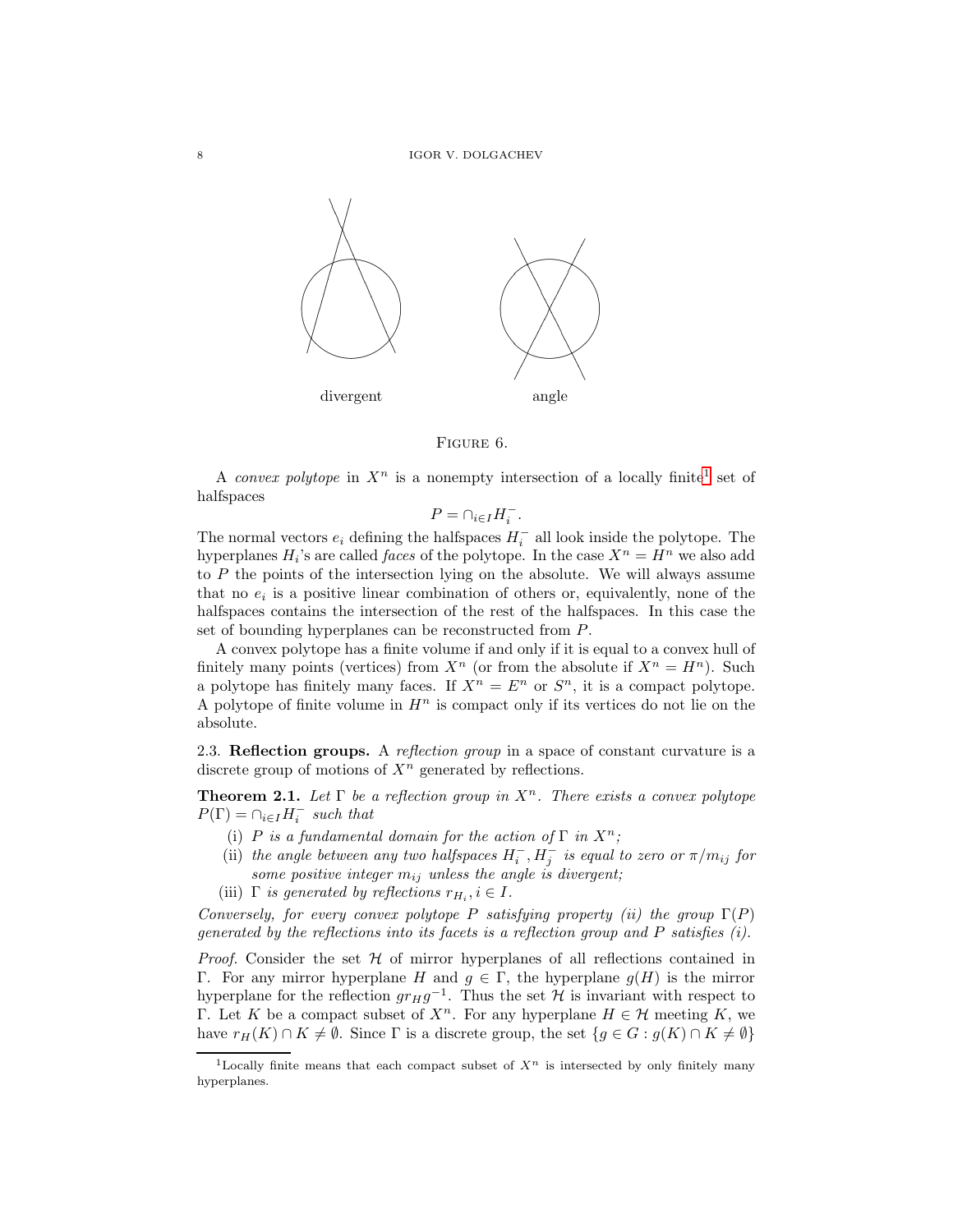

Figure 6.

A convex polytope in  $X^n$  is a nonempty intersection of a locally finite<sup>[1](#page-7-0)</sup> set of halfspaces

$$
P = \cap_{i \in I} H_i^-.
$$

The normal vectors  $e_i$  defining the halfspaces  $H_i^-$  all look inside the polytope. The hyperplanes  $H_i$ 's are called *faces* of the polytope. In the case  $X^n = H^n$  we also add to P the points of the intersection lying on the absolute. We will always assume that no  $e_i$  is a positive linear combination of others or, equivalently, none of the halfspaces contains the intersection of the rest of the halfspaces. In this case the set of bounding hyperplanes can be reconstructed from P.

A convex polytope has a finite volume if and only if it is equal to a convex hull of finitely many points (vertices) from  $X^n$  (or from the absolute if  $X^n = H^n$ ). Such a polytope has finitely many faces. If  $X^n = E^n$  or  $S^n$ , it is a compact polytope. A polytope of finite volume in  $H^n$  is compact only if its vertices do not lie on the absolute.

2.3. **Reflection groups.** A reflection group in a space of constant curvature is a discrete group of motions of  $X^n$  generated by reflections.

**Theorem 2.1.** Let  $\Gamma$  be a reflection group in  $X^n$ . There exists a convex polytope  $P(\Gamma) = \cap_{i \in I} H_i^-$  such that

- (i) P is a fundamental domain for the action of  $\Gamma$  in  $X^n$ ;
- (ii) the angle between any two halfspaces  $H_i^-, H_j^-$  is equal to zero or  $\pi/m_{ij}$  for some positive integer  $m_{ij}$  unless the angle is divergent;
- (iii)  $\Gamma$  is generated by reflections  $r_{H_i}$ ,  $i \in I$ .

Conversely, for every convex polytope P satisfying property (ii) the group  $\Gamma(P)$ generated by the reflections into its facets is a reflection group and  $P$  satisfies  $(i)$ .

*Proof.* Consider the set  $H$  of mirror hyperplanes of all reflections contained in Γ. For any mirror hyperplane H and  $g \in \Gamma$ , the hyperplane  $g(H)$  is the mirror hyperplane for the reflection  $gr_Hg^{-1}$ . Thus the set H is invariant with respect to Γ. Let K be a compact subset of  $X^n$ . For any hyperplane  $H \in \mathcal{H}$  meeting K, we have  $r_H(K) \cap K \neq \emptyset$ . Since  $\Gamma$  is a discrete group, the set  $\{g \in G : g(K) \cap K \neq \emptyset\}$ 

<span id="page-7-0"></span><sup>&</sup>lt;sup>1</sup>Locally finite means that each compact subset of  $X<sup>n</sup>$  is intersected by only finitely many hyperplanes.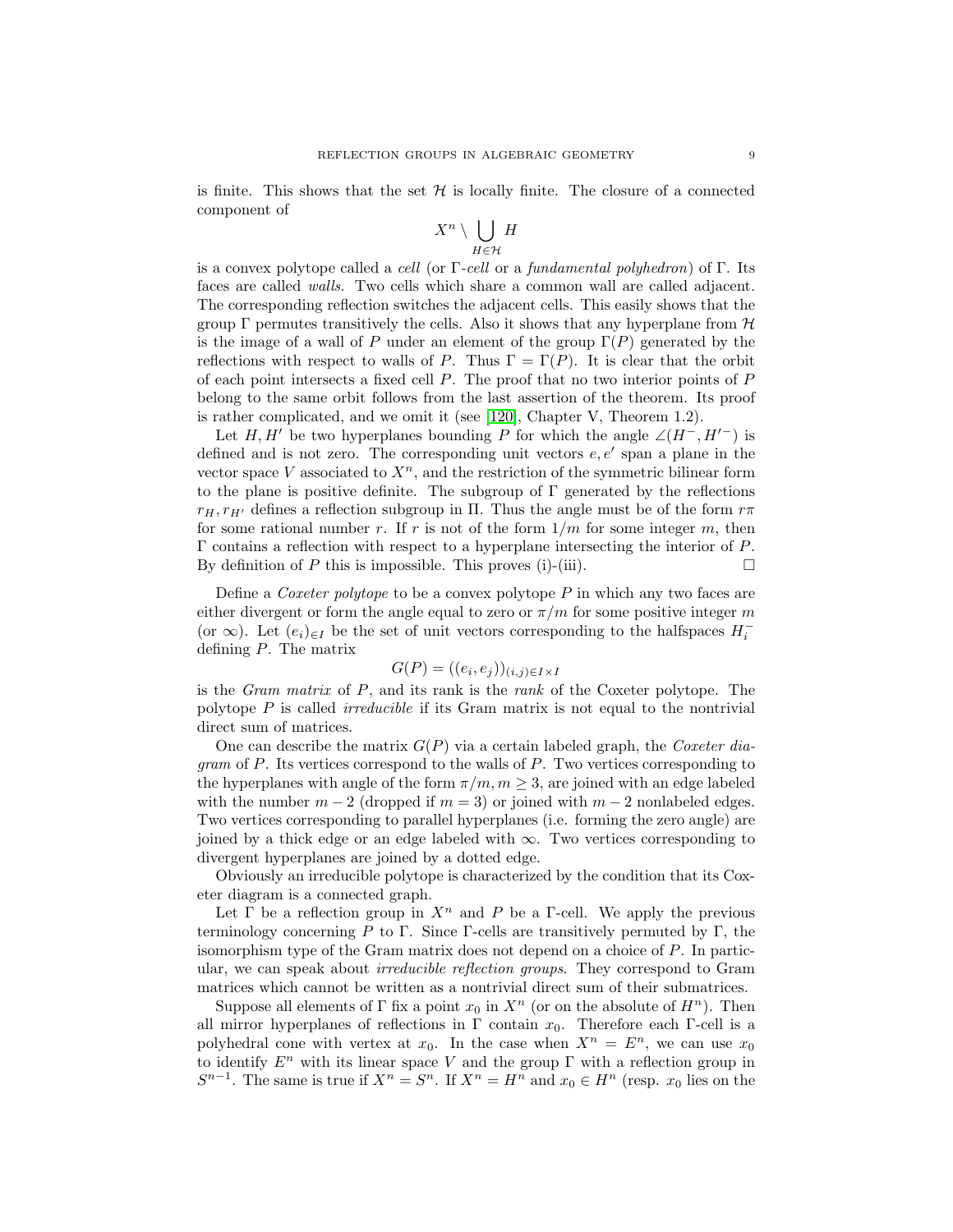is finite. This shows that the set  $\mathcal H$  is locally finite. The closure of a connected component of

$$
X^n\setminus \bigcup_{H\in\mathcal{H}}H
$$

is a convex polytope called a *cell* (or  $\Gamma$ -*cell* or a *fundamental polyhedron*) of  $\Gamma$ . Its faces are called walls. Two cells which share a common wall are called adjacent. The corresponding reflection switches the adjacent cells. This easily shows that the group  $\Gamma$  permutes transitively the cells. Also it shows that any hyperplane from  $\mathcal H$ is the image of a wall of P under an element of the group  $\Gamma(P)$  generated by the reflections with respect to walls of P. Thus  $\Gamma = \Gamma(P)$ . It is clear that the orbit of each point intersects a fixed cell P. The proof that no two interior points of P belong to the same orbit follows from the last assertion of the theorem. Its proof is rather complicated, and we omit it (see [\[120\]](#page-59-0), Chapter V, Theorem 1.2).

Let H, H' be two hyperplanes bounding P for which the angle  $\angle(H^-, H'^-)$  is defined and is not zero. The corresponding unit vectors  $e, e'$  span a plane in the vector space V associated to  $X<sup>n</sup>$ , and the restriction of the symmetric bilinear form to the plane is positive definite. The subgroup of  $\Gamma$  generated by the reflections  $r_H, r_{H'}$  defines a reflection subgroup in Π. Thus the angle must be of the form  $r\pi$ for some rational number r. If r is not of the form  $1/m$  for some integer m, then Γ contains a reflection with respect to a hyperplane intersecting the interior of P. By definition of  $P$  this is impossible. This proves (i)-(iii).  $\Box$ 

Define a *Coxeter polytope* to be a convex polytope  $P$  in which any two faces are either divergent or form the angle equal to zero or  $\pi/m$  for some positive integer m (or  $\infty$ ). Let  $(e_i)_{\in I}$  be the set of unit vectors corresponding to the halfspaces  $H_i^$ defining P. The matrix

$$
G(P) = ((e_i, e_j))_{(i,j)\in I\times I}
$$

is the *Gram matrix* of  $P$ , and its rank is the *rank* of the Coxeter polytope. The polytope P is called irreducible if its Gram matrix is not equal to the nontrivial direct sum of matrices.

One can describe the matrix  $G(P)$  via a certain labeled graph, the Coxeter diagram of P. Its vertices correspond to the walls of P. Two vertices corresponding to the hyperplanes with angle of the form  $\pi/m, m \geq 3$ , are joined with an edge labeled with the number  $m-2$  (dropped if  $m=3$ ) or joined with  $m-2$  nonlabeled edges. Two vertices corresponding to parallel hyperplanes (i.e. forming the zero angle) are joined by a thick edge or an edge labeled with  $\infty$ . Two vertices corresponding to divergent hyperplanes are joined by a dotted edge.

Obviously an irreducible polytope is characterized by the condition that its Coxeter diagram is a connected graph.

Let  $\Gamma$  be a reflection group in  $X^n$  and P be a  $\Gamma$ -cell. We apply the previous terminology concerning P to Γ. Since Γ-cells are transitively permuted by Γ, the isomorphism type of the Gram matrix does not depend on a choice of  $P$ . In particular, we can speak about irreducible reflection groups. They correspond to Gram matrices which cannot be written as a nontrivial direct sum of their submatrices.

Suppose all elements of  $\Gamma$  fix a point  $x_0$  in  $X^n$  (or on the absolute of  $H^n$ ). Then all mirror hyperplanes of reflections in  $\Gamma$  contain  $x_0$ . Therefore each Γ-cell is a polyhedral cone with vertex at  $x_0$ . In the case when  $X^n = E^n$ , we can use  $x_0$ to identify  $E^n$  with its linear space V and the group  $\Gamma$  with a reflection group in  $S^{n-1}$ . The same is true if  $X^n = S^n$ . If  $X^n = H^n$  and  $x_0 \in H^n$  (resp.  $x_0$  lies on the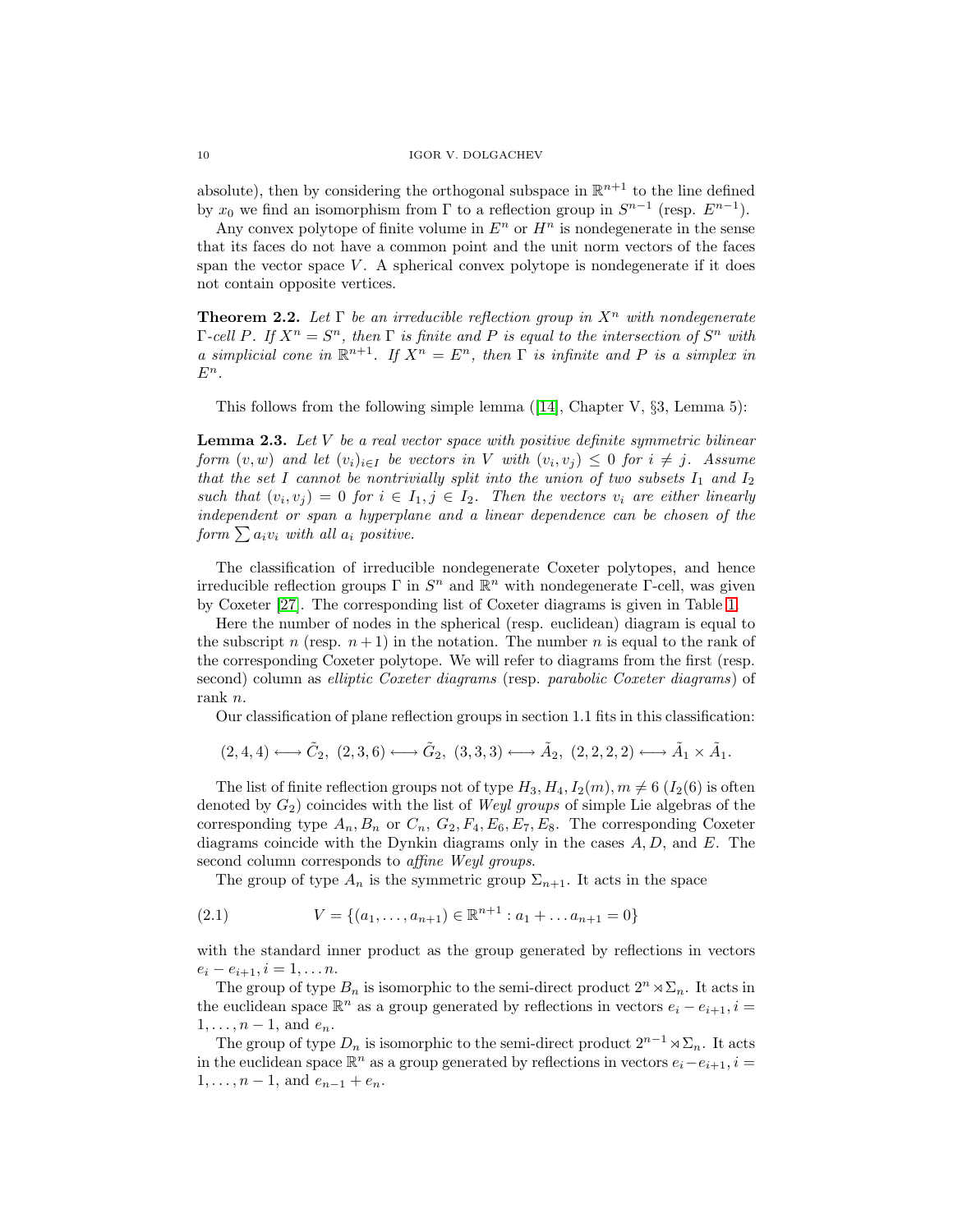absolute), then by considering the orthogonal subspace in  $\mathbb{R}^{n+1}$  to the line defined by  $x_0$  we find an isomorphism from  $\Gamma$  to a reflection group in  $S^{n-1}$  (resp.  $E^{n-1}$ ).

Any convex polytope of finite volume in  $E^n$  or  $H^n$  is nondegenerate in the sense that its faces do not have a common point and the unit norm vectors of the faces span the vector space  $V$ . A spherical convex polytope is nondegenerate if it does not contain opposite vertices.

**Theorem 2.2.** Let  $\Gamma$  be an irreducible reflection group in  $X^n$  with nondegenerate Γ-cell P. If  $X^n = S^n$ , then Γ is finite and P is equal to the intersection of  $S^n$  with a simplicial cone in  $\mathbb{R}^{n+1}$ . If  $X^n = E^n$ , then  $\Gamma$  is infinite and P is a simplex in  $E^n$ .

This follows from the following simple lemma  $(14]$ , Chapter V,  $\S3$ , Lemma 5):

**Lemma 2.3.** Let V be a real vector space with positive definite symmetric bilinear form  $(v, w)$  and let  $(v_i)_{i \in I}$  be vectors in V with  $(v_i, v_j) \leq 0$  for  $i \neq j$ . Assume that the set I cannot be nontrivially split into the union of two subsets  $I_1$  and  $I_2$ such that  $(v_i, v_j) = 0$  for  $i \in I_1, j \in I_2$ . Then the vectors  $v_i$  are either linearly independent or span a hyperplane and a linear dependence can be chosen of the form  $\sum a_i v_i$  with all  $a_i$  positive.

The classification of irreducible nondegenerate Coxeter polytopes, and hence irreducible reflection groups  $\Gamma$  in  $S^n$  and  $\mathbb{R}^n$  with nondegenerate  $\Gamma$ -cell, was given by Coxeter [\[27\]](#page-54-0). The corresponding list of Coxeter diagrams is given in Table [1.](#page-10-0)

Here the number of nodes in the spherical (resp. euclidean) diagram is equal to the subscript n (resp.  $n+1$ ) in the notation. The number n is equal to the rank of the corresponding Coxeter polytope. We will refer to diagrams from the first (resp. second) column as *elliptic Coxeter diagrams* (resp. *parabolic Coxeter diagrams*) of rank n.

Our classification of plane reflection groups in section 1.1 fits in this classification:

$$
(2,4,4) \longleftrightarrow \tilde{C}_2,\ (2,3,6) \longleftrightarrow \tilde{G}_2,\ (3,3,3) \longleftrightarrow \tilde{A}_2,\ (2,2,2,2) \longleftrightarrow \tilde{A}_1 \times \tilde{A}_1.
$$

The list of finite reflection groups not of type  $H_3, H_4, I_2(m), m \neq 6$  ( $I_2(6)$ ) is often denoted by  $G_2$ ) coincides with the list of *Weyl groups* of simple Lie algebras of the corresponding type  $A_n, B_n$  or  $C_n, G_2, F_4, E_6, E_7, E_8$ . The corresponding Coxeter diagrams coincide with the Dynkin diagrams only in the cases  $A, D$ , and  $E$ . The second column corresponds to affine Weyl groups.

<span id="page-9-0"></span>The group of type  $A_n$  is the symmetric group  $\Sigma_{n+1}$ . It acts in the space

(2.1) 
$$
V = \{(a_1, \ldots, a_{n+1}) \in \mathbb{R}^{n+1} : a_1 + \ldots a_{n+1} = 0\}
$$

with the standard inner product as the group generated by reflections in vectors  $e_i - e_{i+1}, i = 1, \ldots n.$ 

The group of type  $B_n$  is isomorphic to the semi-direct product  $2^n \times \Sigma_n$ . It acts in the euclidean space  $\mathbb{R}^n$  as a group generated by reflections in vectors  $e_i - e_{i+1}$ ,  $i =$  $1,\ldots,n-1$ , and  $e_n$ .

The group of type  $D_n$  is isomorphic to the semi-direct product  $2^{n-1} \rtimes \Sigma_n$ . It acts in the euclidean space  $\mathbb{R}^n$  as a group generated by reflections in vectors  $e_i-e_{i+1}$ ,  $i=$  $1, \ldots, n-1$ , and  $e_{n-1} + e_n$ .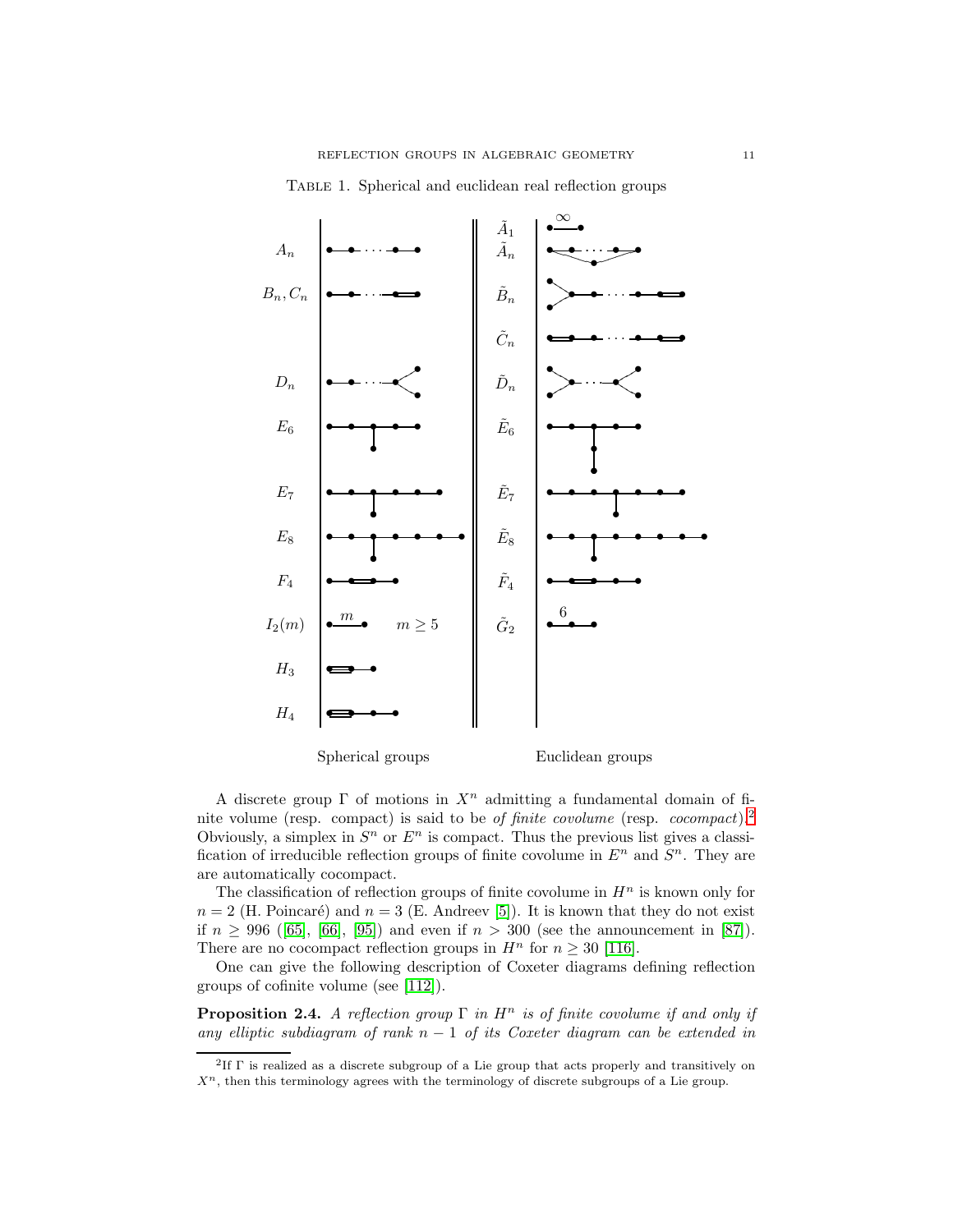<span id="page-10-0"></span>

TABLE 1. Spherical and euclidean real reflection groups

A discrete group  $\Gamma$  of motions in  $X^n$  admitting a fundamental domain of finite volume (resp. compact) is said to be of finite covolume (resp. cocompact).[2](#page-10-1) Obviously, a simplex in  $S<sup>n</sup>$  or  $E<sup>n</sup>$  is compact. Thus the previous list gives a classification of irreducible reflection groups of finite covolume in  $E<sup>n</sup>$  and  $S<sup>n</sup>$ . They are

The classification of reflection groups of finite covolume in  $H<sup>n</sup>$  is known only for  $n = 2$  (H. Poincaré) and  $n = 3$  (E. Andreev [\[5\]](#page-54-6)). It is known that they do not exist if  $n \ge 996$  ([\[65\]](#page-56-5), [\[66\]](#page-56-6), [\[95\]](#page-57-6)) and even if  $n > 300$  (see the announcement in [\[87\]](#page-57-2)). There are no cocompact reflection groups in  $H^n$  for  $n \geq 30$  [\[116\]](#page-58-8).

are automatically cocompact.

<span id="page-10-2"></span>One can give the following description of Coxeter diagrams defining reflection groups of cofinite volume (see [\[112\]](#page-58-3)).

**Proposition 2.4.** A reflection group  $\Gamma$  in  $H^n$  is of finite covolume if and only if any elliptic subdiagram of rank  $n - 1$  of its Coxeter diagram can be extended in

<span id="page-10-1"></span><sup>2</sup>If Γ is realized as a discrete subgroup of a Lie group that acts properly and transitively on  $\mathcal{X}^n,$  then this terminology agrees with the terminology of discrete subgroups of a Lie group.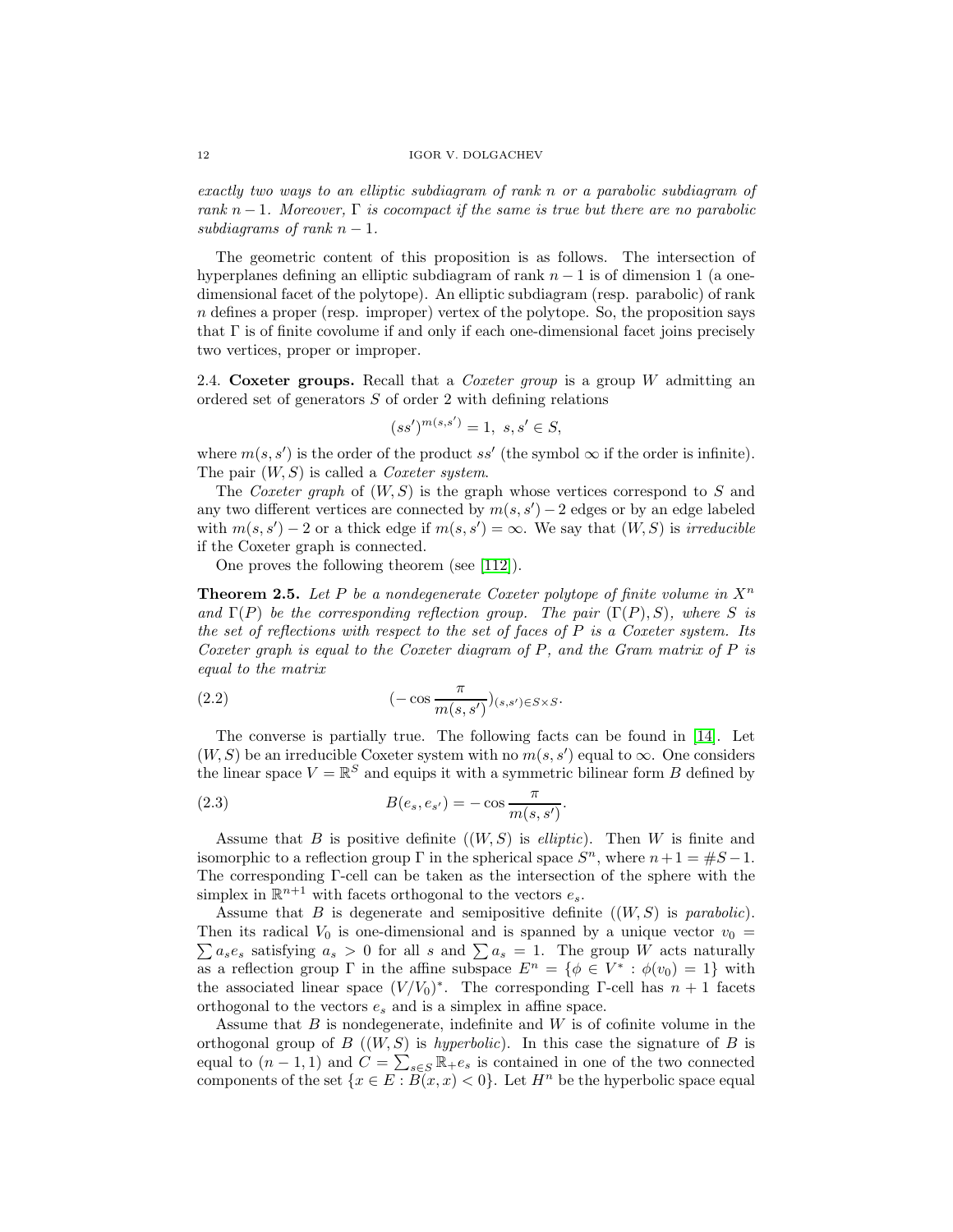exactly two ways to an elliptic subdiagram of rank n or a parabolic subdiagram of rank  $n-1$ . Moreover,  $\Gamma$  is cocompact if the same is true but there are no parabolic subdiagrams of rank  $n-1$ .

The geometric content of this proposition is as follows. The intersection of hyperplanes defining an elliptic subdiagram of rank  $n - 1$  is of dimension 1 (a onedimensional facet of the polytope). An elliptic subdiagram (resp. parabolic) of rank n defines a proper (resp. improper) vertex of the polytope. So, the proposition says that  $\Gamma$  is of finite covolume if and only if each one-dimensional facet joins precisely two vertices, proper or improper.

2.4. **Coxeter groups.** Recall that a Coxeter group is a group W admitting an ordered set of generators S of order 2 with defining relations

$$
(ss')^{m(s,s')} = 1, \ s, s' \in S,
$$

where  $m(s, s')$  is the order of the product ss' (the symbol  $\infty$  if the order is infinite). The pair  $(W, S)$  is called a *Coxeter system*.

The Coxeter graph of  $(W, S)$  is the graph whose vertices correspond to S and any two different vertices are connected by  $m(s, s') - 2$  edges or by an edge labeled with  $m(s, s') - 2$  or a thick edge if  $m(s, s') = \infty$ . We say that  $(W, S)$  is *irreducible* if the Coxeter graph is connected.

One proves the following theorem (see [\[112\]](#page-58-3)).

**Theorem 2.5.** Let P be a nondegenerate Coxeter polytope of finite volume in  $X^n$ and  $\Gamma(P)$  be the corresponding reflection group. The pair  $(\Gamma(P), S)$ , where S is the set of reflections with respect to the set of faces of  $P$  is a Coxeter system. Its Coxeter graph is equal to the Coxeter diagram of P, and the Gram matrix of P is equal to the matrix

<span id="page-11-1"></span>(2.2) 
$$
(-\cos \frac{\pi}{m(s, s')})_{(s, s') \in S \times S}.
$$

The converse is partially true. The following facts can be found in [\[14\]](#page-54-5). Let  $(W, S)$  be an irreducible Coxeter system with no  $m(s, s')$  equal to  $\infty$ . One considers the linear space  $V = \mathbb{R}^S$  and equips it with a symmetric bilinear form B defined by

<span id="page-11-0"></span>.

(2.3) 
$$
B(e_s, e_{s'}) = -\cos\frac{\pi}{m(s, s')}
$$

Assume that B is positive definite  $((W, S)$  is *elliptic*). Then W is finite and isomorphic to a reflection group Γ in the spherical space  $S<sup>n</sup>$ , where  $n+1=$   $\#S-1$ . The corresponding Γ-cell can be taken as the intersection of the sphere with the simplex in  $\mathbb{R}^{n+1}$  with facets orthogonal to the vectors  $e_s$ .

Assume that  $B$  is degenerate and semipositive definite  $((W, S)$  is parabolic). Then its radical  $V_0$  is one-dimensional and is spanned by a unique vector  $v_0 =$  $\sum a_s e_s$  satisfying  $a_s > 0$  for all s and  $\sum a_s = 1$ . The group W acts naturally as a reflection group  $\Gamma$  in the affine subspace  $E^n = \{ \phi \in V^* : \phi(v_0) = 1 \}$  with the associated linear space  $(V/V_0)^*$ . The corresponding Γ-cell has  $n + 1$  facets orthogonal to the vectors  $e_s$  and is a simplex in affine space.

Assume that  $B$  is nondegenerate, indefinite and  $W$  is of cofinite volume in the orthogonal group of  $B((W, S)$  is *hyperbolic*). In this case the signature of  $B$  is equal to  $(n-1,1)$  and  $C = \sum_{s \in S} \mathbb{R}_+e_s$  is contained in one of the two connected components of the set  $\{x \in E : \overline{B}(x, x) < 0\}$ . Let  $H^n$  be the hyperbolic space equal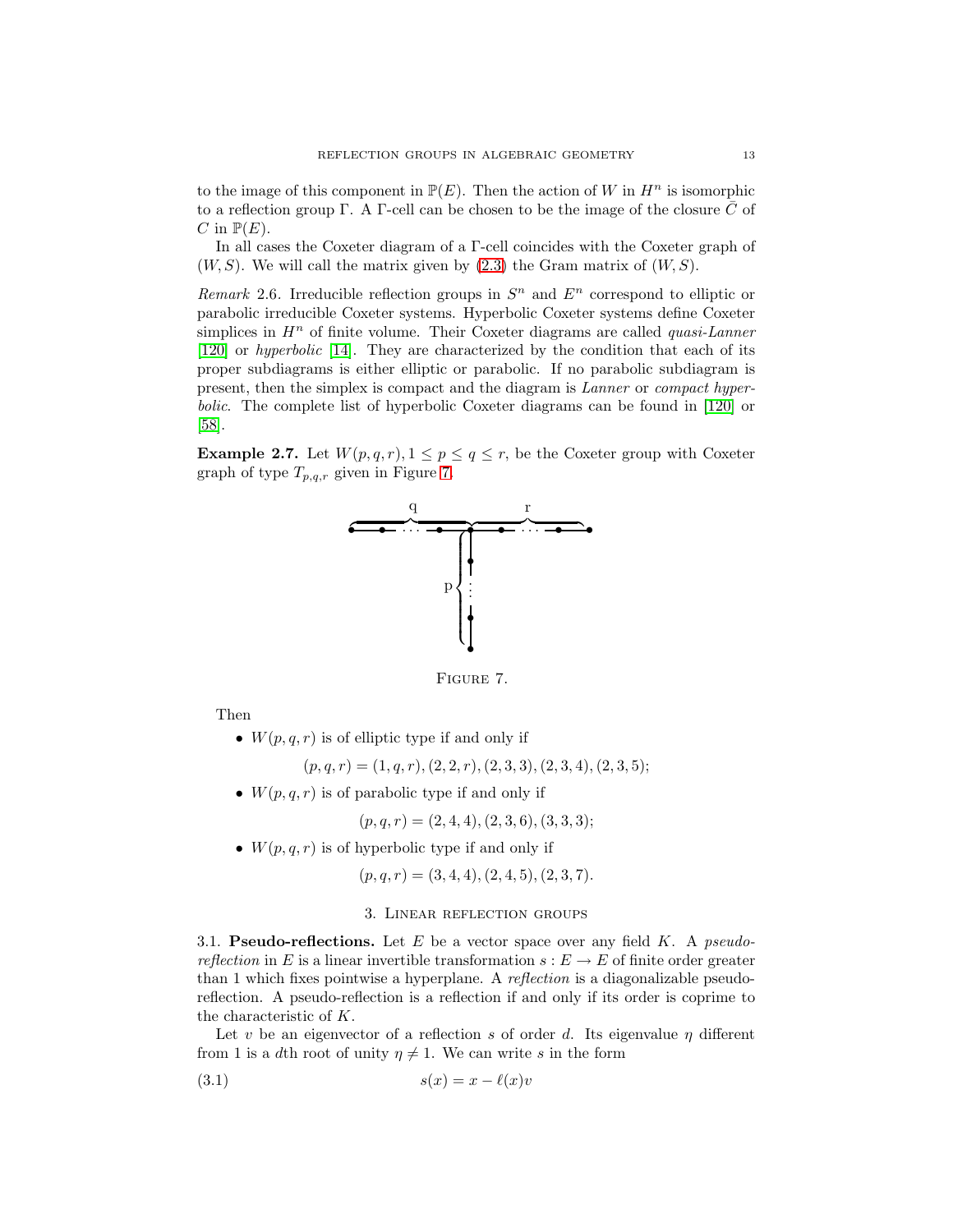to the image of this component in  $\mathbb{P}(E)$ . Then the action of W in  $H^n$  is isomorphic to a reflection group Γ. A Γ-cell can be chosen to be the image of the closure  $\overline{C}$  of C in  $\mathbb{P}(E)$ .

In all cases the Coxeter diagram of a Γ-cell coincides with the Coxeter graph of  $(W, S)$ . We will call the matrix given by  $(2.3)$  the Gram matrix of  $(W, S)$ .

Remark 2.6. Irreducible reflection groups in  $S<sup>n</sup>$  and  $E<sup>n</sup>$  correspond to elliptic or parabolic irreducible Coxeter systems. Hyperbolic Coxeter systems define Coxeter simplices in  $H<sup>n</sup>$  of finite volume. Their Coxeter diagrams are called *quasi-Lanner* [\[120\]](#page-59-0) or hyperbolic [\[14\]](#page-54-5). They are characterized by the condition that each of its proper subdiagrams is either elliptic or parabolic. If no parabolic subdiagram is present, then the simplex is compact and the diagram is Lanner or compact hyperbolic. The complete list of hyperbolic Coxeter diagrams can be found in [\[120\]](#page-59-0) or [\[58\]](#page-56-7).

<span id="page-12-2"></span>**Example 2.7.** Let  $W(p,q,r), 1 \leq p \leq q \leq r$ , be the Coxeter group with Coxeter graph of type  $T_{p,q,r}$  given in Figure [7.](#page-12-0)



<span id="page-12-0"></span>Figure 7.

Then

•  $W(p,q,r)$  is of elliptic type if and only if

 $(p,q,r) = (1,q,r), (2, 2, r), (2, 3, 3), (2, 3, 4), (2, 3, 5);$ 

•  $W(p,q,r)$  is of parabolic type if and only if

$$
(p, q, r) = (2, 4, 4), (2, 3, 6), (3, 3, 3);
$$

•  $W(p,q,r)$  is of hyperbolic type if and only if

 $(p,q,r) = (3, 4, 4), (2, 4, 5), (2, 3, 7).$ 

# <span id="page-12-1"></span>3. Linear reflection groups

3.1. **Pseudo-reflections.** Let  $E$  be a vector space over any field  $K$ . A *pseudo*reflection in E is a linear invertible transformation  $s: E \to E$  of finite order greater than 1 which fixes pointwise a hyperplane. A reflection is a diagonalizable pseudoreflection. A pseudo-reflection is a reflection if and only if its order is coprime to the characteristic of K.

Let v be an eigenvector of a reflection s of order d. Its eigenvalue  $\eta$  different from 1 is a dth root of unity  $\eta \neq 1$ . We can write s in the form

$$
(3.1) \t\t s(x) = x - \ell(x)v
$$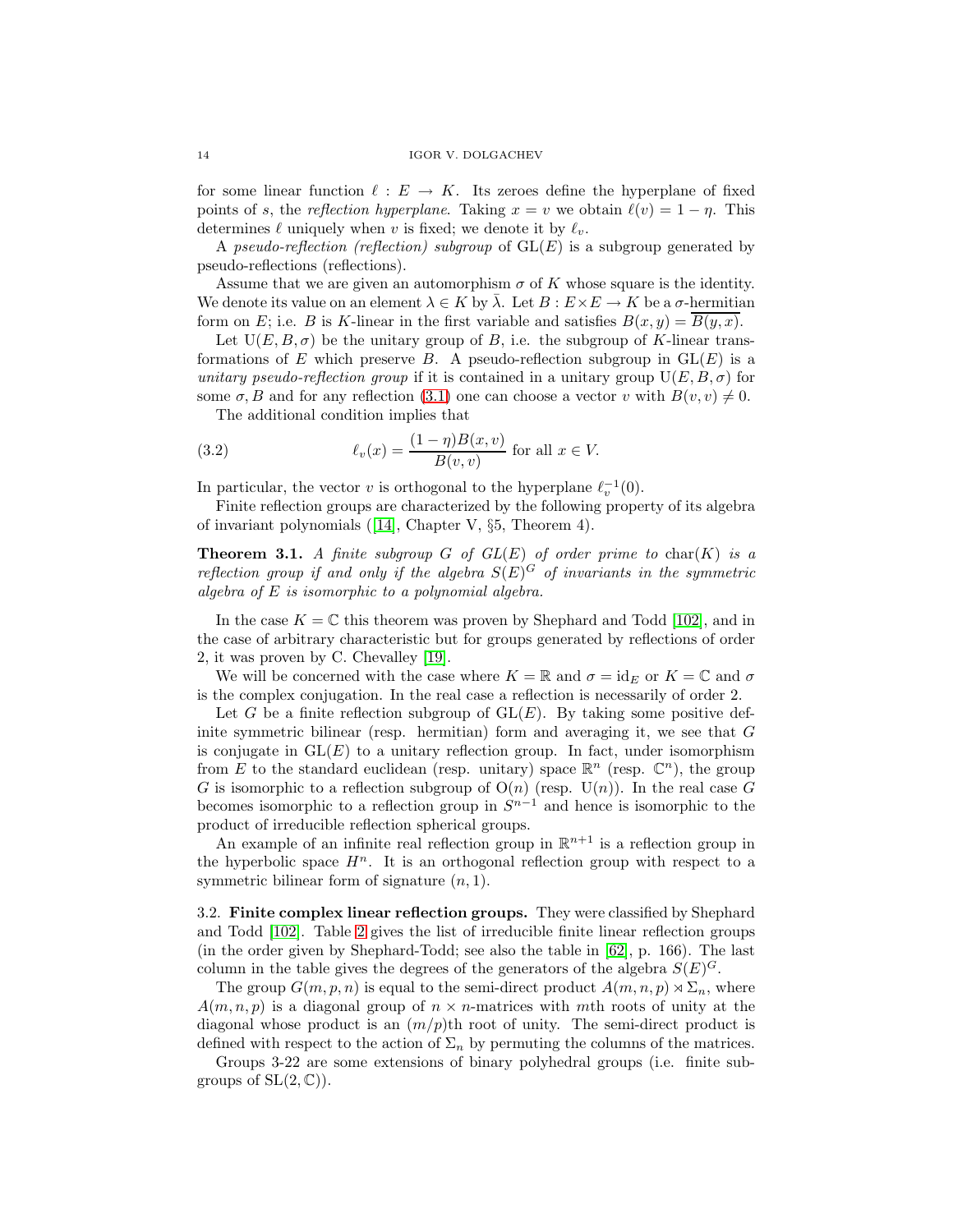for some linear function  $\ell : E \to K$ . Its zeroes define the hyperplane of fixed points of s, the reflection hyperplane. Taking  $x = v$  we obtain  $\ell(v) = 1 - \eta$ . This determines  $\ell$  uniquely when v is fixed; we denote it by  $\ell_v$ .

A pseudo-reflection (reflection) subgroup of  $GL(E)$  is a subgroup generated by pseudo-reflections (reflections).

Assume that we are given an automorphism  $\sigma$  of K whose square is the identity. We denote its value on an element  $\lambda \in K$  by  $\lambda$ . Let  $B: E \times E \to K$  be a  $\sigma$ -hermitian form on E; i.e. B is K-linear in the first variable and satisfies  $B(x, y) = B(y, x)$ .

Let  $U(E, B, \sigma)$  be the unitary group of B, i.e. the subgroup of K-linear transformations of E which preserve B. A pseudo-reflection subgroup in  $GL(E)$  is a unitary pseudo-reflection group if it is contained in a unitary group  $U(E, B, \sigma)$  for some  $\sigma$ , B and for any reflection [\(3.1\)](#page-12-1) one can choose a vector v with  $B(v, v) \neq 0$ .

The additional condition implies that

(3.2) 
$$
\ell_v(x) = \frac{(1-\eta)B(x,v)}{B(v,v)} \text{ for all } x \in V.
$$

In particular, the vector v is orthogonal to the hyperplane  $\ell_v^{-1}(0)$ .

<span id="page-13-0"></span>Finite reflection groups are characterized by the following property of its algebra of invariant polynomials ([\[14\]](#page-54-5), Chapter V, §5, Theorem 4).

**Theorem 3.1.** A finite subgroup G of  $GL(E)$  of order prime to char(K) is a reflection group if and only if the algebra  $S(E)^G$  of invariants in the symmetric algebra of E is isomorphic to a polynomial algebra.

In the case  $K = \mathbb{C}$  this theorem was proven by Shephard and Todd [\[102\]](#page-58-5), and in the case of arbitrary characteristic but for groups generated by reflections of order 2, it was proven by C. Chevalley [\[19\]](#page-54-7).

We will be concerned with the case where  $K = \mathbb{R}$  and  $\sigma = id_E$  or  $K = \mathbb{C}$  and  $\sigma$ is the complex conjugation. In the real case a reflection is necessarily of order 2.

Let G be a finite reflection subgroup of  $GL(E)$ . By taking some positive definite symmetric bilinear (resp. hermitian) form and averaging it, we see that  $G$ is conjugate in  $GL(E)$  to a unitary reflection group. In fact, under isomorphism from E to the standard euclidean (resp. unitary) space  $\mathbb{R}^n$  (resp.  $\mathbb{C}^n$ ), the group G is isomorphic to a reflection subgroup of  $O(n)$  (resp.  $U(n)$ ). In the real case G becomes isomorphic to a reflection group in  $S^{n-1}$  and hence is isomorphic to the product of irreducible reflection spherical groups.

An example of an infinite real reflection group in  $\mathbb{R}^{n+1}$  is a reflection group in the hyperbolic space  $H^n$ . It is an orthogonal reflection group with respect to a symmetric bilinear form of signature  $(n, 1)$ .

3.2. **Finite complex linear reflection groups.** They were classified by Shephard and Todd [\[102\]](#page-58-5). Table [2](#page-14-0) gives the list of irreducible finite linear reflection groups (in the order given by Shephard-Todd; see also the table in [\[62\]](#page-56-8), p. 166). The last column in the table gives the degrees of the generators of the algebra  $S(E)^G$ .

The group  $G(m,p,n)$  is equal to the semi-direct product  $A(m,n,p) \rtimes \Sigma_n$ , where  $A(m,n,p)$  is a diagonal group of  $n \times n$ -matrices with mth roots of unity at the diagonal whose product is an  $\left(\frac{m}{p}\right)$ th root of unity. The semi-direct product is defined with respect to the action of  $\Sigma_n$  by permuting the columns of the matrices.

Groups 3-22 are some extensions of binary polyhedral groups (i.e. finite subgroups of  $SL(2,\mathbb{C})$ .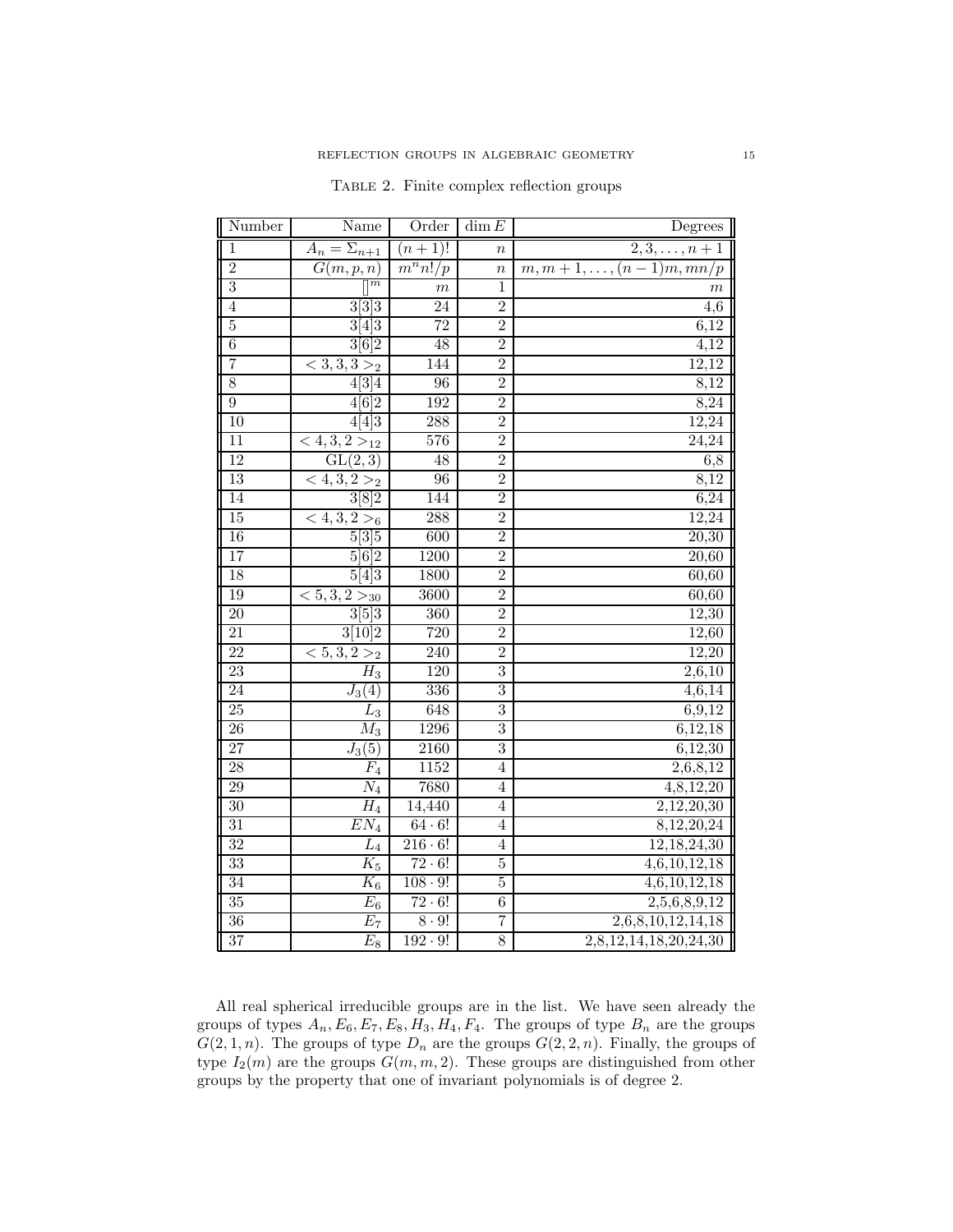| Number          | Name                               | Order                 | $\dim E$         | Degrees                               |
|-----------------|------------------------------------|-----------------------|------------------|---------------------------------------|
| $\overline{1}$  | $A_n = \sum_{n+1}$                 | $(n+1)!$              | $\boldsymbol{n}$ | $\overline{2,3,\ldots,n+1}$           |
| $\overline{2}$  | G(m,p,n)                           | $\overline{m^n n!}/p$ | $\boldsymbol{n}$ | $\overline{m,m+1,\ldots,(n-1)m,mn/p}$ |
| $\overline{3}$  | $\overline{m}$                     | $\boldsymbol{m}$      | 1                | $\boldsymbol{m}$                      |
| $\overline{4}$  | 3[3]3                              | 24                    | $\overline{2}$   | 4,6                                   |
| $\overline{5}$  | 3[4]3                              | $\overline{72}$       | $\overline{2}$   | 6,12                                  |
| $\overline{6}$  | 3[6]2                              | 48                    | $\overline{2}$   | $\overline{4,12}$                     |
| $\overline{7}$  | $\overline{<}3,3,3>_{2}$           | 144                   | $\overline{2}$   | 12,12                                 |
| 8               | 4[3]4                              | 96                    | $\overline{2}$   | 8,12                                  |
| $\overline{9}$  | 4[6]2                              | 192                   | $\overline{2}$   | 8,24                                  |
| 10              | 4[4]3                              | 288                   | $\overline{2}$   | 12,24                                 |
| $\overline{11}$ | $\overline{<4,3,2>}$ <sub>12</sub> | 576                   | $\overline{2}$   | 24,24                                 |
| 12              | GL(2,3)                            | 48                    | $\overline{2}$   | 6,8                                   |
| 13              | $\overline{<4,3,2}>_2$             | 96                    | $\overline{2}$   | 8,12                                  |
| 14              | 3[8]2                              | 144                   | $\overline{2}$   | 6,24                                  |
| $\overline{15}$ | $\overline{<4,3,2>}_{6}$           | 288                   | $\overline{2}$   | 12,24                                 |
| 16              | 5 3 5                              | 600                   | $\overline{2}$   | 20,30                                 |
| 17              | 5 6 2                              | 1200                  | $\overline{2}$   | 20,60                                 |
| 18              | 5[4]3                              | 1800                  | $\overline{2}$   | 60,60                                 |
| 19              | $\overline{<5,3,2>}_{30}$          | 3600                  | $\overline{2}$   | 60,60                                 |
| 20              | 3 5 3                              | $\overline{360}$      | $\overline{2}$   | 12,30                                 |
| 21              | 3[10]2                             | 720                   | $\overline{2}$   | 12,60                                 |
| 22              | $\overline{<5,3,2>2}$              | $\overline{240}$      | $\overline{2}$   | 12,20                                 |
| 23              | $\overline{H}_3$                   | 120                   | $\overline{3}$   | 2,6,10                                |
| $\overline{24}$ | $J_3(4)$                           | 336                   | $\overline{3}$   | 4,6,14                                |
| 25              | $\scriptstyle L_3$                 | 648                   | $\overline{3}$   | 6,9,12                                |
| 26              | $\overline{M_3}$                   | 1296                  | $\overline{3}$   | 6,12,18                               |
| $\overline{27}$ | $J_3(5)$                           | 2160                  | $\overline{3}$   | 6,12,30                               |
| 28              | $\overline{F}_4$                   | 1152                  | $\overline{4}$   | 2,6,8,12                              |
| 29              | $\overline{N}_4$                   | 7680                  | $\overline{4}$   | 4,8,12,20                             |
| 30              | $\overline{H}_4$                   | 14,440                | $\overline{4}$   | 2,12,20,30                            |
| $\overline{31}$ | $\overline{EN}_4$                  | $64 \cdot 6!$         | $\overline{4}$   | $8,\overline{12,20,24}$               |
| 32              | $\overline{L}_4$                   | $216 \cdot 6!$        | $\overline{4}$   | 12,18,24,30                           |
| 33              | $\overline{K}_5$                   | $72 \cdot 6!$         | $\overline{5}$   | $\overline{4,6,10,12}, 18$            |
| 34              | $K_6$                              | $108 \cdot 9!$        | $\overline{5}$   | 4,6,10,12,18                          |
| $\overline{35}$ | $E_6$                              | $72 \cdot 6!$         | $\overline{6}$   | 2,5,6,8,9,12                          |
| 36              | $\overline{E_7}$                   | $8 \cdot 9!$          | $\overline{7}$   | 2,6,8,10,12,14,18                     |
| $\overline{37}$ | $\overline{E_8}$                   | $192 \cdot 9!$        | 8                | 2,8,12,14,18,20,24,30                 |

<span id="page-14-0"></span>Table 2. Finite complex reflection groups

All real spherical irreducible groups are in the list. We have seen already the groups of types  $A_n$ ,  $E_6$ ,  $E_7$ ,  $E_8$ ,  $H_3$ ,  $H_4$ ,  $F_4$ . The groups of type  $B_n$  are the groups  $G(2, 1, n)$ . The groups of type  $D_n$  are the groups  $G(2, 2, n)$ . Finally, the groups of type  $I_2(m)$  are the groups  $G(m, m, 2)$ . These groups are distinguished from other groups by the property that one of invariant polynomials is of degree 2.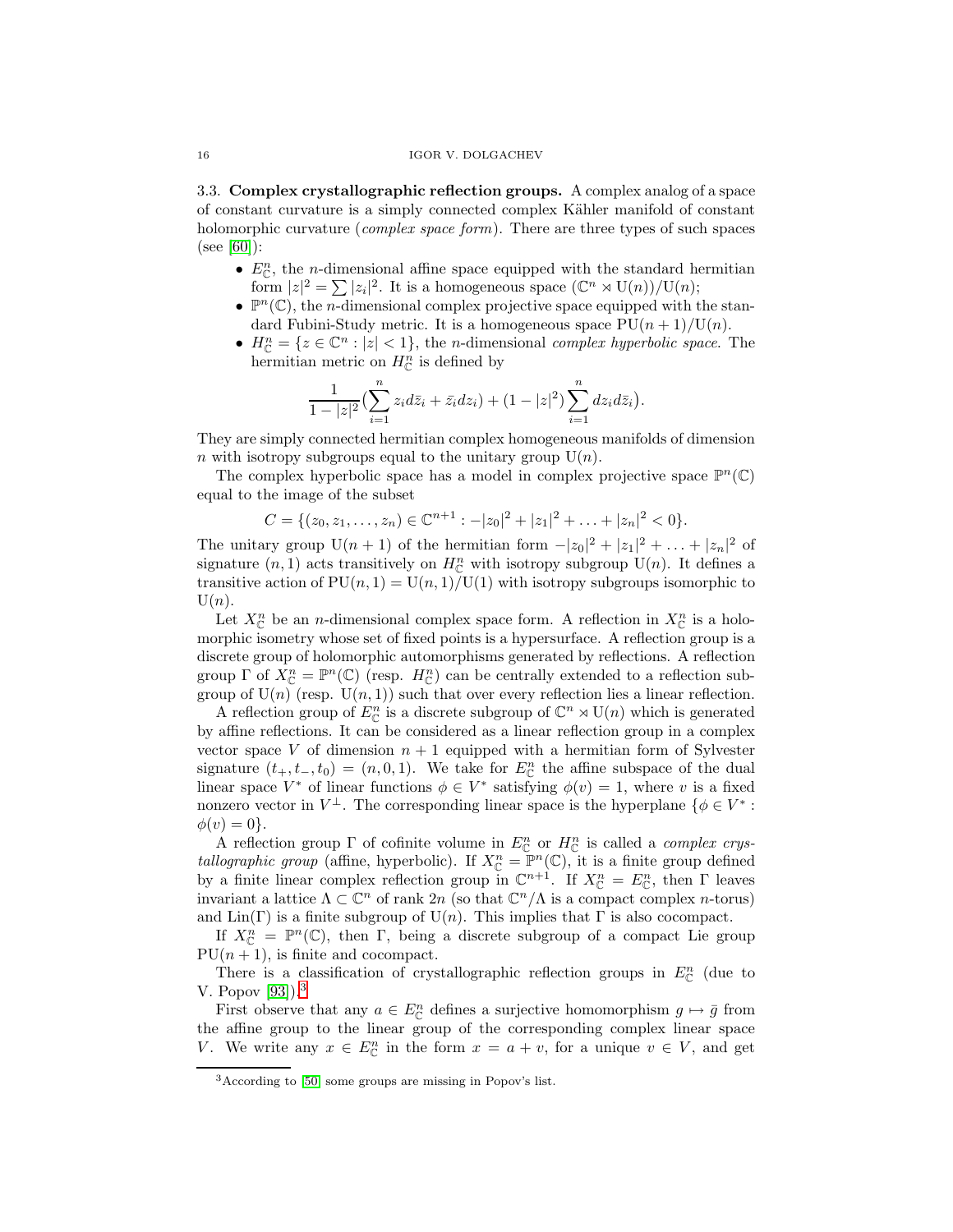3.3. **Complex crystallographic reflection groups.** A complex analog of a space of constant curvature is a simply connected complex K¨ahler manifold of constant holomorphic curvature (*complex space form*). There are three types of such spaces (see [\[60\]](#page-56-9)):

- $E_{\mathbb{C}}^n$ , the *n*-dimensional affine space equipped with the standard hermitian form  $|z|^2 = \sum |z_i|^2$ . It is a homogeneous space  $(\mathbb{C}^n \rtimes \mathrm{U}(n))/\mathrm{U}(n)$ ;
- $\mathbb{P}^n(\mathbb{C})$ , the *n*-dimensional complex projective space equipped with the standard Fubini-Study metric. It is a homogeneous space  $PU(n+1)/U(n)$ .
- $H_{\mathbb{C}}^{n} = \{z \in \mathbb{C}^{n} : |z| < 1\}$ , the *n*-dimensional *complex hyperbolic space*. The hermitian metric on  $H_{\mathbb{C}}^{n}$  is defined by

$$
\frac{1}{1-|z|^2} \left( \sum_{i=1}^n z_i d\bar{z}_i + \bar{z}_i dz_i \right) + (1-|z|^2) \sum_{i=1}^n dz_i d\bar{z}_i.
$$

They are simply connected hermitian complex homogeneous manifolds of dimension n with isotropy subgroups equal to the unitary group  $U(n)$ .

The complex hyperbolic space has a model in complex projective space  $\mathbb{P}^n(\mathbb{C})$ equal to the image of the subset

$$
C = \{ (z_0, z_1, \dots, z_n) \in \mathbb{C}^{n+1} : -|z_0|^2 + |z_1|^2 + \dots + |z_n|^2 < 0 \}.
$$

The unitary group  $U(n + 1)$  of the hermitian form  $-|z_0|^2 + |z_1|^2 + ... + |z_n|^2$  of signature  $(n, 1)$  acts transitively on  $H^n_{\mathbb{C}}$  with isotropy subgroup  $U(n)$ . It defines a transitive action of  $PU(n, 1) = U(n, 1)/U(1)$  with isotropy subgroups isomorphic to  $U(n)$ .

Let  $X_{\mathbb{C}}^n$  be an *n*-dimensional complex space form. A reflection in  $X_{\mathbb{C}}^n$  is a holomorphic isometry whose set of fixed points is a hypersurface. A reflection group is a discrete group of holomorphic automorphisms generated by reflections. A reflection group  $\Gamma$  of  $X_{\mathbb{C}}^n = \mathbb{P}^n(\mathbb{C})$  (resp.  $H_{\mathbb{C}}^n$ ) can be centrally extended to a reflection subgroup of  $U(n)$  (resp.  $U(n, 1)$ ) such that over every reflection lies a linear reflection.

A reflection group of  $E_{\mathbb{C}}^n$  is a discrete subgroup of  $\mathbb{C}^n \rtimes \mathrm{U}(n)$  which is generated by affine reflections. It can be considered as a linear reflection group in a complex vector space V of dimension  $n + 1$  equipped with a hermitian form of Sylvester signature  $(t_+, t_-, t_0) = (n, 0, 1)$ . We take for  $E_{\mathbb{C}}^n$  the affine subspace of the dual linear space  $V^*$  of linear functions  $\phi \in V^*$  satisfying  $\phi(v) = 1$ , where v is a fixed nonzero vector in  $V^{\perp}$ . The corresponding linear space is the hyperplane  $\{\phi \in V^* :$  $\phi(v)=0$ .

A reflection group  $\Gamma$  of cofinite volume in  $E_{\mathbb{C}}^n$  or  $H_{\mathbb{C}}^n$  is called a *complex crys*tallographic group (affine, hyperbolic). If  $X_{\mathbb{C}}^n = \mathbb{P}^n(\mathbb{C})$ , it is a finite group defined by a finite linear complex reflection group in  $\mathbb{C}^{n+1}$ . If  $X_{\mathbb{C}}^n = E_{\mathbb{C}}^n$ , then  $\Gamma$  leaves invariant a lattice  $\Lambda \subset \mathbb{C}^n$  of rank  $2n$  (so that  $\mathbb{C}^n/\Lambda$  is a compact complex *n*-torus) and  $\text{Lin}(\Gamma)$  is a finite subgroup of  $U(n)$ . This implies that  $\Gamma$  is also cocompact.

If  $X_{\mathbb{C}}^n = \mathbb{P}^n(\mathbb{C})$ , then  $\Gamma$ , being a discrete subgroup of a compact Lie group  $PU(n + 1)$ , is finite and cocompact.

There is a classification of crystallographic reflection groups in  $E_{\mathbb{C}}^n$  (due to V. Popov [\[93\]](#page-57-3)).[3](#page-15-0)

First observe that any  $a \in E_{\mathbb{C}}^n$  defines a surjective homomorphism  $g \mapsto \bar{g}$  from the affine group to the linear group of the corresponding complex linear space V. We write any  $x \in E_{\mathbb{C}}^n$  in the form  $x = a + v$ , for a unique  $v \in V$ , and get

<span id="page-15-0"></span><sup>3</sup>According to [\[50\]](#page-55-4) some groups are missing in Popov's list.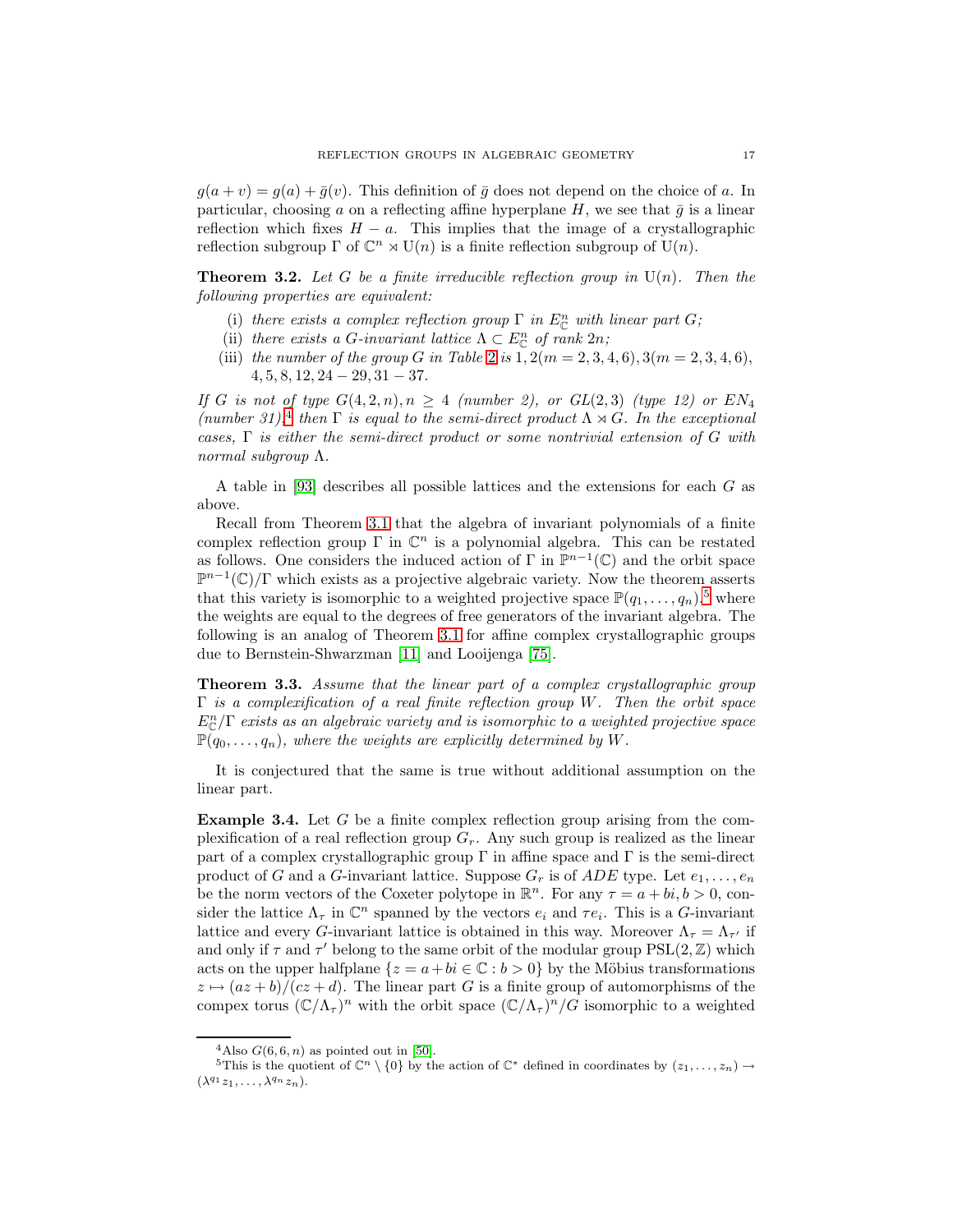$g(a + v) = g(a) + \overline{g}(v)$ . This definition of  $\overline{g}$  does not depend on the choice of a. In particular, choosing a on a reflecting affine hyperplane H, we see that  $\bar{q}$  is a linear reflection which fixes  $H - a$ . This implies that the image of a crystallographic reflection subgroup  $\Gamma$  of  $\mathbb{C}^n \rtimes \mathrm{U}(n)$  is a finite reflection subgroup of  $\mathrm{U}(n)$ .

**Theorem 3.2.** Let G be a finite irreducible reflection group in  $U(n)$ . Then the following properties are equivalent:

- (i) there exists a complex reflection group  $\Gamma$  in  $E_{\mathbb{C}}^n$  with linear part G;
- (ii) there exists a G-invariant lattice  $\Lambda \subset E_{\mathbb{C}}^n$  of rank  $2n$ ;
- (iii) the number of the group G in Table [2](#page-14-0) is  $1, 2(m = 2, 3, 4, 6), 3(m = 2, 3, 4, 6)$ ,  $4, 5, 8, 12, 24 - 29, 31 - 37.$

If G is not of type  $G(4, 2, n), n \geq 4$  (number 2), or  $GL(2, 3)$  (type 12) or  $EN_4$ (number 31),<sup>[4](#page-16-0)</sup> then  $\Gamma$  is equal to the semi-direct product  $\Lambda \rtimes G$ . In the exceptional cases,  $\Gamma$  is either the semi-direct product or some nontrivial extension of G with normal subgroup Λ.

A table in [\[93\]](#page-57-3) describes all possible lattices and the extensions for each G as above.

Recall from Theorem [3.1](#page-13-0) that the algebra of invariant polynomials of a finite complex reflection group Γ in  $\mathbb{C}^n$  is a polynomial algebra. This can be restated as follows. One considers the induced action of  $\Gamma$  in  $\mathbb{P}^{n-1}(\mathbb{C})$  and the orbit space  $\mathbb{P}^{n-1}(\mathbb{C})/\Gamma$  which exists as a projective algebraic variety. Now the theorem asserts that this variety is isomorphic to a weighted projective space  $\mathbb{P}(q_1,\ldots,q_n)$ ,<sup>[5](#page-16-1)</sup> where the weights are equal to the degrees of free generators of the invariant algebra. The following is an analog of Theorem [3.1](#page-13-0) for affine complex crystallographic groups due to Bernstein-Shwarzman [\[11\]](#page-54-8) and Looijenga [\[75\]](#page-56-10).

<span id="page-16-2"></span>**Theorem 3.3.** Assume that the linear part of a complex crystallographic group  $\Gamma$  is a complexification of a real finite reflection group W. Then the orbit space  $E_{\mathbb{C}}^{n}/\Gamma$  exists as an algebraic variety and is isomorphic to a weighted projective space  $\mathbb{P}(q_0,\ldots,q_n)$ , where the weights are explicitly determined by W.

It is conjectured that the same is true without additional assumption on the linear part.

**Example 3.4.** Let G be a finite complex reflection group arising from the complexification of a real reflection group  $G_r$ . Any such group is realized as the linear part of a complex crystallographic group  $\Gamma$  in affine space and  $\Gamma$  is the semi-direct product of G and a G-invariant lattice. Suppose  $G_r$  is of  $ADE$  type. Let  $e_1, \ldots, e_n$ be the norm vectors of the Coxeter polytope in  $\mathbb{R}^n$ . For any  $\tau = a + bi, b > 0$ , consider the lattice  $\Lambda_{\tau}$  in  $\mathbb{C}^n$  spanned by the vectors  $e_i$  and  $\tau e_i$ . This is a G-invariant lattice and every G-invariant lattice is obtained in this way. Moreover  $\Lambda_{\tau} = \Lambda_{\tau'}$  if and only if  $\tau$  and  $\tau'$  belong to the same orbit of the modular group PSL(2, Z) which acts on the upper halfplane  $\{z = a + bi \in \mathbb{C} : b > 0\}$  by the Möbius transformations  $z \mapsto (az+b)/(cz+d)$ . The linear part G is a finite group of automorphisms of the compex torus  $({\mathbb C}/\Lambda_\tau)^n$  with the orbit space  $({\mathbb C}/\Lambda_\tau)^n/G$  isomorphic to a weighted

<sup>&</sup>lt;sup>4</sup>Also  $G(6,6,n)$  as pointed out in [\[50\]](#page-55-4).

<span id="page-16-1"></span><span id="page-16-0"></span><sup>5</sup>This is the quotient of  $\mathbb{C}^n \setminus \{0\}$  by the action of  $\mathbb{C}^*$  defined in coordinates by  $(z_1,\ldots,z_n) \to$  $(\lambda^{q_1}z_1,\ldots,\lambda^{q_n}z_n).$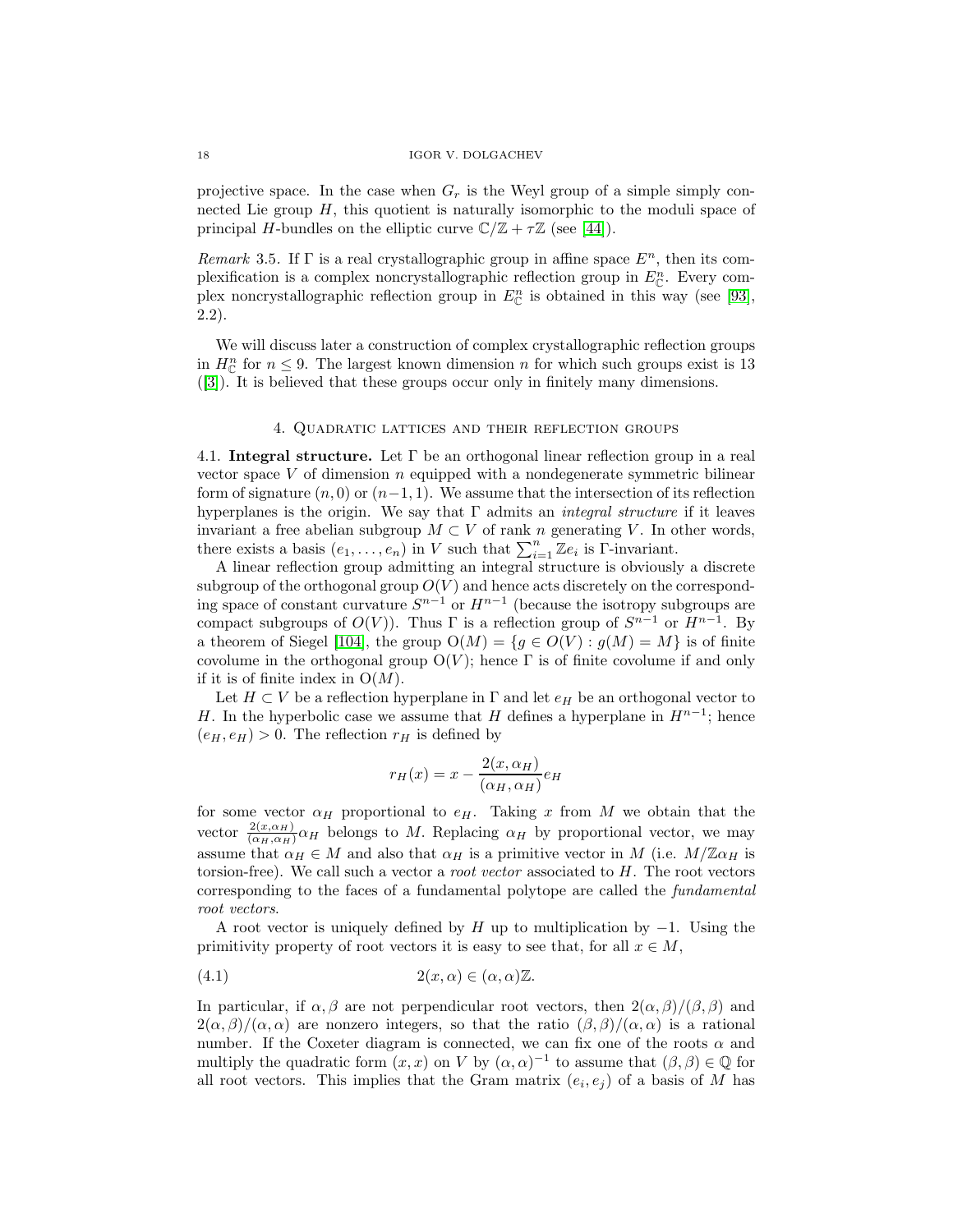projective space. In the case when  $G_r$  is the Weyl group of a simple simply connected Lie group  $H$ , this quotient is naturally isomorphic to the moduli space of principal H-bundles on the elliptic curve  $\mathbb{C}/\mathbb{Z} + \tau \mathbb{Z}$  (see [\[44\]](#page-55-6)).

Remark 3.5. If  $\Gamma$  is a real crystallographic group in affine space  $E^n$ , then its complexification is a complex noncrystallographic reflection group in  $E_{\mathbb{C}}^n$ . Every complex noncrystallographic reflection group in  $E_{\mathbb{C}}^n$  is obtained in this way (see [\[93\]](#page-57-3), 2.2).

We will discuss later a construction of complex crystallographic reflection groups in  $H_{\mathbb{C}}^n$  for  $n \leq 9$ . The largest known dimension n for which such groups exist is 13 ([\[3\]](#page-53-3)). It is believed that these groups occur only in finitely many dimensions.

# 4. Quadratic lattices and their reflection groups

4.1. **Integral structure.** Let Γ be an orthogonal linear reflection group in a real vector space  $V$  of dimension  $n$  equipped with a nondegenerate symmetric bilinear form of signature  $(n, 0)$  or  $(n-1, 1)$ . We assume that the intersection of its reflection hyperplanes is the origin. We say that  $\Gamma$  admits an *integral structure* if it leaves invariant a free abelian subgroup  $M \subset V$  of rank n generating V. In other words, there exists a basis  $(e_1, \ldots, e_n)$  in V such that  $\sum_{i=1}^n \mathbb{Z}e_i$  is  $\Gamma$ -invariant.

A linear reflection group admitting an integral structure is obviously a discrete subgroup of the orthogonal group  $O(V)$  and hence acts discretely on the corresponding space of constant curvature  $S^{n-1}$  or  $H^{n-1}$  (because the isotropy subgroups are compact subgroups of  $O(V)$ ). Thus Γ is a reflection group of  $S^{n-1}$  or  $H^{n-1}$ . By a theorem of Siegel [\[104\]](#page-58-9), the group  $O(M) = \{g \in O(V) : g(M) = M\}$  is of finite covolume in the orthogonal group  $O(V)$ ; hence  $\Gamma$  is of finite covolume if and only if it is of finite index in  $O(M)$ .

Let  $H \subset V$  be a reflection hyperplane in  $\Gamma$  and let  $e_H$  be an orthogonal vector to H. In the hyperbolic case we assume that H defines a hyperplane in  $H^{n-1}$ ; hence  $(e_H, e_H) > 0$ . The reflection  $r_H$  is defined by

<span id="page-17-0"></span>
$$
r_H(x) = x - \frac{2(x, \alpha_H)}{(\alpha_H, \alpha_H)} e_H
$$

for some vector  $\alpha_H$  proportional to  $e_H$ . Taking x from M we obtain that the vector  $\frac{2(x,\alpha_H)}{(\alpha_H,\alpha_H)}\alpha_H$  belongs to M. Replacing  $\alpha_H$  by proportional vector, we may assume that  $\alpha_H \in M$  and also that  $\alpha_H$  is a primitive vector in M (i.e.  $M/\mathbb{Z} \alpha_H$  is torsion-free). We call such a vector a *root vector* associated to  $H$ . The root vectors corresponding to the faces of a fundamental polytope are called the fundamental root vectors.

A root vector is uniquely defined by H up to multiplication by  $-1$ . Using the primitivity property of root vectors it is easy to see that, for all  $x \in M$ ,

$$
(4.1) \t2(x, \alpha) \in (\alpha, \alpha)\mathbb{Z}.
$$

In particular, if  $\alpha, \beta$  are not perpendicular root vectors, then  $2(\alpha, \beta)/(\beta, \beta)$  and  $2(\alpha,\beta)/(\alpha,\alpha)$  are nonzero integers, so that the ratio  $(\beta,\beta)/(\alpha,\alpha)$  is a rational number. If the Coxeter diagram is connected, we can fix one of the roots  $\alpha$  and multiply the quadratic form  $(x, x)$  on V by  $(\alpha, \alpha)^{-1}$  to assume that  $(\beta, \beta) \in \mathbb{Q}$  for all root vectors. This implies that the Gram matrix  $(e_i, e_j)$  of a basis of M has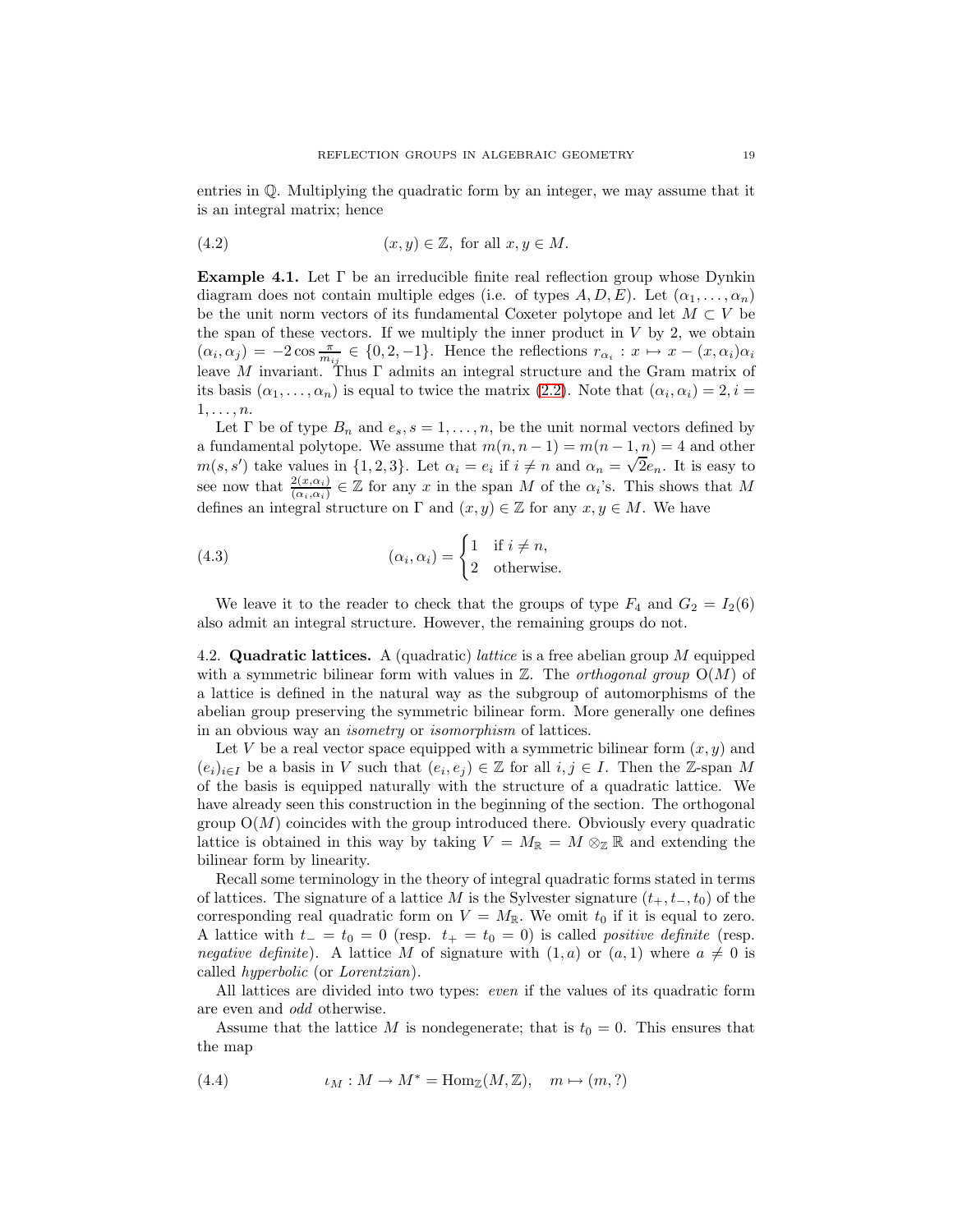<span id="page-18-2"></span>entries in Q. Multiplying the quadratic form by an integer, we may assume that it is an integral matrix; hence

(4.2) 
$$
(x, y) \in \mathbb{Z}, \text{ for all } x, y \in M.
$$

<span id="page-18-1"></span>**Example 4.1.** Let Γ be an irreducible finite real reflection group whose Dynkin diagram does not contain multiple edges (i.e. of types  $A, D, E$ ). Let  $(\alpha_1, \ldots, \alpha_n)$ be the unit norm vectors of its fundamental Coxeter polytope and let  $M \subset V$  be the span of these vectors. If we multiply the inner product in  $V$  by 2, we obtain  $(\alpha_i, \alpha_j) = -2 \cos \frac{\pi}{m_{ij}} \in \{0, 2, -1\}.$  Hence the reflections  $r_{\alpha_i}: x \mapsto x - (x, \alpha_i) \alpha_i$ leave M invariant. Thus  $\Gamma$  admits an integral structure and the Gram matrix of its basis  $(\alpha_1,\ldots,\alpha_n)$  is equal to twice the matrix [\(2.2\)](#page-11-1). Note that  $(\alpha_i,\alpha_i)=2, i =$  $1,\ldots,n$ .

Let  $\Gamma$  be of type  $B_n$  and  $e_s$ ,  $s = 1, \ldots, n$ , be the unit normal vectors defined by a fundamental polytope. We assume that  $m(n, n - 1) = m(n - 1, n) = 4$  and other a fundamental polytope. We assume that  $m(n, n-1) = m(n-1, n) = 4$  and other  $m(s, s')$  take values in  $\{1, 2, 3\}$ . Let  $\alpha_i = e_i$  if  $i \neq n$  and  $\alpha_n = \sqrt{2}e_n$ . It is easy to see now that  $\frac{2(x,\alpha_i)}{(\alpha_i,\alpha_i)} \in \mathbb{Z}$  for any x in the span M of the  $\alpha_i$ 's. This shows that M defines an integral structure on  $\Gamma$  and  $(x, y) \in \mathbb{Z}$  for any  $x, y \in M$ . We have

(4.3) 
$$
(\alpha_i, \alpha_i) = \begin{cases} 1 & \text{if } i \neq n, \\ 2 & \text{otherwise.} \end{cases}
$$

We leave it to the reader to check that the groups of type  $F_4$  and  $G_2 = I_2(6)$ also admit an integral structure. However, the remaining groups do not.

4.2. **Quadratic lattices.** A (quadratic) lattice is a free abelian group M equipped with a symmetric bilinear form with values in  $\mathbb{Z}$ . The *orthogonal group*  $O(M)$  of a lattice is defined in the natural way as the subgroup of automorphisms of the abelian group preserving the symmetric bilinear form. More generally one defines in an obvious way an isometry or isomorphism of lattices.

Let V be a real vector space equipped with a symmetric bilinear form  $(x, y)$  and  $(e_i)_{i\in I}$  be a basis in V such that  $(e_i, e_j) \in \mathbb{Z}$  for all  $i, j \in I$ . Then the Z-span M of the basis is equipped naturally with the structure of a quadratic lattice. We have already seen this construction in the beginning of the section. The orthogonal group  $O(M)$  coincides with the group introduced there. Obviously every quadratic lattice is obtained in this way by taking  $V = M_{\mathbb{R}} = M \otimes_{\mathbb{Z}} \mathbb{R}$  and extending the bilinear form by linearity.

Recall some terminology in the theory of integral quadratic forms stated in terms of lattices. The signature of a lattice M is the Sylvester signature  $(t_{+}, t_{-}, t_{0})$  of the corresponding real quadratic form on  $V = M_{\mathbb{R}}$ . We omit  $t_0$  if it is equal to zero. A lattice with  $t_ - = t_0 = 0$  (resp.  $t_ + = t_0 = 0$ ) is called *positive definite* (resp. *negative definite*). A lattice M of signature with  $(1, a)$  or  $(a, 1)$  where  $a \neq 0$  is called hyperbolic (or Lorentzian).

All lattices are divided into two types: even if the values of its quadratic form are even and odd otherwise.

<span id="page-18-0"></span>Assume that the lattice M is nondegenerate; that is  $t_0 = 0$ . This ensures that the map

(4.4) 
$$
\iota_M: M \to M^* = \text{Hom}_{\mathbb{Z}}(M, \mathbb{Z}), \quad m \mapsto (m, ?)
$$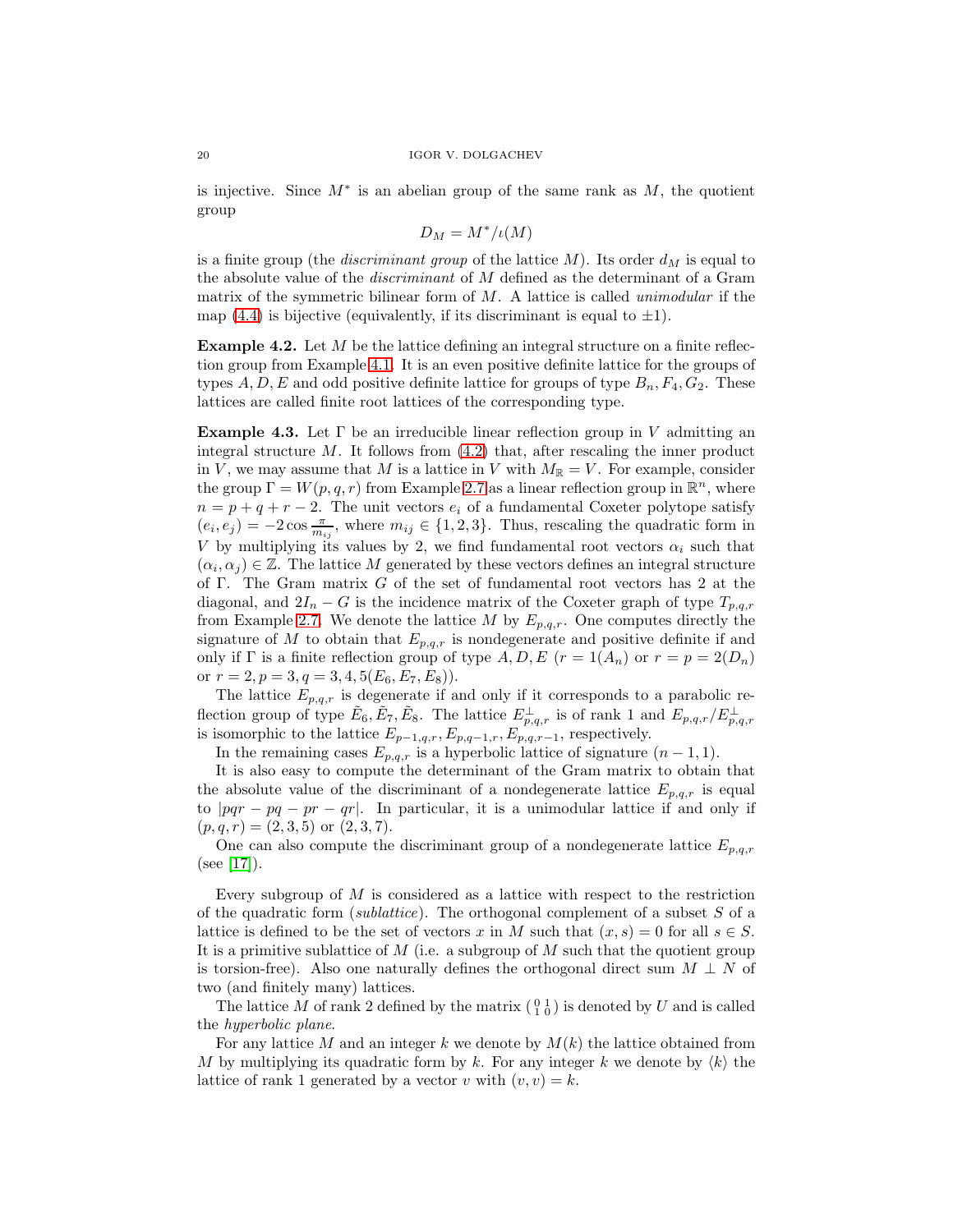is injective. Since  $M^*$  is an abelian group of the same rank as  $M$ , the quotient group

$$
D_M = M^*/\iota(M)
$$

is a finite group (the *discriminant group* of the lattice  $M$ ). Its order  $d_M$  is equal to the absolute value of the discriminant of M defined as the determinant of a Gram matrix of the symmetric bilinear form of  $M$ . A lattice is called *unimodular* if the map [\(4.4\)](#page-18-0) is bijective (equivalently, if its discriminant is equal to  $\pm 1$ ).

**Example 4.2.** Let M be the lattice defining an integral structure on a finite reflection group from Example [4.1.](#page-18-1) It is an even positive definite lattice for the groups of types  $A, D, E$  and odd positive definite lattice for groups of type  $B_n, F_4, G_2$ . These lattices are called finite root lattices of the corresponding type.

**Example 4.3.** Let  $\Gamma$  be an irreducible linear reflection group in V admitting an integral structure  $M$ . It follows from  $(4.2)$  that, after rescaling the inner product in V, we may assume that M is a lattice in V with  $M_{\mathbb{R}} = V$ . For example, consider the group  $\Gamma = W(p,q,r)$  from Example [2.7](#page-12-2) as a linear reflection group in  $\mathbb{R}^n$ , where  $n = p + q + r - 2$ . The unit vectors  $e_i$  of a fundamental Coxeter polytope satisfy  $(e_i, e_j) = -2 \cos \frac{\pi}{m_{ij}}$ , where  $m_{ij} \in \{1, 2, 3\}$ . Thus, rescaling the quadratic form in V by multiplying its values by 2, we find fundamental root vectors  $\alpha_i$  such that  $(\alpha_i, \alpha_j) \in \mathbb{Z}$ . The lattice M generated by these vectors defines an integral structure of Γ. The Gram matrix G of the set of fundamental root vectors has 2 at the diagonal, and  $2I_n - G$  is the incidence matrix of the Coxeter graph of type  $T_{p,q,r}$ from Example [2.7.](#page-12-2) We denote the lattice M by  $E_{p,q,r}$ . One computes directly the signature of M to obtain that  $E_{p,q,r}$  is nondegenerate and positive definite if and only if  $\Gamma$  is a finite reflection group of type  $A, D, E$   $(r = 1(A_n)$  or  $r = p = 2(D_n)$ or  $r = 2, p = 3, q = 3, 4, 5(E_6, E_7, E_8)$ .

The lattice  $E_{p,q,r}$  is degenerate if and only if it corresponds to a parabolic reflection group of type  $\tilde{E}_6$ ,  $\tilde{E}_7$ ,  $\tilde{E}_8$ . The lattice  $E_{p,q,r}^{\perp}$  is of rank 1 and  $E_{p,q,r}/E_{p,q,r}^{\perp}$ is isomorphic to the lattice  $E_{p-1,q,r}, E_{p,q-1,r}, E_{p,q,r-1}^{P,3,r}$ , respectively.

In the remaining cases  $E_{p,q,r}$  is a hyperbolic lattice of signature  $(n-1,1)$ .

It is also easy to compute the determinant of the Gram matrix to obtain that the absolute value of the discriminant of a nondegenerate lattice  $E_{p,q,r}$  is equal to  $|pqr - pq - pr - qr|$ . In particular, it is a unimodular lattice if and only if  $(p,q,r) = (2,3,5)$  or  $(2,3,7)$ .

One can also compute the discriminant group of a nondegenerate lattice  $E_{p,q,r}$ (see [\[17\]](#page-54-9)).

Every subgroup of  $M$  is considered as a lattice with respect to the restriction of the quadratic form (sublattice). The orthogonal complement of a subset  $S$  of a lattice is defined to be the set of vectors x in M such that  $(x, s) = 0$  for all  $s \in S$ . It is a primitive sublattice of  $M$  (i.e. a subgroup of  $M$  such that the quotient group is torsion-free). Also one naturally defines the orthogonal direct sum  $M \perp N$  of two (and finitely many) lattices.

The lattice M of rank 2 defined by the matrix  $\begin{pmatrix} 0 & 1 \\ 1 & 0 \end{pmatrix}$  is denoted by U and is called the hyperbolic plane.

For any lattice M and an integer k we denote by  $M(k)$  the lattice obtained from M by multiplying its quadratic form by k. For any integer k we denote by  $\langle k \rangle$  the lattice of rank 1 generated by a vector v with  $(v, v) = k$ .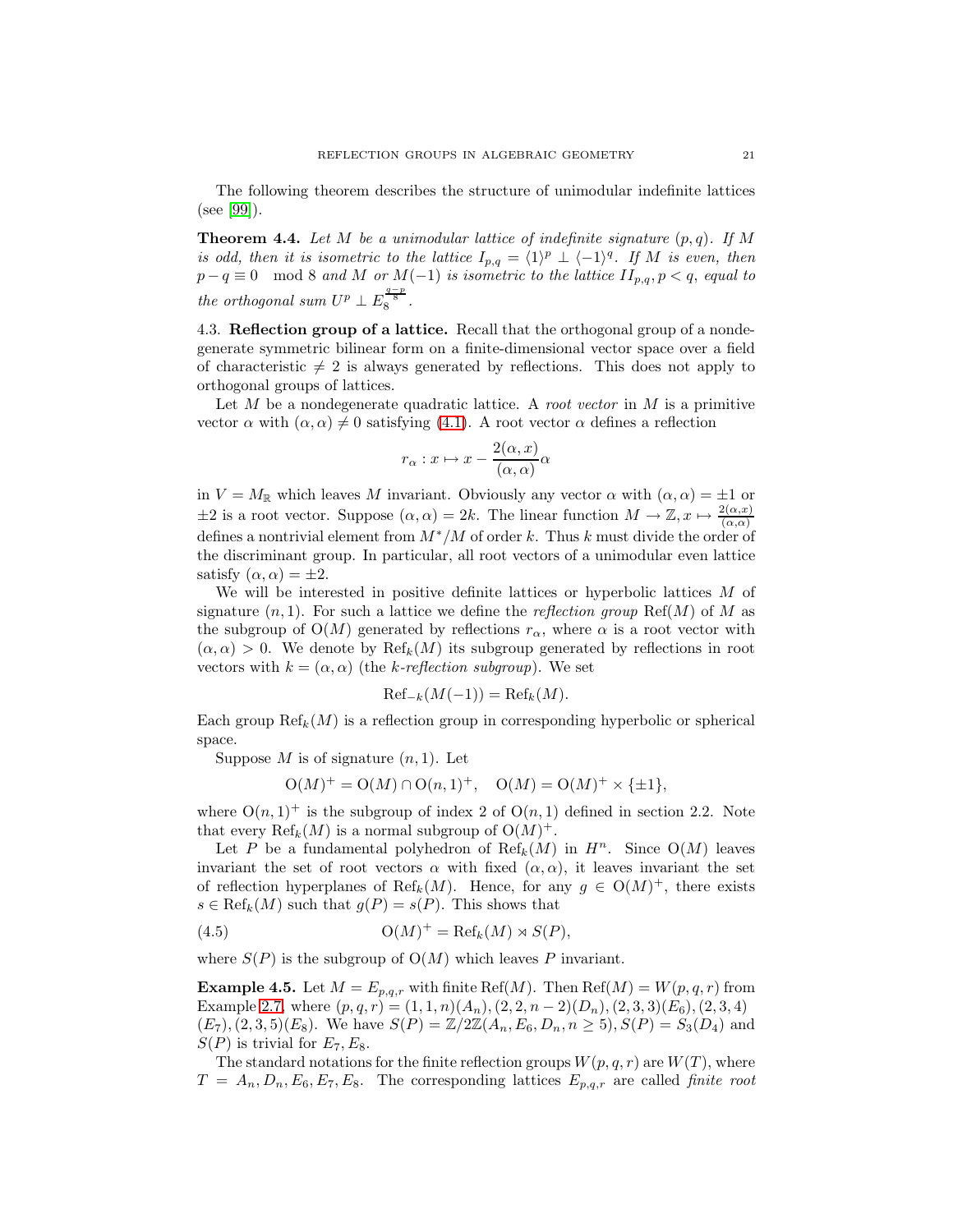<span id="page-20-0"></span>The following theorem describes the structure of unimodular indefinite lattices (see [\[99\]](#page-58-10)).

**Theorem 4.4.** Let M be a unimodular lattice of indefinite signature  $(p, q)$ . If M is odd, then it is isometric to the lattice  $I_{p,q} = \langle 1 \rangle^p \perp \langle -1 \rangle^q$ . If M is even, then  $p - q \equiv 0 \mod 8$  and M or  $M(-1)$  is isometric to the lattice  $II_{p,q}, p < q$ , equal to the orthogonal sum  $U^p \perp E_8^{\frac{q-p}{8}}$ .

4.3. **Reflection group of a lattice.** Recall that the orthogonal group of a nondegenerate symmetric bilinear form on a finite-dimensional vector space over a field of characteristic  $\neq 2$  is always generated by reflections. This does not apply to orthogonal groups of lattices.

Let M be a nondegenerate quadratic lattice. A *root vector* in M is a primitive vector  $\alpha$  with  $(\alpha, \alpha) \neq 0$  satisfying [\(4.1\)](#page-17-0). A root vector  $\alpha$  defines a reflection

$$
r_{\alpha}: x \mapsto x - \frac{2(\alpha, x)}{(\alpha, \alpha)}\alpha
$$

in  $V = M_{\mathbb{R}}$  which leaves M invariant. Obviously any vector  $\alpha$  with  $(\alpha, \alpha) = \pm 1$  or  $\pm 2$  is a root vector. Suppose  $(\alpha, \alpha) = 2k$ . The linear function  $M \to \mathbb{Z}, x \mapsto \frac{2(\alpha, x)}{(\alpha, \alpha)}$ defines a nontrivial element from  $M^*/M$  of order k. Thus k must divide the order of the discriminant group. In particular, all root vectors of a unimodular even lattice satisfy  $(\alpha, \alpha) = \pm 2$ .

We will be interested in positive definite lattices or hyperbolic lattices M of signature  $(n, 1)$ . For such a lattice we define the *reflection group* Ref(M) of M as the subgroup of  $O(M)$  generated by reflections  $r_{\alpha}$ , where  $\alpha$  is a root vector with  $(\alpha, \alpha) > 0$ . We denote by  $\text{Ref}_k(M)$  its subgroup generated by reflections in root vectors with  $k = (\alpha, \alpha)$  (the k-reflection subgroup). We set

$$
\mathrm{Ref}_{-k}(M(-1)) = \mathrm{Ref}_k(M).
$$

Each group  $\text{Ref}_k(M)$  is a reflection group in corresponding hyperbolic or spherical space.

Suppose M is of signature  $(n, 1)$ . Let

<span id="page-20-1"></span>
$$
O(M)^{+} = O(M) \cap O(n, 1)^{+}, \quad O(M) = O(M)^{+} \times \{\pm 1\},
$$

where  $O(n, 1)^+$  is the subgroup of index 2 of  $O(n, 1)$  defined in section 2.2. Note that every  $\text{Ref}_k(M)$  is a normal subgroup of  $O(M)^+$ .

Let P be a fundamental polyhedron of  $\text{Ref}_k(M)$  in  $H^n$ . Since  $O(M)$  leaves invariant the set of root vectors  $\alpha$  with fixed  $(\alpha, \alpha)$ , it leaves invariant the set of reflection hyperplanes of Ref<sub>k</sub> $(M)$ . Hence, for any  $g \in O(M)^+$ , there exists  $s \in \text{Ref}_k(M)$  such that  $g(P) = s(P)$ . This shows that

(4.5) 
$$
\mathrm{O}(M)^{+} = \mathrm{Ref}_{k}(M) \rtimes S(P),
$$

where  $S(P)$  is the subgroup of  $O(M)$  which leaves P invariant.

**Example 4.5.** Let  $M = E_{p,q,r}$  with finite Ref(M). Then Ref(M) =  $W(p,q,r)$  from Example [2.7,](#page-12-2) where  $(p,q,r) = (1,1,n)(A_n), (2,2,n-2)(D_n), (2,3,3)(E_6), (2,3,4)$  $(E_7), (2, 3, 5)(E_8)$ . We have  $S(P) = \mathbb{Z}/2\mathbb{Z}(A_n, E_6, D_n, n \ge 5), S(P) = S_3(D_4)$  and  $S(P)$  is trivial for  $E_7, E_8$ .

The standard notations for the finite reflection groups  $W(p,q,r)$  are  $W(T)$ , where  $T = A_n, D_n, E_6, E_7, E_8$ . The corresponding lattices  $E_{p,q,r}$  are called finite root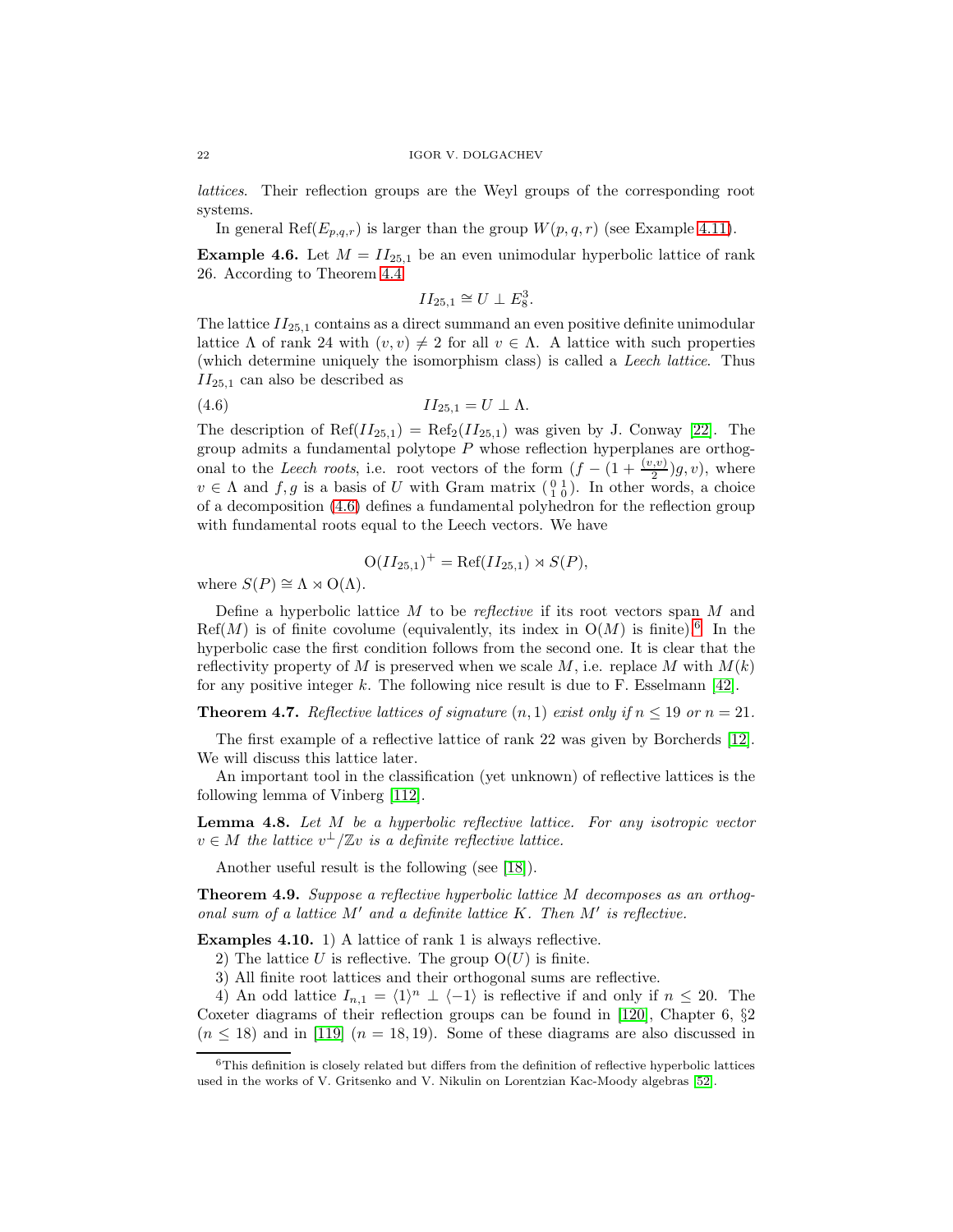lattices. Their reflection groups are the Weyl groups of the corresponding root systems.

In general Ref $(E_{p,q,r})$  is larger than the group  $W(p,q,r)$  (see Example [4.11\)](#page-22-0).

<span id="page-21-3"></span>**Example 4.6.** Let  $M = II_{25,1}$  be an even unimodular hyperbolic lattice of rank 26. According to Theorem [4.4](#page-20-0)

$$
II_{25,1}\cong U\perp E_8^3.
$$

The lattice  $II_{25,1}$  contains as a direct summand an even positive definite unimodular lattice Λ of rank 24 with  $(v, v) \neq 2$  for all  $v \in \Lambda$ . A lattice with such properties (which determine uniquely the isomorphism class) is called a Leech lattice. Thus  $II_{25,1}$  can also be described as

<span id="page-21-0"></span>
$$
(4.6) \t\t\t II_{25,1} = U \perp \Lambda.
$$

The description of  $\text{Ref}(II_{25,1}) = \text{Ref}_2(II_{25,1})$  was given by J. Conway [\[22\]](#page-54-10). The group admits a fundamental polytope  $P$  whose reflection hyperplanes are orthogonal to the Leech roots, i.e. root vectors of the form  $(f - (1 + \frac{(v,v)}{2})g, v)$ , where  $v \in \Lambda$  and  $f, g$  is a basis of U with Gram matrix  $\begin{pmatrix} 0 & 1 \\ 1 & 0 \end{pmatrix}$ . In other words, a choice of a decomposition [\(4.6\)](#page-21-0) defines a fundamental polyhedron for the reflection group with fundamental roots equal to the Leech vectors. We have

$$
O(II_{25,1})^{+} = \text{Ref}(II_{25,1}) \rtimes S(P),
$$

where  $S(P) \cong \Lambda \rtimes O(\Lambda)$ .

Define a hyperbolic lattice  $M$  to be *reflective* if its root vectors span  $M$  and  $Ref(M)$  is of finite covolume (equivalently, its index in  $O(M)$  is finite).<sup>[6](#page-21-1)</sup> In the hyperbolic case the first condition follows from the second one. It is clear that the reflectivity property of M is preserved when we scale M, i.e. replace M with  $M(k)$ for any positive integer  $k$ . The following nice result is due to F. Esselmann [\[42\]](#page-55-7).

<span id="page-21-2"></span>**Theorem 4.7.** Reflective lattices of signature  $(n, 1)$  exist only if  $n \leq 19$  or  $n = 21$ .

The first example of a reflective lattice of rank 22 was given by Borcherds [\[12\]](#page-54-11). We will discuss this lattice later.

An important tool in the classification (yet unknown) of reflective lattices is the following lemma of Vinberg [\[112\]](#page-58-3).

**Lemma 4.8.** Let M be a hyperbolic reflective lattice. For any isotropic vector  $v \in M$  the lattice  $v^{\perp}/\mathbb{Z}v$  is a definite reflective lattice.

Another useful result is the following (see [\[18\]](#page-54-12)).

**Theorem 4.9.** Suppose a reflective hyperbolic lattice M decomposes as an orthogonal sum of a lattice  $M'$  and a definite lattice  $K$ . Then  $M'$  is reflective.

Examples 4.10. 1) A lattice of rank 1 is always reflective.

- 2) The lattice U is reflective. The group  $O(U)$  is finite.
- 3) All finite root lattices and their orthogonal sums are reflective.

4) An odd lattice  $I_{n,1} = \langle 1 \rangle^n \perp \langle -1 \rangle$  is reflective if and only if  $n \leq 20$ . The Coxeter diagrams of their reflection groups can be found in [\[120\]](#page-59-0), Chapter 6, §2  $(n \leq 18)$  and in [\[119\]](#page-58-11)  $(n = 18, 19)$ . Some of these diagrams are also discussed in

<span id="page-21-1"></span> $6$ This definition is closely related but differs from the definition of reflective hyperbolic lattices used in the works of V. Gritsenko and V. Nikulin on Lorentzian Kac-Moody algebras [\[52\]](#page-56-11).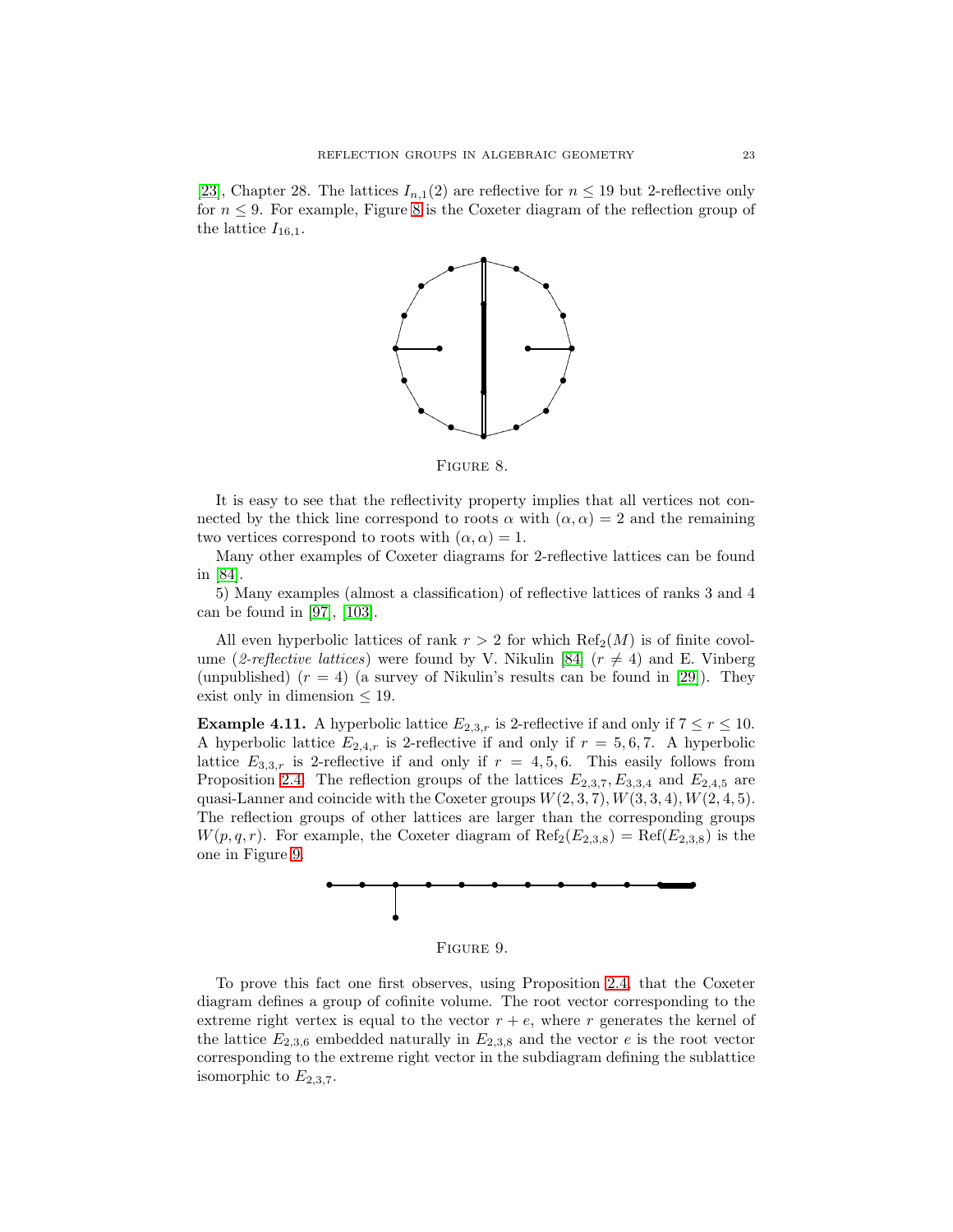[\[23\]](#page-54-13), Chapter 28. The lattices  $I_{n,1}(2)$  are reflective for  $n \leq 19$  but 2-reflective only for  $n \leq 9$ . For example, Figure [8](#page-22-1) is the Coxeter diagram of the reflection group of the lattice  $I_{16,1}$ .



<span id="page-22-1"></span>Figure 8.

It is easy to see that the reflectivity property implies that all vertices not connected by the thick line correspond to roots  $\alpha$  with  $(\alpha, \alpha) = 2$  and the remaining two vertices correspond to roots with  $(\alpha, \alpha) = 1$ .

Many other examples of Coxeter diagrams for 2-reflective lattices can be found in [\[84\]](#page-57-7).

5) Many examples (almost a classification) of reflective lattices of ranks 3 and 4 can be found in [\[97\]](#page-57-8), [\[103\]](#page-58-12).

All even hyperbolic lattices of rank  $r > 2$  for which  $\text{Ref}_2(M)$  is of finite covol-ume (2-reflective lattices) were found by V. Nikulin [\[84\]](#page-57-7) ( $r \neq 4$ ) and E. Vinberg (unpublished)  $(r = 4)$  (a survey of Nikulin's results can be found in [\[29\]](#page-55-8)). They exist only in dimension  $\leq 19$ .

<span id="page-22-0"></span>**Example 4.11.** A hyperbolic lattice  $E_{2,3,r}$  is 2-reflective if and only if  $7 \le r \le 10$ . A hyperbolic lattice  $E_{2,4,r}$  is 2-reflective if and only if  $r = 5,6,7$ . A hyperbolic lattice  $E_{3,3,r}$  is 2-reflective if and only if  $r = 4, 5, 6$ . This easily follows from Proposition [2.4.](#page-10-2) The reflection groups of the lattices  $E_{2,3,7}$ ,  $E_{3,3,4}$  and  $E_{2,4,5}$  are quasi-Lanner and coincide with the Coxeter groups  $W(2, 3, 7)$ ,  $W(3, 3, 4)$ ,  $W(2, 4, 5)$ . The reflection groups of other lattices are larger than the corresponding groups  $W(p,q,r)$ . For example, the Coxeter diagram of  $\text{Ref}_2(E_{2,3,8}) = \text{Ref}(E_{2,3,8})$  is the one in Figure [9.](#page-22-2)



<span id="page-22-2"></span>Figure 9.

To prove this fact one first observes, using Proposition [2.4,](#page-10-2) that the Coxeter diagram defines a group of cofinite volume. The root vector corresponding to the extreme right vertex is equal to the vector  $r + e$ , where r generates the kernel of the lattice  $E_{2,3,6}$  embedded naturally in  $E_{2,3,8}$  and the vector e is the root vector corresponding to the extreme right vector in the subdiagram defining the sublattice isomorphic to  $E_{2,3,7}$ .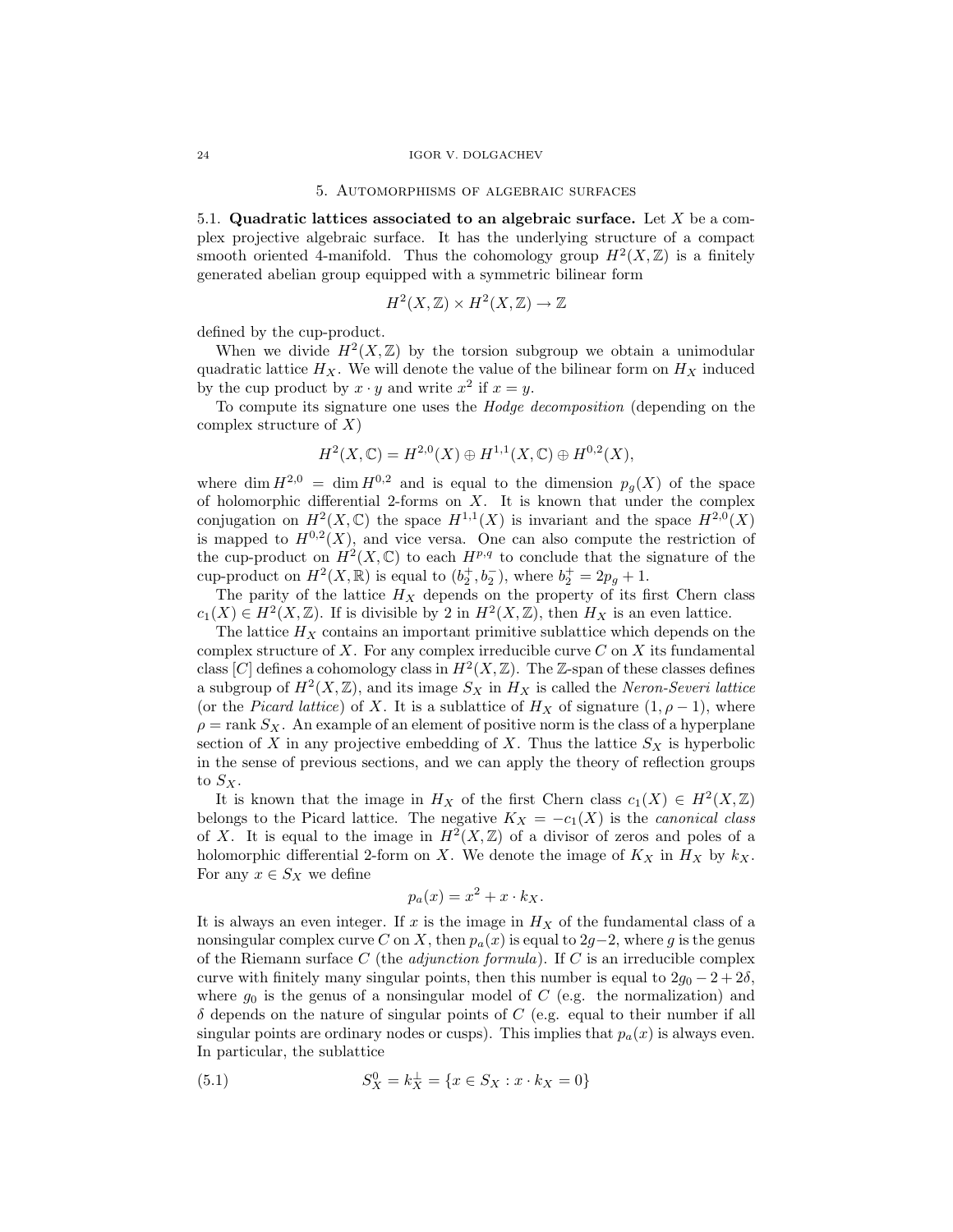#### 5. Automorphisms of algebraic surfaces

5.1. **Quadratic lattices associated to an algebraic surface.** Let X be a complex projective algebraic surface. It has the underlying structure of a compact smooth oriented 4-manifold. Thus the cohomology group  $H^2(X,\mathbb{Z})$  is a finitely generated abelian group equipped with a symmetric bilinear form

$$
H^2(X, \mathbb{Z}) \times H^2(X, \mathbb{Z}) \to \mathbb{Z}
$$

defined by the cup-product.

When we divide  $H^2(X,\mathbb{Z})$  by the torsion subgroup we obtain a unimodular quadratic lattice  $H_X$ . We will denote the value of the bilinear form on  $H_X$  induced by the cup product by  $x \cdot y$  and write  $x^2$  if  $x = y$ .

To compute its signature one uses the Hodge decomposition (depending on the complex structure of  $X$ )

$$
H^2(X,\mathbb{C}) = H^{2,0}(X) \oplus H^{1,1}(X,\mathbb{C}) \oplus H^{0,2}(X),
$$

where dim  $H^{2,0} = \dim H^{0,2}$  and is equal to the dimension  $p_q(X)$  of the space of holomorphic differential 2-forms on  $X$ . It is known that under the complex conjugation on  $H^2(X,\mathbb{C})$  the space  $H^{1,1}(X)$  is invariant and the space  $H^{2,0}(X)$ is mapped to  $H^{0,2}(X)$ , and vice versa. One can also compute the restriction of the cup-product on  $H^2(X,\mathbb{C})$  to each  $H^{p,q}$  to conclude that the signature of the cup-product on  $H^2(X, \mathbb{R})$  is equal to  $(b_2^+, b_2^-)$ , where  $b_2^+ = 2p_g + 1$ .

The parity of the lattice  $H_X$  depends on the property of its first Chern class  $c_1(X) \in H^2(X,\mathbb{Z})$ . If is divisible by 2 in  $H^2(X,\mathbb{Z})$ , then  $H_X$  is an even lattice.

The lattice  $H_X$  contains an important primitive sublattice which depends on the complex structure of  $X$ . For any complex irreducible curve  $C$  on  $X$  its fundamental class [C] defines a cohomology class in  $H^2(X,\mathbb{Z})$ . The Z-span of these classes defines a subgroup of  $H^2(X,\mathbb{Z})$ , and its image  $S_X$  in  $H_X$  is called the Neron-Severi lattice (or the *Picard lattice*) of X. It is a sublattice of  $H_X$  of signature  $(1, \rho - 1)$ , where  $\rho = \text{rank } S_X$ . An example of an element of positive norm is the class of a hyperplane section of X in any projective embedding of X. Thus the lattice  $S_X$  is hyperbolic in the sense of previous sections, and we can apply the theory of reflection groups to  $S_X$ .

It is known that the image in  $H_X$  of the first Chern class  $c_1(X) \in H^2(X,\mathbb{Z})$ belongs to the Picard lattice. The negative  $K_X = -c_1(X)$  is the *canonical class* of X. It is equal to the image in  $H^2(X,\mathbb{Z})$  of a divisor of zeros and poles of a holomorphic differential 2-form on X. We denote the image of  $K_X$  in  $H_X$  by  $k_X$ . For any  $x \in S_X$  we define

$$
p_a(x) = x^2 + x \cdot k_X.
$$

It is always an even integer. If  $x$  is the image in  $H_X$  of the fundamental class of a nonsingular complex curve C on X, then  $p_a(x)$  is equal to 2g−2, where g is the genus of the Riemann surface  $C$  (the *adjunction formula*). If  $C$  is an irreducible complex curve with finitely many singular points, then this number is equal to  $2g_0 - 2 + 2\delta$ , where  $g_0$  is the genus of a nonsingular model of C (e.g. the normalization) and  $\delta$  depends on the nature of singular points of C (e.g. equal to their number if all singular points are ordinary nodes or cusps). This implies that  $p_a(x)$  is always even. In particular, the sublattice

(5.1) 
$$
S_X^0 = k_X^{\perp} = \{x \in S_X : x \cdot k_X = 0\}
$$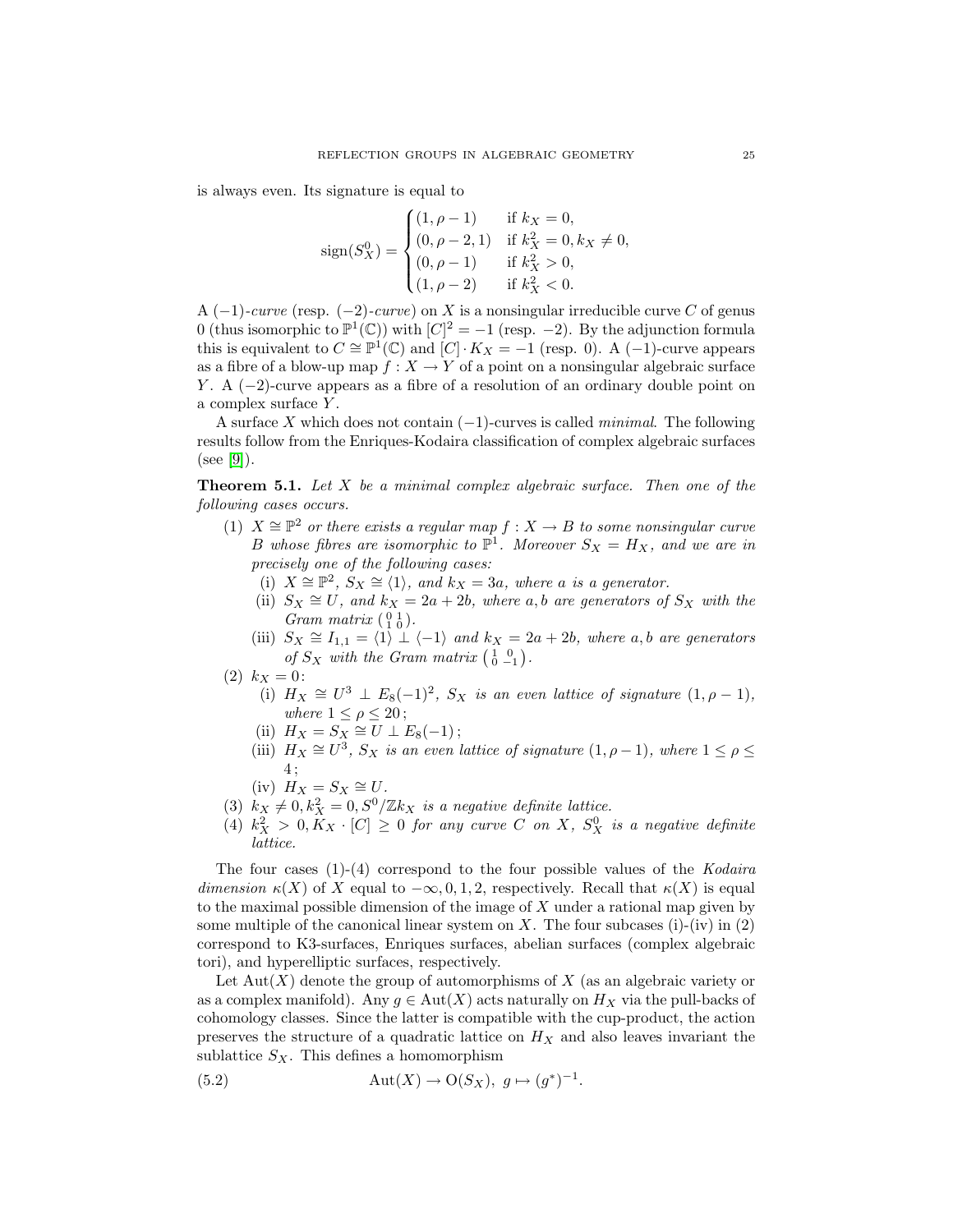is always even. Its signature is equal to

$$
\text{sign}(S_X^0) = \begin{cases} (1, \rho - 1) & \text{if } k_X = 0, \\ (0, \rho - 2, 1) & \text{if } k_X^2 = 0, k_X \neq 0, \\ (0, \rho - 1) & \text{if } k_X^2 > 0, \\ (1, \rho - 2) & \text{if } k_X^2 < 0. \end{cases}
$$

A  $(-1)$ -curve (resp.  $(-2)$ -curve) on X is a nonsingular irreducible curve C of genus 0 (thus isomorphic to  $\mathbb{P}^1(\mathbb{C})$ ) with  $[C]^2 = -1$  (resp. -2). By the adjunction formula this is equivalent to  $C \cong \mathbb{P}^1(\mathbb{C})$  and  $[C] \cdot K_X = -1$  (resp. 0). A (-1)-curve appears as a fibre of a blow-up map  $f: X \to Y$  of a point on a nonsingular algebraic surface Y. A  $(-2)$ -curve appears as a fibre of a resolution of an ordinary double point on a complex surface Y .

A surface X which does not contain  $(-1)$ -curves is called *minimal*. The following results follow from the Enriques-Kodaira classification of complex algebraic surfaces  $(see [9]).$  $(see [9]).$  $(see [9]).$ 

<span id="page-24-0"></span>**Theorem 5.1.** Let X be a minimal complex algebraic surface. Then one of the following cases occurs.

- (1)  $X \cong \mathbb{P}^2$  or there exists a regular map  $f : X \to B$  to some nonsingular curve B whose fibres are isomorphic to  $\mathbb{P}^1$ . Moreover  $S_X = H_X$ , and we are in precisely one of the following cases:
	- (i)  $X \cong \mathbb{P}^2$ ,  $S_X \cong \langle 1 \rangle$ , and  $k_X = 3a$ , where a is a generator.
	- (ii)  $S_X \cong U$ , and  $k_X = 2a + 2b$ , where a, b are generators of  $S_X$  with the Gram matrix  $\begin{pmatrix} 0 & 1 \\ 1 & 0 \end{pmatrix}$ .
	- (iii)  $S_X \cong I_{1,1} = \langle 1 \rangle \cup \langle -1 \rangle$  and  $k_X = 2a + 2b$ , where a, b are generators of  $S_X$  with the Gram matrix  $\begin{pmatrix} 1 & 0 \\ 0 & -1 \end{pmatrix}$ .
- (2)  $k_X = 0$ :
	- (i)  $H_X \cong U^3 \perp E_8(-1)^2$ ,  $S_X$  is an even lattice of signature  $(1, \rho 1)$ , where  $1 \leq \rho \leq 20$ ;
	- (ii)  $H_X = S_X \cong U \perp E_8(-1);$
	- (iii)  $H_X \cong U^3$ ,  $S_X$  is an even lattice of signature  $(1, \rho 1)$ , where  $1 \le \rho \le$ 4 ;
	- (iv)  $H_X = S_X \cong U$ .
- (3)  $k_X \neq 0, k_X^2 = 0, S^0/\mathbb{Z} k_X$  is a negative definite lattice.
- (4)  $k_X^2 > 0, K_X \cdot [C] \geq 0$  for any curve C on X,  $S_X^0$  is a negative definite lattice.

The four cases  $(1)-(4)$  correspond to the four possible values of the Kodaira dimension  $\kappa(X)$  of X equal to  $-\infty, 0, 1, 2$ , respectively. Recall that  $\kappa(X)$  is equal to the maximal possible dimension of the image of  $X$  under a rational map given by some multiple of the canonical linear system on  $X$ . The four subcases (i)-(iv) in (2) correspond to K3-surfaces, Enriques surfaces, abelian surfaces (complex algebraic tori), and hyperelliptic surfaces, respectively.

Let  $Aut(X)$  denote the group of automorphisms of X (as an algebraic variety or as a complex manifold). Any  $g \in Aut(X)$  acts naturally on  $H_X$  via the pull-backs of cohomology classes. Since the latter is compatible with the cup-product, the action preserves the structure of a quadratic lattice on  $H_X$  and also leaves invariant the sublattice  $S_X$ . This defines a homomorphism

<span id="page-24-1"></span>(5.2) 
$$
\text{Aut}(X) \to \text{O}(S_X), \ g \mapsto (g^*)^{-1}.
$$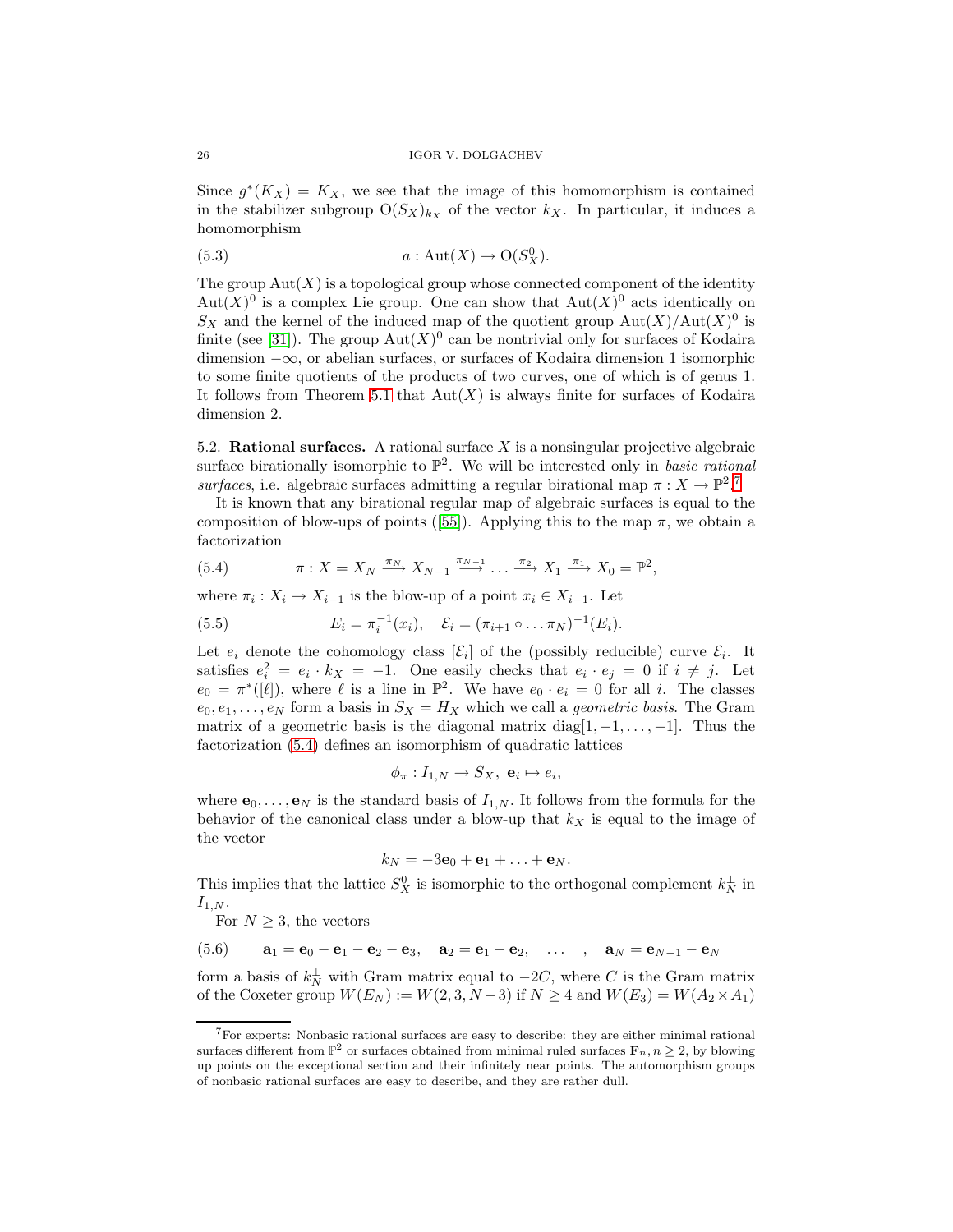Since  $g^*(K_X) = K_X$ , we see that the image of this homomorphism is contained in the stabilizer subgroup  $O(S_X)_{k_X}$  of the vector  $k_X$ . In particular, it induces a homomorphism

(5.3) 
$$
a: \mathrm{Aut}(X) \to \mathrm{O}(S_X^0).
$$

The group  $\text{Aut}(X)$  is a topological group whose connected component of the identity  $Aut(X)^0$  is a complex Lie group. One can show that  $Aut(X)^0$  acts identically on  $S_X$  and the kernel of the induced map of the quotient group  $\text{Aut}(X)/\text{Aut}(X)^0$  is finite (see [\[31\]](#page-55-9)). The group  $Aut(X)^0$  can be nontrivial only for surfaces of Kodaira dimension −∞, or abelian surfaces, or surfaces of Kodaira dimension 1 isomorphic to some finite quotients of the products of two curves, one of which is of genus 1. It follows from Theorem [5.1](#page-24-0) that  $Aut(X)$  is always finite for surfaces of Kodaira dimension 2.

<span id="page-25-3"></span>5.2. **Rational surfaces.** A rational surface X is a nonsingular projective algebraic surface birationally isomorphic to  $\mathbb{P}^2$ . We will be interested only in *basic rational* surfaces, i.e. algebraic surfaces admitting a regular birational map  $\pi : X \to \mathbb{P}^2$ .

It is known that any birational regular map of algebraic surfaces is equal to the composition of blow-ups of points ([\[55\]](#page-56-12)). Applying this to the map  $\pi$ , we obtain a factorization

<span id="page-25-1"></span>(5.4) 
$$
\pi: X = X_N \xrightarrow{\pi_N} X_{N-1} \xrightarrow{\pi_{N-1}} \dots \xrightarrow{\pi_2} X_1 \xrightarrow{\pi_1} X_0 = \mathbb{P}^2,
$$

where  $\pi_i : X_i \to X_{i-1}$  is the blow-up of a point  $x_i \in X_{i-1}$ . Let

(5.5) 
$$
E_i = \pi_i^{-1}(x_i), \quad \mathcal{E}_i = (\pi_{i+1} \circ \dots \pi_N)^{-1}(E_i).
$$

Let  $e_i$  denote the cohomology class  $[\mathcal{E}_i]$  of the (possibly reducible) curve  $\mathcal{E}_i$ . It satisfies  $e_i^2 = e_i \cdot k_X = -1$ . One easily checks that  $e_i \cdot e_j = 0$  if  $i \neq j$ . Let  $e_0 = \pi^*([\ell]),$  where  $\ell$  is a line in  $\mathbb{P}^2$ . We have  $e_0 \cdot e_i = 0$  for all i. The classes  $e_0, e_1, \ldots, e_N$  form a basis in  $S_X = H_X$  which we call a *geometric basis*. The Gram matrix of a geometric basis is the diagonal matrix diag[ $1, -1, \ldots, -1$ ]. Thus the factorization [\(5.4\)](#page-25-1) defines an isomorphism of quadratic lattices

$$
\phi_{\pi}: I_{1,N} \to S_X, \ \mathbf{e}_i \mapsto e_i,
$$

where  $\mathbf{e}_0, \ldots, \mathbf{e}_N$  is the standard basis of  $I_{1,N}$ . It follows from the formula for the behavior of the canonical class under a blow-up that  $k_X$  is equal to the image of the vector

$$
k_N=-3\mathbf{e}_0+\mathbf{e}_1+\ldots+\mathbf{e}_N.
$$

This implies that the lattice  $S_X^0$  is isomorphic to the orthogonal complement  $k_N^{\perp}$  in  $I_{1,N}$ .

<span id="page-25-2"></span>For  $N \geq 3$ , the vectors

$$
(5.6) \qquad a1 = e0 - e1 - e2 - e3, \quad a2 = e1 - e2, \quad \dots \quad , \quad aN = eN-1 - eN
$$

form a basis of  $k_N^{\perp}$  with Gram matrix equal to  $-2C$ , where C is the Gram matrix of the Coxeter group  $W(E_N) := W(2, 3, N-3)$  if  $N \geq 4$  and  $W(E_3) = W(A_2 \times A_1)$ 

<span id="page-25-0"></span><sup>7</sup>For experts: Nonbasic rational surfaces are easy to describe: they are either minimal rational surfaces different from  $\mathbb{P}^2$  or surfaces obtained from minimal ruled surfaces  $\mathbf{F}_n, n \geq 2$ , by blowing up points on the exceptional section and their infinitely near points. The automorphism groups of nonbasic rational surfaces are easy to describe, and they are rather dull.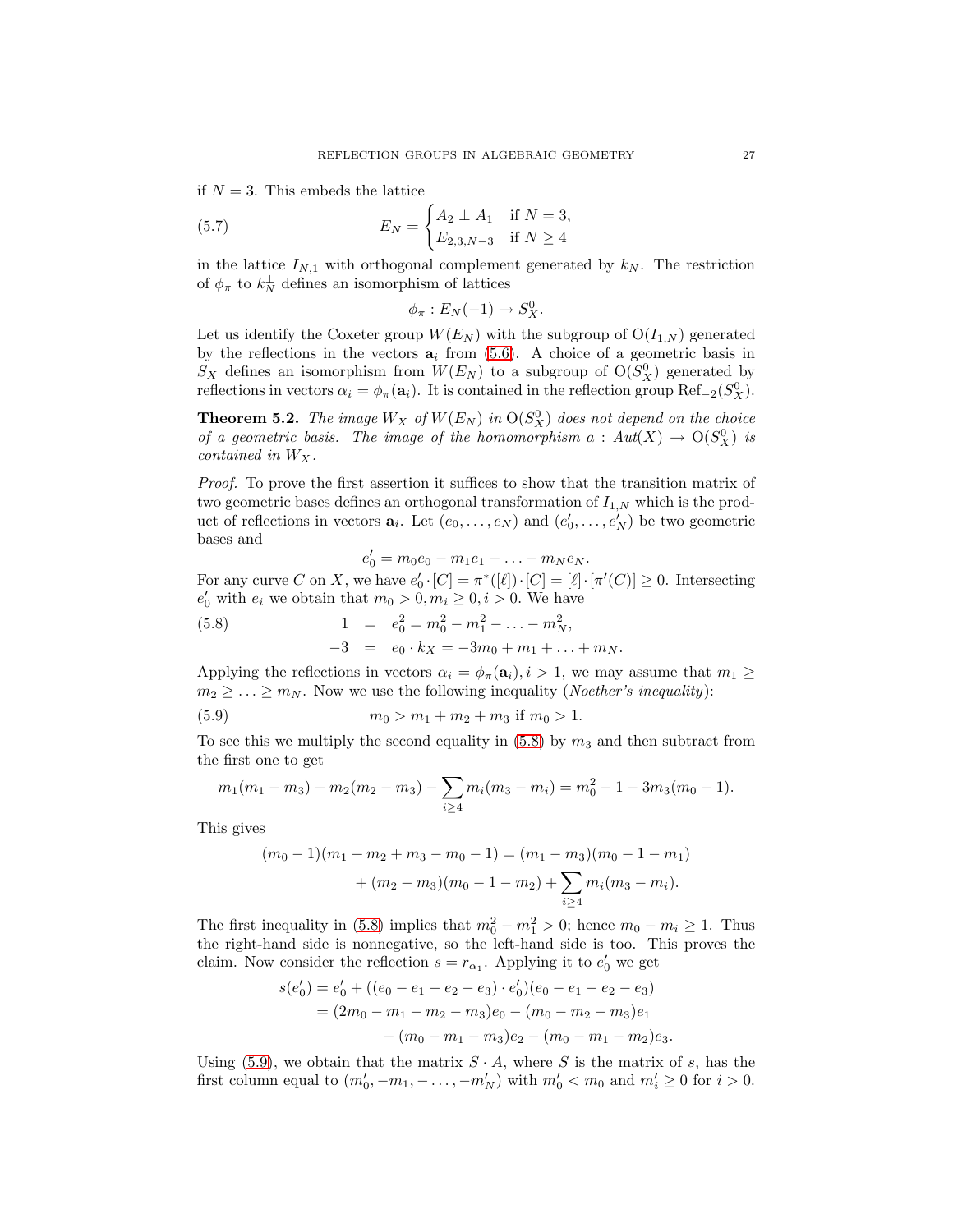if  $N = 3$ . This embeds the lattice

(5.7) 
$$
E_N = \begin{cases} A_2 \perp A_1 & \text{if } N = 3, \\ E_{2,3,N-3} & \text{if } N \ge 4 \end{cases}
$$

in the lattice  $I_{N,1}$  with orthogonal complement generated by  $k_N$ . The restriction of  $\phi_{\pi}$  to  $k_{N}^{\perp}$  defines an isomorphism of lattices

$$
\phi_{\pi}: E_N(-1) \to S_X^0.
$$

Let us identify the Coxeter group  $W(E_N)$  with the subgroup of  $O(I_{1,N})$  generated by the reflections in the vectors  $a_i$  from  $(5.6)$ . A choice of a geometric basis in  $S_X$  defines an isomorphism from  $W(E_N)$  to a subgroup of  $O(S_X^0)$  generated by reflections in vectors  $\alpha_i = \phi_\pi(\mathbf{a}_i)$ . It is contained in the reflection group Ref<sub>-2</sub>( $S_X^0$ ).

<span id="page-26-2"></span>**Theorem 5.2.** The image  $W_X$  of  $W(E_N)$  in  $O(S_X^0)$  does not depend on the choice of a geometric basis. The image of the homomorphism  $a: Aut(X) \to O(S_X^0)$  is contained in  $W_X$ .

Proof. To prove the first assertion it suffices to show that the transition matrix of two geometric bases defines an orthogonal transformation of  $I_{1,N}$  which is the product of reflections in vectors  $\mathbf{a}_i$ . Let  $(e_0, \ldots, e_N)$  and  $(e'_0, \ldots, e'_N)$  be two geometric bases and

<span id="page-26-1"></span>
$$
e'_0 = m_0 e_0 - m_1 e_1 - \ldots - m_N e_N.
$$

For any curve C on X, we have  $e'_0 \cdot [C] = \pi^*([\ell]) \cdot [C] = [\ell] \cdot [\pi'(C)] \ge 0$ . Intersecting  $e'_0$  with  $e_i$  we obtain that  $m_0 > 0, m_i \geq 0, i > 0$ . We have

<span id="page-26-0"></span>(5.8) 
$$
1 = e_0^2 = m_0^2 - m_1^2 - \dots - m_N^2,
$$

$$
-3 = e_0 \cdot k_X = -3m_0 + m_1 + \dots + m_N.
$$

Applying the reflections in vectors  $\alpha_i = \phi_\pi(\mathbf{a}_i), i>1$ , we may assume that  $m_1 \geq$  $m_2 \geq \ldots \geq m_N$ . Now we use the following inequality (*Noether's inequality*):

(5.9) 
$$
m_0 > m_1 + m_2 + m_3 \text{ if } m_0 > 1.
$$

To see this we multiply the second equality in  $(5.8)$  by  $m_3$  and then subtract from the first one to get

$$
m_1(m_1 - m_3) + m_2(m_2 - m_3) - \sum_{i \ge 4} m_i(m_3 - m_i) = m_0^2 - 1 - 3m_3(m_0 - 1).
$$

This gives

$$
(m_0 - 1)(m_1 + m_2 + m_3 - m_0 - 1) = (m_1 - m_3)(m_0 - 1 - m_1)
$$

$$
+ (m_2 - m_3)(m_0 - 1 - m_2) + \sum_{i \ge 4} m_i(m_3 - m_i).
$$

The first inequality in [\(5.8\)](#page-26-0) implies that  $m_0^2 - m_1^2 > 0$ ; hence  $m_0 - m_i \ge 1$ . Thus the right-hand side is nonnegative, so the left-hand side is too. This proves the claim. Now consider the reflection  $s = r_{\alpha_1}$ . Applying it to  $e'_0$  we get

$$
s(e'_0) = e'_0 + ((e_0 - e_1 - e_2 - e_3) \cdot e'_0)(e_0 - e_1 - e_2 - e_3)
$$
  
=  $(2m_0 - m_1 - m_2 - m_3)e_0 - (m_0 - m_2 - m_3)e_1$   
 $- (m_0 - m_1 - m_3)e_2 - (m_0 - m_1 - m_2)e_3.$ 

Using [\(5.9\)](#page-26-1), we obtain that the matrix  $S \cdot A$ , where S is the matrix of s, has the first column equal to  $(m'_0, -m_1, -\ldots, -m'_N)$  with  $m'_0 < m_0$  and  $m'_i \geq 0$  for  $i > 0$ .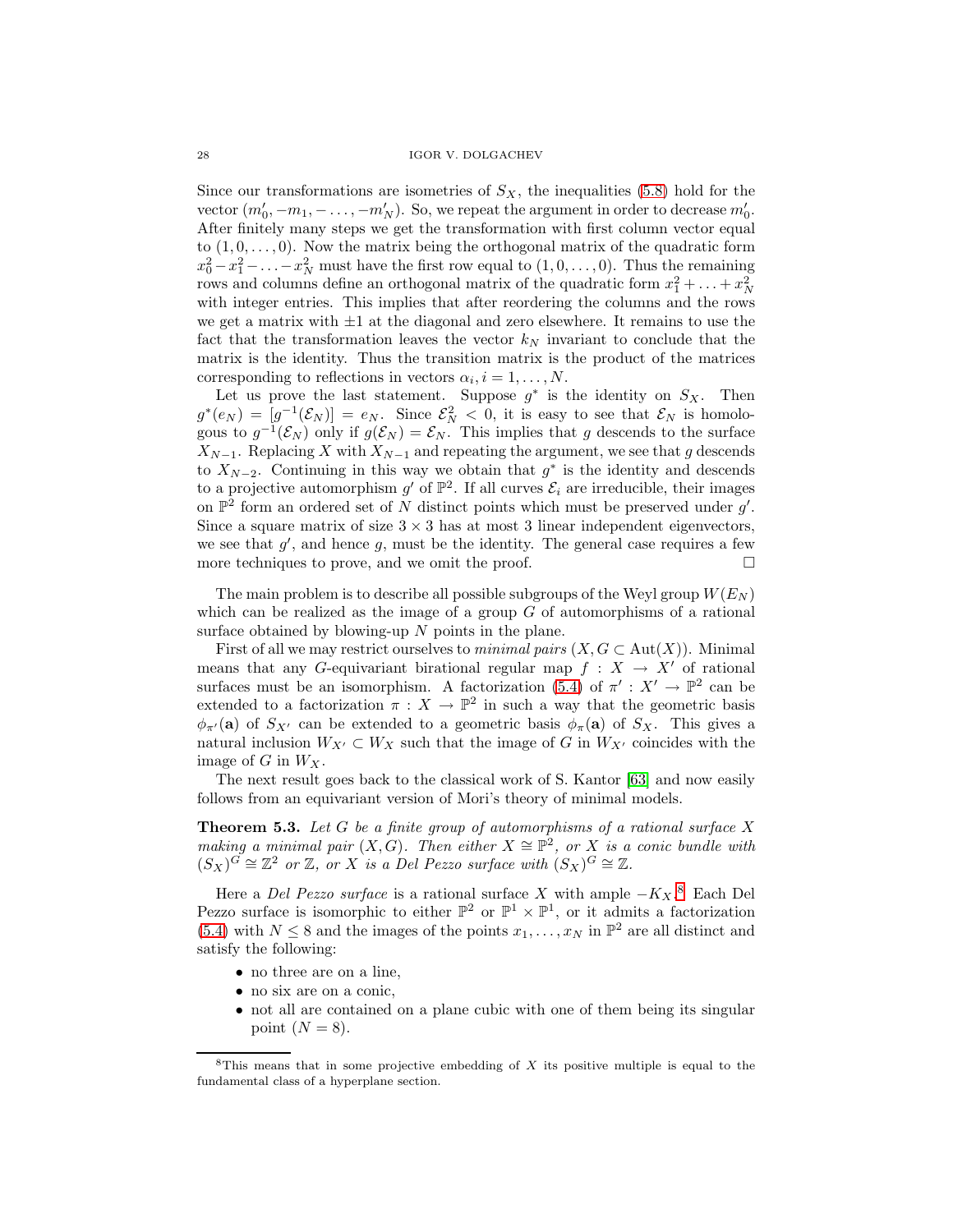Since our transformations are isometries of  $S_X$ , the inequalities [\(5.8\)](#page-26-0) hold for the vector  $(m'_0, -m_1, -\ldots, -m'_N)$ . So, we repeat the argument in order to decrease  $m'_0$ . After finitely many steps we get the transformation with first column vector equal to  $(1, 0, \ldots, 0)$ . Now the matrix being the orthogonal matrix of the quadratic form  $x_0^2 - x_1^2 - \ldots - x_N^2$  must have the first row equal to  $(1, 0, \ldots, 0)$ . Thus the remaining rows and columns define an orthogonal matrix of the quadratic form  $x_1^2 + \ldots + x_N^2$ with integer entries. This implies that after reordering the columns and the rows we get a matrix with  $\pm 1$  at the diagonal and zero elsewhere. It remains to use the fact that the transformation leaves the vector  $k_N$  invariant to conclude that the matrix is the identity. Thus the transition matrix is the product of the matrices corresponding to reflections in vectors  $\alpha_i, i = 1, \ldots, N$ .

Let us prove the last statement. Suppose  $g^*$  is the identity on  $S_X$ . Then  $g^*(e_N) = [g^{-1}(\mathcal{E}_N)] = e_N$ . Since  $\mathcal{E}_N^2 < 0$ , it is easy to see that  $\mathcal{E}_N$  is homologous to  $g^{-1}(\mathcal{E}_N)$  only if  $g(\mathcal{E}_N) = \mathcal{E}_N$ . This implies that g descends to the surface  $X_{N-1}$ . Replacing X with  $X_{N-1}$  and repeating the argument, we see that g descends to  $X_{N-2}$ . Continuing in this way we obtain that  $g^*$  is the identity and descends to a projective automorphism  $g'$  of  $\mathbb{P}^2$ . If all curves  $\mathcal{E}_i$  are irreducible, their images on  $\mathbb{P}^2$  form an ordered set of N distinct points which must be preserved under  $g'$ . Since a square matrix of size  $3 \times 3$  has at most 3 linear independent eigenvectors, we see that  $g'$ , and hence g, must be the identity. The general case requires a few more techniques to prove, and we omit the proof.  $\Box$ 

The main problem is to describe all possible subgroups of the Weyl group  $W(E_N)$ which can be realized as the image of a group  $G$  of automorphisms of a rational surface obtained by blowing-up  $N$  points in the plane.

First of all we may restrict ourselves to *minimal pairs*  $(X, G \subset Aut(X))$ . Minimal means that any G-equivariant birational regular map  $f : X \to X'$  of rational surfaces must be an isomorphism. A factorization [\(5.4\)](#page-25-1) of  $\pi' : X' \to \mathbb{P}^2$  can be extended to a factorization  $\pi : X \to \mathbb{P}^2$  in such a way that the geometric basis  $\phi_{\pi'}(\mathbf{a})$  of  $S_{X'}$  can be extended to a geometric basis  $\phi_{\pi}(\mathbf{a})$  of  $S_{X}$ . This gives a natural inclusion  $W_{X'} \subset W_X$  such that the image of G in  $W_{X'}$  coincides with the image of  $G$  in  $W_X$ .

The next result goes back to the classical work of S. Kantor [\[63\]](#page-56-0) and now easily follows from an equivariant version of Mori's theory of minimal models.

**Theorem 5.3.** Let  $G$  be a finite group of automorphisms of a rational surface  $X$ making a minimal pair  $(X, G)$ . Then either  $X \cong \mathbb{P}^2$ , or X is a conic bundle with  $(S_X)^G \cong \mathbb{Z}^2$  or  $\mathbb{Z}$ , or X is a Del Pezzo surface with  $(S_X)^G \cong \mathbb{Z}$ .

Here a *Del Pezzo surface* is a rational surface X with ample  $-K_X$ .<sup>[8](#page-27-0)</sup> Each Del Pezzo surface is isomorphic to either  $\mathbb{P}^2$  or  $\mathbb{P}^1 \times \mathbb{P}^1$ , or it admits a factorization [\(5.4\)](#page-25-1) with  $N \leq 8$  and the images of the points  $x_1, \ldots, x_N$  in  $\mathbb{P}^2$  are all distinct and satisfy the following:

- no three are on a line,
- no six are on a conic,
- not all are contained on a plane cubic with one of them being its singular point  $(N = 8)$ .

<span id="page-27-0"></span> $8$ This means that in some projective embedding of X its positive multiple is equal to the fundamental class of a hyperplane section.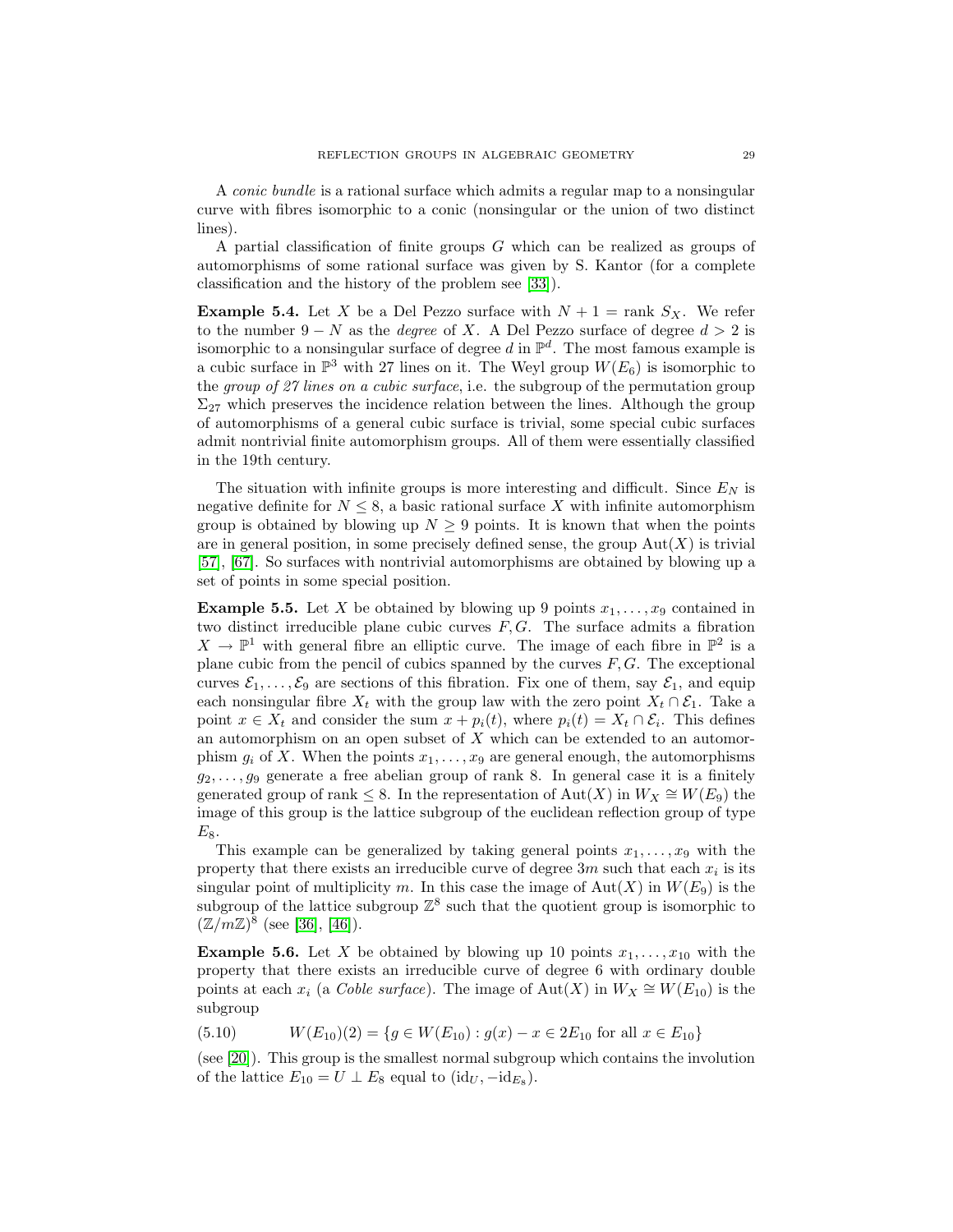A conic bundle is a rational surface which admits a regular map to a nonsingular curve with fibres isomorphic to a conic (nonsingular or the union of two distinct lines).

A partial classification of finite groups G which can be realized as groups of automorphisms of some rational surface was given by S. Kantor (for a complete classification and the history of the problem see [\[33\]](#page-55-10)).

**Example 5.4.** Let X be a Del Pezzo surface with  $N + 1 = \text{rank } S_X$ . We refer to the number  $9 - N$  as the *degree* of X. A Del Pezzo surface of degree  $d > 2$  is isomorphic to a nonsingular surface of degree d in  $\mathbb{P}^d$ . The most famous example is a cubic surface in  $\mathbb{P}^3$  with 27 lines on it. The Weyl group  $W(E_6)$  is isomorphic to the group of 27 lines on a cubic surface, i.e. the subgroup of the permutation group  $\Sigma_{27}$  which preserves the incidence relation between the lines. Although the group of automorphisms of a general cubic surface is trivial, some special cubic surfaces admit nontrivial finite automorphism groups. All of them were essentially classified in the 19th century.

The situation with infinite groups is more interesting and difficult. Since  $E<sub>N</sub>$  is negative definite for  $N \leq 8$ , a basic rational surface X with infinite automorphism group is obtained by blowing up  $N \geq 9$  points. It is known that when the points are in general position, in some precisely defined sense, the group  $Aut(X)$  is trivial [\[57\]](#page-56-13), [\[67\]](#page-56-14). So surfaces with nontrivial automorphisms are obtained by blowing up a set of points in some special position.

**Example 5.5.** Let X be obtained by blowing up 9 points  $x_1, \ldots, x_9$  contained in two distinct irreducible plane cubic curves  $F, G$ . The surface admits a fibration  $X \to \mathbb{P}^1$  with general fibre an elliptic curve. The image of each fibre in  $\mathbb{P}^2$  is a plane cubic from the pencil of cubics spanned by the curves  $F, G$ . The exceptional curves  $\mathcal{E}_1,\ldots,\mathcal{E}_9$  are sections of this fibration. Fix one of them, say  $\mathcal{E}_1$ , and equip each nonsingular fibre  $X_t$  with the group law with the zero point  $X_t \cap \mathcal{E}_1$ . Take a point  $x \in X_t$  and consider the sum  $x + p_i(t)$ , where  $p_i(t) = X_t \cap \mathcal{E}_i$ . This defines an automorphism on an open subset of  $X$  which can be extended to an automorphism  $g_i$  of X. When the points  $x_1, \ldots, x_9$  are general enough, the automorphisms  $g_2, \ldots, g_9$  generate a free abelian group of rank 8. In general case it is a finitely generated group of rank  $\leq$  8. In the representation of Aut $(X)$  in  $W_X \cong W(E_9)$  the image of this group is the lattice subgroup of the euclidean reflection group of type  $E_8$ .

This example can be generalized by taking general points  $x_1, \ldots, x_9$  with the property that there exists an irreducible curve of degree  $3m$  such that each  $x_i$  is its singular point of multiplicity m. In this case the image of  $Aut(X)$  in  $W(E_9)$  is the subgroup of the lattice subgroup  $\mathbb{Z}^8$  such that the quotient group is isomorphic to  $(\mathbb{Z}/m\mathbb{Z})^8$  (see [\[36\]](#page-55-2), [\[46\]](#page-55-11)).

**Example 5.6.** Let X be obtained by blowing up 10 points  $x_1, \ldots, x_{10}$  with the property that there exists an irreducible curve of degree 6 with ordinary double points at each  $x_i$  (a Coble surface). The image of  $Aut(X)$  in  $W_X \cong W(E_{10})$  is the subgroup

<span id="page-28-0"></span>
$$
(5.10) \t W(E_{10})(2) = \{ g \in W(E_{10}) : g(x) - x \in 2E_{10} \text{ for all } x \in E_{10} \}
$$

<span id="page-28-1"></span>(see [\[20\]](#page-54-15)). This group is the smallest normal subgroup which contains the involution of the lattice  $E_{10} = U \perp E_8$  equal to  $(id_U, -id_{E_8})$ .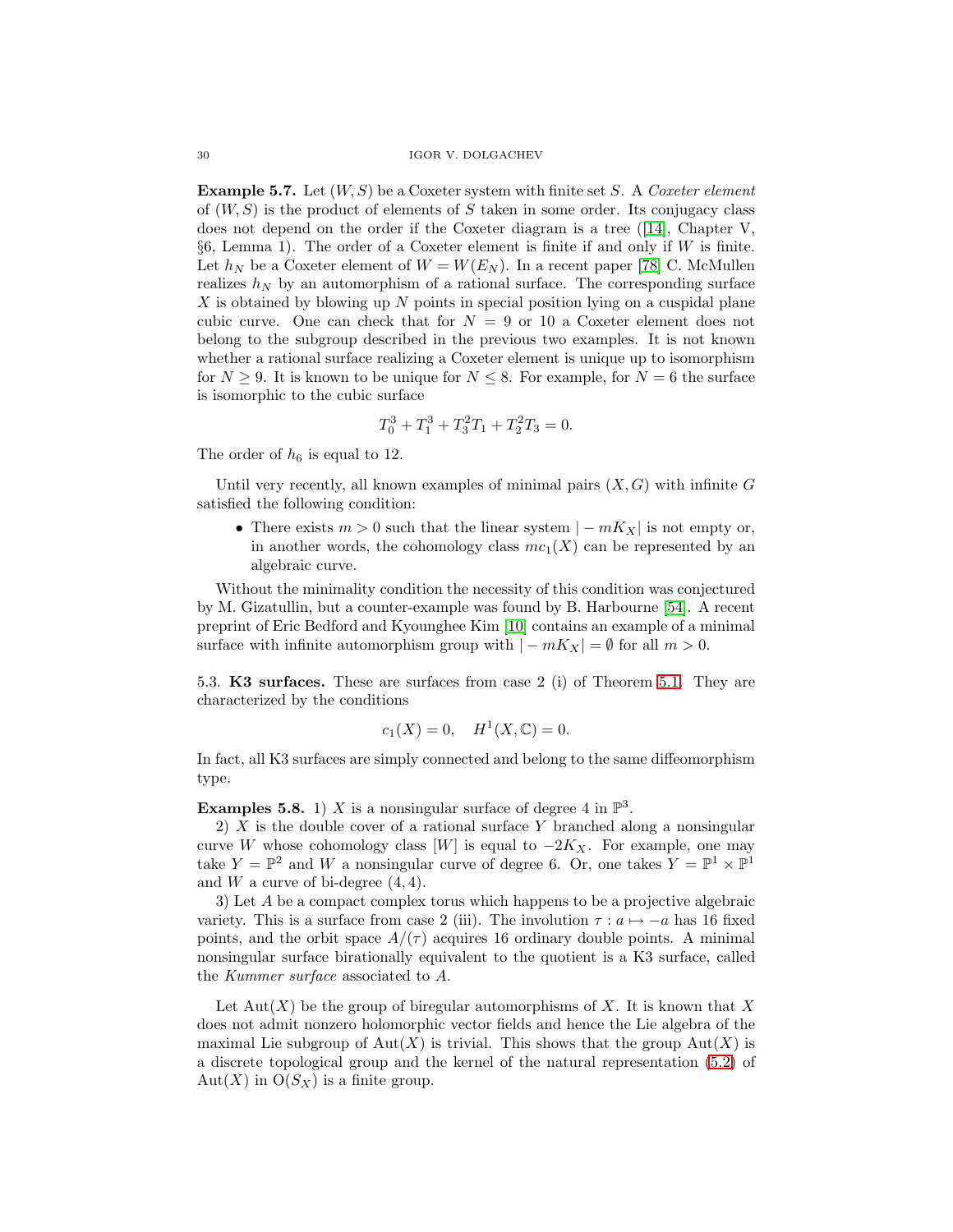**Example 5.7.** Let  $(W, S)$  be a Coxeter system with finite set S. A Coxeter element of  $(W, S)$  is the product of elements of S taken in some order. Its conjugacy class does not depend on the order if the Coxeter diagram is a tree ([\[14\]](#page-54-5), Chapter V,  $§6$ , Lemma 1). The order of a Coxeter element is finite if and only if W is finite. Let  $h_N$  be a Coxeter element of  $W = W(E_N)$ . In a recent paper [\[78\]](#page-57-9) C. McMullen realizes  $h_N$  by an automorphism of a rational surface. The corresponding surface  $X$  is obtained by blowing up  $N$  points in special position lying on a cuspidal plane cubic curve. One can check that for  $N = 9$  or 10 a Coxeter element does not belong to the subgroup described in the previous two examples. It is not known whether a rational surface realizing a Coxeter element is unique up to isomorphism for  $N \geq 9$ . It is known to be unique for  $N \leq 8$ . For example, for  $N = 6$  the surface is isomorphic to the cubic surface

$$
T_0^3 + T_1^3 + T_3^2 T_1 + T_2^2 T_3 = 0.
$$

The order of  $h_6$  is equal to 12.

Until very recently, all known examples of minimal pairs  $(X, G)$  with infinite G satisfied the following condition:

• There exists  $m > 0$  such that the linear system  $|-mK_X|$  is not empty or, in another words, the cohomology class  $mc_1(X)$  can be represented by an algebraic curve.

Without the minimality condition the necessity of this condition was conjectured by M. Gizatullin, but a counter-example was found by B. Harbourne [\[54\]](#page-56-15). A recent preprint of Eric Bedford and Kyounghee Kim [\[10\]](#page-54-16) contains an example of a minimal surface with infinite automorphism group with  $|-mK_X| = \emptyset$  for all  $m > 0$ .

5.3. **K3 surfaces.** These are surfaces from case 2 (i) of Theorem [5.1.](#page-24-0) They are characterized by the conditions

$$
c_1(X) = 0
$$
,  $H^1(X, \mathbb{C}) = 0$ .

In fact, all K3 surfaces are simply connected and belong to the same diffeomorphism type.

**Examples 5.8.** 1) X is a nonsingular surface of degree 4 in  $\mathbb{P}^3$ .

2)  $X$  is the double cover of a rational surface Y branched along a nonsingular curve W whose cohomology class [W] is equal to  $-2K_X$ . For example, one may take  $Y = \mathbb{P}^2$  and W a nonsingular curve of degree 6. Or, one takes  $Y = \mathbb{P}^1 \times \mathbb{P}^1$ and W a curve of bi-degree  $(4, 4)$ .

3) Let A be a compact complex torus which happens to be a projective algebraic variety. This is a surface from case 2 (iii). The involution  $\tau : a \mapsto -a$  has 16 fixed points, and the orbit space  $A/(\tau)$  acquires 16 ordinary double points. A minimal nonsingular surface birationally equivalent to the quotient is a K3 surface, called the Kummer surface associated to A.

Let  $\text{Aut}(X)$  be the group of biregular automorphisms of X. It is known that X does not admit nonzero holomorphic vector fields and hence the Lie algebra of the maximal Lie subgroup of  $Aut(X)$  is trivial. This shows that the group  $Aut(X)$  is a discrete topological group and the kernel of the natural representation [\(5.2\)](#page-24-1) of Aut $(X)$  in  $O(S_X)$  is a finite group.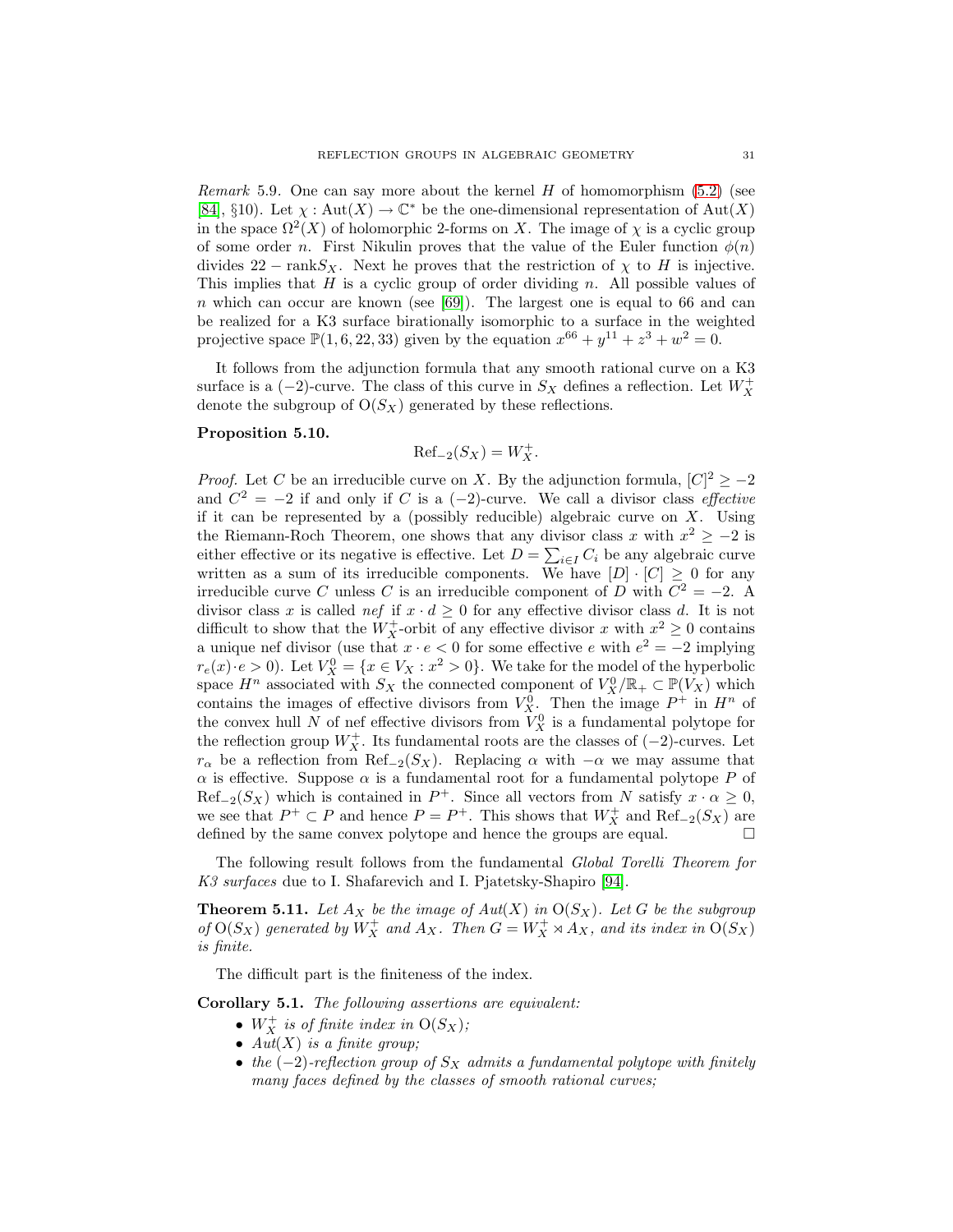*Remark* 5.9. One can say more about the kernel  $H$  of homomorphism [\(5.2\)](#page-24-1) (see [\[84\]](#page-57-7), §10). Let  $\chi : \text{Aut}(X) \to \mathbb{C}^*$  be the one-dimensional representation of  $\text{Aut}(X)$ in the space  $\Omega^2(X)$  of holomorphic 2-forms on X. The image of  $\chi$  is a cyclic group of some order n. First Nikulin proves that the value of the Euler function  $\phi(n)$ divides  $22 - \text{rank}S_X$ . Next he proves that the restriction of  $\chi$  to H is injective. This implies that  $H$  is a cyclic group of order dividing n. All possible values of n which can occur are known (see  $[69]$ ). The largest one is equal to 66 and can be realized for a K3 surface birationally isomorphic to a surface in the weighted projective space  $\mathbb{P}(1, 6, 22, 33)$  given by the equation  $x^{66} + y^{11} + z^3 + w^2 = 0$ .

It follows from the adjunction formula that any smooth rational curve on a K3 surface is a  $(-2)$ -curve. The class of this curve in  $S_X$  defines a reflection. Let  $W_X^+$ denote the subgroup of  $O(S_X)$  generated by these reflections.

## **Proposition 5.10.**

$$
\text{Ref}_{-2}(S_X) = W_X^+.
$$

*Proof.* Let C be an irreducible curve on X. By the adjunction formula,  $[C]^2 \ge -2$ and  $C^2 = -2$  if and only if C is a (−2)-curve. We call a divisor class *effective* if it can be represented by a (possibly reducible) algebraic curve on  $X$ . Using the Riemann-Roch Theorem, one shows that any divisor class x with  $x^2 \ge -2$  is either effective or its negative is effective. Let  $D = \sum_{i \in I} C_i$  be any algebraic curve written as a sum of its irreducible components. We have  $[D] \cdot [C] \geq 0$  for any irreducible curve C unless C is an irreducible component of D with  $C^2 = -2$ . A divisor class x is called nef if  $x \cdot d \geq 0$  for any effective divisor class d. It is not difficult to show that the  $W_X^+$ -orbit of any effective divisor x with  $x^2 \geq 0$  contains a unique nef divisor (use that  $x \cdot e < 0$  for some effective e with  $e^2 = -2$  implying  $r_e(x) \cdot e > 0$ . Let  $V_X^0 = \{x \in V_X : x^2 > 0\}$ . We take for the model of the hyperbolic space  $H^n$  associated with  $S_X$  the connected component of  $V_X^0/\mathbb{R}_+ \subset \mathbb{P}(V_X)$  which contains the images of effective divisors from  $V_X^0$ . Then the image  $P^+$  in  $H^n$  of the convex hull N of nef effective divisors from  $V_X^0$  is a fundamental polytope for the reflection group  $W_X^+$ . Its fundamental roots are the classes of  $(-2)$ -curves. Let  $r_{\alpha}$  be a reflection from Ref<sub>-2</sub>(S<sub>X</sub>). Replacing  $\alpha$  with  $-\alpha$  we may assume that  $\alpha$  is effective. Suppose  $\alpha$  is a fundamental root for a fundamental polytope P of  $\text{Ref}_{-2}(S_X)$  which is contained in  $P^+$ . Since all vectors from N satisfy  $x \cdot \alpha \geq 0$ , we see that  $P^+ \subset P$  and hence  $P = P^+$ . This shows that  $W_X^+$  and  $\text{Ref}_{-2}(S_X)$  are defined by the same convex polytope and hence the groups are equal.

The following result follows from the fundamental Global Torelli Theorem for K3 surfaces due to I. Shafarevich and I. Pjatetsky-Shapiro [\[94\]](#page-57-1).

**Theorem 5.11.** Let  $A_X$  be the image of  $Aut(X)$  in  $O(S_X)$ . Let G be the subgroup of  $O(S_X)$  generated by  $W_X^+$  and  $A_X$ . Then  $G = W_X^+ \rtimes A_X$ , and its index in  $O(S_X)$ is finite.

The difficult part is the finiteness of the index.

**Corollary 5.1.** The following assertions are equivalent:

- $W_X^+$  is of finite index in  $O(S_X)$ ;
- $Aut(X)$  is a finite group;
- the  $(-2)$ -reflection group of  $S_X$  admits a fundamental polytope with finitely many faces defined by the classes of smooth rational curves;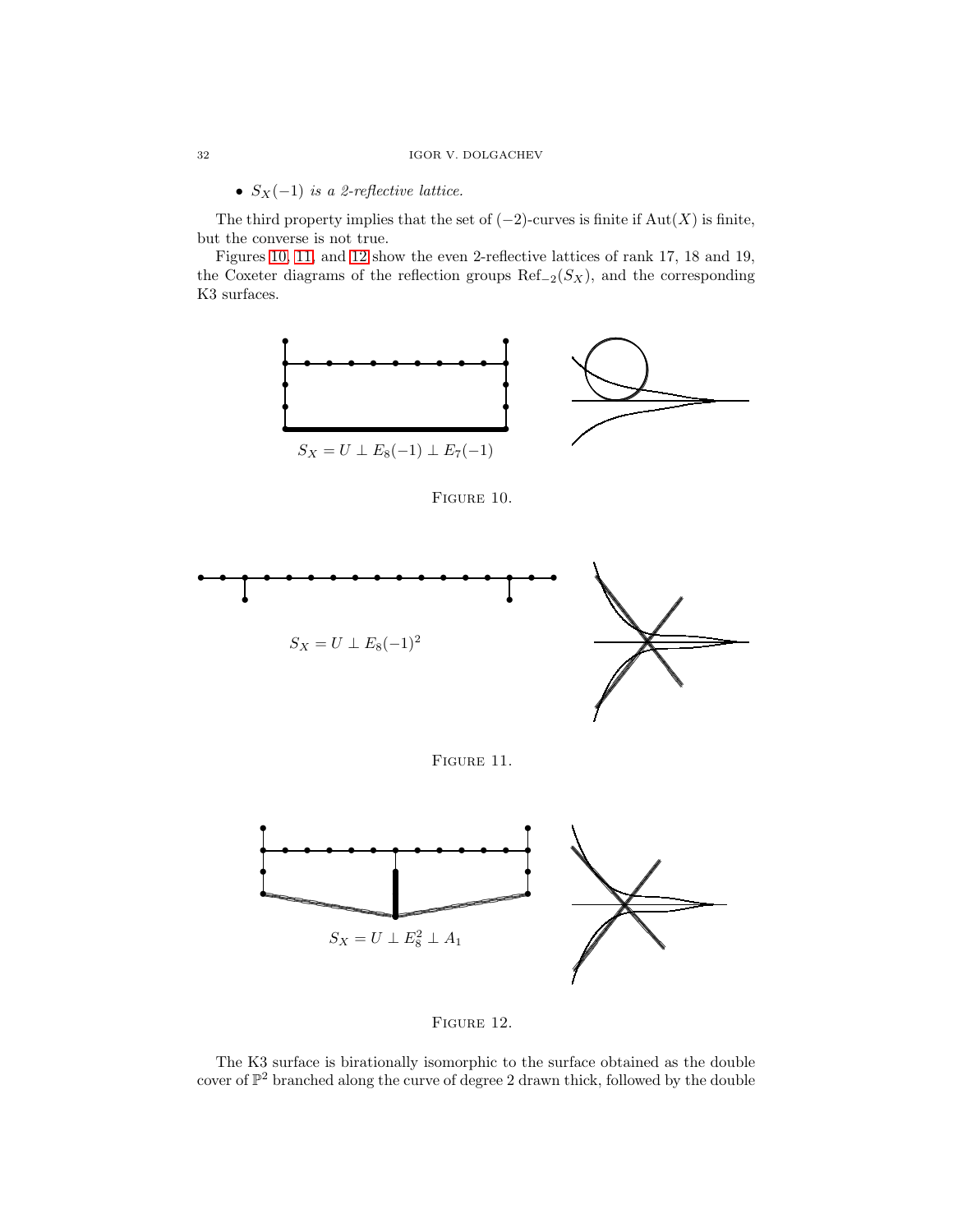•  $S_X(-1)$  is a 2-reflective lattice.

The third property implies that the set of  $(-2)$ -curves is finite if Aut $(X)$  is finite, but the converse is not true.

Figures [10,](#page-31-0) [11,](#page-31-1) and [12](#page-31-2) show the even 2-reflective lattices of rank 17, 18 and 19, the Coxeter diagrams of the reflection groups  $\text{Ref}_{-2}(S_X)$ , and the corresponding K3 surfaces.



<span id="page-31-0"></span>Figure 10.



<span id="page-31-1"></span>FIGURE 11.



<span id="page-31-2"></span>

The K3 surface is birationally isomorphic to the surface obtained as the double cover of  $\mathbb{P}^2$  branched along the curve of degree  $2$  drawn thick, followed by the double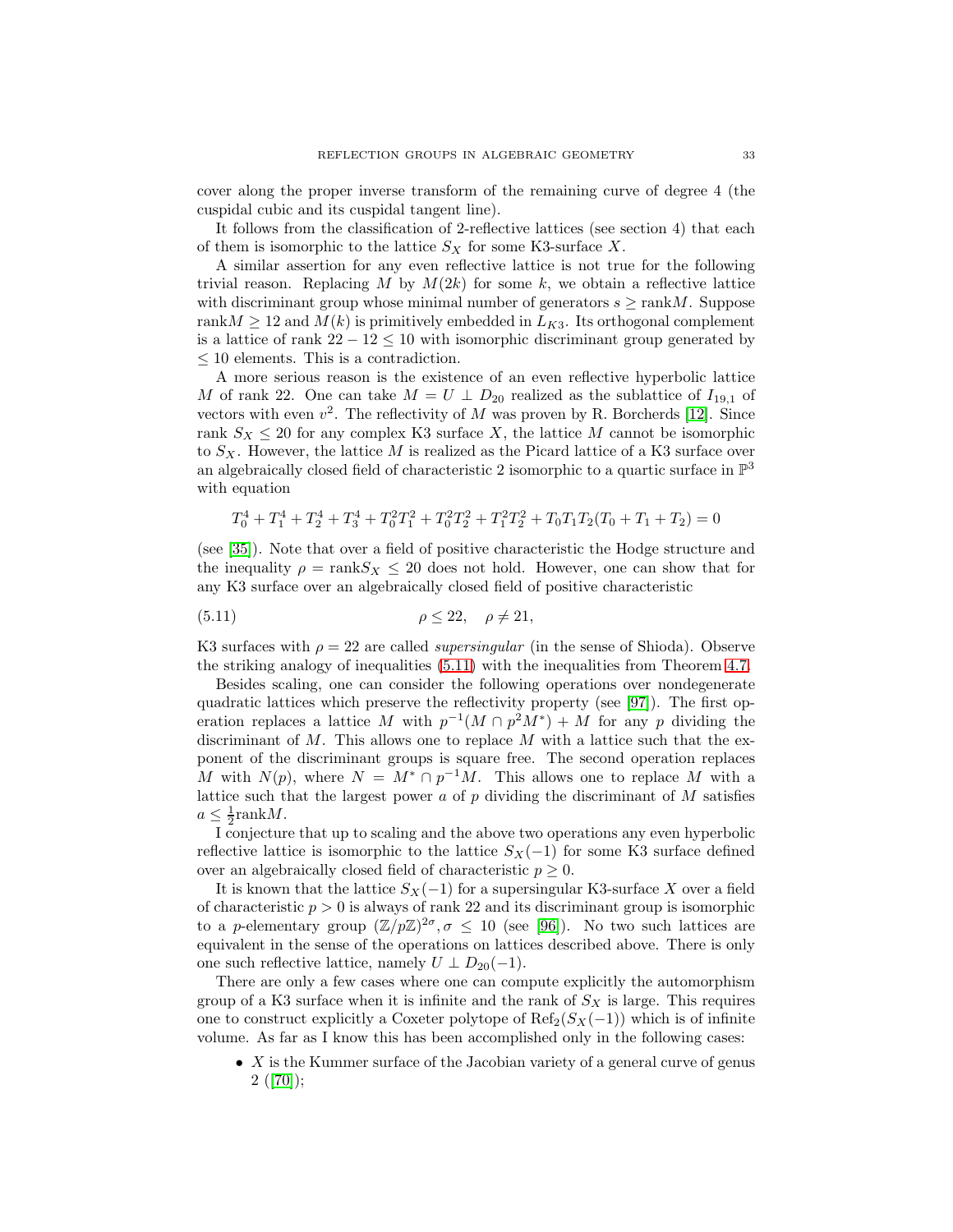cover along the proper inverse transform of the remaining curve of degree 4 (the cuspidal cubic and its cuspidal tangent line).

It follows from the classification of 2-reflective lattices (see section 4) that each of them is isomorphic to the lattice  $S_X$  for some K3-surface X.

A similar assertion for any even reflective lattice is not true for the following trivial reason. Replacing M by  $M(2k)$  for some k, we obtain a reflective lattice with discriminant group whose minimal number of generators  $s \geq \text{rank } M$ . Suppose rank $M \geq 12$  and  $M(k)$  is primitively embedded in  $L_{K3}$ . Its orthogonal complement is a lattice of rank  $22 - 12 \leq 10$  with isomorphic discriminant group generated by  $\leq$  10 elements. This is a contradiction.

A more serious reason is the existence of an even reflective hyperbolic lattice M of rank 22. One can take  $M = U \perp D_{20}$  realized as the sublattice of  $I_{19,1}$  of vectors with even  $v^2$ . The reflectivity of M was proven by R. Borcherds [\[12\]](#page-54-11). Since rank  $S_X \leq 20$  for any complex K3 surface X, the lattice M cannot be isomorphic to  $S_X$ . However, the lattice M is realized as the Picard lattice of a K3 surface over an algebraically closed field of characteristic 2 isomorphic to a quartic surface in  $\mathbb{P}^3$ with equation

<span id="page-32-0"></span>
$$
T_0^4 + T_1^4 + T_2^4 + T_3^4 + T_0^2 T_1^2 + T_0^2 T_2^2 + T_1^2 T_2^2 + T_0 T_1 T_2 (T_0 + T_1 + T_2) = 0
$$

(see [\[35\]](#page-55-12)). Note that over a field of positive characteristic the Hodge structure and the inequality  $\rho = \text{rank} S_X \leq 20$  does not hold. However, one can show that for any K3 surface over an algebraically closed field of positive characteristic

$$
\rho \le 22, \quad \rho \ne 21,
$$

K3 surfaces with  $\rho = 22$  are called *supersingular* (in the sense of Shioda). Observe the striking analogy of inequalities [\(5.11\)](#page-32-0) with the inequalities from Theorem [4.7.](#page-21-2)

Besides scaling, one can consider the following operations over nondegenerate quadratic lattices which preserve the reflectivity property (see [\[97\]](#page-57-8)). The first operation replaces a lattice M with  $p^{-1}(M \cap p^2M^*) + M$  for any p dividing the discriminant of  $M$ . This allows one to replace  $M$  with a lattice such that the exponent of the discriminant groups is square free. The second operation replaces M with  $N(p)$ , where  $N = M^* \cap p^{-1}M$ . This allows one to replace M with a lattice such that the largest power  $a$  of  $p$  dividing the discriminant of  $M$  satisfies  $a \leq \frac{1}{2}$ rank $M$ .

I conjecture that up to scaling and the above two operations any even hyperbolic reflective lattice is isomorphic to the lattice  $S_X(-1)$  for some K3 surface defined over an algebraically closed field of characteristic  $p \geq 0$ .

It is known that the lattice  $S_X(-1)$  for a supersingular K3-surface X over a field of characteristic  $p > 0$  is always of rank 22 and its discriminant group is isomorphic to a p-elementary group  $(\mathbb{Z}/p\mathbb{Z})^{2\sigma}$ ,  $\sigma \leq 10$  (see [\[96\]](#page-57-10)). No two such lattices are equivalent in the sense of the operations on lattices described above. There is only one such reflective lattice, namely  $U \perp D_{20}(-1)$ .

There are only a few cases where one can compute explicitly the automorphism group of a K3 surface when it is infinite and the rank of  $S_X$  is large. This requires one to construct explicitly a Coxeter polytope of  $\text{Ref}_2(S_X(-1))$  which is of infinite volume. As far as I know this has been accomplished only in the following cases:

• X is the Kummer surface of the Jacobian variety of a general curve of genus  $2([70]);$  $2([70]);$  $2([70]);$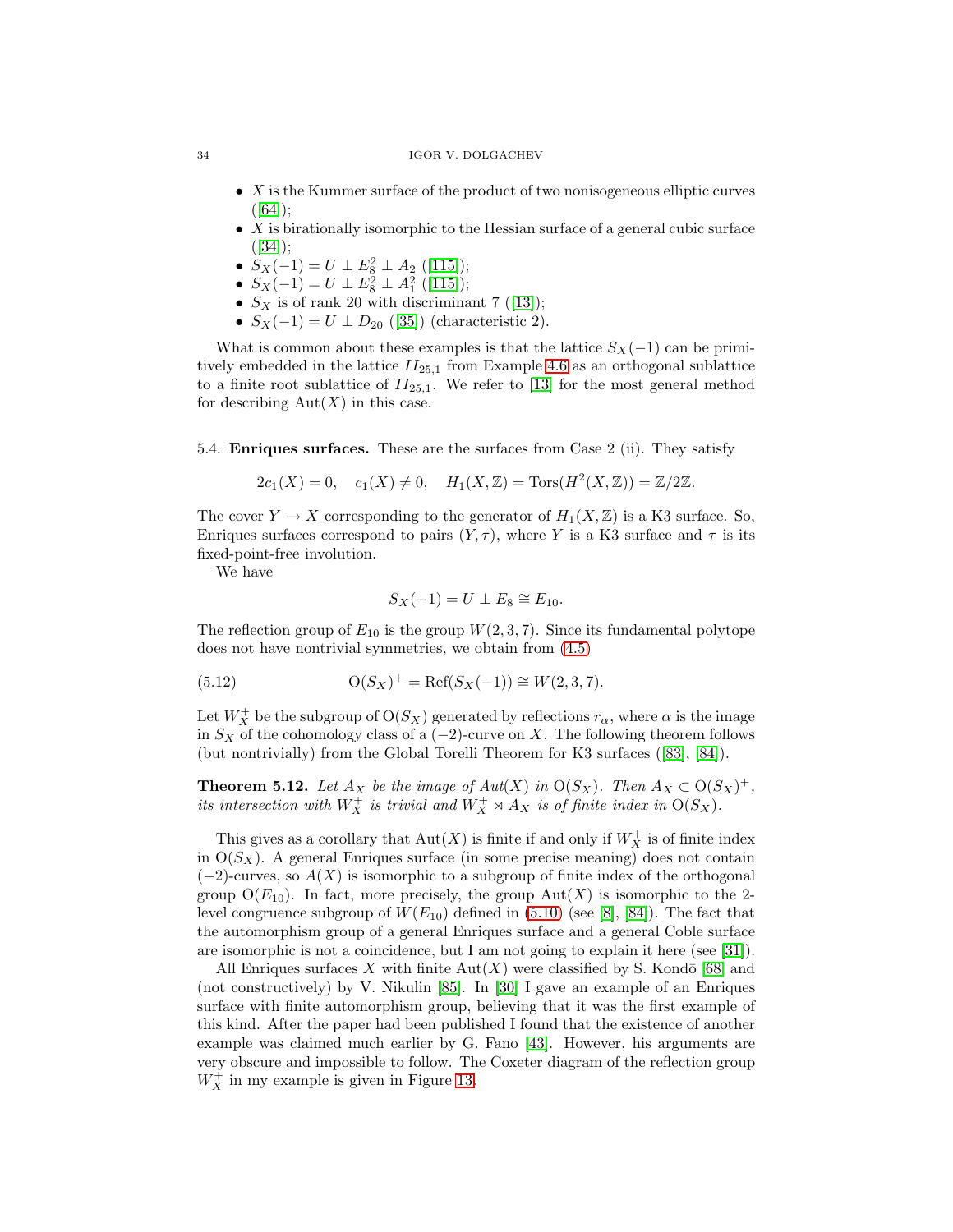- X is the Kummer surface of the product of two nonisogeneous elliptic curves  $([64]);$  $([64]);$  $([64]);$
- $X$  is birationally isomorphic to the Hessian surface of a general cubic surface  $([34])$  $([34])$  $([34])$ ;
- $S_X(-1) = U \perp E_8^2 \perp A_2$  ([\[115\]](#page-58-13));
- $S_X(-1) = U \perp E_8^2 \perp A_1^2$  ([\[115\]](#page-58-13));
- $S_X$  is of rank 20 with discriminant 7 ([\[13\]](#page-54-17));
- $S_X(-1) = U \perp D_{20}$  ([\[35\]](#page-55-12)) (characteristic 2).

What is common about these examples is that the lattice  $S_X(-1)$  can be primitively embedded in the lattice  $II_{25,1}$  from Example [4.6](#page-21-3) as an orthogonal sublattice to a finite root sublattice of  $II_{25,1}$ . We refer to [\[13\]](#page-54-17) for the most general method for describing  $Aut(X)$  in this case.

5.4. **Enriques surfaces.** These are the surfaces from Case 2 (ii). They satisfy

$$
2c_1(X) = 0
$$
,  $c_1(X) \neq 0$ ,  $H_1(X, \mathbb{Z}) = \text{Tors}(H^2(X, \mathbb{Z})) = \mathbb{Z}/2\mathbb{Z}$ .

The cover  $Y \to X$  corresponding to the generator of  $H_1(X,\mathbb{Z})$  is a K3 surface. So, Enriques surfaces correspond to pairs  $(Y, \tau)$ , where Y is a K3 surface and  $\tau$  is its fixed-point-free involution.

We have

$$
S_X(-1) = U \perp E_8 \cong E_{10}.
$$

The reflection group of  $E_{10}$  is the group  $W(2, 3, 7)$ . Since its fundamental polytope does not have nontrivial symmetries, we obtain from [\(4.5\)](#page-20-1)

(5.12) 
$$
O(S_X)^{+} = \text{Ref}(S_X(-1)) \cong W(2,3,7).
$$

Let  $W_X^+$  be the subgroup of  $\mathrm{O}(S_X)$  generated by reflections  $r_\alpha$ , where  $\alpha$  is the image in  $S_X$  of the cohomology class of a (−2)-curve on X. The following theorem follows (but nontrivially) from the Global Torelli Theorem for K3 surfaces ([\[83\]](#page-57-11), [\[84\]](#page-57-7)).

**Theorem 5.12.** Let  $A_X$  be the image of  $Aut(X)$  in  $O(S_X)$ . Then  $A_X \subset O(S_X)^+$ , its intersection with  $W_X^+$  is trivial and  $W_X^+ \rtimes A_X$  is of finite index in  $O(S_X)$ .

This gives as a corollary that  $\mathrm{Aut}(X)$  is finite if and only if  $W_X^+$  is of finite index in  $O(S_X)$ . A general Enriques surface (in some precise meaning) does not contain  $(-2)$ -curves, so  $A(X)$  is isomorphic to a subgroup of finite index of the orthogonal group  $O(E_{10})$ . In fact, more precisely, the group  $Aut(X)$  is isomorphic to the 2level congruence subgroup of  $W(E_{10})$  defined in [\(5.10\)](#page-28-0) (see [\[8\]](#page-54-18), [\[84\]](#page-57-7)). The fact that the automorphism group of a general Enriques surface and a general Coble surface are isomorphic is not a coincidence, but I am not going to explain it here (see [\[31\]](#page-55-9)).

All Enriques surfaces X with finite  $Aut(X)$  were classified by S. Kondō [\[68\]](#page-56-19) and (not constructively) by V. Nikulin [\[85\]](#page-57-12). In [\[30\]](#page-55-14) I gave an example of an Enriques surface with finite automorphism group, believing that it was the first example of this kind. After the paper had been published I found that the existence of another example was claimed much earlier by G. Fano [\[43\]](#page-55-15). However, his arguments are very obscure and impossible to follow. The Coxeter diagram of the reflection group  $W_X^+$  in my example is given in Figure [13.](#page-34-0)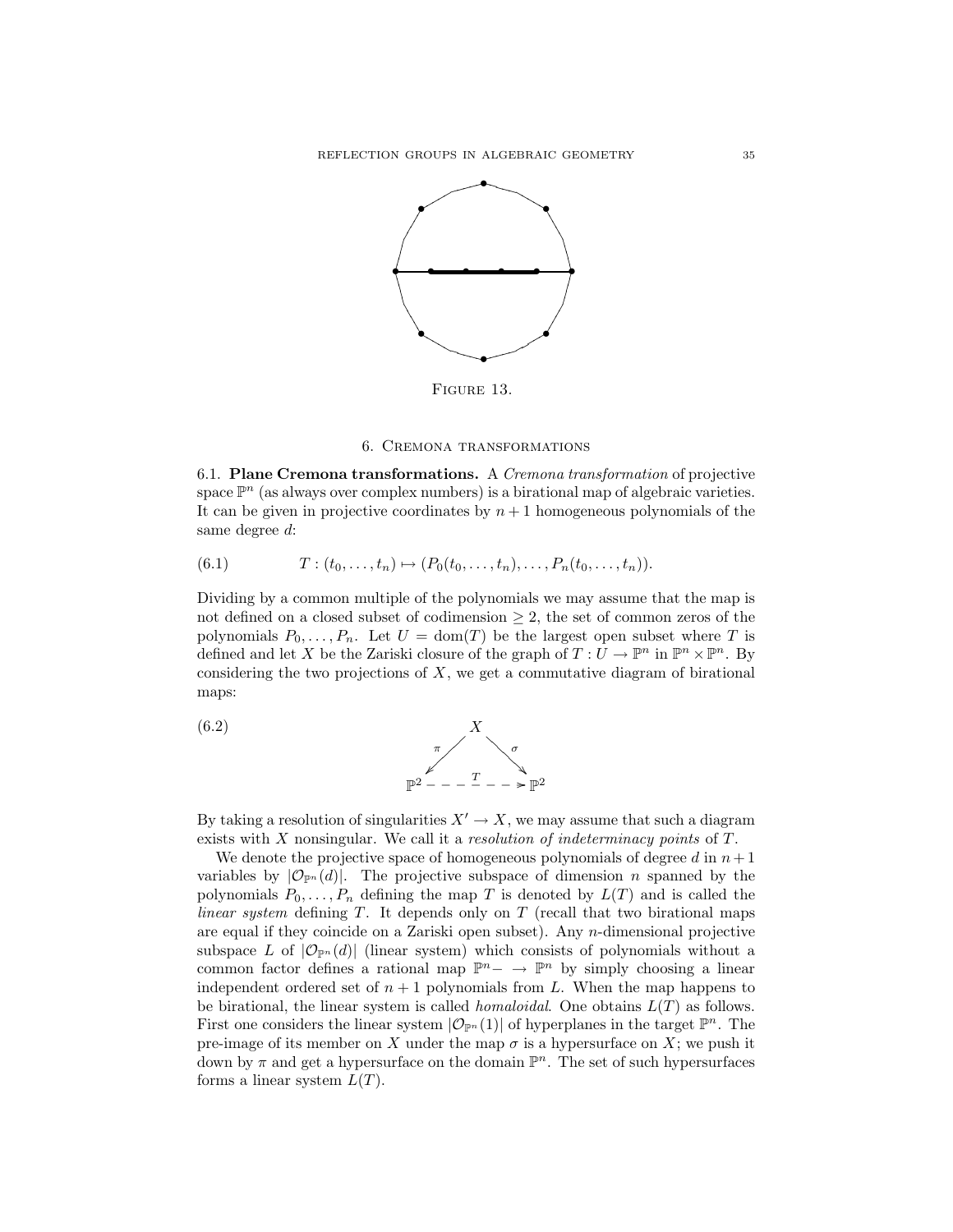

<span id="page-34-0"></span>FIGURE 13.

### 6. Cremona transformations

6.1. **Plane Cremona transformations.** A Cremona transformation of projective space  $\mathbb{P}^n$  (as always over complex numbers) is a birational map of algebraic varieties. It can be given in projective coordinates by  $n + 1$  homogeneous polynomials of the same degree d:

<span id="page-34-1"></span>
$$
(6.1) \tT: (t_0, \ldots, t_n) \mapsto (P_0(t_0, \ldots, t_n), \ldots, P_n(t_0, \ldots, t_n)).
$$

Dividing by a common multiple of the polynomials we may assume that the map is not defined on a closed subset of codimension  $\geq 2$ , the set of common zeros of the polynomials  $P_0, \ldots, P_n$ . Let  $U = \text{dom}(T)$  be the largest open subset where T is defined and let X be the Zariski closure of the graph of  $T: U \to \mathbb{P}^n$  in  $\mathbb{P}^n \times \mathbb{P}^n$ . By considering the two projections of  $X$ , we get a commutative diagram of birational maps:

<span id="page-34-2"></span>(6.2) 
$$
\begin{array}{c}\nX \\
\pi \\
\hline\n\end{array}
$$
\n
$$
\mathbb{P}^2 - - - \frac{T}{2} - \mathbb{P}^2
$$

By taking a resolution of singularities  $X' \to X$ , we may assume that such a diagram exists with X nonsingular. We call it a *resolution of indeterminacy points* of T.

We denote the projective space of homogeneous polynomials of degree d in  $n+1$ variables by  $|\mathcal{O}_{\mathbb{P}^n}(d)|$ . The projective subspace of dimension *n* spanned by the polynomials  $P_0, \ldots, P_n$  defining the map T is denoted by  $L(T)$  and is called the linear system defining  $T$ . It depends only on  $T$  (recall that two birational maps are equal if they coincide on a Zariski open subset). Any n-dimensional projective subspace L of  $|\mathcal{O}_{\mathbb{P}^n}(d)|$  (linear system) which consists of polynomials without a common factor defines a rational map  $\mathbb{P}^n$  →  $\mathbb{P}^n$  by simply choosing a linear independent ordered set of  $n + 1$  polynomials from L. When the map happens to be birational, the linear system is called *homaloidal*. One obtains  $L(T)$  as follows. First one considers the linear system  $|\mathcal{O}_{\mathbb{P}^n}(1)|$  of hyperplanes in the target  $\mathbb{P}^n$ . The pre-image of its member on X under the map  $\sigma$  is a hypersurface on X; we push it down by  $\pi$  and get a hypersurface on the domain  $\mathbb{P}^n$ . The set of such hypersurfaces forms a linear system  $L(T)$ .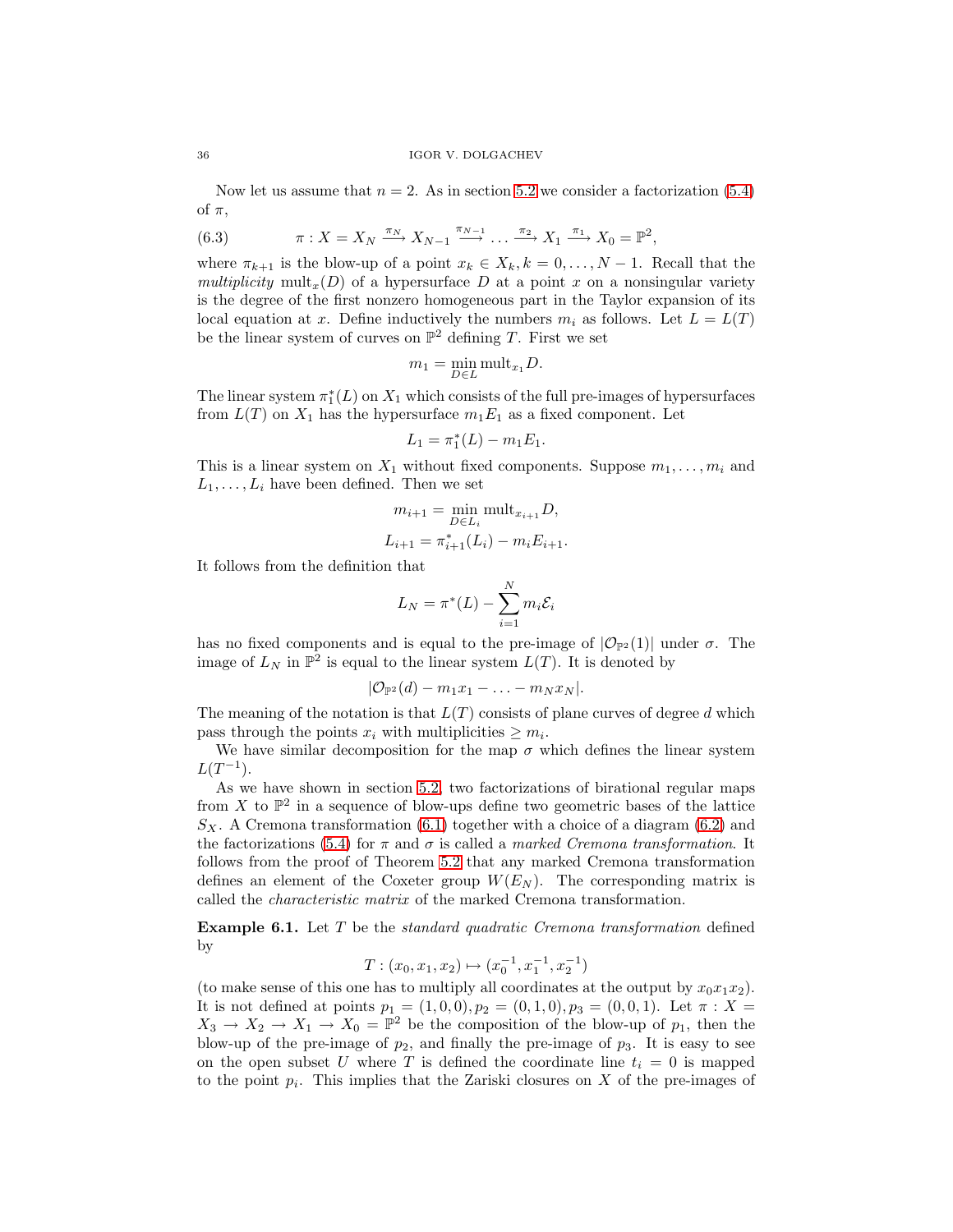Now let us assume that  $n = 2$ . As in section [5.2](#page-25-3) we consider a factorization [\(5.4\)](#page-25-1) of  $\pi$ ,

(6.3) 
$$
\pi: X = X_N \xrightarrow{\pi_N} X_{N-1} \xrightarrow{\pi_{N-1}} \dots \xrightarrow{\pi_2} X_1 \xrightarrow{\pi_1} X_0 = \mathbb{P}^2,
$$

where  $\pi_{k+1}$  is the blow-up of a point  $x_k \in X_k, k = 0, \ldots, N-1$ . Recall that the multiplicity mult<sub>x</sub>(D) of a hypersurface D at a point x on a nonsingular variety is the degree of the first nonzero homogeneous part in the Taylor expansion of its local equation at x. Define inductively the numbers  $m_i$  as follows. Let  $L = L(T)$ be the linear system of curves on  $\mathbb{P}^2$  defining T. First we set

$$
m_1 = \min_{D \in L} \text{mult}_{x_1} D.
$$

The linear system  $\pi_1^*(L)$  on  $X_1$  which consists of the full pre-images of hypersurfaces from  $L(T)$  on  $X_1$  has the hypersurface  $m_1E_1$  as a fixed component. Let

$$
L_1 = \pi_1^*(L) - m_1 E_1.
$$

This is a linear system on  $X_1$  without fixed components. Suppose  $m_1, \ldots, m_i$  and  $L_1,\ldots,L_i$  have been defined. Then we set

$$
m_{i+1} = \min_{D \in L_i} \text{mult}_{x_{i+1}} D,
$$
  

$$
L_{i+1} = \pi_{i+1}^*(L_i) - m_i E_{i+1}.
$$

It follows from the definition that

$$
L_N = \pi^*(L) - \sum_{i=1}^N m_i \mathcal{E}_i
$$

has no fixed components and is equal to the pre-image of  $|\mathcal{O}_{\mathbb{P}^2}(1)|$  under  $\sigma$ . The image of  $L_N$  in  $\mathbb{P}^2$  is equal to the linear system  $L(T)$ . It is denoted by

$$
|\mathcal{O}_{\mathbb{P}^2}(d)-m_1x_1-\ldots-m_Nx_N|.
$$

The meaning of the notation is that  $L(T)$  consists of plane curves of degree d which pass through the points  $x_i$  with multiplicities  $\geq m_i$ .

We have similar decomposition for the map  $\sigma$  which defines the linear system  $L(T^{-1})$ .

As we have shown in section [5.2,](#page-25-3) two factorizations of birational regular maps from X to  $\mathbb{P}^2$  in a sequence of blow-ups define two geometric bases of the lattice  $S_X$ . A Cremona transformation [\(6.1\)](#page-34-1) together with a choice of a diagram [\(6.2\)](#page-34-2) and the factorizations [\(5.4\)](#page-25-1) for  $\pi$  and  $\sigma$  is called a marked Cremona transformation. It follows from the proof of Theorem [5.2](#page-26-2) that any marked Cremona transformation defines an element of the Coxeter group  $W(E_N)$ . The corresponding matrix is called the characteristic matrix of the marked Cremona transformation.

**Example 6.1.** Let T be the *standard quadratic Cremona transformation* defined by

$$
T: (x_0, x_1, x_2) \mapsto (x_0^{-1}, x_1^{-1}, x_2^{-1})
$$

(to make sense of this one has to multiply all coordinates at the output by  $x_0x_1x_2$ ). It is not defined at points  $p_1 = (1, 0, 0), p_2 = (0, 1, 0), p_3 = (0, 0, 1).$  Let  $\pi : X =$  $X_3 \to X_2 \to X_1 \to X_0 = \mathbb{P}^2$  be the composition of the blow-up of  $p_1$ , then the blow-up of the pre-image of  $p_2$ , and finally the pre-image of  $p_3$ . It is easy to see on the open subset U where T is defined the coordinate line  $t_i = 0$  is mapped to the point  $p_i$ . This implies that the Zariski closures on X of the pre-images of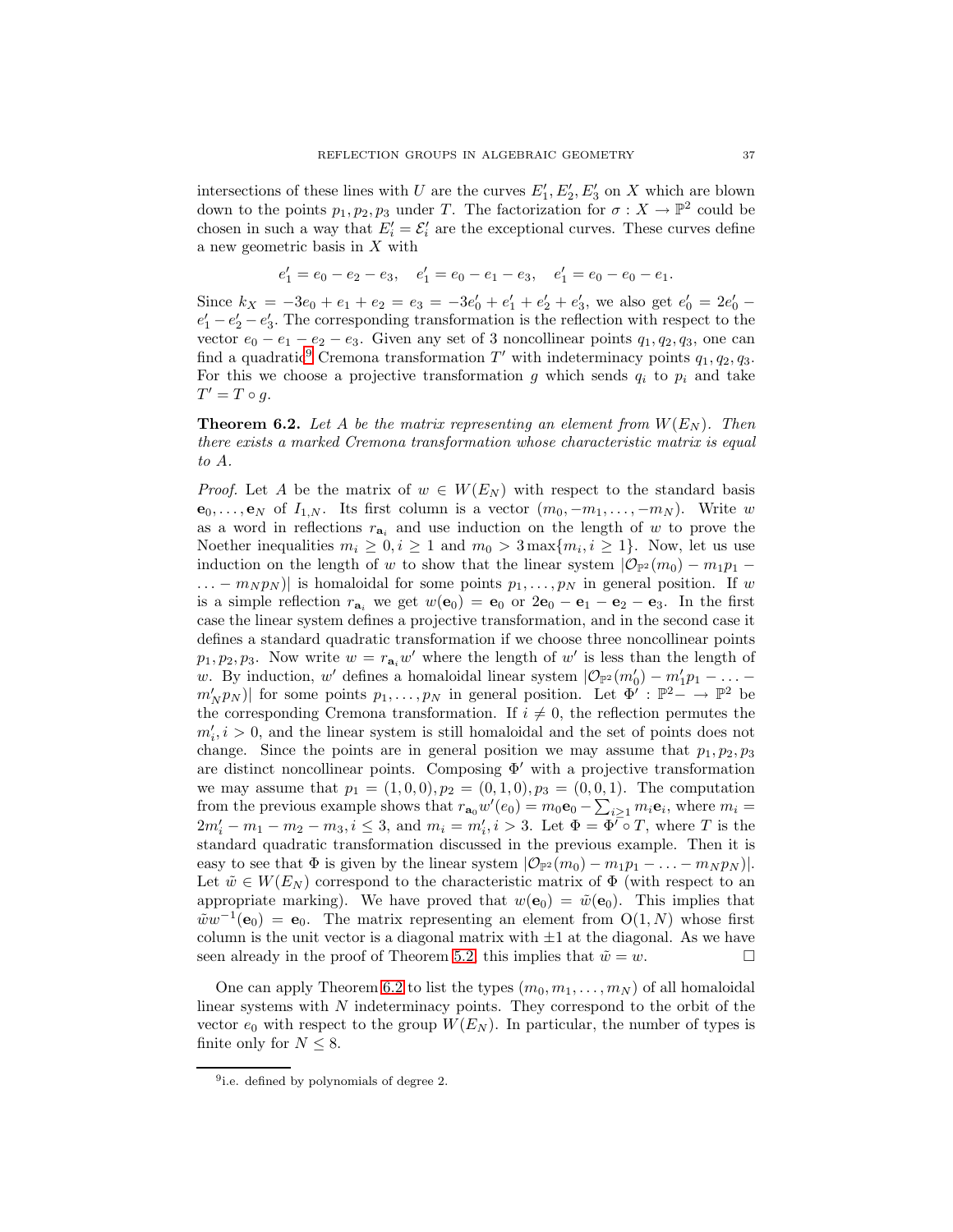intersections of these lines with U are the curves  $E'_1, E'_2, E'_3$  on X which are blown down to the points  $p_1, p_2, p_3$  under T. The factorization for  $\sigma: X \to \mathbb{P}^2$  could be chosen in such a way that  $E_i' = \mathcal{E}_i'$  are the exceptional curves. These curves define a new geometric basis in X with

$$
e'_1 = e_0 - e_2 - e_3
$$
,  $e'_1 = e_0 - e_1 - e_3$ ,  $e'_1 = e_0 - e_0 - e_1$ .

Since  $k_X = -3e_0 + e_1 + e_2 = e_3 = -3e'_0 + e'_1 + e'_2 + e'_3$ , we also get  $e'_0 = 2e'_0$  $e'_1 - e'_2 - e'_3$ . The corresponding transformation is the reflection with respect to the vector  $e_0 - e_1 - e_2 - e_3$ . Given any set of 3 noncollinear points  $q_1, q_2, q_3$ , one can find a quadratic<sup>[9](#page-36-0)</sup> Cremona transformation  $T'$  with indeterminacy points  $q_1, q_2, q_3$ . For this we choose a projective transformation g which sends  $q_i$  to  $p_i$  and take  $T' = T \circ g$ .

<span id="page-36-1"></span>**Theorem 6.2.** Let A be the matrix representing an element from  $W(E_N)$ . Then there exists a marked Cremona transformation whose characteristic matrix is equal to A.

*Proof.* Let A be the matrix of  $w \in W(E_N)$  with respect to the standard basis  $\mathbf{e}_0, \ldots, \mathbf{e}_N$  of  $I_{1,N}$ . Its first column is a vector  $(m_0, -m_1, \ldots, -m_N)$ . Write w as a word in reflections  $r_{a_i}$  and use induction on the length of w to prove the Noether inequalities  $m_i \geq 0, i \geq 1$  and  $m_0 > 3 \max\{m_i, i \geq 1\}$ . Now, let us use induction on the length of w to show that the linear system  $|\mathcal{O}_{\mathbb{P}^2}(m_0) - m_1p_1 \ldots - m_N p_N$  is homaloidal for some points  $p_1, \ldots, p_N$  in general position. If w is a simple reflection  $r_{a_i}$  we get  $w(\mathbf{e}_0) = \mathbf{e}_0$  or  $2\mathbf{e}_0 - \mathbf{e}_1 - \mathbf{e}_2 - \mathbf{e}_3$ . In the first case the linear system defines a projective transformation, and in the second case it defines a standard quadratic transformation if we choose three noncollinear points  $p_1, p_2, p_3$ . Now write  $w = r_{a_i}w'$  where the length of w' is less than the length of w. By induction, w' defines a homaloidal linear system  $|\mathcal{O}_{\mathbb{P}^2}(m'_0) - m'_1p_1 - \ldots$  $m'_N p_N$ | for some points  $p_1,\ldots,p_N$  in general position. Let  $\Phi' : \mathbb{P}^2 \to \mathbb{P}^2$  be the corresponding Cremona transformation. If  $i \neq 0$ , the reflection permutes the  $m'_i, i > 0$ , and the linear system is still homaloidal and the set of points does not change. Since the points are in general position we may assume that  $p_1, p_2, p_3$ are distinct noncollinear points. Composing  $\Phi'$  with a projective transformation we may assume that  $p_1 = (1, 0, 0), p_2 = (0, 1, 0), p_3 = (0, 0, 1).$  The computation from the previous example shows that  $r_{\mathbf{a}_0}w'(e_0) = m_0 \mathbf{e}_0 - \sum_{i\geq 1} m_i \mathbf{e}_i$ , where  $m_i =$  $2m'_i - m_1 - m_2 - m_3, i \leq 3$ , and  $m_i = m'_i, i > 3$ . Let  $\Phi = \Phi' \circ T$ , where T is the standard quadratic transformation discussed in the previous example. Then it is easy to see that  $\Phi$  is given by the linear system  $|\mathcal{O}_{\mathbb{P}^2}(m_0) - m_1p_1 - \ldots - m_Np_N|$ . Let  $\tilde{w} \in W(E_N)$  correspond to the characteristic matrix of  $\Phi$  (with respect to an appropriate marking). We have proved that  $w(\mathbf{e}_0) = \tilde{w}(\mathbf{e}_0)$ . This implies that  $\tilde{w}w^{-1}(e_0) = e_0$ . The matrix representing an element from  $O(1, N)$  whose first column is the unit vector is a diagonal matrix with  $\pm 1$  at the diagonal. As we have seen already in the proof of Theorem [5.2,](#page-26-2) this implies that  $\tilde{w} = w$ .

One can apply Theorem [6.2](#page-36-1) to list the types  $(m_0, m_1, \ldots, m_N)$  of all homaloidal linear systems with N indeterminacy points. They correspond to the orbit of the vector  $e_0$  with respect to the group  $W(E_N)$ . In particular, the number of types is finite only for  $N \leq 8$ .

<span id="page-36-0"></span><sup>&</sup>lt;sup>9</sup>i.e. defined by polynomials of degree 2.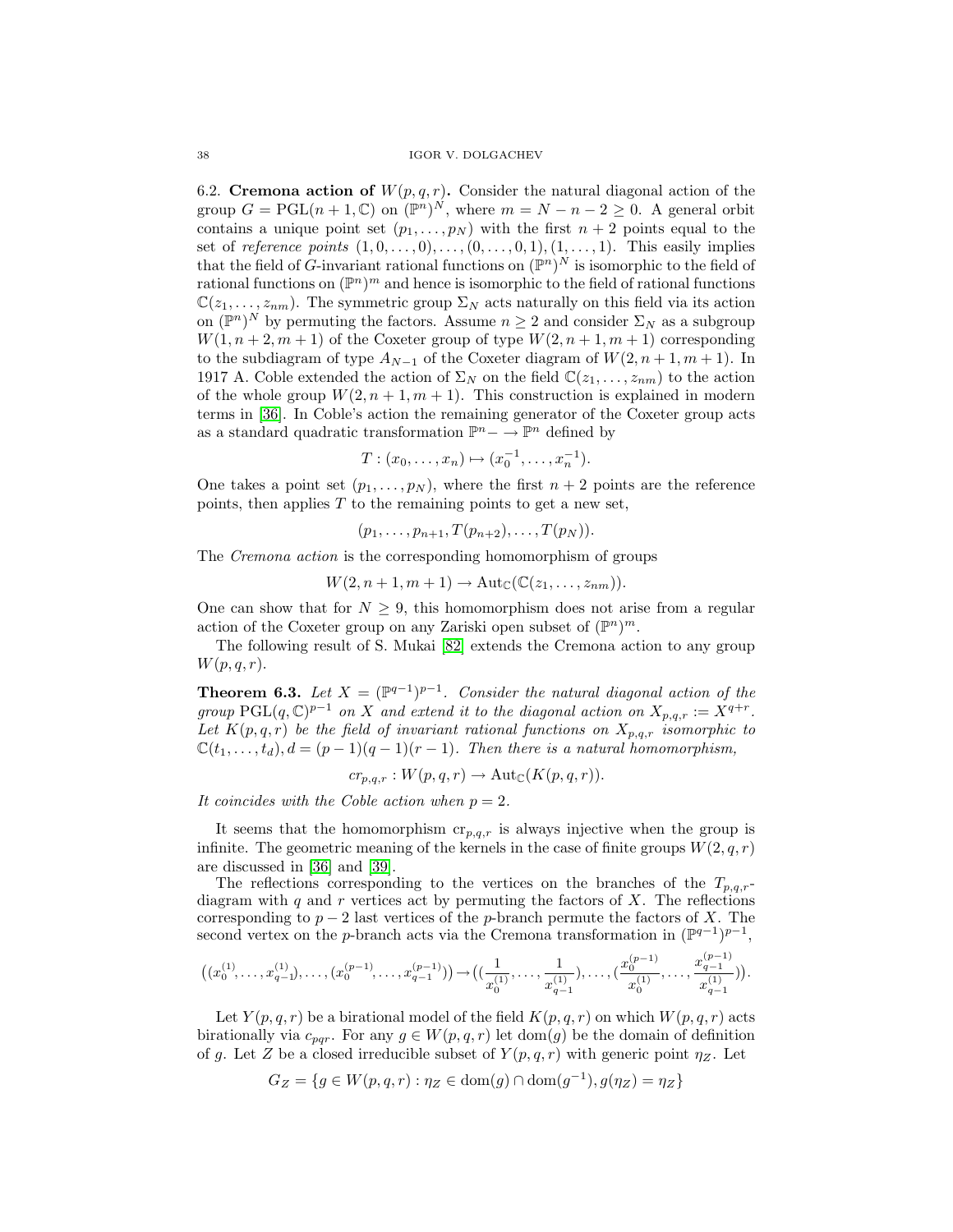6.2. **Cremona action of**  $W(p,q,r)$ . Consider the natural diagonal action of the group  $G = \text{PGL}(n+1,\mathbb{C})$  on  $(\mathbb{P}^n)^N$ , where  $m = N - n - 2 \geq 0$ . A general orbit contains a unique point set  $(p_1, \ldots, p_N)$  with the first  $n + 2$  points equal to the set of reference points  $(1, 0, \ldots, 0), \ldots, (0, \ldots, 0, 1), (1, \ldots, 1)$ . This easily implies that the field of G-invariant rational functions on  $(\mathbb{P}^n)^N$  is isomorphic to the field of rational functions on  $(\mathbb{P}^n)^m$  and hence is isomorphic to the field of rational functions  $\mathbb{C}(z_1,\ldots,z_{nm})$ . The symmetric group  $\Sigma_N$  acts naturally on this field via its action on  $(\mathbb{P}^n)^N$  by permuting the factors. Assume  $n \geq 2$  and consider  $\Sigma_N$  as a subgroup  $W(1, n+2, m+1)$  of the Coxeter group of type  $W(2, n+1, m+1)$  corresponding to the subdiagram of type  $A_{N-1}$  of the Coxeter diagram of  $W(2, n+1, m+1)$ . In 1917 A. Coble extended the action of  $\Sigma_N$  on the field  $\mathbb{C}(z_1,\ldots,z_{nm})$  to the action of the whole group  $W(2, n + 1, m + 1)$ . This construction is explained in modern terms in [\[36\]](#page-55-2). In Coble's action the remaining generator of the Coxeter group acts as a standard quadratic transformation  $\mathbb{P}^n$  –  $\rightarrow \mathbb{P}^n$  defined by

$$
T: (x_0, \ldots, x_n) \mapsto (x_0^{-1}, \ldots, x_n^{-1}).
$$

One takes a point set  $(p_1, \ldots, p_N)$ , where the first  $n + 2$  points are the reference points, then applies  $T$  to the remaining points to get a new set,

$$
(p_1,\ldots,p_{n+1},T(p_{n+2}),\ldots,T(p_N)).
$$

The Cremona action is the corresponding homomorphism of groups

$$
W(2, n+1, m+1) \to \mathrm{Aut}_{\mathbb{C}}(\mathbb{C}(z_1, \ldots, z_{nm})).
$$

One can show that for  $N \geq 9$ , this homomorphism does not arise from a regular action of the Coxeter group on any Zariski open subset of  $(\mathbb{P}^n)^m$ .

The following result of S. Mukai [\[82\]](#page-57-0) extends the Cremona action to any group  $W(p,q,r).$ 

**Theorem 6.3.** Let  $X = (\mathbb{P}^{q-1})^{p-1}$ . Consider the natural diagonal action of the group  $\text{PGL}(q,\mathbb{C})^{p-1}$  on X and extend it to the diagonal action on  $X_{p,q,r} := X^{q+r}$ . Let  $K(p,q,r)$  be the field of invariant rational functions on  $X_{p,q,r}$  isomorphic to  $\mathbb{C}(t_1,\ldots,t_d), d = (p-1)(q-1)(r-1).$  Then there is a natural homomorphism,

$$
cr_{p,q,r}: W(p,q,r) \to \text{Aut}_{\mathbb{C}}(K(p,q,r)).
$$

It coincides with the Coble action when  $p = 2$ .

It seems that the homomorphism  $cr_{p,q,r}$  is always injective when the group is infinite. The geometric meaning of the kernels in the case of finite groups  $W(2,q,r)$ are discussed in [\[36\]](#page-55-2) and [\[39\]](#page-55-0).

The reflections corresponding to the vertices on the branches of the  $T_{p,q,r}$ diagram with  $q$  and  $r$  vertices act by permuting the factors of  $X$ . The reflections corresponding to  $p-2$  last vertices of the p-branch permute the factors of X. The second vertex on the p-branch acts via the Cremona transformation in  $(\mathbb{P}^{q-1})^{p-1}$ ,

$$
\big((x_0^{(1)},\ldots,x_{q-1}^{(1)}),\ldots,(x_0^{(p-1)},\ldots,x_{q-1}^{(p-1)})\big)\rightarrow \big((\frac{1}{x_0^{(1)}},\ldots,\frac{1}{x_{q-1}^{(1)}}),\ldots,(\frac{x_0^{(p-1)}}{x_0^{(1)}},\ldots,\frac{x_{q-1}^{(p-1)}}{x_{q-1}^{(1)}})\big).
$$

Let  $Y(p,q,r)$  be a birational model of the field  $K(p,q,r)$  on which  $W(p,q,r)$  acts birationally via  $c_{par}$ . For any  $g \in W(p,q,r)$  let dom(g) be the domain of definition of g. Let Z be a closed irreducible subset of  $Y(p,q,r)$  with generic point  $\eta_Z$ . Let

$$
G_Z = \{ g \in W(p,q,r) : \eta_Z \in \text{dom}(g) \cap \text{dom}(g^{-1}), g(\eta_Z) = \eta_Z \}
$$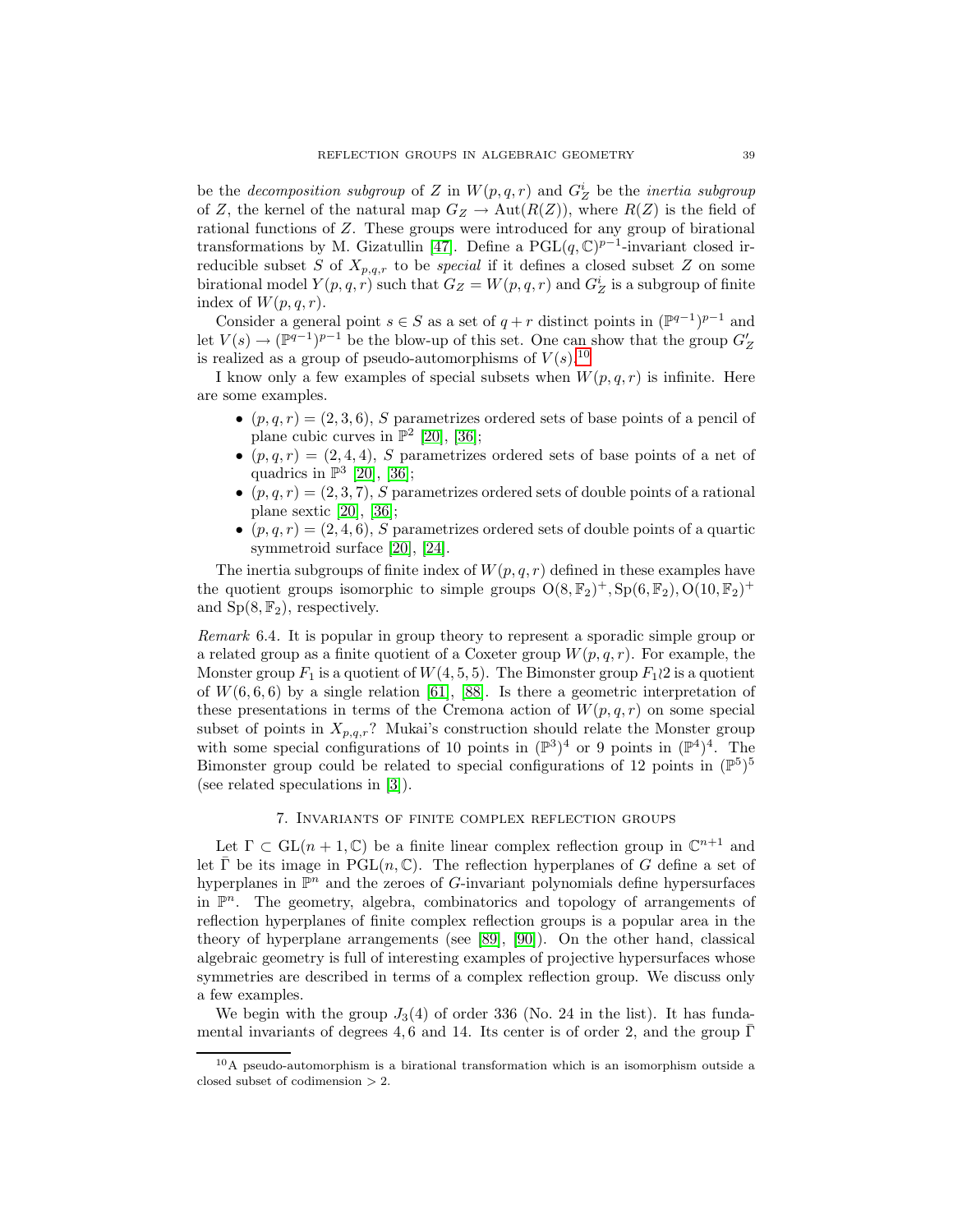be the *decomposition subgroup* of Z in  $W(p,q,r)$  and  $G_Z^i$  be the *inertia subgroup* of Z, the kernel of the natural map  $G_Z \to Aut(R(Z))$ , where  $R(Z)$  is the field of rational functions of Z. These groups were introduced for any group of birational transformations by M. Gizatullin [\[47\]](#page-55-16). Define a PGL $(q, \mathbb{C})^{p-1}$ -invariant closed irreducible subset S of  $X_{p,q,r}$  to be *special* if it defines a closed subset Z on some birational model  $Y(p,q,r)$  such that  $G_Z = W(p,q,r)$  and  $G_Z^i$  is a subgroup of finite index of  $W(p,q,r)$ .

Consider a general point  $s \in S$  as a set of  $q + r$  distinct points in  $(\mathbb{P}^{q-1})^{p-1}$  and let  $V(s) \to (\mathbb{P}^{q-1})^{p-1}$  be the blow-up of this set. One can show that the group  $G'_{Z}$ is realized as a group of pseudo-automorphisms of  $V(s)$ .<sup>[10](#page-38-0)</sup>

I know only a few examples of special subsets when  $W(p,q,r)$  is infinite. Here are some examples.

- $(p,q,r) = (2,3,6), S$  parametrizes ordered sets of base points of a pencil of plane cubic curves in  $\mathbb{P}^2$  [\[20\]](#page-54-15), [\[36\]](#page-55-2);
- $(p,q,r) = (2, 4, 4)$ , S parametrizes ordered sets of base points of a net of quadrics in  $\mathbb{P}^3$  [\[20\]](#page-54-15), [\[36\]](#page-55-2);
- $(p,q,r) = (2,3,7), S$  parametrizes ordered sets of double points of a rational plane sextic [\[20\]](#page-54-15), [\[36\]](#page-55-2);
- $(p,q,r) = (2, 4, 6)$ , S parametrizes ordered sets of double points of a quartic symmetroid surface [\[20\]](#page-54-15), [\[24\]](#page-54-19).

The inertia subgroups of finite index of  $W(p,q,r)$  defined in these examples have the quotient groups isomorphic to simple groups  $O(8, \mathbb{F}_2)^+$ ,  $Sp(6, \mathbb{F}_2)$ ,  $O(10, \mathbb{F}_2)^+$ and  $Sp(8, \mathbb{F}_2)$ , respectively.

Remark 6.4. It is popular in group theory to represent a sporadic simple group or a related group as a finite quotient of a Coxeter group  $W(p,q,r)$ . For example, the Monster group  $F_1$  is a quotient of  $W(4, 5, 5)$ . The Bimonster group  $F_1 \wr 2$  is a quotient of  $W(6, 6, 6)$  by a single relation [\[61\]](#page-56-20), [\[88\]](#page-57-13). Is there a geometric interpretation of these presentations in terms of the Cremona action of  $W(p,q,r)$  on some special subset of points in  $X_{p,q,r}$ ? Mukai's construction should relate the Monster group with some special configurations of 10 points in  $(\mathbb{P}^3)^4$  or 9 points in  $(\mathbb{P}^4)^4$ . The Bimonster group could be related to special configurations of 12 points in  $(\mathbb{P}^5)^5$ (see related speculations in [\[3\]](#page-53-3)).

### 7. Invariants of finite complex reflection groups

Let  $\Gamma \subset GL(n + 1, \mathbb{C})$  be a finite linear complex reflection group in  $\mathbb{C}^{n+1}$  and let  $\overline{\Gamma}$  be its image in PGL $(n, \mathbb{C})$ . The reflection hyperplanes of G define a set of hyperplanes in  $\mathbb{P}^n$  and the zeroes of G-invariant polynomials define hypersurfaces in  $\mathbb{P}^n$ . The geometry, algebra, combinatorics and topology of arrangements of reflection hyperplanes of finite complex reflection groups is a popular area in the theory of hyperplane arrangements (see [\[89\]](#page-57-14), [\[90\]](#page-57-15)). On the other hand, classical algebraic geometry is full of interesting examples of projective hypersurfaces whose symmetries are described in terms of a complex reflection group. We discuss only a few examples.

We begin with the group  $J_3(4)$  of order 336 (No. 24 in the list). It has fundamental invariants of degrees 4, 6 and 14. Its center is of order 2, and the group  $\Gamma$ 

<span id="page-38-0"></span><sup>10</sup>A pseudo-automorphism is a birational transformation which is an isomorphism outside a closed subset of codimension > 2.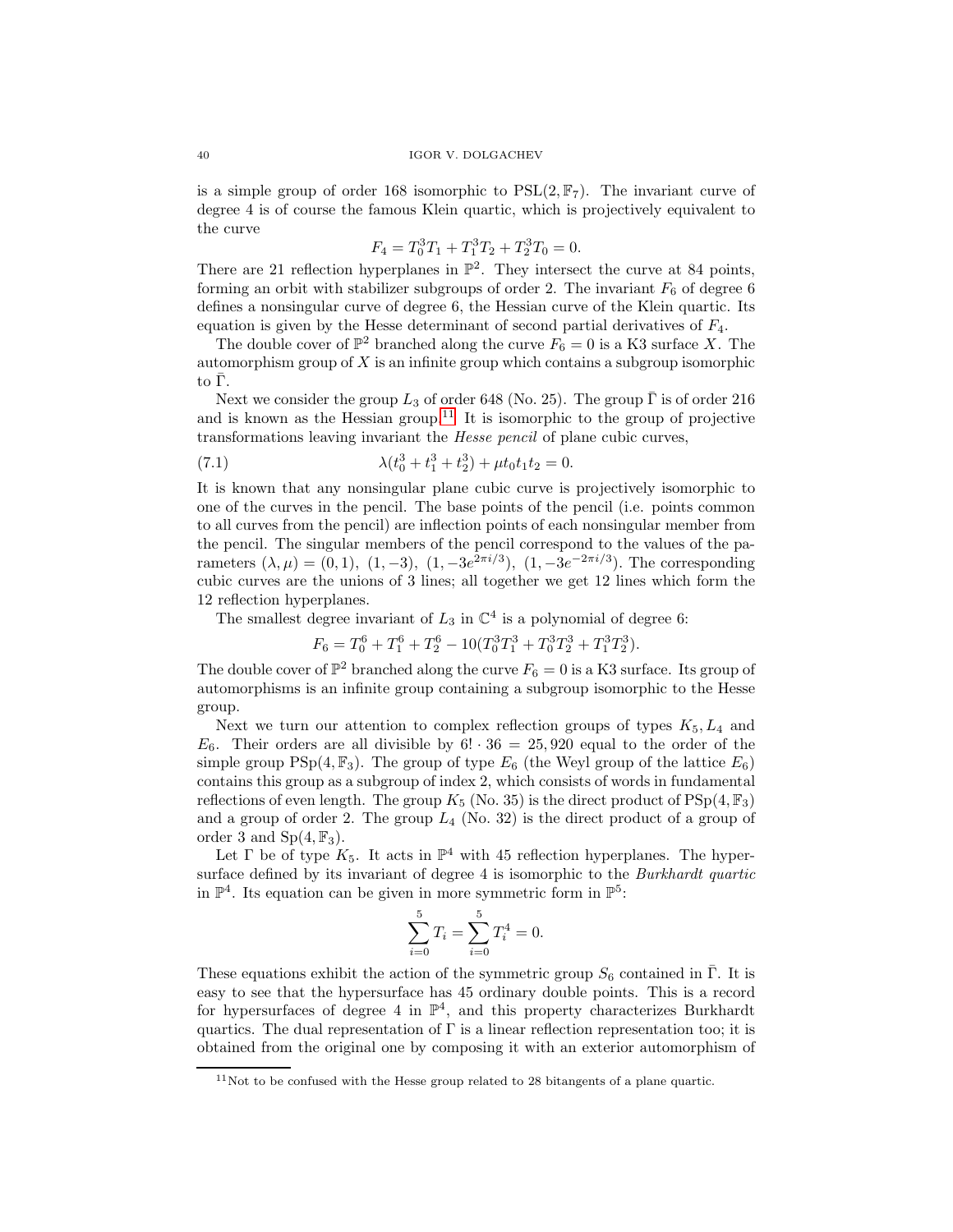is a simple group of order 168 isomorphic to  $PSL(2, \mathbb{F}_7)$ . The invariant curve of degree 4 is of course the famous Klein quartic, which is projectively equivalent to the curve

$$
F_4 = T_0^3 T_1 + T_1^3 T_2 + T_2^3 T_0 = 0.
$$

There are 21 reflection hyperplanes in  $\mathbb{P}^2$ . They intersect the curve at 84 points, forming an orbit with stabilizer subgroups of order 2. The invariant  $F_6$  of degree 6 defines a nonsingular curve of degree 6, the Hessian curve of the Klein quartic. Its equation is given by the Hesse determinant of second partial derivatives of  $F_4$ .

The double cover of  $\mathbb{P}^2$  branched along the curve  $F_6 = 0$  is a K3 surface X. The automorphism group of  $X$  is an infinite group which contains a subgroup isomorphic  $\text{to }$  Γ.

Next we consider the group  $L_3$  of order 648 (No. 25). The group  $\bar{\Gamma}$  is of order 216 and is known as the Hessian group.<sup>[11](#page-39-0)</sup> It is isomorphic to the group of projective transformations leaving invariant the Hesse pencil of plane cubic curves,

(7.1) 
$$
\lambda(t_0^3 + t_1^3 + t_2^3) + \mu t_0 t_1 t_2 = 0.
$$

It is known that any nonsingular plane cubic curve is projectively isomorphic to one of the curves in the pencil. The base points of the pencil (i.e. points common to all curves from the pencil) are inflection points of each nonsingular member from the pencil. The singular members of the pencil correspond to the values of the parameters  $(\lambda, \mu) = (0, 1), (1, -3), (1, -3e^{2\pi i/3}), (1, -3e^{-2\pi i/3}).$  The corresponding cubic curves are the unions of 3 lines; all together we get 12 lines which form the 12 reflection hyperplanes.

The smallest degree invariant of  $L_3$  in  $\mathbb{C}^4$  is a polynomial of degree 6:

$$
F_6 = T_0^6 + T_1^6 + T_2^6 - 10(T_0^3 T_1^3 + T_0^3 T_2^3 + T_1^3 T_2^3).
$$

The double cover of  $\mathbb{P}^2$  branched along the curve  $F_6 = 0$  is a K3 surface. Its group of automorphisms is an infinite group containing a subgroup isomorphic to the Hesse group.

Next we turn our attention to complex reflection groups of types  $K_5, L_4$  and  $E_6$ . Their orders are all divisible by  $6! \cdot 36 = 25,920$  equal to the order of the simple group PSp $(4, \mathbb{F}_3)$ . The group of type  $E_6$  (the Weyl group of the lattice  $E_6$ ) contains this group as a subgroup of index 2, which consists of words in fundamental reflections of even length. The group  $K_5$  (No. 35) is the direct product of  $PSp(4, \mathbb{F}_3)$ and a group of order 2. The group  $L_4$  (No. 32) is the direct product of a group of order 3 and  $Sp(4, \mathbb{F}_3)$ .

Let  $\Gamma$  be of type  $K_5$ . It acts in  $\mathbb{P}^4$  with 45 reflection hyperplanes. The hypersurface defined by its invariant of degree 4 is isomorphic to the *Burkhardt quartic* in  $\mathbb{P}^4$ . Its equation can be given in more symmetric form in  $\mathbb{P}^5$ :

$$
\sum_{i=0}^{5} T_i = \sum_{i=0}^{5} T_i^4 = 0.
$$

These equations exhibit the action of the symmetric group  $S_6$  contained in  $\overline{\Gamma}$ . It is easy to see that the hypersurface has 45 ordinary double points. This is a record for hypersurfaces of degree 4 in  $\mathbb{P}^4$ , and this property characterizes Burkhardt quartics. The dual representation of Γ is a linear reflection representation too; it is obtained from the original one by composing it with an exterior automorphism of

<span id="page-39-0"></span> $11$ Not to be confused with the Hesse group related to 28 bitangents of a plane quartic.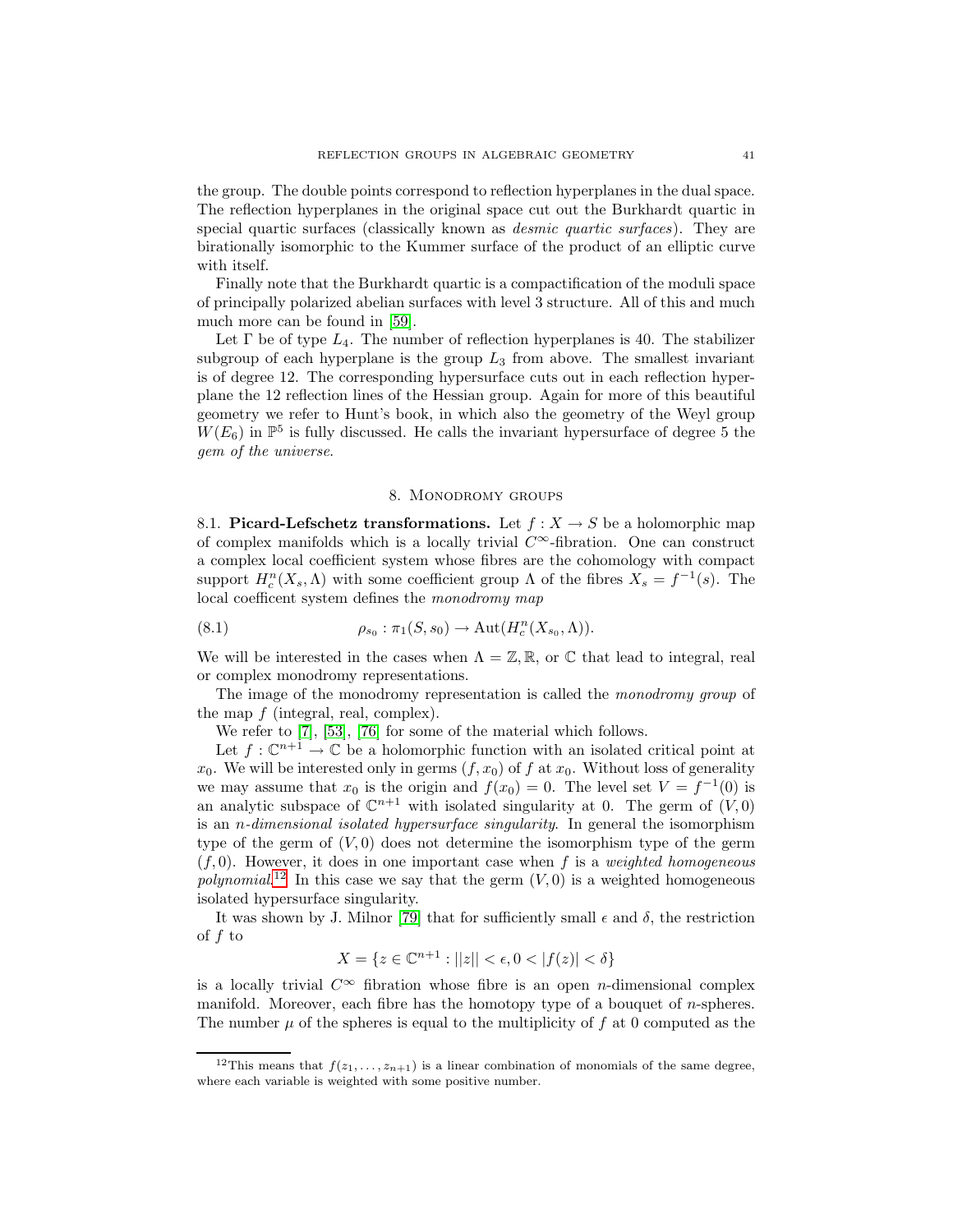the group. The double points correspond to reflection hyperplanes in the dual space. The reflection hyperplanes in the original space cut out the Burkhardt quartic in special quartic surfaces (classically known as *desmic quartic surfaces*). They are birationally isomorphic to the Kummer surface of the product of an elliptic curve with itself.

Finally note that the Burkhardt quartic is a compactification of the moduli space of principally polarized abelian surfaces with level 3 structure. All of this and much much more can be found in [\[59\]](#page-56-21).

Let  $\Gamma$  be of type  $L_4$ . The number of reflection hyperplanes is 40. The stabilizer subgroup of each hyperplane is the group  $L_3$  from above. The smallest invariant is of degree 12. The corresponding hypersurface cuts out in each reflection hyperplane the 12 reflection lines of the Hessian group. Again for more of this beautiful geometry we refer to Hunt's book, in which also the geometry of the Weyl group  $W(E_6)$  in  $\mathbb{P}^5$  is fully discussed. He calls the invariant hypersurface of degree 5 the gem of the universe.

### 8. Monodromy groups

8.1. **Picard-Lefschetz transformations.** Let  $f : X \to S$  be a holomorphic map of complex manifolds which is a locally trivial  $C^{\infty}$ -fibration. One can construct a complex local coefficient system whose fibres are the cohomology with compact support  $H_c^n(X_s, \Lambda)$  with some coefficient group  $\Lambda$  of the fibres  $X_s = f^{-1}(s)$ . The local coefficent system defines the monodromy map

(8.1) 
$$
\rho_{s_0} : \pi_1(S, s_0) \to \mathrm{Aut}(H^n_c(X_{s_0}, \Lambda)).
$$

We will be interested in the cases when  $\Lambda = \mathbb{Z}, \mathbb{R}$ , or  $\mathbb{C}$  that lead to integral, real or complex monodromy representations.

The image of the monodromy representation is called the monodromy group of the map f (integral, real, complex).

We refer to [\[7\]](#page-54-20), [\[53\]](#page-56-22), [\[76\]](#page-56-23) for some of the material which follows.

Let  $f: \mathbb{C}^{n+1} \to \mathbb{C}$  be a holomorphic function with an isolated critical point at  $x_0$ . We will be interested only in germs  $(f, x_0)$  of f at  $x_0$ . Without loss of generality we may assume that  $x_0$  is the origin and  $f(x_0) = 0$ . The level set  $V = f^{-1}(0)$  is an analytic subspace of  $\mathbb{C}^{n+1}$  with isolated singularity at 0. The germ of  $(V, 0)$ is an n-dimensional isolated hypersurface singularity. In general the isomorphism type of the germ of  $(V, 0)$  does not determine the isomorphism type of the germ  $(f, 0)$ . However, it does in one important case when f is a *weighted homogeneous* polynomial.<sup>[12](#page-40-0)</sup> In this case we say that the germ  $(V, 0)$  is a weighted homogeneous isolated hypersurface singularity.

It was shown by J. Milnor [\[79\]](#page-57-16) that for sufficiently small  $\epsilon$  and  $\delta$ , the restriction of f to

$$
X = \{ z \in \mathbb{C}^{n+1} : ||z|| < \epsilon, 0 < |f(z)| < \delta \}
$$

is a locally trivial  $C^{\infty}$  fibration whose fibre is an open *n*-dimensional complex manifold. Moreover, each fibre has the homotopy type of a bouquet of  $n$ -spheres. The number  $\mu$  of the spheres is equal to the multiplicity of f at 0 computed as the

<span id="page-40-0"></span><sup>&</sup>lt;sup>12</sup>This means that  $f(z_1,...,z_{n+1})$  is a linear combination of monomials of the same degree, where each variable is weighted with some positive number.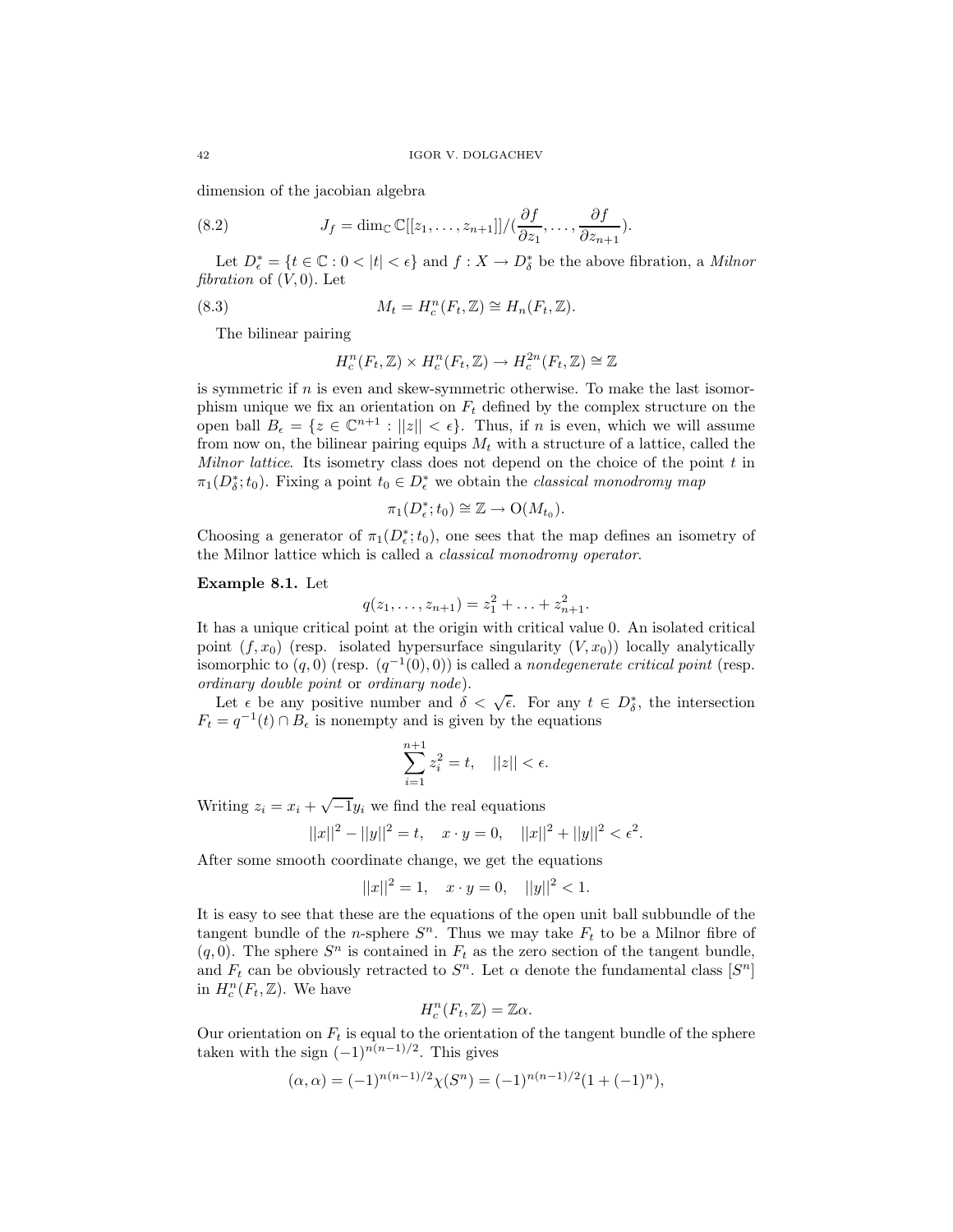<span id="page-41-0"></span>dimension of the jacobian algebra

(8.2) 
$$
J_f = \dim_{\mathbb{C}} \mathbb{C}[[z_1,\ldots,z_{n+1}]]/(\frac{\partial f}{\partial z_1},\ldots,\frac{\partial f}{\partial z_{n+1}}).
$$

Let  $D_{\epsilon}^* = \{t \in \mathbb{C} : 0 < |t| < \epsilon\}$  and  $f: X \to D_{\delta}^*$  be the above fibration, a *Milnor* fibration of  $(V, 0)$ . Let

(8.3) 
$$
M_t = H_c^n(F_t, \mathbb{Z}) \cong H_n(F_t, \mathbb{Z}).
$$

The bilinear pairing

$$
H_c^n(F_t, \mathbb{Z}) \times H_c^n(F_t, \mathbb{Z}) \to H_c^{2n}(F_t, \mathbb{Z}) \cong \mathbb{Z}
$$

is symmetric if  $n$  is even and skew-symmetric otherwise. To make the last isomorphism unique we fix an orientation on  $F_t$  defined by the complex structure on the open ball  $B_{\epsilon} = \{z \in \mathbb{C}^{n+1} : ||z|| < \epsilon\}$ . Thus, if *n* is even, which we will assume from now on, the bilinear pairing equips  $M_t$  with a structure of a lattice, called the Milnor lattice. Its isometry class does not depend on the choice of the point  $t$  in  $\pi_1(D^*_\delta;t_0)$ . Fixing a point  $t_0 \in D^*_\epsilon$  we obtain the *classical monodromy map* 

$$
\pi_1(D_{\epsilon}^*; t_0) \cong \mathbb{Z} \to \mathrm{O}(M_{t_0}).
$$

Choosing a generator of  $\pi_1(D^*_\epsilon;t_0)$ , one sees that the map defines an isometry of the Milnor lattice which is called a classical monodromy operator.

## **Example 8.1.** Let

$$
q(z_1,\ldots,z_{n+1})=z_1^2+\ldots+z_{n+1}^2.
$$

It has a unique critical point at the origin with critical value 0. An isolated critical point  $(f, x_0)$  (resp. isolated hypersurface singularity  $(V, x_0)$ ) locally analytically isomorphic to  $(q, 0)$  (resp.  $(q^{-1}(0), 0)$ ) is called a *nondegenerate critical point* (resp. ordinary double point or ordinary node).

Let  $\epsilon$  be any positive number and  $\delta < \sqrt{\epsilon}$ . For any  $t \in D_{\delta}^*$ , the intersection  $F_t = q^{-1}(t) \cap B_{\epsilon}$  is nonempty and is given by the equations

$$
\sum_{i=1}^{n+1} z_i^2 = t, \quad ||z|| < \epsilon.
$$

Writing  $z_i = x_i + \sqrt{-1}y_i$  we find the real equations

$$
||x||^2 - ||y||^2 = t, \quad x \cdot y = 0, \quad ||x||^2 + ||y||^2 < \epsilon^2.
$$

After some smooth coordinate change, we get the equations

$$
||x||^2 = 1, \quad x \cdot y = 0, \quad ||y||^2 < 1.
$$

It is easy to see that these are the equations of the open unit ball subbundle of the tangent bundle of the *n*-sphere  $S<sup>n</sup>$ . Thus we may take  $F<sub>t</sub>$  to be a Milnor fibre of  $(q, 0)$ . The sphere  $S<sup>n</sup>$  is contained in  $F<sub>t</sub>$  as the zero section of the tangent bundle, and  $F_t$  can be obviously retracted to  $S^n$ . Let  $\alpha$  denote the fundamental class  $[S^n]$ in  $H_c^n(F_t, \mathbb{Z})$ . We have

$$
H_c^n(F_t, \mathbb{Z}) = \mathbb{Z}\alpha.
$$

Our orientation on  $F_t$  is equal to the orientation of the tangent bundle of the sphere taken with the sign  $(-1)^{n(n-1)/2}$ . This gives

$$
(\alpha, \alpha) = (-1)^{n(n-1)/2} \chi(S^n) = (-1)^{n(n-1)/2} (1 + (-1)^n),
$$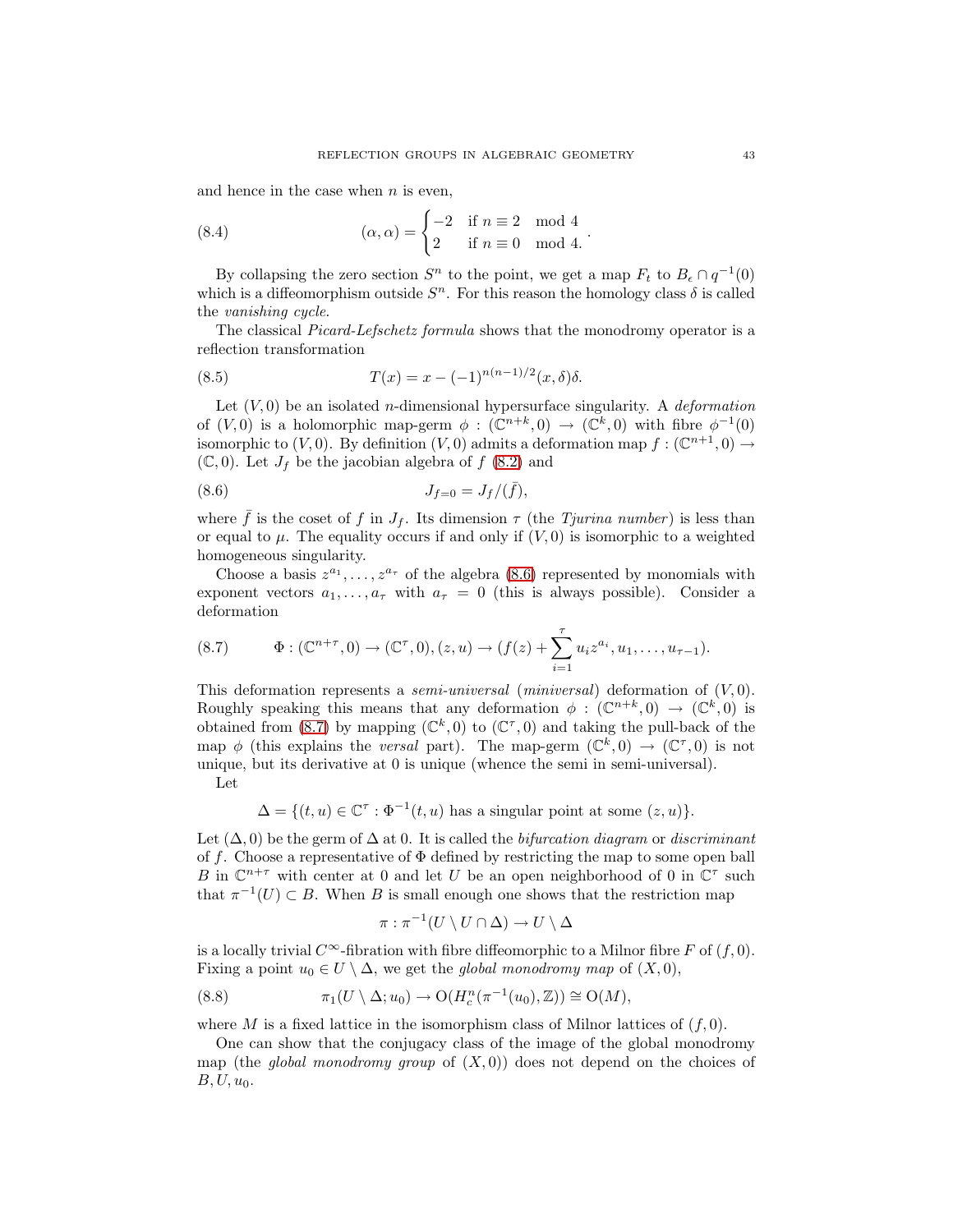<span id="page-42-3"></span>and hence in the case when  $n$  is even,

(8.4) 
$$
(\alpha, \alpha) = \begin{cases} -2 & \text{if } n \equiv 2 \mod 4 \\ 2 & \text{if } n \equiv 0 \mod 4. \end{cases}
$$

By collapsing the zero section  $S<sup>n</sup>$  to the point, we get a map  $F<sub>t</sub>$  to  $B<sub>\epsilon</sub> \cap q<sup>-1</sup>(0)$ which is a diffeomorphism outside  $S<sup>n</sup>$ . For this reason the homology class  $\delta$  is called the vanishing cycle.

.

<span id="page-42-2"></span>The classical Picard-Lefschetz formula shows that the monodromy operator is a reflection transformation

(8.5) 
$$
T(x) = x - (-1)^{n(n-1)/2} (x, \delta) \delta.
$$

Let  $(V, 0)$  be an isolated *n*-dimensional hypersurface singularity. A *deformation* of  $(V, 0)$  is a holomorphic map-germ  $\phi : (\mathbb{C}^{n+k}, 0) \to (\mathbb{C}^k, 0)$  with fibre  $\phi^{-1}(0)$ isomorphic to  $(V, 0)$ . By definition  $(V, 0)$  admits a deformation map  $f : (\mathbb{C}^{n+1}, 0) \to$  $(\mathbb{C}, 0)$ . Let  $J_f$  be the jacobian algebra of  $f(8.2)$  $f(8.2)$  and

<span id="page-42-0"></span>(8.6) 
$$
J_{f=0} = J_f/(\bar{f}),
$$

where  $\bar{f}$  is the coset of f in  $J_f$ . Its dimension  $\tau$  (the Tjurina number) is less than or equal to  $\mu$ . The equality occurs if and only if  $(V, 0)$  is isomorphic to a weighted homogeneous singularity.

Choose a basis  $z^{a_1}, \ldots, z^{a_r}$  of the algebra [\(8.6\)](#page-42-0) represented by monomials with exponent vectors  $a_1, \ldots, a_\tau$  with  $a_\tau = 0$  (this is always possible). Consider a deformation

<span id="page-42-1"></span>
$$
(8.7) \qquad \Phi: (\mathbb{C}^{n+\tau}, 0) \to (\mathbb{C}^{\tau}, 0), (z, u) \to (f(z) + \sum_{i=1}^{\tau} u_i z^{a_i}, u_1, \dots, u_{\tau-1}).
$$

This deformation represents a *semi-universal* (*miniversal*) deformation of  $(V, 0)$ . Roughly speaking this means that any deformation  $\phi : (\mathbb{C}^{n+k}, 0) \to (\mathbb{C}^k, 0)$  is obtained from [\(8.7\)](#page-42-1) by mapping  $(\mathbb{C}^k, 0)$  to  $(\mathbb{C}^{\tau}, 0)$  and taking the pull-back of the map  $\phi$  (this explains the *versal* part). The map-germ  $(\mathbb{C}^k,0) \to (\mathbb{C}^{\tau},0)$  is not unique, but its derivative at 0 is unique (whence the semi in semi-universal). Let

 $\Delta = \{ (t, u) \in \mathbb{C}^{\tau} : \Phi^{-1}(t, u) \text{ has a singular point at some } (z, u) \}.$ 

Let  $(\Delta, 0)$  be the germ of  $\Delta$  at 0. It is called the *bifurcation diagram* or *discriminant* of f. Choose a representative of  $\Phi$  defined by restricting the map to some open ball B in  $\mathbb{C}^{n+\tau}$  with center at 0 and let U be an open neighborhood of 0 in  $\mathbb{C}^{\tau}$  such that  $\pi^{-1}(U) \subset B$ . When B is small enough one shows that the restriction map

$$
\pi:\pi^{-1}(U\setminus U\cap \Delta)\to U\setminus \Delta
$$

is a locally trivial  $C^{\infty}$ -fibration with fibre diffeomorphic to a Milnor fibre F of  $(f, 0)$ . Fixing a point  $u_0 \in U \setminus \Delta$ , we get the global monodromy map of  $(X, 0)$ ,

(8.8) 
$$
\pi_1(U \setminus \Delta; u_0) \to \mathrm{O}(H_c^n(\pi^{-1}(u_0), \mathbb{Z})) \cong \mathrm{O}(M),
$$

where M is a fixed lattice in the isomorphism class of Milnor lattices of  $(f, 0)$ .

One can show that the conjugacy class of the image of the global monodromy map (the *global monodromy group* of  $(X, 0)$ ) does not depend on the choices of  $B, U, u<sub>0</sub>$ .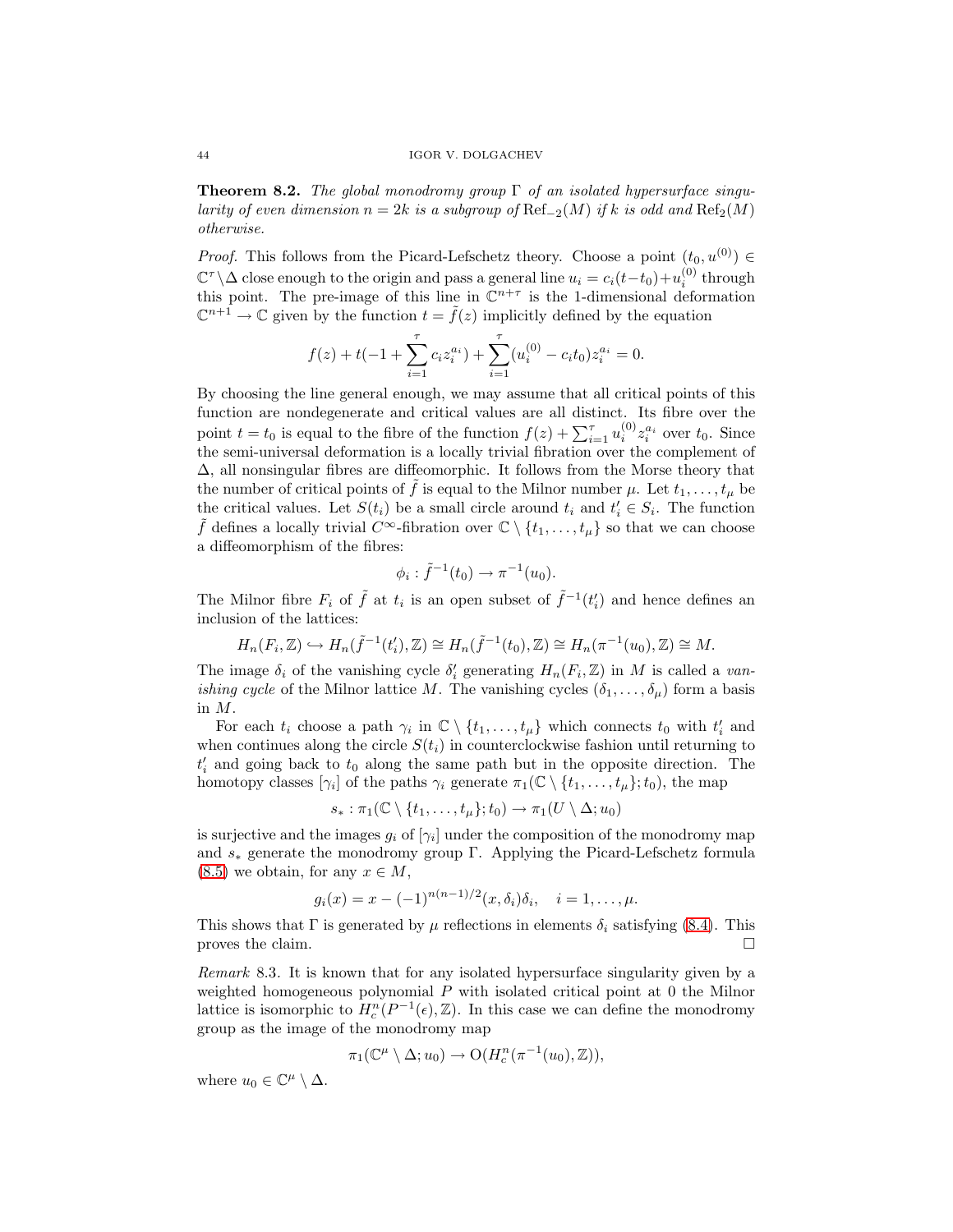**Theorem 8.2.** The global monodromy group Γ of an isolated hypersurface singularity of even dimension  $n = 2k$  is a subgroup of  $\text{Ref}_{-2}(M)$  if k is odd and  $\text{Ref}_2(M)$ otherwise.

*Proof.* This follows from the Picard-Lefschetz theory. Choose a point  $(t_0, u^{(0)}) \in$  $\mathbb{C}^{\tau} \backslash \Delta$  close enough to the origin and pass a general line  $u_i = c_i(t-t_0) + u_i^{(0)}$  through this point. The pre-image of this line in  $\mathbb{C}^{n+\tau}$  is the 1-dimensional deformation  $\mathbb{C}^{n+1} \to \mathbb{C}$  given by the function  $t = \tilde{f}(z)$  implicitly defined by the equation

$$
f(z) + t(-1 + \sum_{i=1}^{\tau} c_i z_i^{a_i}) + \sum_{i=1}^{\tau} (u_i^{(0)} - c_i t_0) z_i^{a_i} = 0.
$$

By choosing the line general enough, we may assume that all critical points of this function are nondegenerate and critical values are all distinct. Its fibre over the point  $t = t_0$  is equal to the fibre of the function  $f(z) + \sum_{i=1}^{\tau} u_i^{(0)} z_i^{a_i}$  over  $t_0$ . Since the semi-universal deformation is a locally trivial fibration over the complement of ∆, all nonsingular fibres are diffeomorphic. It follows from the Morse theory that the number of critical points of  $\tilde{f}$  is equal to the Milnor number  $\mu$ . Let  $t_1,\ldots,t_{\mu}$  be the critical values. Let  $S(t_i)$  be a small circle around  $t_i$  and  $t'_i \in S_i$ . The function  $\tilde{f}$  defines a locally trivial  $C^{\infty}$ -fibration over  $\mathbb{C} \setminus \{t_1,\ldots,t_{\mu}\}$  so that we can choose a diffeomorphism of the fibres:

$$
\phi_i : \tilde{f}^{-1}(t_0) \to \pi^{-1}(u_0).
$$

The Milnor fibre  $F_i$  of  $\tilde{f}$  at  $t_i$  is an open subset of  $\tilde{f}^{-1}(t'_i)$  and hence defines an inclusion of the lattices:

$$
H_n(F_i, \mathbb{Z}) \hookrightarrow H_n(\tilde{f}^{-1}(t'_i), \mathbb{Z}) \cong H_n(\tilde{f}^{-1}(t_0), \mathbb{Z}) \cong H_n(\pi^{-1}(u_0), \mathbb{Z}) \cong M.
$$

The image  $\delta_i$  of the vanishing cycle  $\delta'_i$  generating  $H_n(F_i, \mathbb{Z})$  in M is called a van*ishing cycle* of the Milnor lattice M. The vanishing cycles  $(\delta_1, \ldots, \delta_\mu)$  form a basis in M.

For each  $t_i$  choose a path  $\gamma_i$  in  $\mathbb{C} \setminus \{t_1, \ldots, t_\mu\}$  which connects  $t_0$  with  $t'_i$  and when continues along the circle  $S(t_i)$  in counterclockwise fashion until returning to  $t'_{i}$  and going back to  $t_{0}$  along the same path but in the opposite direction. The homotopy classes  $[\gamma_i]$  of the paths  $\gamma_i$  generate  $\pi_1(\mathbb{C} \setminus \{t_1,\ldots,t_\mu\};t_0)$ , the map

$$
s_*:\pi_1(\mathbb{C}\setminus\{t_1,\ldots,t_\mu\};t_0)\to\pi_1(U\setminus\Delta;u_0)
$$

is surjective and the images  $g_i$  of  $[\gamma_i]$  under the composition of the monodromy map and  $s_*$  generate the monodromy group Γ. Applying the Picard-Lefschetz formula  $(8.5)$  we obtain, for any  $x \in M$ ,

$$
g_i(x) = x - (-1)^{n(n-1)/2} (x, \delta_i) \delta_i, \quad i = 1, ..., \mu.
$$

This shows that  $\Gamma$  is generated by  $\mu$  reflections in elements  $\delta_i$  satisfying [\(8.4\)](#page-42-3). This proves the claim.  $\Box$ 

<span id="page-43-0"></span>Remark 8.3. It is known that for any isolated hypersurface singularity given by a weighted homogeneous polynomial  $P$  with isolated critical point at  $0$  the Milnor lattice is isomorphic to  $H_c^n(P^{-1}(\epsilon), \mathbb{Z})$ . In this case we can define the monodromy group as the image of the monodromy map

$$
\pi_1(\mathbb{C}^{\mu}\setminus\Delta; u_0)\to \mathrm{O}(H^n_c(\pi^{-1}(u_0),\mathbb{Z})),
$$

where  $u_0 \in \mathbb{C}^{\mu} \setminus \Delta$ .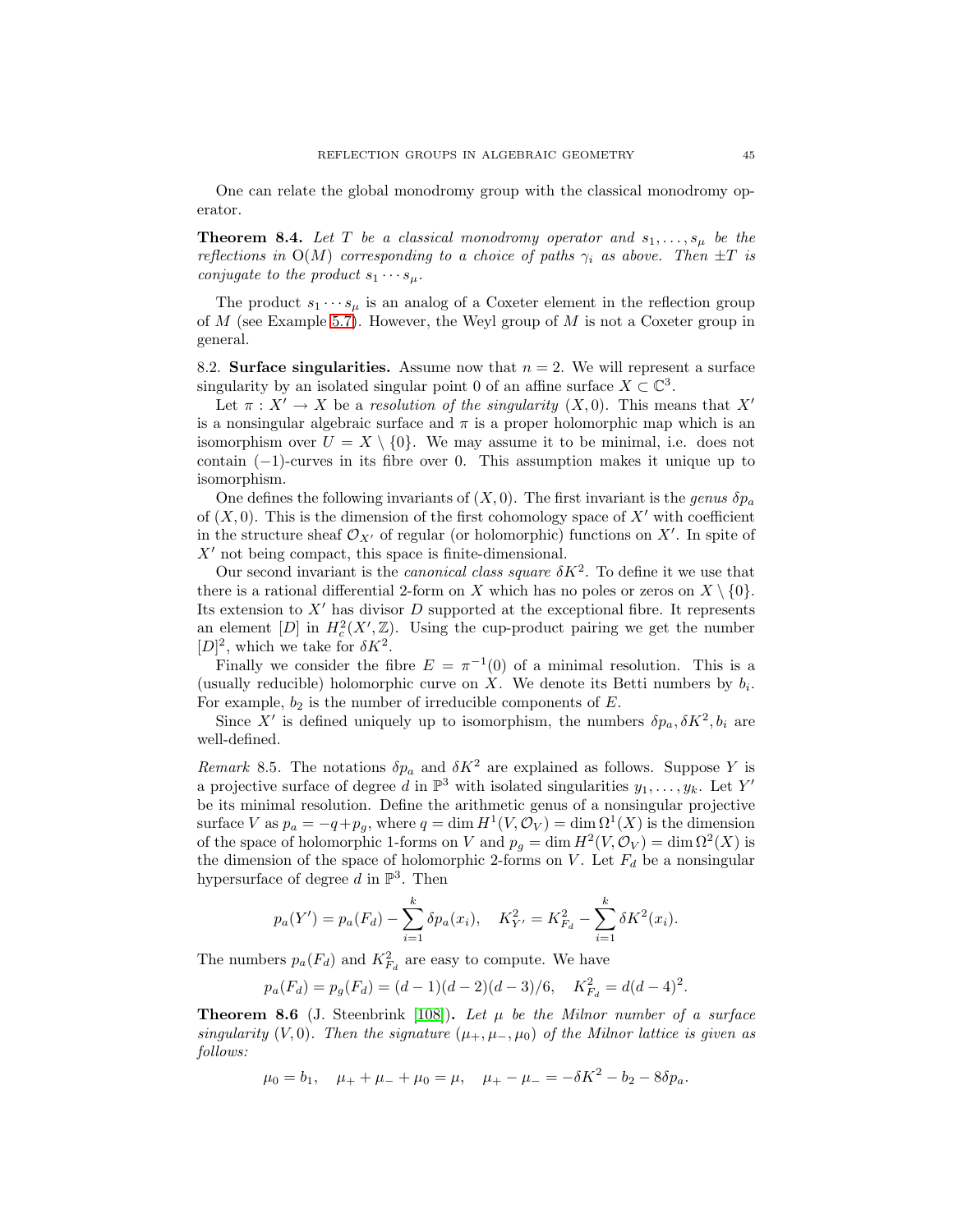One can relate the global monodromy group with the classical monodromy operator.

**Theorem 8.4.** Let T be a classical monodromy operator and  $s_1, \ldots, s_\mu$  be the reflections in  $O(M)$  corresponding to a choice of paths  $\gamma_i$  as above. Then  $\pm T$  is conjugate to the product  $s_1 \cdots s_\mu$ .

The product  $s_1 \cdots s_\mu$  is an analog of a Coxeter element in the reflection group of  $M$  (see Example [5.7\)](#page-28-1). However, the Weyl group of  $M$  is not a Coxeter group in general.

8.2. **Surface singularities.** Assume now that  $n = 2$ . We will represent a surface singularity by an isolated singular point 0 of an affine surface  $X \subset \mathbb{C}^3$ .

Let  $\pi : X' \to X$  be a resolution of the singularity  $(X, 0)$ . This means that X' is a nonsingular algebraic surface and  $\pi$  is a proper holomorphic map which is an isomorphism over  $U = X \setminus \{0\}$ . We may assume it to be minimal, i.e. does not contain  $(-1)$ -curves in its fibre over 0. This assumption makes it unique up to isomorphism.

One defines the following invariants of  $(X, 0)$ . The first invariant is the genus  $\delta p_a$ of  $(X, 0)$ . This is the dimension of the first cohomology space of X' with coefficient in the structure sheaf  $\mathcal{O}_{X'}$  of regular (or holomorphic) functions on X'. In spite of  $X'$  not being compact, this space is finite-dimensional.

Our second invariant is the *canonical class square*  $\delta K^2$ . To define it we use that there is a rational differential 2-form on X which has no poles or zeros on  $X \setminus \{0\}$ . Its extension to  $X'$  has divisor  $D$  supported at the exceptional fibre. It represents an element  $[D]$  in  $H_c^2(X', \mathbb{Z})$ . Using the cup-product pairing we get the number  $[D]^2$ , which we take for  $\delta K^2$ .

Finally we consider the fibre  $E = \pi^{-1}(0)$  of a minimal resolution. This is a (usually reducible) holomorphic curve on X. We denote its Betti numbers by  $b_i$ . For example,  $b_2$  is the number of irreducible components of  $E$ .

Since X' is defined uniquely up to isomorphism, the numbers  $\delta p_a, \delta K^2, b_i$  are well-defined.

Remark 8.5. The notations  $\delta p_a$  and  $\delta K^2$  are explained as follows. Suppose Y is a projective surface of degree d in  $\mathbb{P}^3$  with isolated singularities  $y_1, \ldots, y_k$ . Let Y' be its minimal resolution. Define the arithmetic genus of a nonsingular projective surface V as  $p_a = -q + p_g$ , where  $q = \dim H^1(V, \mathcal{O}_V) = \dim \Omega^1(X)$  is the dimension of the space of holomorphic 1-forms on V and  $p_q = \dim H^2(V, \mathcal{O}_V) = \dim \Omega^2(X)$  is the dimension of the space of holomorphic 2-forms on V. Let  $F_d$  be a nonsingular hypersurface of degree d in  $\mathbb{P}^3$ . Then

$$
p_a(Y') = p_a(F_d) - \sum_{i=1}^k \delta p_a(x_i), \quad K_{Y'}^2 = K_{F_d}^2 - \sum_{i=1}^k \delta K^2(x_i).
$$

The numbers  $p_a(F_d)$  and  $K_{F_d}^2$  are easy to compute. We have

$$
p_a(F_d) = p_g(F_d) = (d-1)(d-2)(d-3)/6, \quad K_{F_d}^2 = d(d-4)^2.
$$

**Theorem 8.6** (J. Steenbrink [\[108\]](#page-58-14)). Let  $\mu$  be the Milnor number of a surface singularity (V, 0). Then the signature  $(\mu_+, \mu_-, \mu_0)$  of the Milnor lattice is given as follows:

$$
\mu_0 = b_1
$$
,  $\mu_+ + \mu_- + \mu_0 = \mu$ ,  $\mu_+ - \mu_- = -\delta K^2 - b_2 - 8\delta p_a$ .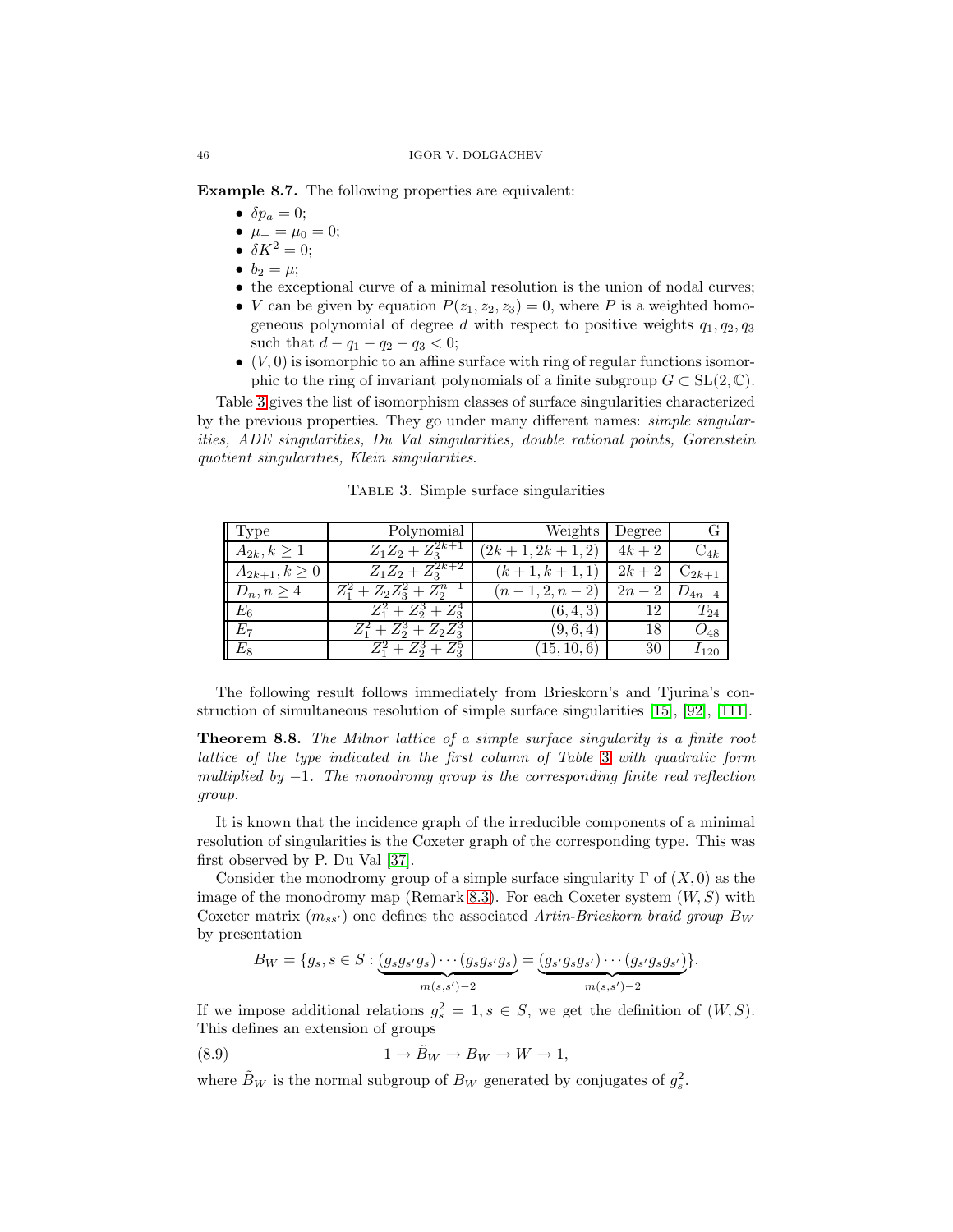**Example 8.7.** The following properties are equivalent:

- $\delta p_a = 0$ ;
- $\mu_+ = \mu_0 = 0;$
- $\delta K^2 = 0$ ;
- $b_2 = \mu;$
- the exceptional curve of a minimal resolution is the union of nodal curves;
- *V* can be given by equation  $P(z_1, z_2, z_3) = 0$ , where *P* is a weighted homogeneous polynomial of degree d with respect to positive weights  $q_1, q_2, q_3$ such that  $d - q_1 - q_2 - q_3 < 0$ ;
- $\bullet$   $(V, 0)$  is isomorphic to an affine surface with ring of regular functions isomorphic to the ring of invariant polynomials of a finite subgroup  $G \subset SL(2, \mathbb{C})$ .

Table [3](#page-45-0) gives the list of isomorphism classes of surface singularities characterized by the previous properties. They go under many different names: simple singularities, ADE singularities, Du Val singularities, double rational points, Gorenstein quotient singularities, Klein singularities.

<span id="page-45-0"></span>Table 3. Simple surface singularities

| $\parallel$ Type    | Polynomial                      | Weights           | Degree |            |
|---------------------|---------------------------------|-------------------|--------|------------|
| $A_{2k}, k \geq 1$  | $Z_1Z_2+Z_3^{2k+1}$             | $(2k+1, 2k+1, 2)$ | $4k+2$ | $C_{4k}$   |
| $A_{2k+1}, k \ge 0$ | $Z_1Z_2+Z_3^{2k+2}$             | $(k+1, k+1, 1)$   | $2k+2$ | $C_{2k+1}$ |
| $D_n, n \geq 4$     | $Z_1^2 + Z_2 Z_3^2 + Z_2^{n-1}$ | $(n-1, 2, n-2)$   | $2n-2$ | $D_{4n-4}$ |
| $E_6$               | $Z_1^2 + Z_2^3 + Z_3^4$         | (6, 4, 3)         | 12     | $T_{24}$   |
| $E_7$               | $Z_1^2 + Z_2^3 + Z_2Z_3^3$      | (9,6,4)           | 18     | $O_{48}$   |
| $E_8$               | $Z_1^2 + Z_2^3 + Z_3^3$         | (15, 10, 6)       | 30     | $I_{120}$  |

The following result follows immediately from Brieskorn's and Tjurina's construction of simultaneous resolution of simple surface singularities [\[15\]](#page-54-21), [\[92\]](#page-57-17), [\[111\]](#page-58-15).

**Theorem 8.8.** The Milnor lattice of a simple surface singularity is a finite root lattice of the type indicated in the first column of Table [3](#page-45-0) with quadratic form multiplied by  $-1$ . The monodromy group is the corresponding finite real reflection group.

It is known that the incidence graph of the irreducible components of a minimal resolution of singularities is the Coxeter graph of the corresponding type. This was first observed by P. Du Val [\[37\]](#page-55-3).

Consider the monodromy group of a simple surface singularity  $\Gamma$  of  $(X, 0)$  as the image of the monodromy map (Remark [8.3\)](#page-43-0). For each Coxeter system  $(W, S)$  with Coxeter matrix  $(m_{ss})$  one defines the associated Artin-Brieskorn braid group B<sub>W</sub> by presentation

$$
B_W = \{g_s, s \in S : \underbrace{(g_s g_{s'} g_s) \cdots (g_s g_{s'} g_s)}_{m(s,s')-2} = \underbrace{(g_{s'} g_s g_{s'}) \cdots (g_{s'} g_s g_{s'})}_{m(s,s')-2}\}.
$$

If we impose additional relations  $g_s^2 = 1, s \in S$ , we get the definition of  $(W, S)$ . This defines an extension of groups

(8.9) 
$$
1 \to \tilde{B}_W \to B_W \to W \to 1,
$$

where  $\tilde{B}_W$  is the normal subgroup of  $B_W$  generated by conjugates of  $g_s^2$ .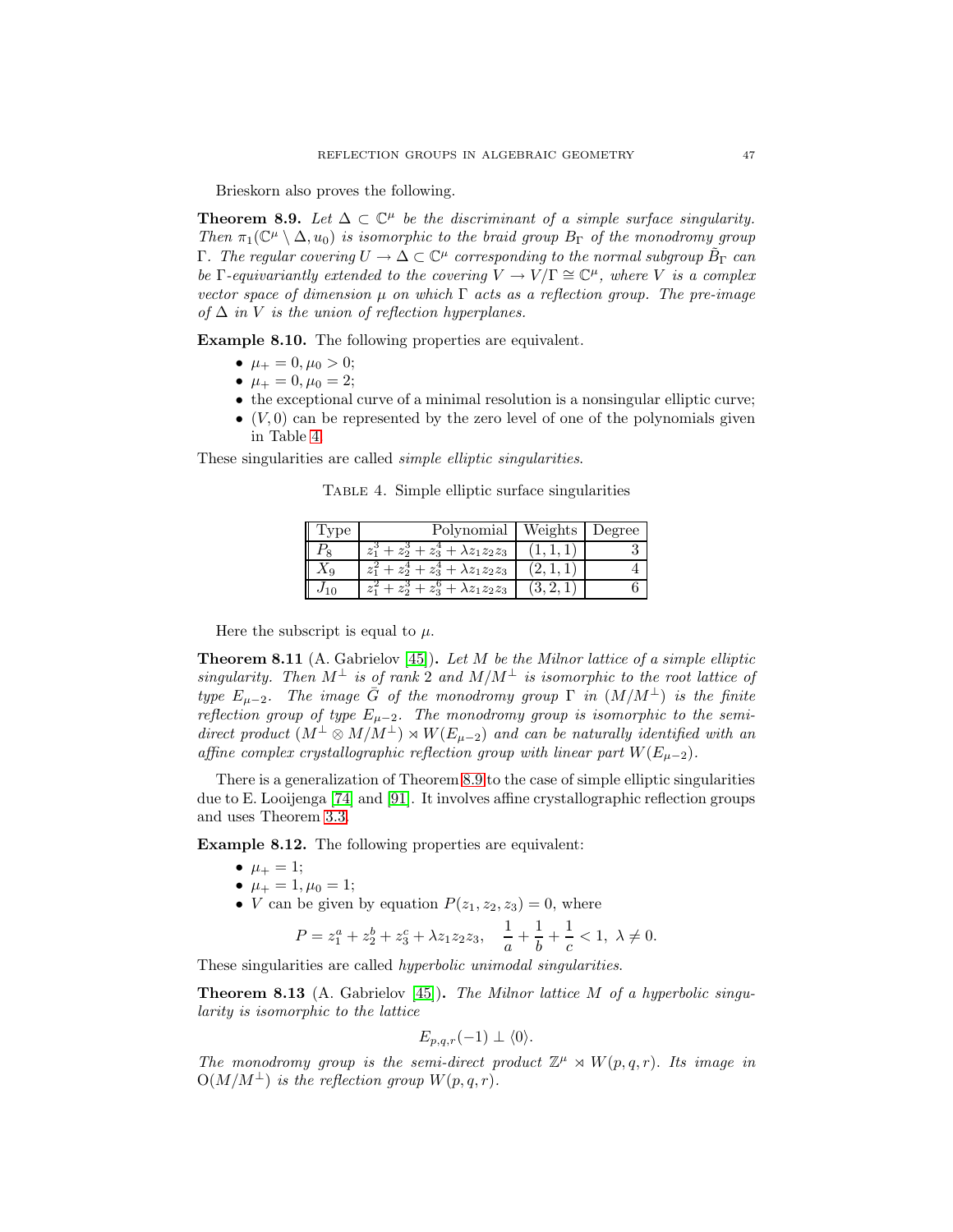Brieskorn also proves the following.

<span id="page-46-1"></span>**Theorem 8.9.** Let  $\Delta \subset \mathbb{C}^{\mu}$  be the discriminant of a simple surface singularity. Then  $\pi_1(\mathbb{C}^{\mu} \setminus \Delta, u_0)$  is isomorphic to the braid group  $B_{\Gamma}$  of the monodromy group Γ. The regular covering  $U \to \Delta \subset \mathbb{C}^{\mu}$  corresponding to the normal subgroup  $\tilde{B}_{\Gamma}$  can be Γ-equivariantly extended to the covering  $V \to V/\Gamma \cong \mathbb{C}^{\mu}$ , where V is a complex vector space of dimension  $\mu$  on which  $\Gamma$  acts as a reflection group. The pre-image of  $\Delta$  in V is the union of reflection hyperplanes.

**Example 8.10.** The following properties are equivalent.

- $\mu_+ = 0, \mu_0 > 0;$
- $\mu_+ = 0, \mu_0 = 2;$
- the exceptional curve of a minimal resolution is a nonsingular elliptic curve;
- $\bullet$   $(V,0)$  can be represented by the zero level of one of the polynomials given in Table [4.](#page-46-0)

These singularities are called simple elliptic singularities.

Table 4. Simple elliptic surface singularities

<span id="page-46-0"></span>

|    | Polynomial                                                  | Weights | 'egree |
|----|-------------------------------------------------------------|---------|--------|
|    | $z_3^4 + \lambda z_1 z_2 z_3$<br>$z_1^{\circ}$<br>$z_2^3$ + |         |        |
|    | $z_2^4 + z_3^4 + \lambda z_1 z_2 z_3$<br>$z_{1}^{-}$        |         |        |
| 10 | $z_3^0 + \lambda z_1 z_2 z_3$                               |         |        |

Here the subscript is equal to  $\mu$ .

**Theorem 8.11** (A. Gabrielov [\[45\]](#page-55-17))**.** Let M be the Milnor lattice of a simple elliptic singularity. Then  $M^{\perp}$  is of rank 2 and  $M/M^{\perp}$  is isomorphic to the root lattice of type  $E_{\mu-2}$ . The image  $\bar{G}$  of the monodromy group  $\Gamma$  in  $(M/M^{\perp})$  is the finite reflection group of type  $E_{\mu-2}$ . The monodromy group is isomorphic to the semidirect product  $(M^{\perp} \otimes M/M^{\perp}) \rtimes W(E_{\mu-2})$  and can be naturally identified with an affine complex crystallographic reflection group with linear part  $W(E_{\mu-2})$ .

There is a generalization of Theorem [8.9](#page-46-1) to the case of simple elliptic singularities due to E. Looijenga [\[74\]](#page-56-1) and [\[91\]](#page-57-18). It involves affine crystallographic reflection groups and uses Theorem [3.3.](#page-16-2)

**Example 8.12.** The following properties are equivalent:

- $\mu_+ = 1$ ;
- $\mu_+ = 1, \mu_0 = 1;$
- *V* can be given by equation  $P(z_1, z_2, z_3) = 0$ , where

$$
P = z_1^a + z_2^b + z_3^c + \lambda z_1 z_2 z_3, \quad \frac{1}{a} + \frac{1}{b} + \frac{1}{c} < 1, \ \lambda \neq 0.
$$

These singularities are called hyperbolic unimodal singularities.

**Theorem 8.13** (A. Gabrielov [\[45\]](#page-55-17)). The Milnor lattice M of a hyperbolic singularity is isomorphic to the lattice

$$
E_{p,q,r}(-1) \perp \langle 0 \rangle.
$$

The monodromy group is the semi-direct product  $\mathbb{Z}^{\mu} \rtimes W(p,q,r)$ . Its image in  $O(M/M^{\perp})$  is the reflection group  $W(p,q,r)$ .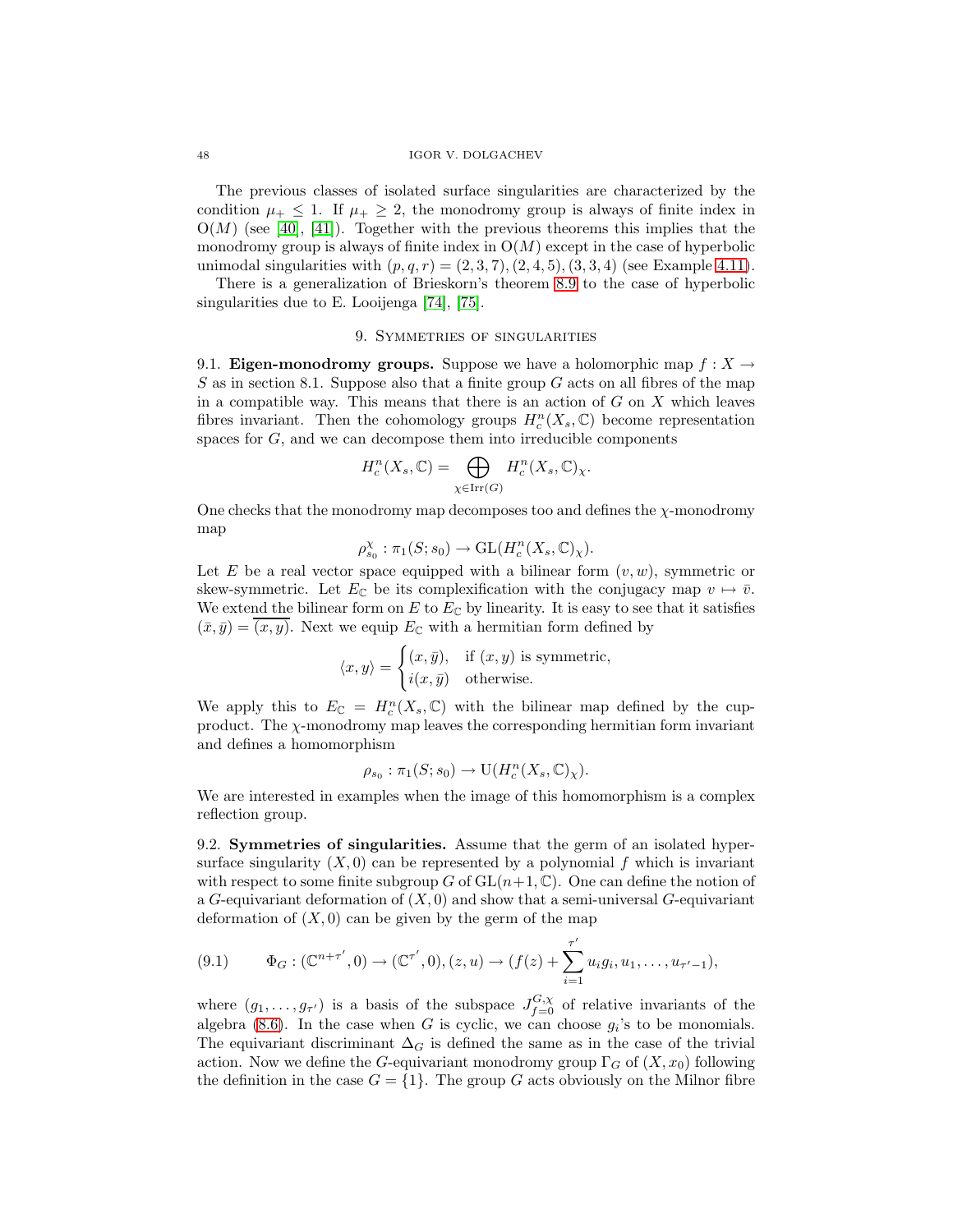The previous classes of isolated surface singularities are characterized by the condition  $\mu_+ \leq 1$ . If  $\mu_+ \geq 2$ , the monodromy group is always of finite index in  $O(M)$  (see [\[40\]](#page-55-18), [\[41\]](#page-55-19)). Together with the previous theorems this implies that the monodromy group is always of finite index in  $O(M)$  except in the case of hyperbolic unimodal singularities with  $(p,q,r) = (2,3,7), (2,4,5), (3,3,4)$  (see Example [4.11\)](#page-22-0).

There is a generalization of Brieskorn's theorem [8.9](#page-46-1) to the case of hyperbolic singularities due to E. Looijenga [\[74\]](#page-56-1), [\[75\]](#page-56-10).

## 9. Symmetries of singularities

9.1. **Eigen-monodromy groups.** Suppose we have a holomorphic map  $f: X \to Y$  $S$  as in section 8.1. Suppose also that a finite group  $G$  acts on all fibres of the map in a compatible way. This means that there is an action of  $G$  on  $X$  which leaves fibres invariant. Then the cohomology groups  $H_c^n(X_s, \mathbb{C})$  become representation spaces for G, and we can decompose them into irreducible components

$$
H_c^n(X_s, \mathbb{C}) = \bigoplus_{\chi \in \text{Irr}(G)} H_c^n(X_s, \mathbb{C})_\chi.
$$

One checks that the monodromy map decomposes too and defines the  $\chi$ -monodromy map

$$
\rho_{s_0}^{\chi} : \pi_1(S; s_0) \to \mathrm{GL}(H^n_c(X_s, \mathbb{C})_{\chi}).
$$

Let E be a real vector space equipped with a bilinear form  $(v, w)$ , symmetric or skew-symmetric. Let  $E_{\mathbb{C}}$  be its complexification with the conjugacy map  $v \mapsto \bar{v}$ . We extend the bilinear form on  $E$  to  $E_{\mathbb{C}}$  by linearity. It is easy to see that it satisfies  $(\bar{x}, \bar{y}) = \overline{(x, y)}$ . Next we equip  $E_{\mathbb{C}}$  with a hermitian form defined by

$$
\langle x, y \rangle = \begin{cases} (x, \bar{y}), & \text{if } (x, y) \text{ is symmetric,} \\ i(x, \bar{y}) & \text{otherwise.} \end{cases}
$$

We apply this to  $E_{\mathbb{C}} = H_c^n(X_s, \mathbb{C})$  with the bilinear map defined by the cupproduct. The  $\chi$ -monodromy map leaves the corresponding hermitian form invariant and defines a homomorphism

$$
\rho_{s_0} : \pi_1(S; s_0) \to \mathrm{U}(H^n_c(X_s, \mathbb{C})_\chi).
$$

We are interested in examples when the image of this homomorphism is a complex reflection group.

9.2. **Symmetries of singularities.** Assume that the germ of an isolated hypersurface singularity  $(X, 0)$  can be represented by a polynomial f which is invariant with respect to some finite subgroup G of  $GL(n+1,\mathbb{C})$ . One can define the notion of a G-equivariant deformation of  $(X, 0)$  and show that a semi-universal G-equivariant deformation of  $(X, 0)$  can be given by the germ of the map

$$
(9.1) \qquad \Phi_G: (\mathbb{C}^{n+\tau'}, 0) \to (\mathbb{C}^{\tau'}, 0), (z, u) \to (f(z) + \sum_{i=1}^{\tau'} u_i g_i, u_1, \dots, u_{\tau'-1}),
$$

where  $(g_1, \ldots, g_{\tau'})$  is a basis of the subspace  $J_{f=0}^{G,\chi}$  of relative invariants of the algebra [\(8.6\)](#page-42-0). In the case when G is cyclic, we can choose  $g_i$ 's to be monomials. The equivariant discriminant  $\Delta_G$  is defined the same as in the case of the trivial action. Now we define the G-equivariant monodromy group  $\Gamma_G$  of  $(X, x_0)$  following the definition in the case  $G = \{1\}$ . The group G acts obviously on the Milnor fibre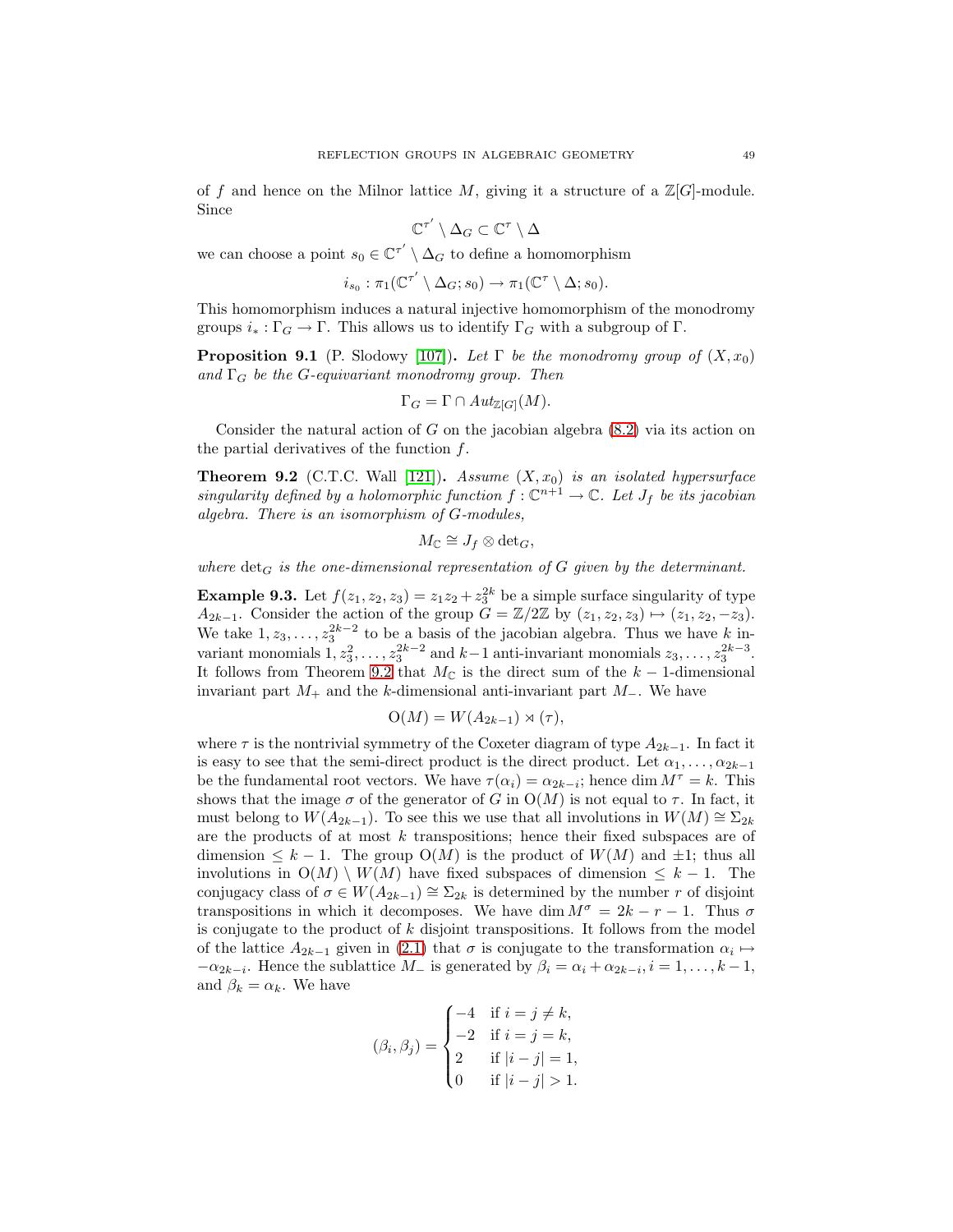of f and hence on the Milnor lattice  $M$ , giving it a structure of a  $\mathbb{Z}[G]$ -module. Since

$$
\mathbb{C}^{\tau'}\setminus \Delta_G\subset \mathbb{C}^\tau\setminus \Delta
$$

we can choose a point  $s_0 \in \mathbb{C}^{\tau'} \setminus \Delta_G$  to define a homomorphism

$$
i_{s_0} : \pi_1(\mathbb{C}^{\tau'} \setminus \Delta_G; s_0) \to \pi_1(\mathbb{C}^{\tau} \setminus \Delta; s_0).
$$

This homomorphism induces a natural injective homomorphism of the monodromy groups  $i_* : \Gamma_G \to \Gamma$ . This allows us to identify  $\Gamma_G$  with a subgroup of  $\Gamma$ .

**Proposition 9.1** (P. Slodowy [\[107\]](#page-58-16)). Let  $\Gamma$  be the monodromy group of  $(X, x_0)$ and  $\Gamma_G$  be the G-equivariant monodromy group. Then

$$
\Gamma_G = \Gamma \cap Aut_{\mathbb{Z}[G]}(M).
$$

<span id="page-48-0"></span>Consider the natural action of G on the jacobian algebra  $(8.2)$  via its action on the partial derivatives of the function  $f$ .

**Theorem 9.2** (C.T.C. Wall [\[121\]](#page-59-1)). Assume  $(X, x_0)$  is an isolated hypersurface singularity defined by a holomorphic function  $f: \mathbb{C}^{n+1} \to \mathbb{C}$ . Let  $J_f$  be its jacobian algebra. There is an isomorphism of G-modules,

$$
M_{\mathbb{C}} \cong J_f \otimes \det_G,
$$

where  $\det_G$  is the one-dimensional representation of G given by the determinant.

**Example 9.3.** Let  $f(z_1, z_2, z_3) = z_1 z_2 + z_3^{2k}$  be a simple surface singularity of type  $A_{2k-1}$ . Consider the action of the group  $G = \mathbb{Z}/2\mathbb{Z}$  by  $(z_1, z_2, z_3) \mapsto (z_1, z_2, -z_3)$ . We take  $1, z_3, \ldots, z_3^{2k-2}$  to be a basis of the jacobian algebra. Thus we have k invariant monomials  $1, z_3^2, \ldots, z_3^{2k-2}$  and  $k-1$  anti-invariant monomials  $z_3, \ldots, z_3^{2k-3}$ . It follows from Theorem [9.2](#page-48-0) that  $M_{\mathbb{C}}$  is the direct sum of the  $k-1$ -dimensional invariant part  $M_+$  and the k-dimensional anti-invariant part  $M_-\$ . We have

$$
O(M) = W(A_{2k-1}) \rtimes (\tau),
$$

where  $\tau$  is the nontrivial symmetry of the Coxeter diagram of type  $A_{2k-1}$ . In fact it is easy to see that the semi-direct product is the direct product. Let  $\alpha_1, \ldots, \alpha_{2k-1}$ be the fundamental root vectors. We have  $\tau(\alpha_i) = \alpha_{2k-i}$ ; hence dim  $M^{\tau} = k$ . This shows that the image  $\sigma$  of the generator of G in  $O(M)$  is not equal to  $\tau$ . In fact, it must belong to  $W(A_{2k-1})$ . To see this we use that all involutions in  $W(M) \cong \Sigma_{2k}$ are the products of at most  $k$  transpositions; hence their fixed subspaces are of dimension  $\leq k-1$ . The group  $O(M)$  is the product of  $W(M)$  and  $\pm 1$ ; thus all involutions in  $O(M) \setminus W(M)$  have fixed subspaces of dimension  $\leq k - 1$ . The conjugacy class of  $\sigma \in W(A_{2k-1}) \cong \Sigma_{2k}$  is determined by the number r of disjoint transpositions in which it decomposes. We have dim  $M^{\sigma} = 2k - r - 1$ . Thus  $\sigma$ is conjugate to the product of  $k$  disjoint transpositions. It follows from the model of the lattice  $A_{2k-1}$  given in [\(2.1\)](#page-9-0) that  $\sigma$  is conjugate to the transformation  $\alpha_i \mapsto$  $-\alpha_{2k-i}$ . Hence the sublattice  $M_{-}$  is generated by  $\beta_i = \alpha_i + \alpha_{2k-i}, i = 1, \ldots, k-1$ , and  $\beta_k = \alpha_k$ . We have

$$
(\beta_i, \beta_j) = \begin{cases}\n-4 & \text{if } i = j \neq k, \\
-2 & \text{if } i = j = k, \\
2 & \text{if } |i - j| = 1, \\
0 & \text{if } |i - j| > 1.\n\end{cases}
$$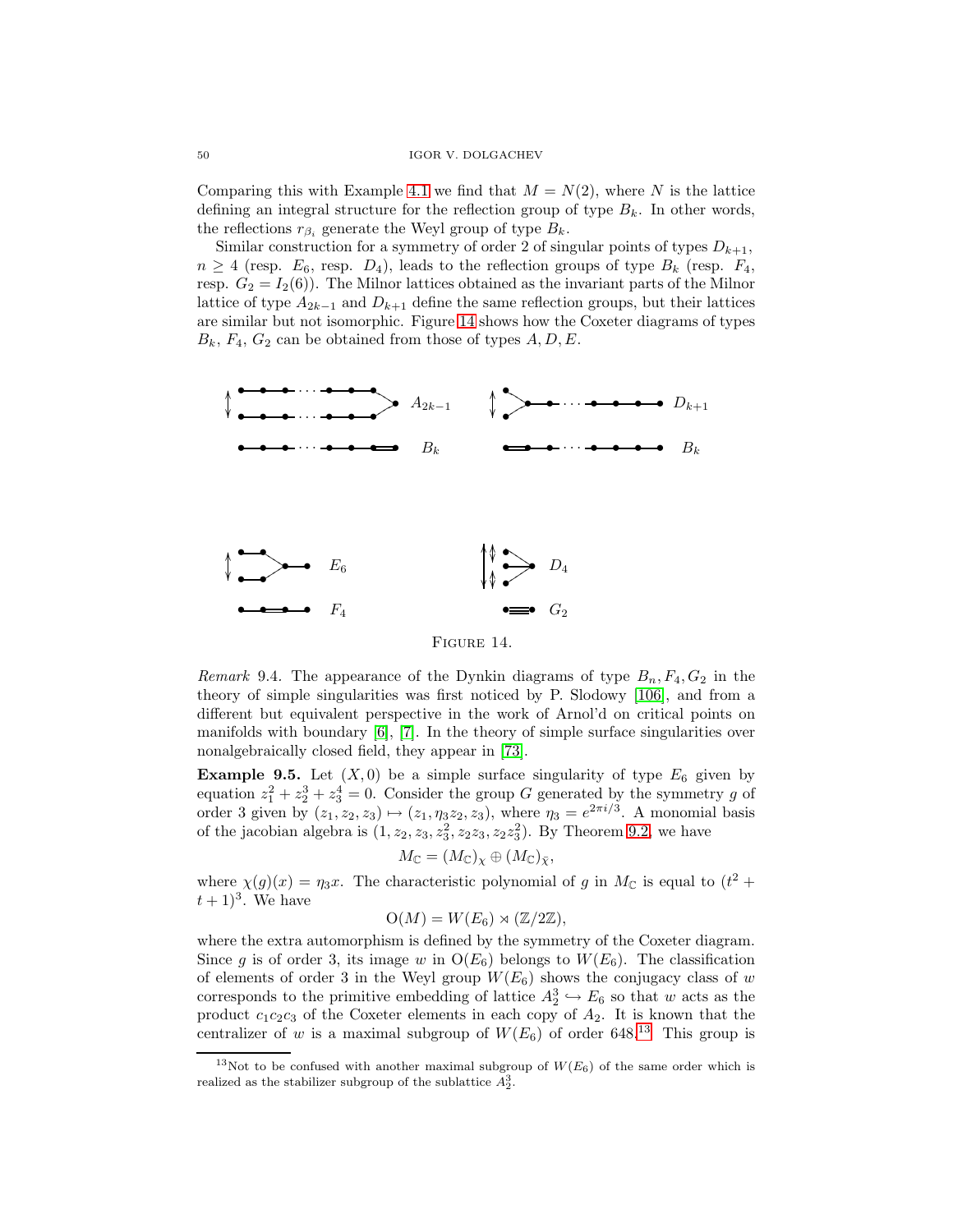Comparing this with Example [4.1](#page-18-1) we find that  $M = N(2)$ , where N is the lattice defining an integral structure for the reflection group of type  $B_k$ . In other words, the reflections  $r_{\beta_i}$  generate the Weyl group of type  $B_k$ .

Similar construction for a symmetry of order 2 of singular points of types  $D_{k+1}$ ,  $n \geq 4$  (resp.  $E_6$ , resp.  $D_4$ ), leads to the reflection groups of type  $B_k$  (resp.  $F_4$ , resp.  $G_2 = I_2(6)$ . The Milnor lattices obtained as the invariant parts of the Milnor lattice of type  $A_{2k-1}$  and  $D_{k+1}$  define the same reflection groups, but their lattices are similar but not isomorphic. Figure [14](#page-49-0) shows how the Coxeter diagrams of types  $B_k$ ,  $F_4$ ,  $G_2$  can be obtained from those of types  $A, D, E$ .



<span id="page-49-0"></span>Figure 14.

Remark 9.4. The appearance of the Dynkin diagrams of type  $B_n, F_4, G_2$  in the theory of simple singularities was first noticed by P. Slodowy [\[106\]](#page-58-17), and from a different but equivalent perspective in the work of Arnol'd on critical points on manifolds with boundary [\[6\]](#page-54-22), [\[7\]](#page-54-20). In the theory of simple surface singularities over nonalgebraically closed field, they appear in [\[73\]](#page-56-24).

**Example 9.5.** Let  $(X, 0)$  be a simple surface singularity of type  $E_6$  given by equation  $z_1^2 + z_2^3 + z_3^4 = 0$ . Consider the group G generated by the symmetry g of order 3 given by  $(z_1, z_2, z_3) \mapsto (z_1, \eta_3 z_2, z_3)$ , where  $\eta_3 = e^{2\pi i/3}$ . A monomial basis of the jacobian algebra is  $(1, z_2, z_3, z_3^2, z_2 z_3, z_2 z_3^2)$ . By Theorem [9.2,](#page-48-0) we have

$$
M_{\mathbb{C}} = (M_{\mathbb{C}})_{\chi} \oplus (M_{\mathbb{C}})_{\bar{\chi}},
$$

where  $\chi(g)(x) = \eta_3 x$ . The characteristic polynomial of g in  $M_{\mathbb{C}}$  is equal to  $(t^2 +$  $(t+1)^3$ . We have

$$
O(M) = W(E_6) \rtimes (\mathbb{Z}/2\mathbb{Z}),
$$

where the extra automorphism is defined by the symmetry of the Coxeter diagram. Since g is of order 3, its image w in  $O(E_6)$  belongs to  $W(E_6)$ . The classification of elements of order 3 in the Weyl group  $W(E_6)$  shows the conjugacy class of w corresponds to the primitive embedding of lattice  $A_2^3 \hookrightarrow E_6$  so that w acts as the product  $c_1c_2c_3$  of the Coxeter elements in each copy of  $A_2$ . It is known that the centralizer of w is a maximal subgroup of  $W(E_6)$  of order 648.<sup>[13](#page-49-1)</sup> This group is

<span id="page-49-1"></span><sup>&</sup>lt;sup>13</sup>Not to be confused with another maximal subgroup of  $W(E_6)$  of the same order which is realized as the stabilizer subgroup of the sublattice  $A_2^3$ .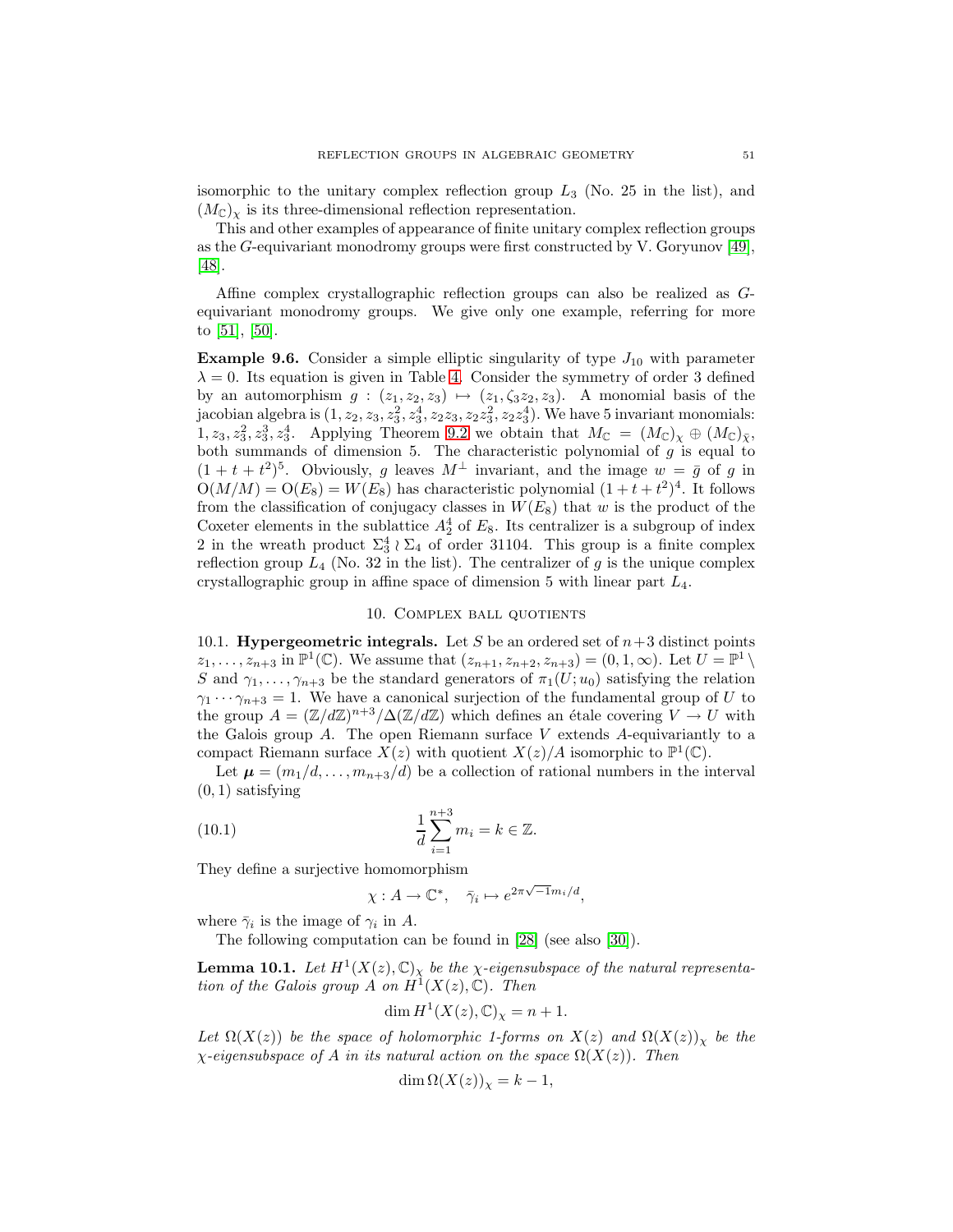isomorphic to the unitary complex reflection group  $L_3$  (No. 25 in the list), and  $(M_{\mathbb{C}})_{\chi}$  is its three-dimensional reflection representation.

This and other examples of appearance of finite unitary complex reflection groups as the G-equivariant monodromy groups were first constructed by V. Goryunov [\[49\]](#page-55-20), [\[48\]](#page-55-21).

Affine complex crystallographic reflection groups can also be realized as Gequivariant monodromy groups. We give only one example, referring for more to [\[51\]](#page-55-22), [\[50\]](#page-55-4).

**Example 9.6.** Consider a simple elliptic singularity of type  $J_{10}$  with parameter  $\lambda = 0$ . Its equation is given in Table [4.](#page-46-0) Consider the symmetry of order 3 defined by an automorphism  $g: (z_1, z_2, z_3) \mapsto (z_1, \zeta_3 z_2, z_3)$ . A monomial basis of the jacobian algebra is  $(1, z_2, z_3, z_3^2, z_3^4, z_2z_3, z_2z_3^2, z_2z_3^4)$ . We have 5 invariant monomials:  $1, z_3, z_3^2, z_3^3, z_3^4$ . Applying Theorem [9.2](#page-48-0) we obtain that  $M_{\mathbb{C}} = (M_{\mathbb{C}})_{\chi} \oplus (M_{\mathbb{C}})_{\bar{\chi}},$ both summands of dimension 5. The characteristic polynomial of  $g$  is equal to  $(1 + t + t^2)^5$ . Obviously, g leaves  $M^{\perp}$  invariant, and the image  $w = \bar{g}$  of g in  $O(M/M) = O(E_8) = W(E_8)$  has characteristic polynomial  $(1 + t + t^2)^4$ . It follows from the classification of conjugacy classes in  $W(E_8)$  that w is the product of the Coxeter elements in the sublattice  $A_2^4$  of  $E_8$ . Its centralizer is a subgroup of index 2 in the wreath product  $\Sigma_3^4 \wr \Sigma_4$  of order 31104. This group is a finite complex reflection group  $L_4$  (No. 32 in the list). The centralizer of g is the unique complex crystallographic group in affine space of dimension 5 with linear part  $L_4$ .

## 10. Complex ball quotients

10.1. **Hypergeometric integrals.** Let S be an ordered set of  $n+3$  distinct points  $z_1,\ldots,z_{n+3}$  in  $\mathbb{P}^1(\mathbb{C})$ . We assume that  $(z_{n+1},z_{n+2},z_{n+3})=(0,1,\infty)$ . Let  $U=\mathbb{P}^1\setminus\mathbb{C}$ S and  $\gamma_1,\ldots,\gamma_{n+3}$  be the standard generators of  $\pi_1(U; u_0)$  satisfying the relation  $\gamma_1 \cdots \gamma_{n+3} = 1$ . We have a canonical surjection of the fundamental group of U to the group  $A = (\mathbb{Z}/d\mathbb{Z})^{n+3}/\Delta(\mathbb{Z}/d\mathbb{Z})$  which defines an étale covering  $V \to U$  with the Galois group  $A$ . The open Riemann surface  $V$  extends  $A$ -equivariantly to a compact Riemann surface  $X(z)$  with quotient  $X(z)/A$  isomorphic to  $\mathbb{P}^1(\mathbb{C})$ .

<span id="page-50-0"></span>Let  $\mu = (m_1/d, \ldots, m_{n+3}/d)$  be a collection of rational numbers in the interval  $(0, 1)$  satisfying

(10.1) 
$$
\frac{1}{d} \sum_{i=1}^{n+3} m_i = k \in \mathbb{Z}.
$$

They define a surjective homomorphism

$$
\chi: A \to \mathbb{C}^*, \quad \bar{\gamma}_i \mapsto e^{2\pi\sqrt{-1}m_i/d},
$$

where  $\bar{\gamma}_i$  is the image of  $\gamma_i$  in A.

The following computation can be found in [\[28\]](#page-55-5) (see also [\[30\]](#page-55-14)).

**Lemma 10.1.** Let  $H^1(X(z), \mathbb{C})_\chi$  be the  $\chi$ -eigensubspace of the natural representation of the Galois group A on  $H^1(X(z), \mathbb{C})$ . Then

$$
\dim H^1(X(z), \mathbb{C})_\chi = n + 1.
$$

Let  $\Omega(X(z))$  be the space of holomorphic 1-forms on  $X(z)$  and  $\Omega(X(z))_{Y}$  be the  $\chi$ -eigensubspace of A in its natural action on the space  $\Omega(X(z))$ . Then

$$
\dim \Omega(X(z))_x = k - 1,
$$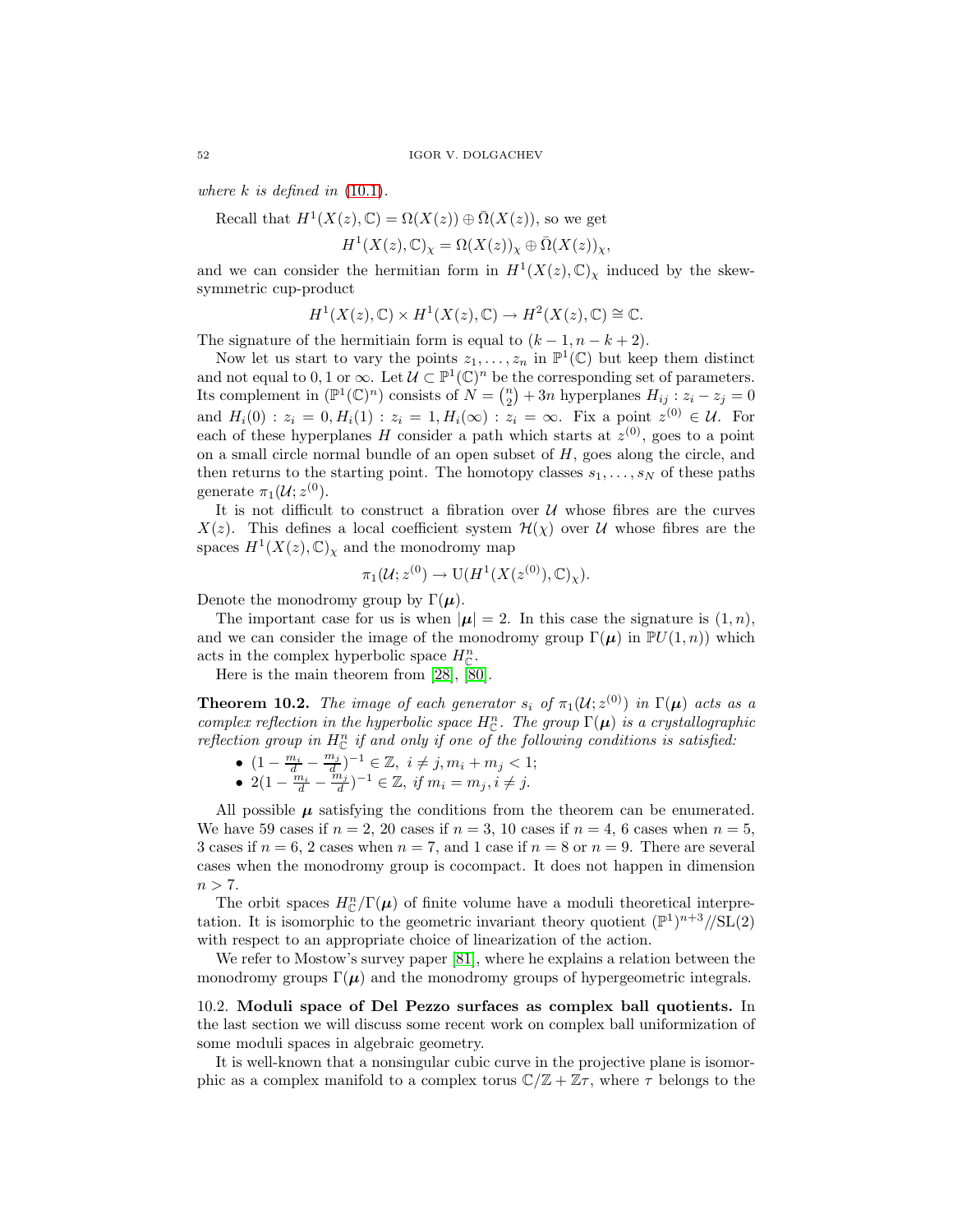where  $k$  is defined in  $(10.1)$ .

Recall that  $H^1(X(z), \mathbb{C}) = \Omega(X(z)) \oplus \overline{\Omega}(X(z))$ , so we get

$$
H^1(X(z),\mathbb{C})_\chi = \Omega(X(z))_\chi \oplus \overline{\Omega}(X(z))_\chi,
$$

and we can consider the hermitian form in  $H^1(X(z), \mathbb{C})_\chi$  induced by the skewsymmetric cup-product

$$
H^1(X(z),\mathbb{C})\times H^1(X(z),\mathbb{C})\to H^2(X(z),\mathbb{C})\cong\mathbb{C}.
$$

The signature of the hermitiain form is equal to  $(k-1, n-k+2)$ .

Now let us start to vary the points  $z_1, \ldots, z_n$  in  $\mathbb{P}^1(\mathbb{C})$  but keep them distinct and not equal to 0, 1 or  $\infty$ . Let  $\mathcal{U} \subset \mathbb{P}^1(\mathbb{C})^n$  be the corresponding set of parameters. Its complement in  $(\mathbb{P}^1(\mathbb{C})^n)$  consists of  $N = \binom{n}{2} + 3n$  hyperplanes  $H_{ij}$ :  $z_i - z_j = 0$ and  $H_i(0)$ :  $z_i = 0, H_i(1)$ :  $z_i = 1, H_i(\infty)$ :  $z_i = \infty$ . Fix a point  $z^{(0)} \in \mathcal{U}$ . For each of these hyperplanes H consider a path which starts at  $z^{(0)}$ , goes to a point on a small circle normal bundle of an open subset of  $H$ , goes along the circle, and then returns to the starting point. The homotopy classes  $s_1, \ldots, s_N$  of these paths generate  $\pi_1(\mathcal{U}; z^{(0)})$ .

It is not difficult to construct a fibration over  $U$  whose fibres are the curves  $X(z)$ . This defines a local coefficient system  $\mathcal{H}(\chi)$  over U whose fibres are the spaces  $H^1(X(z), \mathbb{C})_\chi$  and the monodromy map

$$
\pi_1(\mathcal{U}; z^{(0)} \to \mathrm{U}(H^1(X(z^{(0)}), \mathbb{C})_\chi).
$$

Denote the monodromy group by  $\Gamma(\mu)$ .

The important case for us is when  $|\mu|=2$ . In this case the signature is  $(1, n)$ , and we can consider the image of the monodromy group  $\Gamma(\mu)$  in  $\mathbb{P}U(1,n)$ ) which acts in the complex hyperbolic space  $H_{\mathbb{C}}^n$ .

Here is the main theorem from [\[28\]](#page-55-5), [\[80\]](#page-57-4).

**Theorem 10.2.** The image of each generator  $s_i$  of  $\pi_1(\mathcal{U}; z^{(0)})$  in  $\Gamma(\mu)$  acts as a complex reflection in the hyperbolic space  $H_{\mathbb{C}}^n$ . The group  $\Gamma(\mu)$  is a crystallographic reflection group in  $H_{\mathbb{C}}^n$  if and only if one of the following conditions is satisfied:

- $(1 \frac{m_i}{d} \frac{m_j}{d})^{-1} \in \mathbb{Z}, i \neq j, m_i + m_j < 1;$ •  $2(1-\frac{m_i}{d}-\frac{m_j}{d})^{-1} \in \mathbb{Z}, \text{ if } m_i = m_j, i \neq j.$
- All possible  $\mu$  satisfying the conditions from the theorem can be enumerated.

We have 59 cases if  $n = 2$ , 20 cases if  $n = 3$ , 10 cases if  $n = 4$ , 6 cases when  $n = 5$ , 3 cases if  $n = 6, 2$  cases when  $n = 7$ , and 1 case if  $n = 8$  or  $n = 9$ . There are several cases when the monodromy group is cocompact. It does not happen in dimension  $n > 7$ .

The orbit spaces  $H_{\mathbb{C}}^n/\Gamma(\mu)$  of finite volume have a moduli theoretical interpretation. It is isomorphic to the geometric invariant theory quotient  $(\mathbb{P}^1)^{n+3}/\mathrm{SL}(2)$ with respect to an appropriate choice of linearization of the action.

We refer to Mostow's survey paper [\[81\]](#page-57-19), where he explains a relation between the monodromy groups  $\Gamma(\mu)$  and the monodromy groups of hypergeometric integrals.

10.2. **Moduli space of Del Pezzo surfaces as complex ball quotients.** In the last section we will discuss some recent work on complex ball uniformization of some moduli spaces in algebraic geometry.

It is well-known that a nonsingular cubic curve in the projective plane is isomorphic as a complex manifold to a complex torus  $\mathbb{C}/\mathbb{Z} + \mathbb{Z}\tau$ , where  $\tau$  belongs to the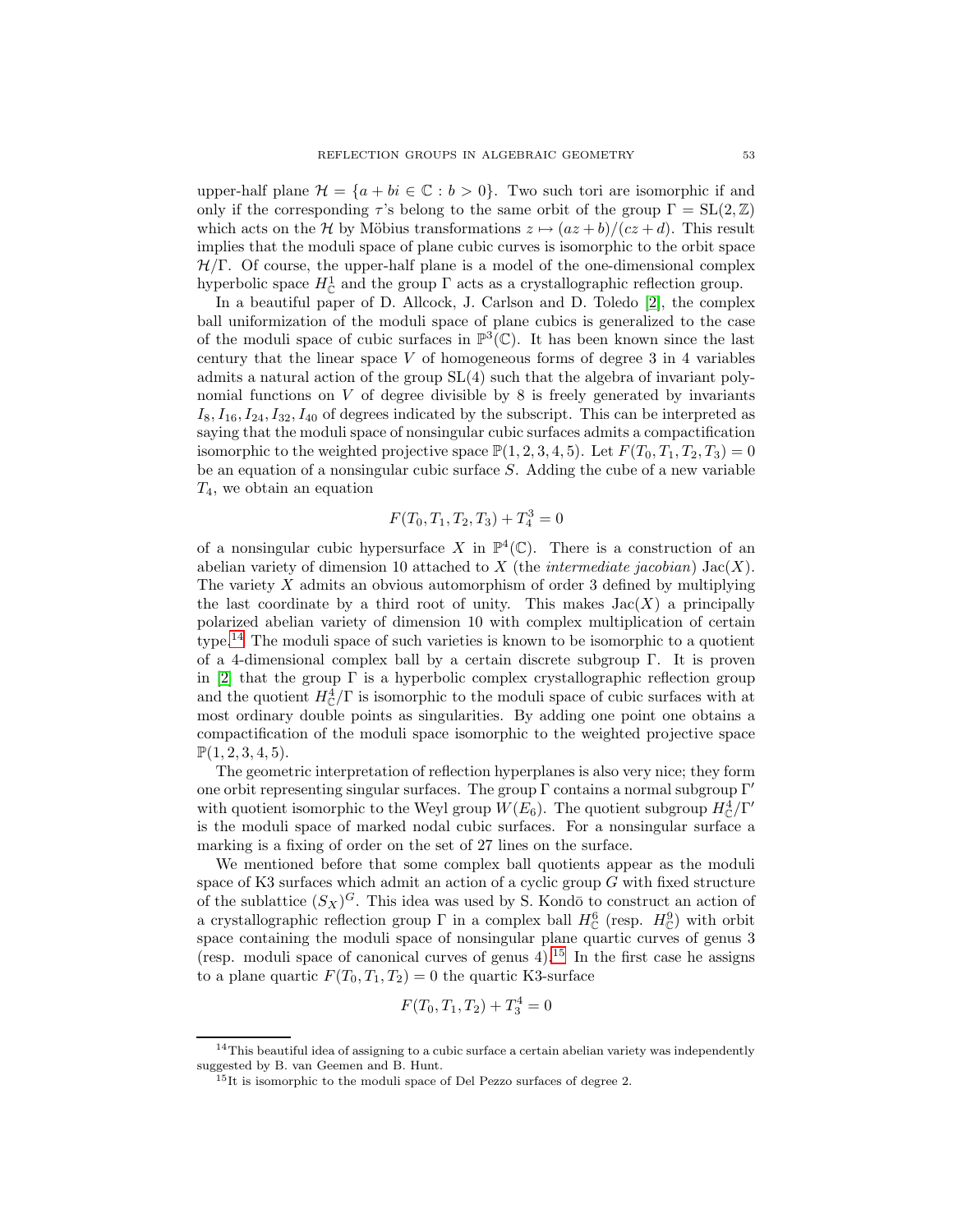upper-half plane  $\mathcal{H} = \{a + bi \in \mathbb{C} : b > 0\}$ . Two such tori are isomorphic if and only if the corresponding  $\tau$ 's belong to the same orbit of the group  $\Gamma = SL(2, \mathbb{Z})$ which acts on the H by Möbius transformations  $z \mapsto (az+b)/(cz+d)$ . This result implies that the moduli space of plane cubic curves is isomorphic to the orbit space  $H/\Gamma$ . Of course, the upper-half plane is a model of the one-dimensional complex hyperbolic space  $H^1_{\mathbb{C}}$  and the group  $\Gamma$  acts as a crystallographic reflection group.

In a beautiful paper of D. Allcock, J. Carlson and D. Toledo [\[2\]](#page-53-0), the complex ball uniformization of the moduli space of plane cubics is generalized to the case of the moduli space of cubic surfaces in  $\mathbb{P}^3(\mathbb{C})$ . It has been known since the last century that the linear space  $V$  of homogeneous forms of degree  $3$  in  $4$  variables admits a natural action of the group SL(4) such that the algebra of invariant polynomial functions on  $V$  of degree divisible by 8 is freely generated by invariants  $I_8, I_{16}, I_{24}, I_{32}, I_{40}$  of degrees indicated by the subscript. This can be interpreted as saying that the moduli space of nonsingular cubic surfaces admits a compactification isomorphic to the weighted projective space  $\mathbb{P}(1, 2, 3, 4, 5)$ . Let  $F(T_0, T_1, T_2, T_3)=0$ be an equation of a nonsingular cubic surface S. Adding the cube of a new variable  $T_4$ , we obtain an equation

$$
F(T_0, T_1, T_2, T_3) + T_4^3 = 0
$$

of a nonsingular cubic hypersurface X in  $\mathbb{P}^4(\mathbb{C})$ . There is a construction of an abelian variety of dimension 10 attached to X (the *intermediate jacobian*) Jac(X). The variety  $X$  admits an obvious automorphism of order 3 defined by multiplying the last coordinate by a third root of unity. This makes  $Jac(X)$  a principally polarized abelian variety of dimension 10 with complex multiplication of certain type.[14](#page-52-0) The moduli space of such varieties is known to be isomorphic to a quotient of a 4-dimensional complex ball by a certain discrete subgroup Γ. It is proven in [\[2\]](#page-53-0) that the group  $\Gamma$  is a hyperbolic complex crystallographic reflection group and the quotient  $H^4_{\mathbb{C}}/\Gamma$  is isomorphic to the moduli space of cubic surfaces with at most ordinary double points as singularities. By adding one point one obtains a compactification of the moduli space isomorphic to the weighted projective space  $\mathbb{P}(1, 2, 3, 4, 5)$ .

The geometric interpretation of reflection hyperplanes is also very nice; they form one orbit representing singular surfaces. The group  $\Gamma$  contains a normal subgroup  $\Gamma'$ with quotient isomorphic to the Weyl group  $W(E_6)$ . The quotient subgroup  $H^4_{\mathbb{C}}/\Gamma'$ is the moduli space of marked nodal cubic surfaces. For a nonsingular surface a marking is a fixing of order on the set of 27 lines on the surface.

We mentioned before that some complex ball quotients appear as the moduli space of K3 surfaces which admit an action of a cyclic group  $G$  with fixed structure of the sublattice  $(S_X)^G$ . This idea was used by S. Kondō to construct an action of a crystallographic reflection group  $\Gamma$  in a complex ball  $H_{\mathbb{C}}^{6}$  (resp.  $H_{\mathbb{C}}^{9}$ ) with orbit space containing the moduli space of nonsingular plane quartic curves of genus 3 (resp. moduli space of canonical curves of genus  $4$ ).<sup>[15](#page-52-1)</sup> In the first case he assigns to a plane quartic  $F(T_0, T_1, T_2) = 0$  the quartic K3-surface

$$
F(T_0, T_1, T_2) + T_3^4 = 0
$$

<span id="page-52-1"></span><span id="page-52-0"></span> $14$ This beautiful idea of assigning to a cubic surface a certain abelian variety was independently suggested by B. van Geemen and B. Hunt.

<sup>&</sup>lt;sup>15</sup>It is isomorphic to the moduli space of Del Pezzo surfaces of degree 2.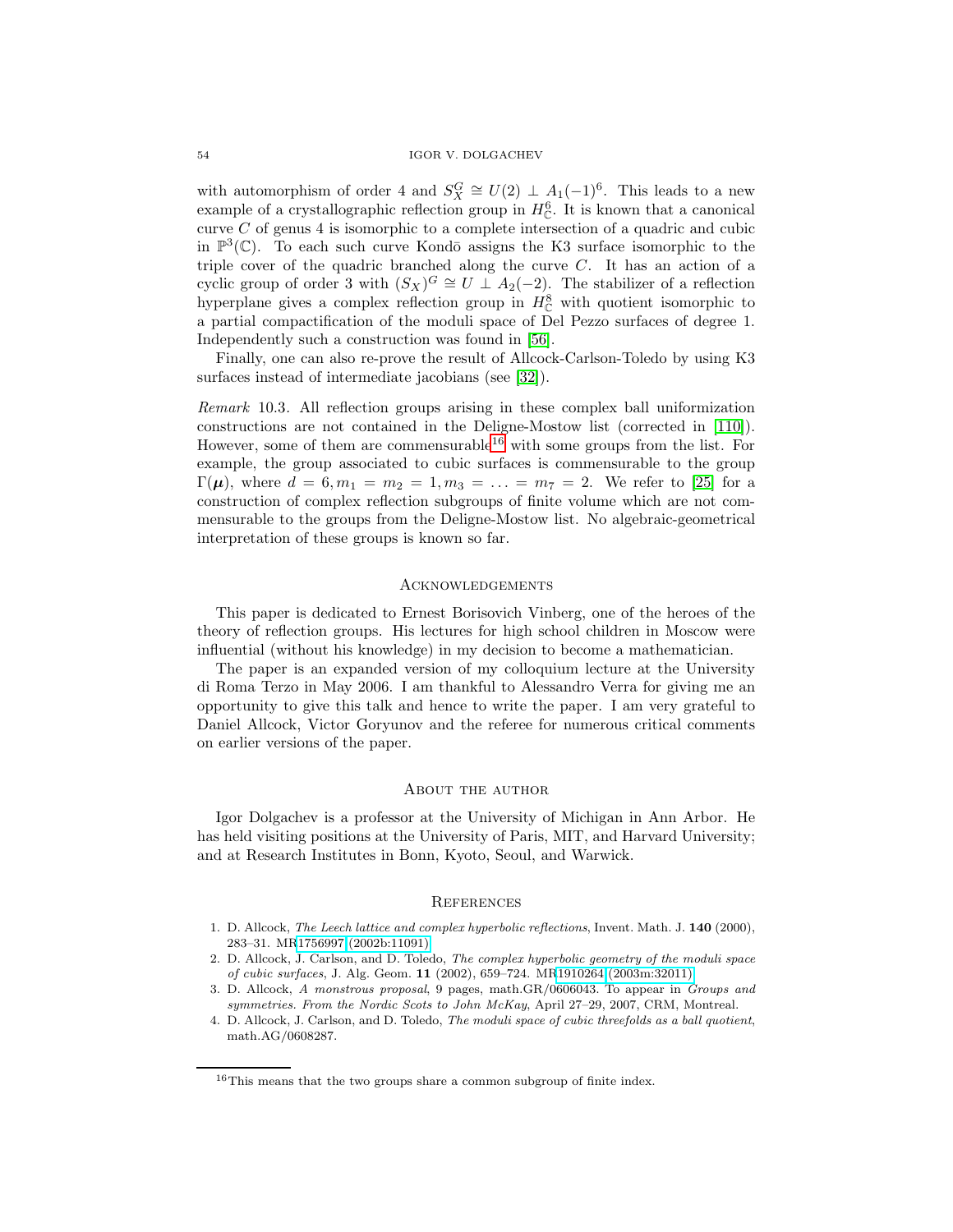with automorphism of order 4 and  $S_X^G \cong U(2) \perp A_1(-1)^6$ . This leads to a new example of a crystallographic reflection group in  $H_{\mathbb{C}}^{6}$ . It is known that a canonical curve  $C$  of genus 4 is isomorphic to a complete intersection of a quadric and cubic in  $\mathbb{P}^3(\mathbb{C})$ . To each such curve Kondō assigns the K3 surface isomorphic to the triple cover of the quadric branched along the curve C. It has an action of a cyclic group of order 3 with  $(S_X)^G \cong U \perp A_2(-2)$ . The stabilizer of a reflection hyperplane gives a complex reflection group in  $H_{\mathbb{C}}^8$  with quotient isomorphic to a partial compactification of the moduli space of Del Pezzo surfaces of degree 1. Independently such a construction was found in [\[56\]](#page-56-2).

Finally, one can also re-prove the result of Allcock-Carlson-Toledo by using K3 surfaces instead of intermediate jacobians (see [\[32\]](#page-55-23)).

Remark 10.3. All reflection groups arising in these complex ball uniformization constructions are not contained in the Deligne-Mostow list (corrected in [\[110\]](#page-58-7)). However, some of them are commensurable<sup>[16](#page-53-4)</sup> with some groups from the list. For example, the group associated to cubic surfaces is commensurable to the group  $Γ(μ)$ , where  $d = 6, m_1 = m_2 = 1, m_3 = ... = m_7 = 2$ . We refer to [\[25\]](#page-54-4) for a construction of complex reflection subgroups of finite volume which are not commensurable to the groups from the Deligne-Mostow list. No algebraic-geometrical interpretation of these groups is known so far.

### Acknowledgements

This paper is dedicated to Ernest Borisovich Vinberg, one of the heroes of the theory of reflection groups. His lectures for high school children in Moscow were influential (without his knowledge) in my decision to become a mathematician.

The paper is an expanded version of my colloquium lecture at the University di Roma Terzo in May 2006. I am thankful to Alessandro Verra for giving me an opportunity to give this talk and hence to write the paper. I am very grateful to Daniel Allcock, Victor Goryunov and the referee for numerous critical comments on earlier versions of the paper.

# ABOUT THE AUTHOR

Igor Dolgachev is a professor at the University of Michigan in Ann Arbor. He has held visiting positions at the University of Paris, MIT, and Harvard University; and at Research Institutes in Bonn, Kyoto, Seoul, and Warwick.

#### **REFERENCES**

- <span id="page-53-2"></span>1. D. Allcock, The Leech lattice and complex hyperbolic reflections, Invent. Math. J. **140** (2000), 283–31. M[R1756997 \(2002b:11091\)](http://www.ams.org/mathscinet-getitem?mr=1756997)
- <span id="page-53-0"></span>2. D. Allcock, J. Carlson, and D. Toledo, The complex hyperbolic geometry of the moduli space of cubic surfaces, J. Alg. Geom. **11** (2002), 659–724. M[R1910264 \(2003m:32011\)](http://www.ams.org/mathscinet-getitem?mr=1910264)
- <span id="page-53-3"></span>3. D. Allcock, A monstrous proposal, 9 pages, math.GR/0606043. To appear in Groups and symmetries. From the Nordic Scots to John McKay, April 27–29, 2007, CRM, Montreal.
- <span id="page-53-1"></span>4. D. Allcock, J. Carlson, and D. Toledo, The moduli space of cubic threefolds as a ball quotient, math.AG/0608287.

<span id="page-53-4"></span> $16$ This means that the two groups share a common subgroup of finite index.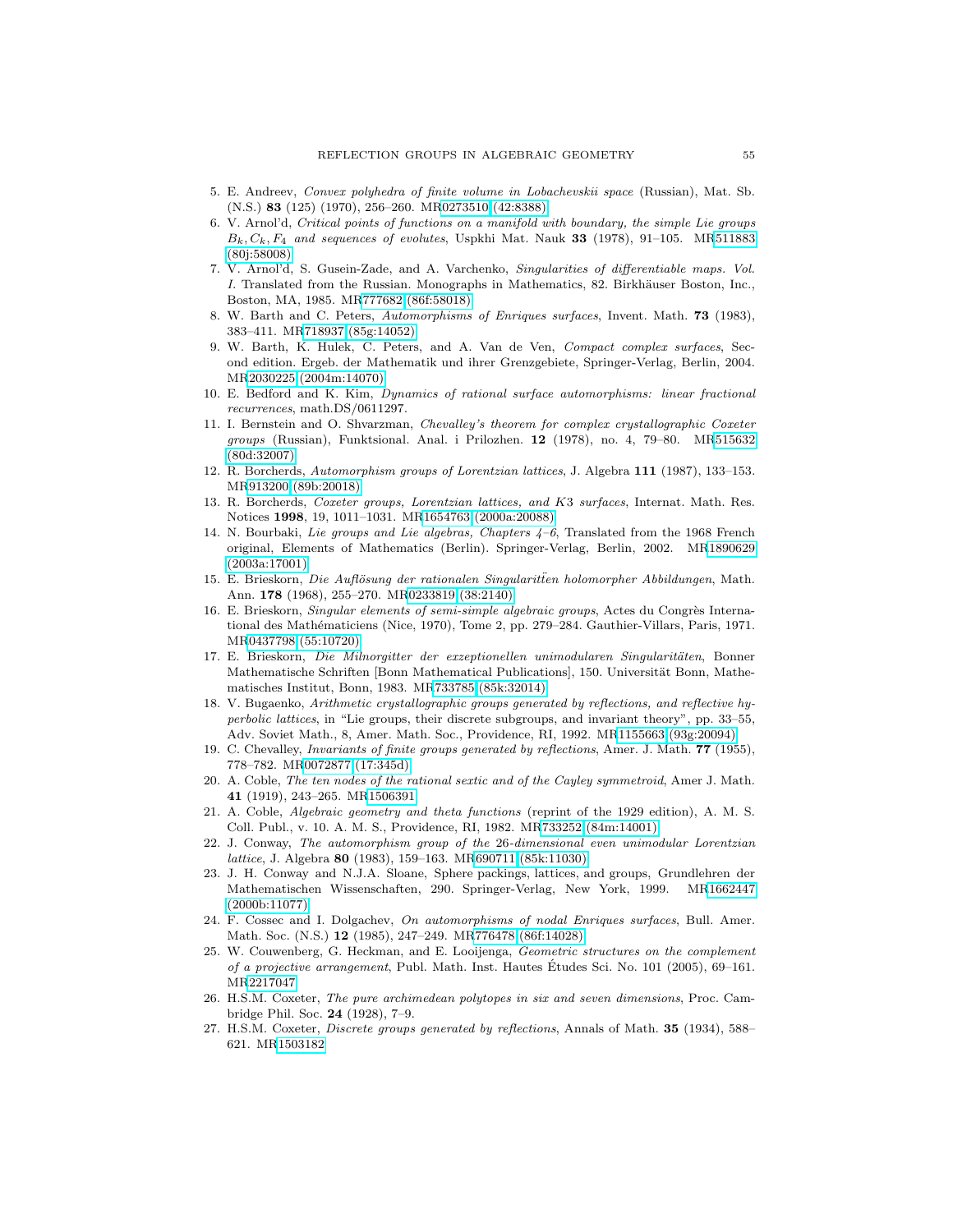- <span id="page-54-6"></span>5. E. Andreev, Convex polyhedra of finite volume in Lobachevskii space (Russian), Mat. Sb. (N.S.) **83** (125) (1970), 256–260. M[R0273510 \(42:8388\)](http://www.ams.org/mathscinet-getitem?mr=0273510)
- <span id="page-54-22"></span>6. V. Arnol'd, Critical points of functions on a manifold with boundary, the simple Lie groups  $B_k, C_k, F_4$  and sequences of evolutes, Uspkhi Mat. Nauk **33** (1978), 91–105. M[R511883](http://www.ams.org/mathscinet-getitem?mr=511883) [\(80j:58008\)](http://www.ams.org/mathscinet-getitem?mr=511883)
- <span id="page-54-20"></span>7. V. Arnol'd, S. Gusein-Zade, and A. Varchenko, Singularities of differentiable maps. Vol. I. Translated from the Russian. Monographs in Mathematics, 82. Birkhäuser Boston, Inc., Boston, MA, 1985. M[R777682 \(86f:58018\)](http://www.ams.org/mathscinet-getitem?mr=777682)
- <span id="page-54-18"></span>8. W. Barth and C. Peters, Automorphisms of Enriques surfaces, Invent. Math. **73** (1983), 383–411. M[R718937 \(85g:14052\)](http://www.ams.org/mathscinet-getitem?mr=718937)
- <span id="page-54-14"></span>9. W. Barth, K. Hulek, C. Peters, and A. Van de Ven, Compact complex surfaces, Second edition. Ergeb. der Mathematik und ihrer Grenzgebiete, Springer-Verlag, Berlin, 2004. M[R2030225 \(2004m:14070\)](http://www.ams.org/mathscinet-getitem?mr=2030225)
- <span id="page-54-16"></span>10. E. Bedford and K. Kim, Dynamics of rational surface automorphisms: linear fractional recurrences, math.DS/0611297.
- <span id="page-54-8"></span>11. I. Bernstein and O. Shvarzman, Chevalley's theorem for complex crystallographic Coxeter groups (Russian), Funktsional. Anal. i Prilozhen. **12** (1978), no. 4, 79–80. M[R515632](http://www.ams.org/mathscinet-getitem?mr=515632) [\(80d:32007\)](http://www.ams.org/mathscinet-getitem?mr=515632)
- <span id="page-54-11"></span>12. R. Borcherds, Automorphism groups of Lorentzian lattices, J. Algebra **111** (1987), 133–153. M[R913200 \(89b:20018\)](http://www.ams.org/mathscinet-getitem?mr=913200)
- <span id="page-54-17"></span>13. R. Borcherds, Coxeter groups, Lorentzian lattices, and K3 surfaces, Internat. Math. Res. Notices **1998**, 19, 1011–1031. M[R1654763 \(2000a:20088\)](http://www.ams.org/mathscinet-getitem?mr=1654763)
- <span id="page-54-5"></span>14. N. Bourbaki, Lie groups and Lie algebras, Chapters 4–6, Translated from the 1968 French original, Elements of Mathematics (Berlin). Springer-Verlag, Berlin, 2002. M[R1890629](http://www.ams.org/mathscinet-getitem?mr=1890629) [\(2003a:17001\)](http://www.ams.org/mathscinet-getitem?mr=1890629)
- <span id="page-54-21"></span>15. E. Brieskorn, Die Auflösung der rationalen Singularitien holomorpher Abbildungen, Math. Ann. **178** (1968), 255–270. M[R0233819 \(38:2140\)](http://www.ams.org/mathscinet-getitem?mr=0233819)
- <span id="page-54-3"></span>16. E. Brieskorn, Singular elements of semi-simple algebraic groups, Actes du Congrès International des Mathématiciens (Nice, 1970), Tome 2, pp. 279–284. Gauthier-Villars, Paris, 1971. M[R0437798 \(55:10720\)](http://www.ams.org/mathscinet-getitem?mr=0437798)
- <span id="page-54-9"></span>17. E. Brieskorn, Die Milnorgitter der exzeptionellen unimodularen Singularitäten, Bonner Mathematische Schriften [Bonn Mathematical Publications], 150. Universität Bonn, Mathematisches Institut, Bonn, 1983. M[R733785 \(85k:32014\)](http://www.ams.org/mathscinet-getitem?mr=733785)
- <span id="page-54-12"></span>18. V. Bugaenko, Arithmetic crystallographic groups generated by reflections, and reflective hyperbolic lattices, in "Lie groups, their discrete subgroups, and invariant theory", pp. 33–55, Adv. Soviet Math., 8, Amer. Math. Soc., Providence, RI, 1992. M[R1155663 \(93g:20094\)](http://www.ams.org/mathscinet-getitem?mr=1155663)
- <span id="page-54-7"></span>19. C. Chevalley, Invariants of finite groups generated by reflections, Amer. J. Math. **77** (1955), 778–782. M[R0072877 \(17:345d\)](http://www.ams.org/mathscinet-getitem?mr=0072877)
- <span id="page-54-15"></span>20. A. Coble, The ten nodes of the rational sextic and of the Cayley symmetroid, Amer J. Math. **41** (1919), 243–265. M[R1506391](http://www.ams.org/mathscinet-getitem?mr=1506391)
- <span id="page-54-2"></span>21. A. Coble, Algebraic geometry and theta functions (reprint of the 1929 edition), A. M. S. Coll. Publ., v. 10. A. M. S., Providence, RI, 1982. M[R733252 \(84m:14001\)](http://www.ams.org/mathscinet-getitem?mr=733252)
- <span id="page-54-10"></span>22. J. Conway, The automorphism group of the 26-dimensional even unimodular Lorentzian lattice, J. Algebra **80** (1983), 159–163. M[R690711 \(85k:11030\)](http://www.ams.org/mathscinet-getitem?mr=690711)
- <span id="page-54-13"></span>23. J. H. Conway and N.J.A. Sloane, Sphere packings, lattices, and groups, Grundlehren der Mathematischen Wissenschaften, 290. Springer-Verlag, New York, 1999. M[R1662447](http://www.ams.org/mathscinet-getitem?mr=1662447) [\(2000b:11077\)](http://www.ams.org/mathscinet-getitem?mr=1662447)
- <span id="page-54-19"></span>24. F. Cossec and I. Dolgachev, On automorphisms of nodal Enriques surfaces, Bull. Amer. Math. Soc. (N.S.) **12** (1985), 247–249. M[R776478 \(86f:14028\)](http://www.ams.org/mathscinet-getitem?mr=776478)
- <span id="page-54-4"></span>25. W. Couwenberg, G. Heckman, and E. Looijenga, Geometric structures on the complement of a projective arrangement, Publ. Math. Inst. Hautes Etudes Sci. No. 101 (2005), 69–161. ´ M[R2217047](http://www.ams.org/mathscinet-getitem?mr=2217047)
- <span id="page-54-1"></span>26. H.S.M. Coxeter, The pure archimedean polytopes in six and seven dimensions, Proc. Cambridge Phil. Soc. **24** (1928), 7–9.
- <span id="page-54-0"></span>27. H.S.M. Coxeter, Discrete groups generated by reflections, Annals of Math. **35** (1934), 588– 621. M[R1503182](http://www.ams.org/mathscinet-getitem?mr=1503182)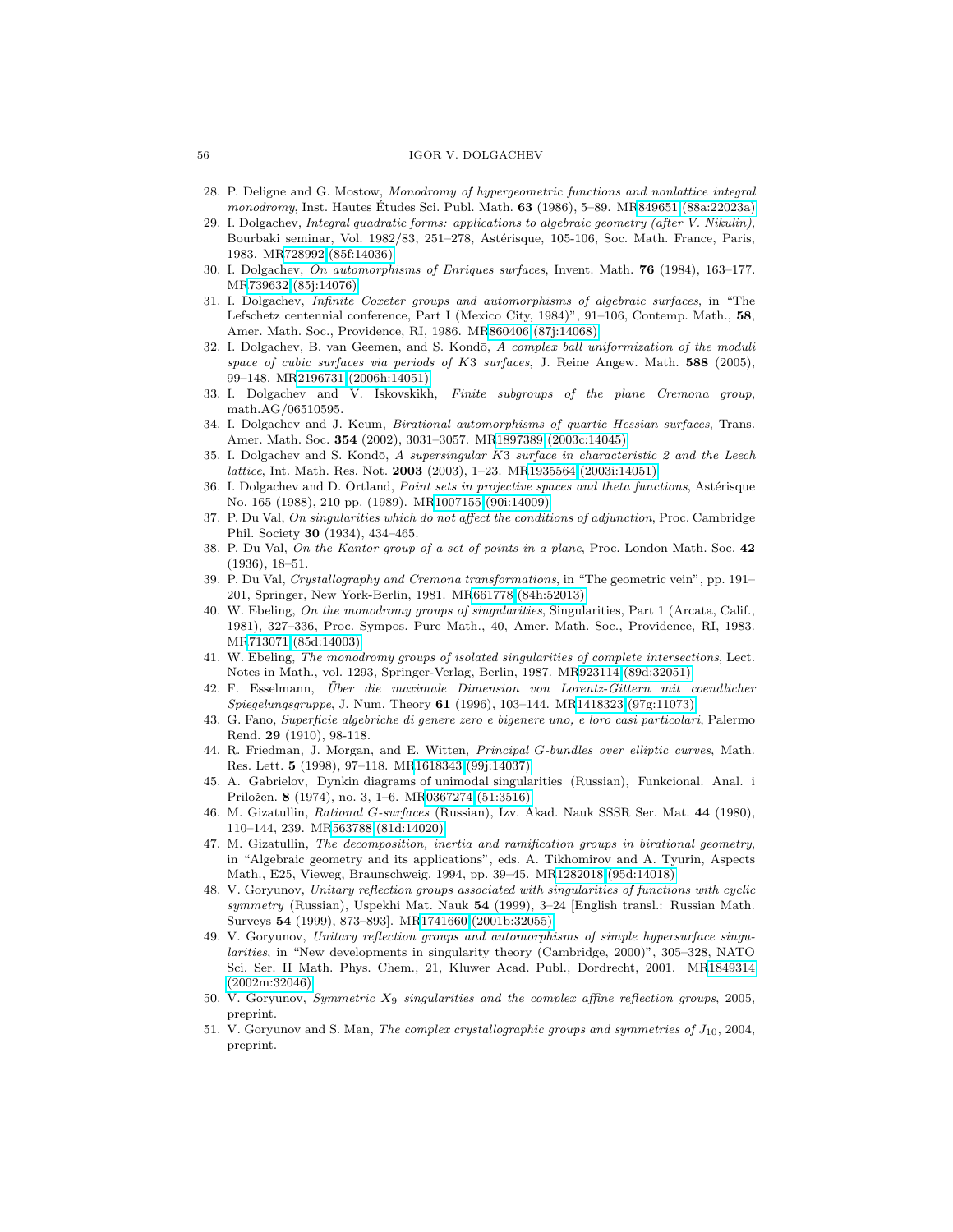- <span id="page-55-8"></span><span id="page-55-5"></span>28. P. Deligne and G. Mostow, Monodromy of hypergeometric functions and nonlattice integral monodromy, Inst. Hautes Études Sci. Publ. Math. **63** (1986), 5–89. M[R849651 \(88a:22023a\)](http://www.ams.org/mathscinet-getitem?mr=849651)
- 29. I. Dolgachev, Integral quadratic forms: applications to algebraic geometry (after V. Nikulin), Bourbaki seminar, Vol. 1982/83, 251–278, Astérisque, 105-106, Soc. Math. France, Paris, 1983. M[R728992 \(85f:14036\)](http://www.ams.org/mathscinet-getitem?mr=728992)
- <span id="page-55-14"></span>30. I. Dolgachev, On automorphisms of Enriques surfaces, Invent. Math. **76** (1984), 163–177. M[R739632 \(85j:14076\)](http://www.ams.org/mathscinet-getitem?mr=739632)
- <span id="page-55-9"></span>31. I. Dolgachev, Infinite Coxeter groups and automorphisms of algebraic surfaces, in "The Lefschetz centennial conference, Part I (Mexico City, 1984)", 91–106, Contemp. Math., **58**, Amer. Math. Soc., Providence, RI, 1986. M[R860406 \(87j:14068\)](http://www.ams.org/mathscinet-getitem?mr=860406)
- <span id="page-55-23"></span>32. I. Dolgachev, B. van Geemen, and S. Kondō, A complex ball uniformization of the moduli space of cubic surfaces via periods of K3 surfaces, J. Reine Angew. Math. **588** (2005), 99–148. M[R2196731 \(2006h:14051\)](http://www.ams.org/mathscinet-getitem?mr=2196731)
- <span id="page-55-10"></span>33. I. Dolgachev and V. Iskovskikh, Finite subgroups of the plane Cremona group, math.AG/06510595.
- <span id="page-55-13"></span>34. I. Dolgachev and J. Keum, Birational automorphisms of quartic Hessian surfaces, Trans. Amer. Math. Soc. **354** (2002), 3031–3057. M[R1897389 \(2003c:14045\)](http://www.ams.org/mathscinet-getitem?mr=1897389)
- <span id="page-55-12"></span>35. I. Dolgachev and S. Kondō,  $A$  supersingular  $K3$  surface in characteristic 2 and the Leech lattice, Int. Math. Res. Not. **2003** (2003), 1–23. M[R1935564 \(2003i:14051\)](http://www.ams.org/mathscinet-getitem?mr=1935564)
- <span id="page-55-2"></span>36. I. Dolgachev and D. Ortland, Point sets in projective spaces and theta functions, Astérisque No. 165 (1988), 210 pp. (1989). M[R1007155 \(90i:14009\)](http://www.ams.org/mathscinet-getitem?mr=1007155)
- <span id="page-55-3"></span>37. P. Du Val, On singularities which do not affect the conditions of adjunction, Proc. Cambridge Phil. Society **30** (1934), 434–465.
- <span id="page-55-1"></span>38. P. Du Val, On the Kantor group of a set of points in a plane, Proc. London Math. Soc. **42** (1936), 18–51.
- <span id="page-55-0"></span>39. P. Du Val, Crystallography and Cremona transformations, in "The geometric vein", pp. 191– 201, Springer, New York-Berlin, 1981. M[R661778 \(84h:52013\)](http://www.ams.org/mathscinet-getitem?mr=661778)
- <span id="page-55-18"></span>40. W. Ebeling, On the monodromy groups of singularities, Singularities, Part 1 (Arcata, Calif., 1981), 327–336, Proc. Sympos. Pure Math., 40, Amer. Math. Soc., Providence, RI, 1983. M[R713071 \(85d:14003\)](http://www.ams.org/mathscinet-getitem?mr=713071)
- <span id="page-55-19"></span>41. W. Ebeling, The monodromy groups of isolated singularities of complete intersections, Lect. Notes in Math., vol. 1293, Springer-Verlag, Berlin, 1987. M[R923114 \(89d:32051\)](http://www.ams.org/mathscinet-getitem?mr=923114)
- <span id="page-55-7"></span>42. F. Esselmann, Uber die maximale Dimension von Lorentz-Gittern mit coendlicher ¨ Spiegelungsgruppe, J. Num. Theory **61** (1996), 103–144. M[R1418323 \(97g:11073\)](http://www.ams.org/mathscinet-getitem?mr=1418323)
- <span id="page-55-15"></span>43. G. Fano, Superficie algebriche di genere zero e bigenere uno, e loro casi particolari, Palermo Rend. **29** (1910), 98-118.
- <span id="page-55-6"></span>44. R. Friedman, J. Morgan, and E. Witten, Principal G-bundles over elliptic curves, Math. Res. Lett. **5** (1998), 97–118. M[R1618343 \(99j:14037\)](http://www.ams.org/mathscinet-getitem?mr=1618343)
- <span id="page-55-17"></span><span id="page-55-11"></span>45. A. Gabrielov, Dynkin diagrams of unimodal singularities (Russian), Funkcional. Anal. i Priložen. **8** (1974), no. 3, 1–6. M[R0367274 \(51:3516\)](http://www.ams.org/mathscinet-getitem?mr=0367274)
- 46. M. Gizatullin, Rational G-surfaces (Russian), Izv. Akad. Nauk SSSR Ser. Mat. **44** (1980), 110–144, 239. M[R563788 \(81d:14020\)](http://www.ams.org/mathscinet-getitem?mr=563788)
- <span id="page-55-16"></span>47. M. Gizatullin, The decomposition, inertia and ramification groups in birational geometry, in "Algebraic geometry and its applications", eds. A. Tikhomirov and A. Tyurin, Aspects Math., E25, Vieweg, Braunschweig, 1994, pp. 39–45. M[R1282018 \(95d:14018\)](http://www.ams.org/mathscinet-getitem?mr=1282018)
- <span id="page-55-21"></span>48. V. Goryunov, Unitary reflection groups associated with singularities of functions with cyclic symmetry (Russian), Uspekhi Mat. Nauk **54** (1999), 3–24 [English transl.: Russian Math. Surveys **54** (1999), 873–893]. M[R1741660 \(2001b:32055\)](http://www.ams.org/mathscinet-getitem?mr=1741660)
- <span id="page-55-20"></span>49. V. Goryunov, Unitary reflection groups and automorphisms of simple hypersurface singularities, in "New developments in singularity theory (Cambridge, 2000)", 305–328, NATO Sci. Ser. II Math. Phys. Chem., 21, Kluwer Acad. Publ., Dordrecht, 2001. M[R1849314](http://www.ams.org/mathscinet-getitem?mr=1849314) [\(2002m:32046\)](http://www.ams.org/mathscinet-getitem?mr=1849314)
- <span id="page-55-4"></span>50. V. Goryunov, Symmetric  $X_9$  singularities and the complex affine reflection groups, 2005, preprint.
- <span id="page-55-22"></span>51. V. Goryunov and S. Man, The complex crystallographic groups and symmetries of  $J_{10}$ , 2004, preprint.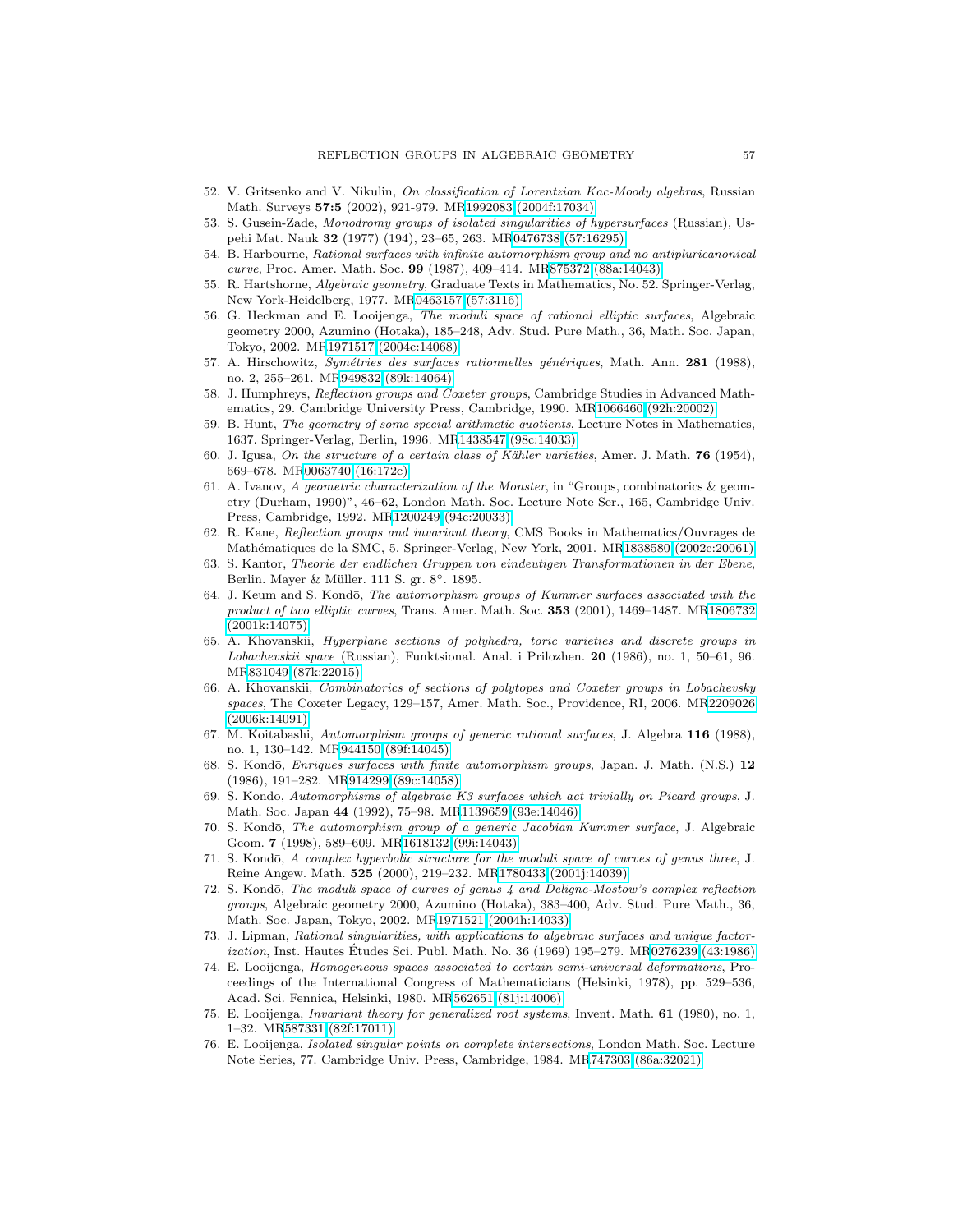- <span id="page-56-11"></span>52. V. Gritsenko and V. Nikulin, On classification of Lorentzian Kac-Moody algebras, Russian Math. Surveys **57:5** (2002), 921-979. M[R1992083 \(2004f:17034\)](http://www.ams.org/mathscinet-getitem?mr=1992083)
- <span id="page-56-22"></span><span id="page-56-15"></span>53. S. Gusein-Zade, Monodromy groups of isolated singularities of hypersurfaces (Russian), Uspehi Mat. Nauk **32** (1977) (194), 23–65, 263. M[R0476738 \(57:16295\)](http://www.ams.org/mathscinet-getitem?mr=0476738)
- 54. B. Harbourne, Rational surfaces with infinite automorphism group and no antipluricanonical curve, Proc. Amer. Math. Soc. **99** (1987), 409–414. M[R875372 \(88a:14043\)](http://www.ams.org/mathscinet-getitem?mr=875372)
- <span id="page-56-12"></span><span id="page-56-2"></span>55. R. Hartshorne, Algebraic geometry, Graduate Texts in Mathematics, No. 52. Springer-Verlag, New York-Heidelberg, 1977. M[R0463157 \(57:3116\)](http://www.ams.org/mathscinet-getitem?mr=0463157)
- 56. G. Heckman and E. Looijenga, The moduli space of rational elliptic surfaces, Algebraic geometry 2000, Azumino (Hotaka), 185–248, Adv. Stud. Pure Math., 36, Math. Soc. Japan, Tokyo, 2002. M[R1971517 \(2004c:14068\)](http://www.ams.org/mathscinet-getitem?mr=1971517)
- <span id="page-56-13"></span>57. A. Hirschowitz, Symétries des surfaces rationnelles génériques, Math. Ann. **281** (1988), no. 2, 255–261. M[R949832 \(89k:14064\)](http://www.ams.org/mathscinet-getitem?mr=949832)
- <span id="page-56-7"></span>58. J. Humphreys, Reflection groups and Coxeter groups, Cambridge Studies in Advanced Mathematics, 29. Cambridge University Press, Cambridge, 1990. M[R1066460 \(92h:20002\)](http://www.ams.org/mathscinet-getitem?mr=1066460)
- <span id="page-56-21"></span>59. B. Hunt, The geometry of some special arithmetic quotients, Lecture Notes in Mathematics, 1637. Springer-Verlag, Berlin, 1996. M[R1438547 \(98c:14033\)](http://www.ams.org/mathscinet-getitem?mr=1438547)
- <span id="page-56-9"></span>60. J. Igusa, On the structure of a certain class of K¨ahler varieties, Amer. J. Math. **76** (1954), 669–678. M[R0063740 \(16:172c\)](http://www.ams.org/mathscinet-getitem?mr=0063740)
- <span id="page-56-20"></span>61. A. Ivanov, A geometric characterization of the Monster, in "Groups, combinatorics & geometry (Durham, 1990)", 46–62, London Math. Soc. Lecture Note Ser., 165, Cambridge Univ. Press, Cambridge, 1992. M[R1200249 \(94c:20033\)](http://www.ams.org/mathscinet-getitem?mr=1200249)
- <span id="page-56-8"></span>62. R. Kane, Reflection groups and invariant theory, CMS Books in Mathematics/Ouvrages de Mathématiques de la SMC, 5. Springer-Verlag, New York, 2001. M[R1838580 \(2002c:20061\)](http://www.ams.org/mathscinet-getitem?mr=1838580)
- <span id="page-56-18"></span><span id="page-56-0"></span>63. S. Kantor, Theorie der endlichen Gruppen von eindeutigen Transformationen in der Ebene, Berlin. Mayer & Müller. 111 S. gr. 8°. 1895.
- 64. J. Keum and S. Kondō, The automorphism groups of Kummer surfaces associated with the product of two elliptic curves, Trans. Amer. Math. Soc. **353** (2001), 1469–1487. M[R1806732](http://www.ams.org/mathscinet-getitem?mr=1806732) [\(2001k:14075\)](http://www.ams.org/mathscinet-getitem?mr=1806732)
- <span id="page-56-5"></span>65. A. Khovanskii, Hyperplane sections of polyhedra, toric varieties and discrete groups in Lobachevskii space (Russian), Funktsional. Anal. i Prilozhen. **20** (1986), no. 1, 50–61, 96. M[R831049 \(87k:22015\)](http://www.ams.org/mathscinet-getitem?mr=831049)
- <span id="page-56-6"></span>66. A. Khovanskii, Combinatorics of sections of polytopes and Coxeter groups in Lobachevsky spaces, The Coxeter Legacy, 129–157, Amer. Math. Soc., Providence, RI, 2006. M[R2209026](http://www.ams.org/mathscinet-getitem?mr=2209026) [\(2006k:14091\)](http://www.ams.org/mathscinet-getitem?mr=2209026)
- <span id="page-56-14"></span>67. M. Koitabashi, Automorphism groups of generic rational surfaces, J. Algebra **116** (1988), no. 1, 130–142. M[R944150 \(89f:14045\)](http://www.ams.org/mathscinet-getitem?mr=944150)
- <span id="page-56-19"></span>68. S. Kondō, *Enriques surfaces with finite automorphism groups*, Japan. J. Math. (N.S.) 12 (1986), 191–282. M[R914299 \(89c:14058\)](http://www.ams.org/mathscinet-getitem?mr=914299)
- <span id="page-56-16"></span>69. S. Kondō, Automorphisms of algebraic K3 surfaces which act trivially on Picard groups, J. Math. Soc. Japan **44** (1992), 75–98. M[R1139659 \(93e:14046\)](http://www.ams.org/mathscinet-getitem?mr=1139659)
- <span id="page-56-17"></span>70. S. Kondō, The automorphism group of a generic Jacobian Kummer surface, J. Algebraic Geom. **7** (1998), 589–609. M[R1618132 \(99i:14043\)](http://www.ams.org/mathscinet-getitem?mr=1618132)
- <span id="page-56-4"></span>71. S. Kondō, A complex hyperbolic structure for the moduli space of curves of genus three, J. Reine Angew. Math. **525** (2000), 219–232. M[R1780433 \(2001j:14039\)](http://www.ams.org/mathscinet-getitem?mr=1780433)
- <span id="page-56-3"></span>72. S. Kondō, The moduli space of curves of genus 4 and Deligne-Mostow's complex reflection groups, Algebraic geometry 2000, Azumino (Hotaka), 383–400, Adv. Stud. Pure Math., 36, Math. Soc. Japan, Tokyo, 2002. M[R1971521 \(2004h:14033\)](http://www.ams.org/mathscinet-getitem?mr=1971521)
- <span id="page-56-24"></span>73. J. Lipman, Rational singularities, with applications to algebraic surfaces and unique factorization, Inst. Hautes Etudes Sci. Publ. Math. No. 36 (1969) 195–279. M[R0276239 \(43:1986\)](http://www.ams.org/mathscinet-getitem?mr=0276239) ´
- <span id="page-56-1"></span>74. E. Looijenga, Homogeneous spaces associated to certain semi-universal deformations, Proceedings of the International Congress of Mathematicians (Helsinki, 1978), pp. 529–536, Acad. Sci. Fennica, Helsinki, 1980. M[R562651 \(81j:14006\)](http://www.ams.org/mathscinet-getitem?mr=562651)
- <span id="page-56-10"></span>75. E. Looijenga, Invariant theory for generalized root systems, Invent. Math. **61** (1980), no. 1, 1–32. M[R587331 \(82f:17011\)](http://www.ams.org/mathscinet-getitem?mr=587331)
- <span id="page-56-23"></span>76. E. Looijenga, Isolated singular points on complete intersections, London Math. Soc. Lecture Note Series, 77. Cambridge Univ. Press, Cambridge, 1984. M[R747303 \(86a:32021\)](http://www.ams.org/mathscinet-getitem?mr=747303)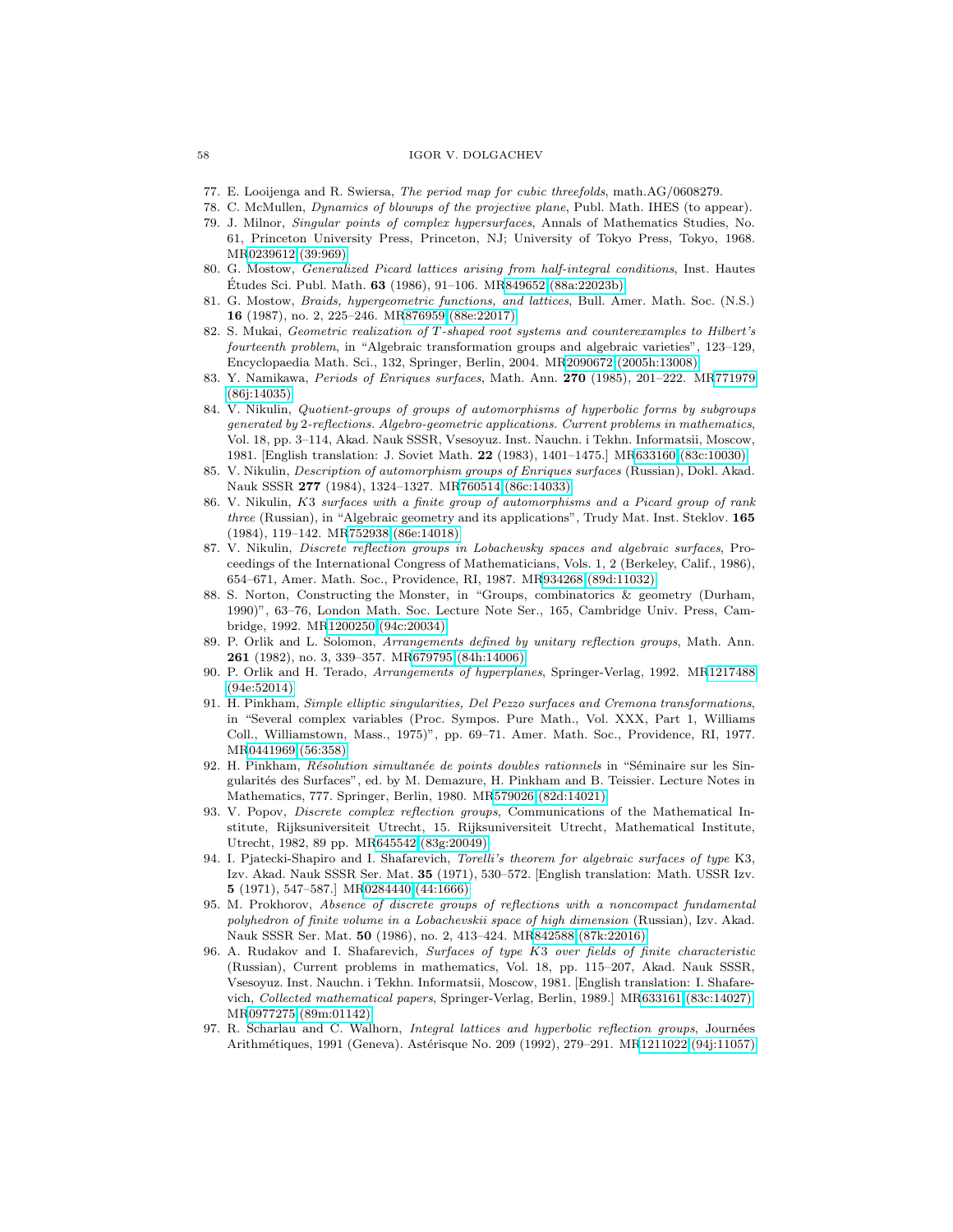- <span id="page-57-16"></span><span id="page-57-9"></span><span id="page-57-5"></span>77. E. Looijenga and R. Swiersa, The period map for cubic threefolds, math.AG/0608279.
- 78. C. McMullen, Dynamics of blowups of the projective plane, Publ. Math. IHES (to appear).
- 79. J. Milnor, Singular points of complex hypersurfaces, Annals of Mathematics Studies, No. 61, Princeton University Press, Princeton, NJ; University of Tokyo Press, Tokyo, 1968. M[R0239612 \(39:969\)](http://www.ams.org/mathscinet-getitem?mr=0239612)
- <span id="page-57-19"></span><span id="page-57-4"></span>80. G. Mostow, Generalized Picard lattices arising from half-integral conditions, Inst. Hautes Etudes Sci. Publ. Math. **63** (1986), 91–106. M[R849652 \(88a:22023b\)](http://www.ams.org/mathscinet-getitem?mr=849652)
- 81. G. Mostow, Braids, hypergeometric functions, and lattices, Bull. Amer. Math. Soc. (N.S.) **16** (1987), no. 2, 225–246. M[R876959 \(88e:22017\)](http://www.ams.org/mathscinet-getitem?mr=876959)
- <span id="page-57-0"></span>82. S. Mukai, Geometric realization of T-shaped root systems and counterexamples to Hilbert's fourteenth problem, in "Algebraic transformation groups and algebraic varieties", 123–129, Encyclopaedia Math. Sci., 132, Springer, Berlin, 2004. M[R2090672 \(2005h:13008\)](http://www.ams.org/mathscinet-getitem?mr=2090672)
- <span id="page-57-11"></span>83. Y. Namikawa, Periods of Enriques surfaces, Math. Ann. **270** (1985), 201–222. M[R771979](http://www.ams.org/mathscinet-getitem?mr=771979) [\(86j:14035\)](http://www.ams.org/mathscinet-getitem?mr=771979)
- <span id="page-57-7"></span>84. V. Nikulin, Quotient-groups of groups of automorphisms of hyperbolic forms by subgroups generated by 2-reflections. Algebro-geometric applications. Current problems in mathematics, Vol. 18, pp. 3–114, Akad. Nauk SSSR, Vsesoyuz. Inst. Nauchn. i Tekhn. Informatsii, Moscow, 1981. [English translation: J. Soviet Math. **22** (1983), 1401–1475.] M[R633160 \(83c:10030\)](http://www.ams.org/mathscinet-getitem?mr=633160)
- <span id="page-57-12"></span>85. V. Nikulin, Description of automorphism groups of Enriques surfaces (Russian), Dokl. Akad. Nauk SSSR **277** (1984), 1324–1327. M[R760514 \(86c:14033\)](http://www.ams.org/mathscinet-getitem?mr=760514)
- 86. V. Nikulin, K3 surfaces with a finite group of automorphisms and a Picard group of rank three (Russian), in "Algebraic geometry and its applications", Trudy Mat. Inst. Steklov. **165** (1984), 119–142. M[R752938 \(86e:14018\)](http://www.ams.org/mathscinet-getitem?mr=752938)
- <span id="page-57-2"></span>87. V. Nikulin, Discrete reflection groups in Lobachevsky spaces and algebraic surfaces, Proceedings of the International Congress of Mathematicians, Vols. 1, 2 (Berkeley, Calif., 1986), 654–671, Amer. Math. Soc., Providence, RI, 1987. M[R934268 \(89d:11032\)](http://www.ams.org/mathscinet-getitem?mr=934268)
- <span id="page-57-13"></span>88. S. Norton, Constructing the Monster, in "Groups, combinatorics & geometry (Durham, 1990)", 63–76, London Math. Soc. Lecture Note Ser., 165, Cambridge Univ. Press, Cambridge, 1992. M[R1200250 \(94c:20034\)](http://www.ams.org/mathscinet-getitem?mr=1200250)
- <span id="page-57-14"></span>89. P. Orlik and L. Solomon, Arrangements defined by unitary reflection groups, Math. Ann. **261** (1982), no. 3, 339–357. M[R679795 \(84h:14006\)](http://www.ams.org/mathscinet-getitem?mr=679795)
- <span id="page-57-15"></span>90. P. Orlik and H. Terado, Arrangements of hyperplanes, Springer-Verlag, 1992. M[R1217488](http://www.ams.org/mathscinet-getitem?mr=1217488) [\(94e:52014\)](http://www.ams.org/mathscinet-getitem?mr=1217488)
- <span id="page-57-18"></span>91. H. Pinkham, Simple elliptic singularities, Del Pezzo surfaces and Cremona transformations, in "Several complex variables (Proc. Sympos. Pure Math., Vol. XXX, Part 1, Williams Coll., Williamstown, Mass., 1975)", pp. 69–71. Amer. Math. Soc., Providence, RI, 1977. M[R0441969 \(56:358\)](http://www.ams.org/mathscinet-getitem?mr=0441969)
- <span id="page-57-17"></span>92. H. Pinkham, Résolution simultanée de points doubles rationnels in "Séminaire sur les Singularit´es des Surfaces", ed. by M. Demazure, H. Pinkham and B. Teissier. Lecture Notes in Mathematics, 777. Springer, Berlin, 1980. M[R579026 \(82d:14021\)](http://www.ams.org/mathscinet-getitem?mr=579026)
- <span id="page-57-3"></span>93. V. Popov, Discrete complex reflection groups, Communications of the Mathematical Institute, Rijksuniversiteit Utrecht, 15. Rijksuniversiteit Utrecht, Mathematical Institute, Utrecht, 1982, 89 pp. M[R645542 \(83g:20049\)](http://www.ams.org/mathscinet-getitem?mr=645542)
- <span id="page-57-1"></span>94. I. Pjatecki-Shapiro and I. Shafarevich, Torelli's theorem for algebraic surfaces of type K3, Izv. Akad. Nauk SSSR Ser. Mat. **35** (1971), 530–572. [English translation: Math. USSR Izv. **5** (1971), 547–587.] M[R0284440 \(44:1666\)](http://www.ams.org/mathscinet-getitem?mr=0284440)
- <span id="page-57-6"></span>95. M. Prokhorov, Absence of discrete groups of reflections with a noncompact fundamental polyhedron of finite volume in a Lobachevskii space of high dimension (Russian), Izv. Akad. Nauk SSSR Ser. Mat. **50** (1986), no. 2, 413–424. M[R842588 \(87k:22016\)](http://www.ams.org/mathscinet-getitem?mr=842588)
- <span id="page-57-10"></span>96. A. Rudakov and I. Shafarevich, Surfaces of type K3 over fields of finite characteristic (Russian), Current problems in mathematics, Vol. 18, pp. 115–207, Akad. Nauk SSSR, Vsesoyuz. Inst. Nauchn. i Tekhn. Informatsii, Moscow, 1981. [English translation: I. Shafarevich, Collected mathematical papers, Springer-Verlag, Berlin, 1989.] M[R633161 \(83c:14027\),](http://www.ams.org/mathscinet-getitem?mr=633161) M[R0977275 \(89m:01142\)](http://www.ams.org/mathscinet-getitem?mr=0977275)
- <span id="page-57-8"></span>97. R. Scharlau and C. Walhorn, *Integral lattices and hyperbolic reflection groups*, Journées Arithmétiques, 1991 (Geneva). Astérisque No. 209 (1992), 279–291. M[R1211022 \(94j:11057\)](http://www.ams.org/mathscinet-getitem?mr=1211022)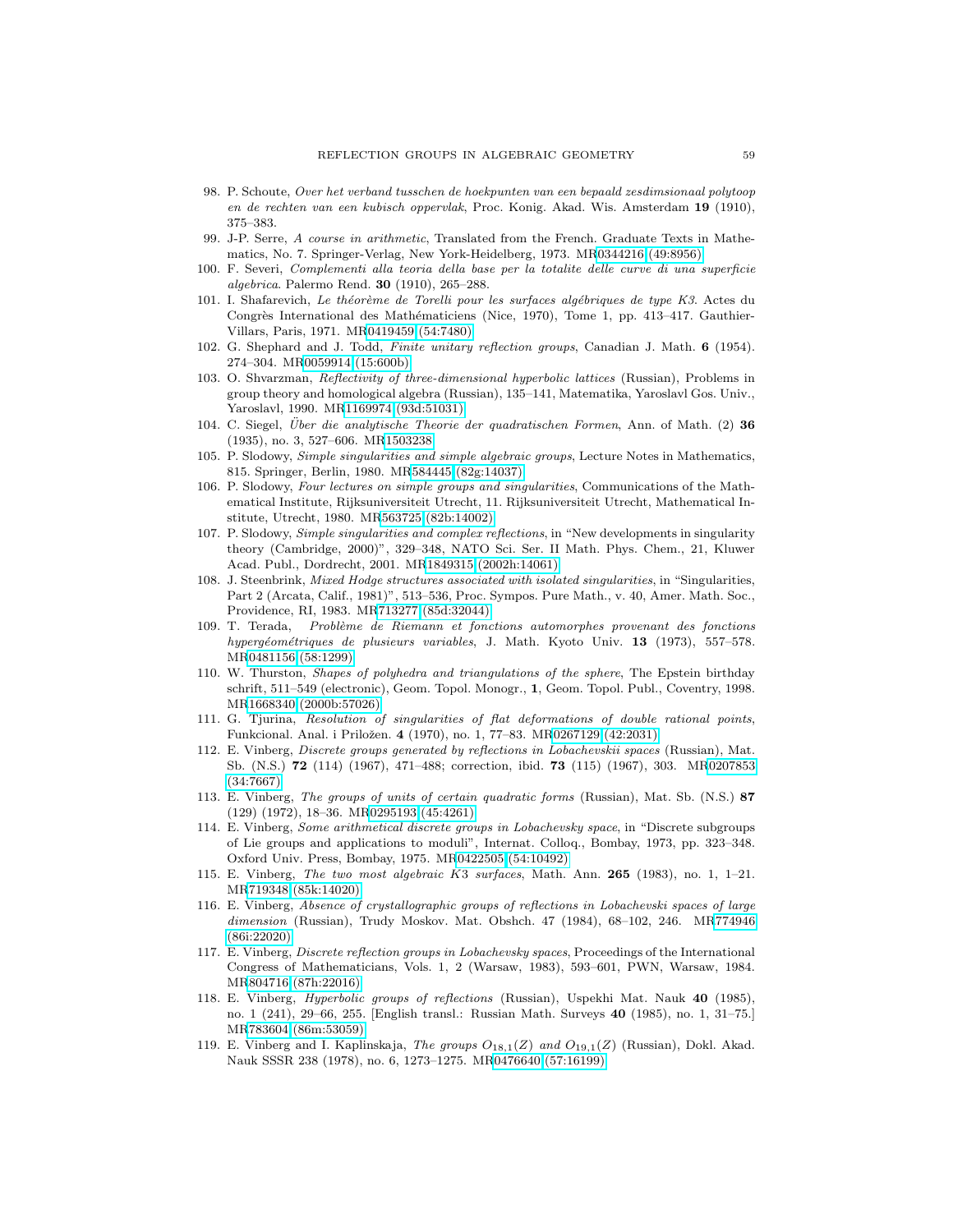- <span id="page-58-0"></span>98. P. Schoute, Over het verband tusschen de hoekpunten van een bepaald zesdimsionaal polytoop en de rechten van een kubisch oppervlak, Proc. Konig. Akad. Wis. Amsterdam **19** (1910), 375–383.
- <span id="page-58-10"></span>99. J-P. Serre, A course in arithmetic, Translated from the French. Graduate Texts in Mathematics, No. 7. Springer-Verlag, New York-Heidelberg, 1973. M[R0344216 \(49:8956\)](http://www.ams.org/mathscinet-getitem?mr=0344216)
- <span id="page-58-1"></span>100. F. Severi, Complementi alla teoria della base per la totalite delle curve di una superficie algebrica. Palermo Rend. **30** (1910), 265–288.
- <span id="page-58-2"></span>101. I. Shafarevich, Le théorème de Torelli pour les surfaces algébriques de type K3. Actes du Congrès International des Mathématiciens (Nice, 1970), Tome 1, pp. 413–417. Gauthier-Villars, Paris, 1971. M[R0419459 \(54:7480\)](http://www.ams.org/mathscinet-getitem?mr=0419459)
- <span id="page-58-5"></span>102. G. Shephard and J. Todd, Finite unitary reflection groups, Canadian J. Math. **6** (1954). 274–304. M[R0059914 \(15:600b\)](http://www.ams.org/mathscinet-getitem?mr=0059914)
- <span id="page-58-12"></span>103. O. Shvarzman, Reflectivity of three-dimensional hyperbolic lattices (Russian), Problems in group theory and homological algebra (Russian), 135–141, Matematika, Yaroslavl Gos. Univ., Yaroslavl, 1990. M[R1169974 \(93d:51031\)](http://www.ams.org/mathscinet-getitem?mr=1169974)
- <span id="page-58-9"></span>104. C. Siegel, Uber die analytische Theorie der quadratischen Formen, Ann. of Math. (2) 36 (1935), no. 3, 527–606. M[R1503238](http://www.ams.org/mathscinet-getitem?mr=1503238)
- <span id="page-58-4"></span>105. P. Slodowy, Simple singularities and simple algebraic groups, Lecture Notes in Mathematics, 815. Springer, Berlin, 1980. M[R584445 \(82g:14037\)](http://www.ams.org/mathscinet-getitem?mr=584445)
- <span id="page-58-17"></span>106. P. Slodowy, Four lectures on simple groups and singularities, Communications of the Mathematical Institute, Rijksuniversiteit Utrecht, 11. Rijksuniversiteit Utrecht, Mathematical Institute, Utrecht, 1980. M[R563725 \(82b:14002\)](http://www.ams.org/mathscinet-getitem?mr=563725)
- <span id="page-58-16"></span>107. P. Slodowy, Simple singularities and complex reflections, in "New developments in singularity theory (Cambridge, 2000)", 329–348, NATO Sci. Ser. II Math. Phys. Chem., 21, Kluwer Acad. Publ., Dordrecht, 2001. M[R1849315 \(2002h:14061\)](http://www.ams.org/mathscinet-getitem?mr=1849315)
- <span id="page-58-14"></span>108. J. Steenbrink, Mixed Hodge structures associated with isolated singularities, in "Singularities, Part 2 (Arcata, Calif., 1981)", 513–536, Proc. Sympos. Pure Math., v. 40, Amer. Math. Soc., Providence, RI, 1983. M[R713277 \(85d:32044\)](http://www.ams.org/mathscinet-getitem?mr=713277)
- <span id="page-58-6"></span>109. T. Terada, Problème de Riemann et fonctions automorphes provenant des fonctions hyperg´eom´etriques de plusieurs variables, J. Math. Kyoto Univ. **13** (1973), 557–578. M[R0481156 \(58:1299\)](http://www.ams.org/mathscinet-getitem?mr=0481156)
- <span id="page-58-7"></span>110. W. Thurston, Shapes of polyhedra and triangulations of the sphere, The Epstein birthday schrift, 511–549 (electronic), Geom. Topol. Monogr., **1**, Geom. Topol. Publ., Coventry, 1998. M[R1668340 \(2000b:57026\)](http://www.ams.org/mathscinet-getitem?mr=1668340)
- <span id="page-58-15"></span>111. G. Tjurina, Resolution of singularities of flat deformations of double rational points, Funkcional. Anal. i Priložen. **4** (1970), no. 1, 77-83. M[R0267129 \(42:2031\)](http://www.ams.org/mathscinet-getitem?mr=0267129)
- <span id="page-58-3"></span>112. E. Vinberg, Discrete groups generated by reflections in Lobachevskii spaces (Russian), Mat. Sb. (N.S.) **72** (114) (1967), 471–488; correction, ibid. **73** (115) (1967), 303. M[R0207853](http://www.ams.org/mathscinet-getitem?mr=0207853) [\(34:7667\)](http://www.ams.org/mathscinet-getitem?mr=0207853)
- 113. E. Vinberg, The groups of units of certain quadratic forms (Russian), Mat. Sb. (N.S.) **87** (129) (1972), 18–36. M[R0295193 \(45:4261\)](http://www.ams.org/mathscinet-getitem?mr=0295193)
- 114. E. Vinberg, Some arithmetical discrete groups in Lobachevsky space, in "Discrete subgroups of Lie groups and applications to moduli", Internat. Colloq., Bombay, 1973, pp. 323–348. Oxford Univ. Press, Bombay, 1975. M[R0422505 \(54:10492\)](http://www.ams.org/mathscinet-getitem?mr=0422505)
- <span id="page-58-13"></span>115. E. Vinberg, The two most algebraic K3 surfaces, Math. Ann. **265** (1983), no. 1, 1–21. M[R719348 \(85k:14020\)](http://www.ams.org/mathscinet-getitem?mr=719348)
- <span id="page-58-8"></span>116. E. Vinberg, Absence of crystallographic groups of reflections in Lobachevski spaces of large dimension (Russian), Trudy Moskov. Mat. Obshch. 47 (1984), 68–102, 246. M[R774946](http://www.ams.org/mathscinet-getitem?mr=774946) [\(86i:22020\)](http://www.ams.org/mathscinet-getitem?mr=774946)
- 117. E. Vinberg, Discrete reflection groups in Lobachevsky spaces, Proceedings of the International Congress of Mathematicians, Vols. 1, 2 (Warsaw, 1983), 593–601, PWN, Warsaw, 1984. M[R804716 \(87h:22016\)](http://www.ams.org/mathscinet-getitem?mr=804716)
- 118. E. Vinberg, Hyperbolic groups of reflections (Russian), Uspekhi Mat. Nauk **40** (1985), no. 1 (241), 29–66, 255. [English transl.: Russian Math. Surveys **40** (1985), no. 1, 31–75.] M[R783604 \(86m:53059\)](http://www.ams.org/mathscinet-getitem?mr=783604)
- <span id="page-58-11"></span>119. E. Vinberg and I. Kaplinskaja, The groups  $O_{18,1}(Z)$  and  $O_{19,1}(Z)$  (Russian), Dokl. Akad. Nauk SSSR 238 (1978), no. 6, 1273–1275. M[R0476640 \(57:16199\)](http://www.ams.org/mathscinet-getitem?mr=0476640)